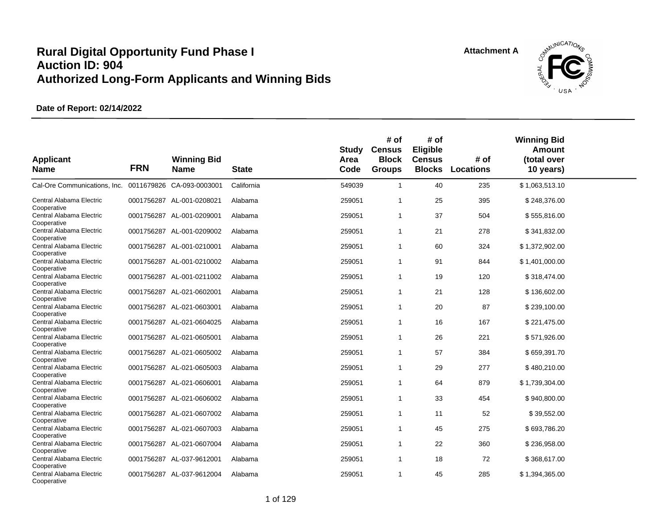

| <b>Applicant</b><br><b>Name</b>                        | <b>FRN</b> | <b>Winning Bid</b><br><b>Name</b> | <b>State</b> | Study<br>Area<br>Code | # of<br><b>Census</b><br><b>Block</b><br><b>Groups</b> | # of<br>Eligible<br><b>Census</b><br><b>Blocks</b> | # of<br><b>Locations</b> | <b>Winning Bid</b><br>Amount<br>(total over<br>10 years) |  |
|--------------------------------------------------------|------------|-----------------------------------|--------------|-----------------------|--------------------------------------------------------|----------------------------------------------------|--------------------------|----------------------------------------------------------|--|
| Cal-Ore Communications, Inc. 0011679826 CA-093-0003001 |            |                                   | California   | 549039                | $\mathbf{1}$                                           | 40                                                 | 235                      | \$1,063,513.10                                           |  |
| Central Alabama Electric<br>Cooperative                |            | 0001756287 AL-001-0208021         | Alabama      | 259051                | -1                                                     | 25                                                 | 395                      | \$248,376.00                                             |  |
| Central Alabama Electric<br>Cooperative                |            | 0001756287 AL-001-0209001         | Alabama      | 259051                | $\overline{1}$                                         | 37                                                 | 504                      | \$555,816.00                                             |  |
| Central Alabama Electric<br>Cooperative                |            | 0001756287 AL-001-0209002         | Alabama      | 259051                | $\overline{1}$                                         | 21                                                 | 278                      | \$341,832.00                                             |  |
| Central Alabama Electric<br>Cooperative                | 0001756287 | AL-001-0210001                    | Alabama      | 259051                | $\mathbf{1}$                                           | 60                                                 | 324                      | \$1,372,902.00                                           |  |
| Central Alabama Electric<br>Cooperative                | 0001756287 | AL-001-0210002                    | Alabama      | 259051                | $\mathbf 1$                                            | 91                                                 | 844                      | \$1,401,000.00                                           |  |
| Central Alabama Electric<br>Cooperative                |            | 0001756287 AL-001-0211002         | Alabama      | 259051                | -1                                                     | 19                                                 | 120                      | \$318,474.00                                             |  |
| Central Alabama Electric<br>Cooperative                | 0001756287 | AL-021-0602001                    | Alabama      | 259051                | $\overline{1}$                                         | 21                                                 | 128                      | \$136,602.00                                             |  |
| Central Alabama Electric<br>Cooperative                |            | 0001756287 AL-021-0603001         | Alabama      | 259051                | $\overline{1}$                                         | 20                                                 | 87                       | \$239,100.00                                             |  |
| Central Alabama Electric<br>Cooperative                | 0001756287 | AL-021-0604025                    | Alabama      | 259051                | $\overline{1}$                                         | 16                                                 | 167                      | \$221,475.00                                             |  |
| Central Alabama Electric                               | 0001756287 | AL-021-0605001                    | Alabama      | 259051                | $\overline{1}$                                         | 26                                                 | 221                      | \$571,926.00                                             |  |
| Cooperative<br>Central Alabama Electric                |            | 0001756287 AL-021-0605002         | Alabama      | 259051                | $\overline{1}$                                         | 57                                                 | 384                      | \$659,391.70                                             |  |
| Cooperative<br>Central Alabama Electric                | 0001756287 | AL-021-0605003                    | Alabama      | 259051                | $\overline{1}$                                         | 29                                                 | 277                      | \$480,210.00                                             |  |
| Cooperative<br>Central Alabama Electric                | 0001756287 | AL-021-0606001                    | Alabama      | 259051                | -1                                                     | 64                                                 | 879                      | \$1,739,304.00                                           |  |
| Cooperative<br>Central Alabama Electric                | 0001756287 | AL-021-0606002                    | Alabama      | 259051                | -1                                                     | 33                                                 | 454                      | \$940,800.00                                             |  |
| Cooperative<br>Central Alabama Electric                | 0001756287 | AL-021-0607002                    | Alabama      | 259051                | $\overline{1}$                                         | 11                                                 | 52                       | \$39,552.00                                              |  |
| Cooperative<br>Central Alabama Electric                |            | 0001756287 AL-021-0607003         | Alabama      | 259051                | $\overline{1}$                                         | 45                                                 | 275                      | \$693,786.20                                             |  |
| Cooperative<br>Central Alabama Electric                | 0001756287 | AL-021-0607004                    | Alabama      | 259051                | $\overline{1}$                                         | 22                                                 | 360                      | \$236,958.00                                             |  |
| Cooperative<br>Central Alabama Electric                | 0001756287 | AL-037-9612001                    | Alabama      | 259051                | -1                                                     | 18                                                 | 72                       | \$368,617.00                                             |  |
| Cooperative<br>Central Alabama Electric<br>Cooperative |            | 0001756287 AL-037-9612004         | Alabama      | 259051                | $\overline{1}$                                         | 45                                                 | 285                      | \$1,394,365.00                                           |  |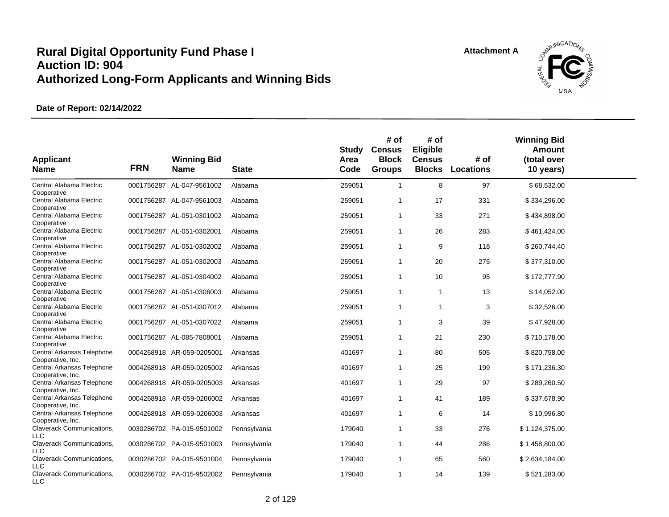

| <b>Applicant</b><br><b>Name</b>                       | <b>FRN</b> | <b>Winning Bid</b><br><b>Name</b> | <b>State</b> | Study<br>Area<br>Code | # of<br><b>Census</b><br><b>Block</b><br><b>Groups</b> | # of<br>Eligible<br><b>Census</b><br><b>Blocks</b> | # of<br><b>Locations</b> | <b>Winning Bid</b><br>Amount<br>(total over<br>10 years) |  |
|-------------------------------------------------------|------------|-----------------------------------|--------------|-----------------------|--------------------------------------------------------|----------------------------------------------------|--------------------------|----------------------------------------------------------|--|
| Central Alabama Electric<br>Cooperative               |            | 0001756287 AL-047-9561002         | Alabama      | 259051                | 1                                                      | 8                                                  | 97                       | \$68,532.00                                              |  |
| Central Alabama Electric<br>Cooperative               |            | 0001756287 AL-047-9561003         | Alabama      | 259051                | $\overline{1}$                                         | 17                                                 | 331                      | \$334,296.00                                             |  |
| Central Alabama Electric<br>Cooperative               |            | 0001756287 AL-051-0301002         | Alabama      | 259051                | $\mathbf{1}$                                           | 33                                                 | 271                      | \$434,898.00                                             |  |
| Central Alabama Electric<br>Cooperative               |            | 0001756287 AL-051-0302001         | Alabama      | 259051                | $\mathbf{1}$                                           | 26                                                 | 283                      | \$461,424.00                                             |  |
| Central Alabama Electric<br>Cooperative               |            | 0001756287 AL-051-0302002         | Alabama      | 259051                | $\mathbf{1}$                                           | 9                                                  | 118                      | \$260,744.40                                             |  |
| Central Alabama Electric<br>Cooperative               |            | 0001756287 AL-051-0302003         | Alabama      | 259051                | $\mathbf{1}$                                           | 20                                                 | 275                      | \$377,310.00                                             |  |
| Central Alabama Electric<br>Cooperative               |            | 0001756287 AL-051-0304002         | Alabama      | 259051                | $\mathbf 1$                                            | 10                                                 | 95                       | \$172,777.90                                             |  |
| Central Alabama Electric<br>Cooperative               |            | 0001756287 AL-051-0306003         | Alabama      | 259051                | $\mathbf{1}$                                           | $\overline{1}$                                     | 13                       | \$14,052.00                                              |  |
| Central Alabama Electric<br>Cooperative               |            | 0001756287 AL-051-0307012         | Alabama      | 259051                | $\mathbf{1}$                                           | $\mathbf{1}$                                       | 3                        | \$32,526.00                                              |  |
| Central Alabama Electric                              |            | 0001756287 AL-051-0307022         | Alabama      | 259051                | $\mathbf{1}$                                           | 3                                                  | 39                       | \$47,928.00                                              |  |
| Cooperative<br>Central Alabama Electric               |            | 0001756287 AL-085-7808001         | Alabama      | 259051                | $\mathbf{1}$                                           | 21                                                 | 230                      | \$710,178.00                                             |  |
| Cooperative<br>Central Arkansas Telephone             |            | 0004268918 AR-059-0205001         | Arkansas     | 401697                | $\mathbf{1}$                                           | 80                                                 | 505                      | \$820,758.00                                             |  |
| Cooperative, Inc.<br>Central Arkansas Telephone       |            | 0004268918 AR-059-0205002         | Arkansas     | 401697                | $\mathbf{1}$                                           | 25                                                 | 199                      | \$171,236.30                                             |  |
| Cooperative, Inc.<br>Central Arkansas Telephone       |            | 0004268918 AR-059-0205003         | Arkansas     | 401697                | $\mathbf{1}$                                           | 29                                                 | 97                       | \$289,260.50                                             |  |
| Cooperative, Inc.<br>Central Arkansas Telephone       |            | 0004268918 AR-059-0206002         | Arkansas     | 401697                | $\mathbf 1$                                            | 41                                                 | 189                      | \$337,678.90                                             |  |
| Cooperative, Inc.<br>Central Arkansas Telephone       | 0004268918 | AR-059-0206003                    | Arkansas     | 401697                | $\mathbf{1}$                                           | 6                                                  | 14                       | \$10,996.80                                              |  |
| Cooperative, Inc.<br><b>Claverack Communications,</b> |            | 0030286702 PA-015-9501002         | Pennsylvania | 179040                | $\mathbf{1}$                                           | 33                                                 | 276                      | \$1,124,375.00                                           |  |
| LLC<br>Claverack Communications,                      |            | 0030286702 PA-015-9501003         | Pennsylvania | 179040                | $\mathbf{1}$                                           | 44                                                 | 286                      | \$1,458,800.00                                           |  |
| <b>LLC</b><br>Claverack Communications,               |            | 0030286702 PA-015-9501004         | Pennsylvania | 179040                | $\mathbf 1$                                            | 65                                                 | 560                      | \$2,634,184.00                                           |  |
| <b>LLC</b><br>Claverack Communications,<br><b>LLC</b> |            | 0030286702 PA-015-9502002         | Pennsylvania | 179040                | $\mathbf{1}$                                           | 14                                                 | 139                      | \$521,283.00                                             |  |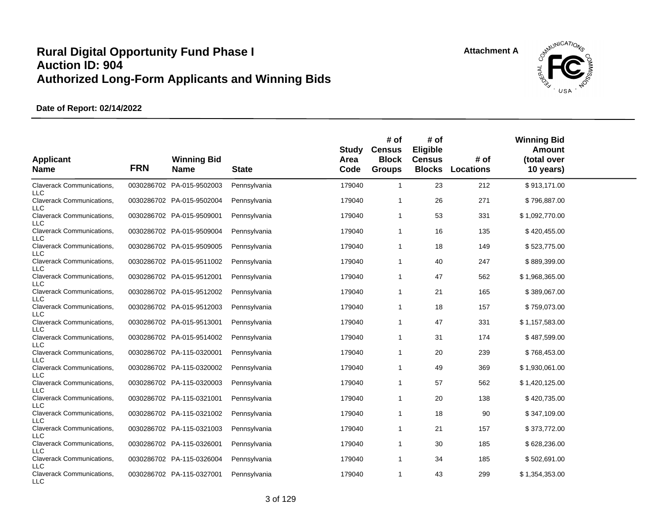

| <b>Applicant</b><br><b>Name</b>                       | <b>FRN</b> | <b>Winning Bid</b><br><b>Name</b> | <b>State</b> | Study<br>Area<br>Code | # of<br><b>Census</b><br><b>Block</b><br><b>Groups</b> | # of<br>Eligible<br><b>Census</b><br><b>Blocks</b> | # of<br><b>Locations</b> | <b>Winning Bid</b><br>Amount<br>(total over<br>10 years) |  |
|-------------------------------------------------------|------------|-----------------------------------|--------------|-----------------------|--------------------------------------------------------|----------------------------------------------------|--------------------------|----------------------------------------------------------|--|
| Claverack Communications,<br><b>LLC</b>               |            | 0030286702 PA-015-9502003         | Pennsylvania | 179040                | $\mathbf{1}$                                           | 23                                                 | 212                      | \$913,171.00                                             |  |
| Claverack Communications,<br><b>LLC</b>               |            | 0030286702 PA-015-9502004         | Pennsylvania | 179040                | $\mathbf{1}$                                           | 26                                                 | 271                      | \$796,887.00                                             |  |
| Claverack Communications,<br><b>LLC</b>               |            | 0030286702 PA-015-9509001         | Pennsylvania | 179040                | 1                                                      | 53                                                 | 331                      | \$1,092,770.00                                           |  |
| <b>Claverack Communications,</b><br><b>LLC</b>        |            | 0030286702 PA-015-9509004         | Pennsylvania | 179040                | $\mathbf{1}$                                           | 16                                                 | 135                      | \$420,455.00                                             |  |
| Claverack Communications,<br><b>LLC</b>               |            | 0030286702 PA-015-9509005         | Pennsylvania | 179040                | 1                                                      | 18                                                 | 149                      | \$523,775.00                                             |  |
| Claverack Communications,<br><b>LLC</b>               |            | 0030286702 PA-015-9511002         | Pennsylvania | 179040                | 1                                                      | 40                                                 | 247                      | \$889,399.00                                             |  |
| Claverack Communications,<br><b>LLC</b>               |            | 0030286702 PA-015-9512001         | Pennsylvania | 179040                | $\mathbf{1}$                                           | 47                                                 | 562                      | \$1,968,365.00                                           |  |
| Claverack Communications,<br><b>LLC</b>               |            | 0030286702 PA-015-9512002         | Pennsylvania | 179040                | $\mathbf{1}$                                           | 21                                                 | 165                      | \$389,067.00                                             |  |
| <b>Claverack Communications,</b>                      |            | 0030286702 PA-015-9512003         | Pennsylvania | 179040                | 1                                                      | 18                                                 | 157                      | \$759,073.00                                             |  |
| <b>LLC</b><br>Claverack Communications,               |            | 0030286702 PA-015-9513001         | Pennsylvania | 179040                | 1                                                      | 47                                                 | 331                      | \$1,157,583.00                                           |  |
| <b>LLC</b><br>Claverack Communications,               |            | 0030286702 PA-015-9514002         | Pennsylvania | 179040                | $\mathbf{1}$                                           | 31                                                 | 174                      | \$487,599.00                                             |  |
| <b>LLC</b><br>Claverack Communications,               |            | 0030286702 PA-115-0320001         | Pennsylvania | 179040                | 1                                                      | 20                                                 | 239                      | \$768,453.00                                             |  |
| LLC<br>Claverack Communications,                      |            | 0030286702 PA-115-0320002         | Pennsylvania | 179040                | $\mathbf{1}$                                           | 49                                                 | 369                      | \$1,930,061.00                                           |  |
| <b>LLC</b><br>Claverack Communications,               |            | 0030286702 PA-115-0320003         | Pennsylvania | 179040                | 1                                                      | 57                                                 | 562                      | \$1,420,125.00                                           |  |
| <b>LLC</b><br>Claverack Communications,               |            | 0030286702 PA-115-0321001         | Pennsylvania | 179040                | 1                                                      | 20                                                 | 138                      | \$420,735.00                                             |  |
| <b>LLC</b><br>Claverack Communications,               |            | 0030286702 PA-115-0321002         | Pennsylvania | 179040                | $\mathbf{1}$                                           | 18                                                 | 90                       | \$347,109.00                                             |  |
| <b>LLC</b><br>Claverack Communications,               |            | 0030286702 PA-115-0321003         | Pennsylvania | 179040                | 1                                                      | 21                                                 | 157                      | \$373,772.00                                             |  |
| <b>LLC</b><br>Claverack Communications,               |            | 0030286702 PA-115-0326001         | Pennsylvania | 179040                | 1                                                      | 30                                                 | 185                      | \$628,236.00                                             |  |
| <b>LLC</b><br>Claverack Communications,               |            | 0030286702 PA-115-0326004         | Pennsylvania | 179040                | 1                                                      | 34                                                 | 185                      | \$502,691.00                                             |  |
| <b>LLC</b><br>Claverack Communications,<br><b>LLC</b> |            | 0030286702 PA-115-0327001         | Pennsylvania | 179040                | 1                                                      | 43                                                 | 299                      | \$1,354,353.00                                           |  |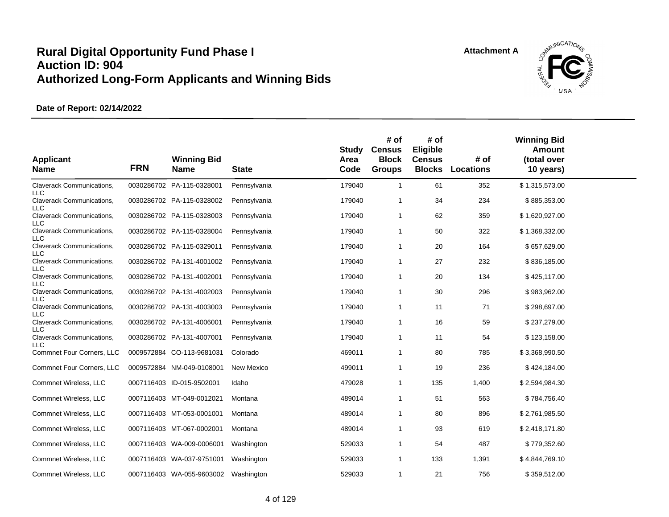

| <b>Applicant</b><br><b>Name</b>         | <b>FRN</b> | <b>Winning Bid</b><br><b>Name</b> | <b>State</b> | Study<br>Area<br>Code | # of<br><b>Census</b><br><b>Block</b><br><b>Groups</b> | # of<br>Eligible<br><b>Census</b><br><b>Blocks</b> | # of<br>Locations | <b>Winning Bid</b><br><b>Amount</b><br>(total over<br>10 years) |  |
|-----------------------------------------|------------|-----------------------------------|--------------|-----------------------|--------------------------------------------------------|----------------------------------------------------|-------------------|-----------------------------------------------------------------|--|
| Claverack Communications,<br><b>LLC</b> |            | 0030286702 PA-115-0328001         | Pennsylvania | 179040                | $\mathbf{1}$                                           | 61                                                 | 352               | \$1,315,573.00                                                  |  |
| Claverack Communications,<br><b>LLC</b> |            | 0030286702 PA-115-0328002         | Pennsylvania | 179040                | $\overline{1}$                                         | 34                                                 | 234               | \$885,353.00                                                    |  |
| Claverack Communications,<br><b>LLC</b> |            | 0030286702 PA-115-0328003         | Pennsylvania | 179040                | $\mathbf 1$                                            | 62                                                 | 359               | \$1,620,927.00                                                  |  |
| Claverack Communications,<br><b>LLC</b> |            | 0030286702 PA-115-0328004         | Pennsylvania | 179040                | $\overline{1}$                                         | 50                                                 | 322               | \$1,368,332.00                                                  |  |
| Claverack Communications,<br><b>LLC</b> |            | 0030286702 PA-115-0329011         | Pennsylvania | 179040                | $\overline{1}$                                         | 20                                                 | 164               | \$657,629.00                                                    |  |
| Claverack Communications,<br>LLC        |            | 0030286702 PA-131-4001002         | Pennsylvania | 179040                | $\overline{1}$                                         | 27                                                 | 232               | \$836,185.00                                                    |  |
| Claverack Communications,               |            | 0030286702 PA-131-4002001         | Pennsylvania | 179040                | $\overline{1}$                                         | 20                                                 | 134               | \$425,117.00                                                    |  |
| LLC.<br>Claverack Communications,       |            | 0030286702 PA-131-4002003         | Pennsylvania | 179040                | $\overline{1}$                                         | 30                                                 | 296               | \$983,962.00                                                    |  |
| <b>LLC</b><br>Claverack Communications, |            | 0030286702 PA-131-4003003         | Pennsylvania | 179040                | -1                                                     | 11                                                 | 71                | \$298,697.00                                                    |  |
| LLC<br>Claverack Communications,        |            | 0030286702 PA-131-4006001         | Pennsylvania | 179040                | -1                                                     | 16                                                 | 59                | \$237,279.00                                                    |  |
| LLC<br><b>Claverack Communications,</b> |            | 0030286702 PA-131-4007001         | Pennsylvania | 179040                | $\mathbf 1$                                            | 11                                                 | 54                | \$123,158.00                                                    |  |
| LLC.<br>Commnet Four Corners, LLC       |            | 0009572884 CO-113-9681031         | Colorado     | 469011                | $\mathbf{1}$                                           | 80                                                 | 785               | \$3,368,990.50                                                  |  |
| Commnet Four Corners, LLC               |            | 0009572884 NM-049-0108001         | New Mexico   | 499011                | -1                                                     | 19                                                 | 236               | \$424,184.00                                                    |  |
| Commnet Wireless, LLC                   |            | 0007116403 ID-015-9502001         | Idaho        | 479028                | $\mathbf{1}$                                           | 135                                                | 1,400             | \$2,594,984.30                                                  |  |
| Commnet Wireless, LLC                   |            | 0007116403 MT-049-0012021         | Montana      | 489014                | -1                                                     | 51                                                 | 563               | \$784,756.40                                                    |  |
| Commnet Wireless, LLC                   |            | 0007116403 MT-053-0001001         | Montana      | 489014                | -1                                                     | 80                                                 | 896               | \$2,761,985.50                                                  |  |
| Commnet Wireless, LLC                   |            | 0007116403 MT-067-0002001         | Montana      | 489014                | -1                                                     | 93                                                 | 619               | \$2,418,171.80                                                  |  |
| Commnet Wireless, LLC                   |            | 0007116403 WA-009-0006001         | Washington   | 529033                | -1                                                     | 54                                                 | 487               | \$779,352.60                                                    |  |
| Commnet Wireless, LLC                   |            | 0007116403 WA-037-9751001         | Washington   | 529033                | $\mathbf 1$                                            | 133                                                | 1,391             | \$4,844,769.10                                                  |  |
| Commnet Wireless, LLC                   |            | 0007116403 WA-055-9603002         | Washington   | 529033                | $\mathbf{1}$                                           | 21                                                 | 756               | \$359,512.00                                                    |  |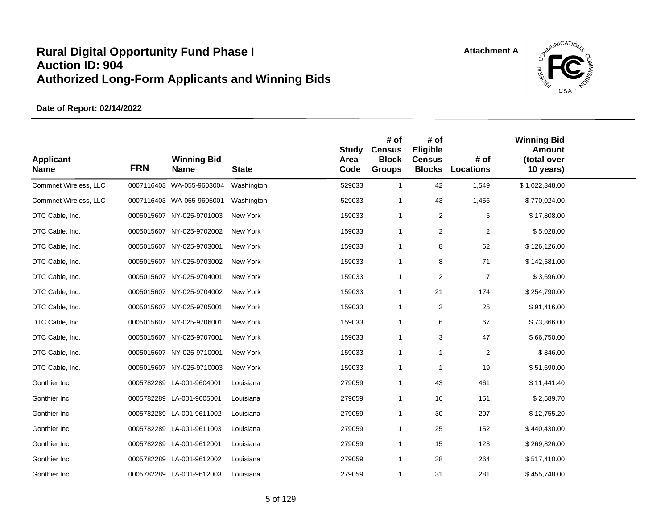

| <b>Applicant</b><br><b>Name</b> | <b>FRN</b> | <b>Winning Bid</b><br><b>Name</b> | <b>State</b> | <b>Study</b><br>Area<br>Code | # of<br><b>Census</b><br><b>Block</b><br><b>Groups</b> | # of<br>Eligible<br><b>Census</b><br><b>Blocks</b> | # of<br><b>Locations</b> | <b>Winning Bid</b><br><b>Amount</b><br>(total over<br>10 years) |  |
|---------------------------------|------------|-----------------------------------|--------------|------------------------------|--------------------------------------------------------|----------------------------------------------------|--------------------------|-----------------------------------------------------------------|--|
| Commnet Wireless, LLC           |            | 0007116403 WA-055-9603004         | Washington   | 529033                       | $\mathbf{1}$                                           | 42                                                 | 1,549                    | \$1,022,348.00                                                  |  |
| Commnet Wireless, LLC           |            | 0007116403 WA-055-9605001         | Washington   | 529033                       | $\mathbf{1}$                                           | 43                                                 | 1,456                    | \$770,024.00                                                    |  |
| DTC Cable, Inc.                 |            | 0005015607 NY-025-9701003         | New York     | 159033                       | $\mathbf{1}$                                           | $\overline{2}$                                     | $\,$ 5 $\,$              | \$17,808.00                                                     |  |
| DTC Cable, Inc.                 |            | 0005015607 NY-025-9702002         | New York     | 159033                       | $\mathbf{1}$                                           | $\overline{c}$                                     | $\overline{2}$           | \$5,028.00                                                      |  |
| DTC Cable, Inc.                 |            | 0005015607 NY-025-9703001         | New York     | 159033                       | $\mathbf{1}$                                           | 8                                                  | 62                       | \$126,126.00                                                    |  |
| DTC Cable, Inc.                 |            | 0005015607 NY-025-9703002         | New York     | 159033                       | $\mathbf{1}$                                           | 8                                                  | 71                       | \$142,581.00                                                    |  |
| DTC Cable, Inc.                 |            | 0005015607 NY-025-9704001         | New York     | 159033                       | $\mathbf{1}$                                           | 2                                                  | $\overline{7}$           | \$3,696.00                                                      |  |
| DTC Cable, Inc.                 |            | 0005015607 NY-025-9704002         | New York     | 159033                       | 1                                                      | 21                                                 | 174                      | \$254,790.00                                                    |  |
| DTC Cable, Inc.                 |            | 0005015607 NY-025-9705001         | New York     | 159033                       | 1                                                      | $\overline{2}$                                     | 25                       | \$91,416.00                                                     |  |
| DTC Cable, Inc.                 |            | 0005015607 NY-025-9706001         | New York     | 159033                       | 1                                                      | 6                                                  | 67                       | \$73,866.00                                                     |  |
| DTC Cable, Inc.                 |            | 0005015607 NY-025-9707001         | New York     | 159033                       | $\mathbf{1}$                                           | 3                                                  | 47                       | \$66,750.00                                                     |  |
| DTC Cable, Inc.                 |            | 0005015607 NY-025-9710001         | New York     | 159033                       | $\mathbf{1}$                                           | $\mathbf{1}$                                       | $\overline{2}$           | \$846.00                                                        |  |
| DTC Cable, Inc.                 |            | 0005015607 NY-025-9710003         | New York     | 159033                       | $\mathbf{1}$                                           | $\mathbf 1$                                        | 19                       | \$51,690.00                                                     |  |
| Gonthier Inc.                   |            | 0005782289 LA-001-9604001         | Louisiana    | 279059                       | $\mathbf{1}$                                           | 43                                                 | 461                      | \$11,441.40                                                     |  |
| Gonthier Inc.                   |            | 0005782289 LA-001-9605001         | Louisiana    | 279059                       | $\overline{1}$                                         | 16                                                 | 151                      | \$2,589.70                                                      |  |
| Gonthier Inc.                   |            | 0005782289 LA-001-9611002         | Louisiana    | 279059                       | $\mathbf{1}$                                           | 30                                                 | 207                      | \$12,755.20                                                     |  |
| Gonthier Inc.                   |            | 0005782289 LA-001-9611003         | Louisiana    | 279059                       | -1                                                     | 25                                                 | 152                      | \$440,430.00                                                    |  |
| Gonthier Inc.                   |            | 0005782289 LA-001-9612001         | Louisiana    | 279059                       | $\mathbf{1}$                                           | 15                                                 | 123                      | \$269,826.00                                                    |  |
| Gonthier Inc.                   |            | 0005782289 LA-001-9612002         | Louisiana    | 279059                       | $\mathbf{1}$                                           | 38                                                 | 264                      | \$517,410.00                                                    |  |
| Gonthier Inc.                   |            | 0005782289 LA-001-9612003         | Louisiana    | 279059                       | $\mathbf{1}$                                           | 31                                                 | 281                      | \$455,748.00                                                    |  |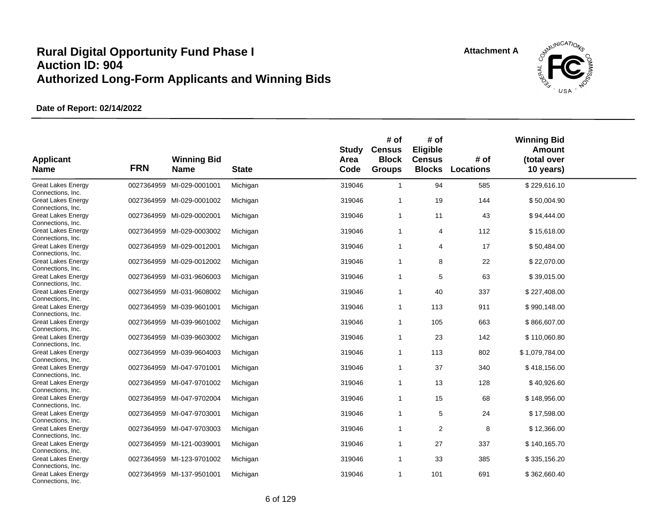

| <b>Applicant</b><br><b>Name</b>                | <b>FRN</b> | <b>Winning Bid</b><br><b>Name</b> | <b>State</b> | <b>Study</b><br>Area<br>Code | # of<br><b>Census</b><br><b>Block</b><br><b>Groups</b> | # of<br>Eligible<br><b>Census</b><br><b>Blocks</b> | # of<br><b>Locations</b> | <b>Winning Bid</b><br>Amount<br>(total over<br>10 years) |  |
|------------------------------------------------|------------|-----------------------------------|--------------|------------------------------|--------------------------------------------------------|----------------------------------------------------|--------------------------|----------------------------------------------------------|--|
| <b>Great Lakes Energy</b><br>Connections, Inc. |            | 0027364959 MI-029-0001001         | Michigan     | 319046                       | $\mathbf{1}$                                           | 94                                                 | 585                      | \$229,616.10                                             |  |
| <b>Great Lakes Energy</b><br>Connections, Inc. |            | 0027364959 MI-029-0001002         | Michigan     | 319046                       | 1                                                      | 19                                                 | 144                      | \$50,004.90                                              |  |
| <b>Great Lakes Energy</b><br>Connections, Inc. |            | 0027364959 MI-029-0002001         | Michigan     | 319046                       | $\overline{1}$                                         | 11                                                 | 43                       | \$94,444.00                                              |  |
| <b>Great Lakes Energy</b><br>Connections, Inc. |            | 0027364959 MI-029-0003002         | Michigan     | 319046                       | $\mathbf{1}$                                           | 4                                                  | 112                      | \$15,618.00                                              |  |
| <b>Great Lakes Energy</b><br>Connections, Inc. |            | 0027364959 MI-029-0012001         | Michigan     | 319046                       | $\mathbf{1}$                                           | 4                                                  | 17                       | \$50,484.00                                              |  |
| <b>Great Lakes Energy</b><br>Connections, Inc. |            | 0027364959 MI-029-0012002         | Michigan     | 319046                       | $\mathbf{1}$                                           | 8                                                  | 22                       | \$22,070.00                                              |  |
| <b>Great Lakes Energy</b><br>Connections, Inc. |            | 0027364959 MI-031-9606003         | Michigan     | 319046                       | $\mathbf{1}$                                           | 5                                                  | 63                       | \$39,015.00                                              |  |
| <b>Great Lakes Energy</b><br>Connections, Inc. |            | 0027364959 MI-031-9608002         | Michigan     | 319046                       | 1                                                      | 40                                                 | 337                      | \$227,408.00                                             |  |
| <b>Great Lakes Energy</b><br>Connections, Inc. |            | 0027364959 MI-039-9601001         | Michigan     | 319046                       | $\mathbf{1}$                                           | 113                                                | 911                      | \$990,148.00                                             |  |
| <b>Great Lakes Energy</b><br>Connections, Inc. |            | 0027364959 MI-039-9601002         | Michigan     | 319046                       | $\mathbf{1}$                                           | 105                                                | 663                      | \$866,607.00                                             |  |
| <b>Great Lakes Energy</b><br>Connections, Inc. |            | 0027364959 MI-039-9603002         | Michigan     | 319046                       | $\mathbf{1}$                                           | 23                                                 | 142                      | \$110,060.80                                             |  |
| <b>Great Lakes Energy</b><br>Connections, Inc. |            | 0027364959 MI-039-9604003         | Michigan     | 319046                       | $\overline{1}$                                         | 113                                                | 802                      | \$1,079,784.00                                           |  |
| <b>Great Lakes Energy</b><br>Connections, Inc. |            | 0027364959 MI-047-9701001         | Michigan     | 319046                       | $\mathbf{1}$                                           | 37                                                 | 340                      | \$418,156.00                                             |  |
| <b>Great Lakes Energy</b><br>Connections, Inc. |            | 0027364959 MI-047-9701002         | Michigan     | 319046                       | $\mathbf{1}$                                           | 13                                                 | 128                      | \$40,926.60                                              |  |
| <b>Great Lakes Energy</b><br>Connections, Inc. |            | 0027364959 MI-047-9702004         | Michigan     | 319046                       | $\mathbf{1}$                                           | 15                                                 | 68                       | \$148,956.00                                             |  |
| <b>Great Lakes Energy</b><br>Connections, Inc. |            | 0027364959 MI-047-9703001         | Michigan     | 319046                       | $\mathbf{1}$                                           | $\mathbf 5$                                        | 24                       | \$17,598.00                                              |  |
| <b>Great Lakes Energy</b><br>Connections, Inc. |            | 0027364959 MI-047-9703003         | Michigan     | 319046                       | $\mathbf{1}$                                           | 2                                                  | 8                        | \$12,366.00                                              |  |
| <b>Great Lakes Energy</b><br>Connections, Inc. |            | 0027364959 MI-121-0039001         | Michigan     | 319046                       | $\mathbf{1}$                                           | 27                                                 | 337                      | \$140,165.70                                             |  |
| <b>Great Lakes Energy</b><br>Connections, Inc. |            | 0027364959 MI-123-9701002         | Michigan     | 319046                       | $\mathbf{1}$                                           | 33                                                 | 385                      | \$335,156.20                                             |  |
| <b>Great Lakes Energy</b><br>Connections, Inc. |            | 0027364959 MI-137-9501001         | Michigan     | 319046                       | $\mathbf{1}$                                           | 101                                                | 691                      | \$362,660.40                                             |  |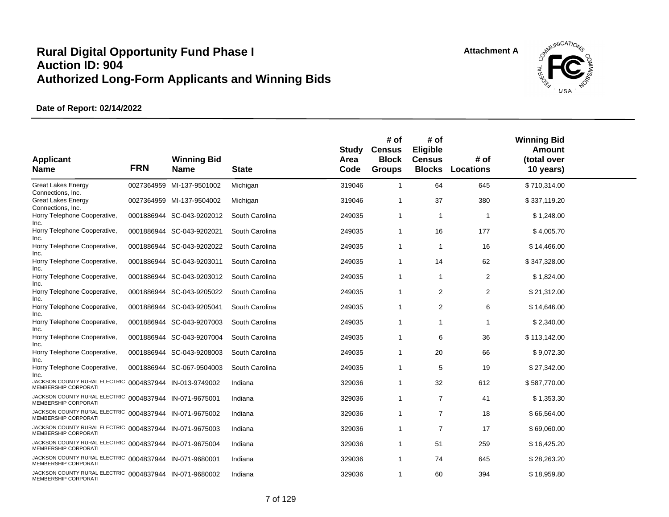

| <b>Applicant</b><br><b>Name</b>                                                 | <b>FRN</b> | <b>Winning Bid</b><br><b>Name</b> | <b>State</b>   | <b>Study</b><br>Area<br>Code | # of<br><b>Census</b><br><b>Block</b><br><b>Groups</b> | # of<br>Eligible<br><b>Census</b><br><b>Blocks</b> | # of<br><b>Locations</b> | <b>Winning Bid</b><br><b>Amount</b><br>(total over<br>10 years) |  |
|---------------------------------------------------------------------------------|------------|-----------------------------------|----------------|------------------------------|--------------------------------------------------------|----------------------------------------------------|--------------------------|-----------------------------------------------------------------|--|
| <b>Great Lakes Energy</b><br>Connections, Inc.                                  |            | 0027364959 MI-137-9501002         | Michigan       | 319046                       | $\mathbf{1}$                                           | 64                                                 | 645                      | \$710,314.00                                                    |  |
| <b>Great Lakes Energy</b><br>Connections, Inc.                                  |            | 0027364959 MI-137-9504002         | Michigan       | 319046                       | 1                                                      | 37                                                 | 380                      | \$337,119.20                                                    |  |
| Horry Telephone Cooperative,<br>Inc.                                            |            | 0001886944 SC-043-9202012         | South Carolina | 249035                       | -1                                                     | $\mathbf{1}$                                       | $\mathbf 1$              | \$1,248.00                                                      |  |
| Horry Telephone Cooperative,<br>Inc.                                            |            | 0001886944 SC-043-9202021         | South Carolina | 249035                       | $\mathbf 1$                                            | 16                                                 | 177                      | \$4,005.70                                                      |  |
| Horry Telephone Cooperative,<br>Inc.                                            |            | 0001886944 SC-043-9202022         | South Carolina | 249035                       | -1                                                     | -1                                                 | 16                       | \$14,466.00                                                     |  |
| Horry Telephone Cooperative,<br>Inc.                                            |            | 0001886944 SC-043-9203011         | South Carolina | 249035                       | -1                                                     | 14                                                 | 62                       | \$347,328.00                                                    |  |
| Horry Telephone Cooperative,<br>Inc.                                            |            | 0001886944 SC-043-9203012         | South Carolina | 249035                       | -1                                                     | -1                                                 | $\overline{2}$           | \$1,824.00                                                      |  |
| Horry Telephone Cooperative,<br>Inc.                                            |            | 0001886944 SC-043-9205022         | South Carolina | 249035                       | -1                                                     | $\overline{2}$                                     | $\overline{2}$           | \$21,312.00                                                     |  |
| Horry Telephone Cooperative,<br>Inc.                                            |            | 0001886944 SC-043-9205041         | South Carolina | 249035                       | 1                                                      | 2                                                  | 6                        | \$14,646.00                                                     |  |
| Horry Telephone Cooperative,<br>Inc.                                            |            | 0001886944 SC-043-9207003         | South Carolina | 249035                       | 1                                                      | 1                                                  | $\mathbf 1$              | \$2,340.00                                                      |  |
| Horry Telephone Cooperative,<br>Inc.                                            |            | 0001886944 SC-043-9207004         | South Carolina | 249035                       | -1                                                     | 6                                                  | 36                       | \$113,142.00                                                    |  |
| Horry Telephone Cooperative,<br>Inc.                                            |            | 0001886944 SC-043-9208003         | South Carolina | 249035                       | 1                                                      | 20                                                 | 66                       | \$9,072.30                                                      |  |
| Horry Telephone Cooperative,<br>Inc.                                            |            | 0001886944 SC-067-9504003         | South Carolina | 249035                       | -1                                                     | 5                                                  | 19                       | \$27,342.00                                                     |  |
| JACKSON COUNTY RURAL ELECTRIC 0004837944 IN-013-9749002<br>MEMBERSHIP CORPORATI |            |                                   | Indiana        | 329036                       | 1                                                      | 32                                                 | 612                      | \$587,770.00                                                    |  |
| JACKSON COUNTY RURAL ELECTRIC 0004837944 IN-071-9675001<br>MEMBERSHIP CORPORATI |            |                                   | Indiana        | 329036                       | -1                                                     | $\overline{7}$                                     | 41                       | \$1,353.30                                                      |  |
| JACKSON COUNTY RURAL ELECTRIC 0004837944 IN-071-9675002<br>MEMBERSHIP CORPORATI |            |                                   | Indiana        | 329036                       | $\mathbf{1}$                                           | $\overline{7}$                                     | 18                       | \$66,564.00                                                     |  |
| JACKSON COUNTY RURAL ELECTRIC 0004837944 IN-071-9675003<br>MEMBERSHIP CORPORATI |            |                                   | Indiana        | 329036                       | $\mathbf{1}$                                           | 7                                                  | 17                       | \$69,060.00                                                     |  |
| JACKSON COUNTY RURAL ELECTRIC 0004837944 IN-071-9675004<br>MEMBERSHIP CORPORATI |            |                                   | Indiana        | 329036                       | 1                                                      | 51                                                 | 259                      | \$16,425.20                                                     |  |
| JACKSON COUNTY RURAL ELECTRIC 0004837944<br>MEMBERSHIP CORPORATI                |            | IN-071-9680001                    | Indiana        | 329036                       | -1                                                     | 74                                                 | 645                      | \$28,263.20                                                     |  |
| JACKSON COUNTY RURAL ELECTRIC 0004837944 IN-071-9680002<br>MEMBERSHIP CORPORATI |            |                                   | Indiana        | 329036                       | 1                                                      | 60                                                 | 394                      | \$18,959.80                                                     |  |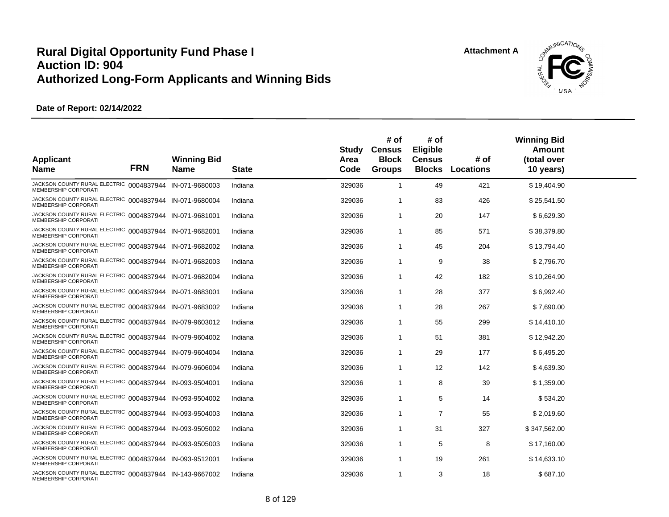

| <b>Applicant</b><br><b>Name</b>                                                        | <b>FRN</b> | <b>Winning Bid</b><br><b>Name</b> | <b>State</b> | Study<br>Area<br>Code | # of<br><b>Census</b><br><b>Block</b><br><b>Groups</b> | # of<br>Eligible<br><b>Census</b><br><b>Blocks</b> | # of<br><b>Locations</b> | <b>Winning Bid</b><br>Amount<br>(total over<br>10 years) |  |
|----------------------------------------------------------------------------------------|------------|-----------------------------------|--------------|-----------------------|--------------------------------------------------------|----------------------------------------------------|--------------------------|----------------------------------------------------------|--|
| JACKSON COUNTY RURAL ELECTRIC 0004837944 IN-071-9680003<br>MEMBERSHIP CORPORATI        |            |                                   | Indiana      | 329036                | $\overline{1}$                                         | 49                                                 | 421                      | \$19,404.90                                              |  |
| JACKSON COUNTY RURAL ELECTRIC 0004837944 IN-071-9680004<br>MEMBERSHIP CORPORATI        |            |                                   | Indiana      | 329036                | -1                                                     | 83                                                 | 426                      | \$25,541.50                                              |  |
| JACKSON COUNTY RURAL ELECTRIC 0004837944 IN-071-9681001<br>MEMBERSHIP CORPORATI        |            |                                   | Indiana      | 329036                | $\overline{1}$                                         | 20                                                 | 147                      | \$6,629.30                                               |  |
| JACKSON COUNTY RURAL ELECTRIC 0004837944 IN-071-9682001<br><b>MEMBERSHIP CORPORATI</b> |            |                                   | Indiana      | 329036                | $\overline{1}$                                         | 85                                                 | 571                      | \$38,379.80                                              |  |
| JACKSON COUNTY RURAL ELECTRIC 0004837944 IN-071-9682002<br>MEMBERSHIP CORPORATI        |            |                                   | Indiana      | 329036                | -1                                                     | 45                                                 | 204                      | \$13,794.40                                              |  |
| JACKSON COUNTY RURAL ELECTRIC 0004837944 IN-071-9682003<br>MEMBERSHIP CORPORATI        |            |                                   | Indiana      | 329036                | -1                                                     | 9                                                  | 38                       | \$2,796.70                                               |  |
| JACKSON COUNTY RURAL ELECTRIC 0004837944 IN-071-9682004<br><b>MEMBERSHIP CORPORATI</b> |            |                                   | Indiana      | 329036                | $\overline{1}$                                         | 42                                                 | 182                      | \$10,264.90                                              |  |
| JACKSON COUNTY RURAL ELECTRIC 0004837944 IN-071-9683001<br>MEMBERSHIP CORPORATI        |            |                                   | Indiana      | 329036                | -1                                                     | 28                                                 | 377                      | \$6,992.40                                               |  |
| JACKSON COUNTY RURAL ELECTRIC 0004837944 IN-071-9683002<br>MEMBERSHIP CORPORATI        |            |                                   | Indiana      | 329036                | -1                                                     | 28                                                 | 267                      | \$7,690.00                                               |  |
| JACKSON COUNTY RURAL ELECTRIC 0004837944 IN-079-9603012<br>MEMBERSHIP CORPORATI        |            |                                   | Indiana      | 329036                | -1                                                     | 55                                                 | 299                      | \$14,410.10                                              |  |
| JACKSON COUNTY RURAL ELECTRIC 0004837944 IN-079-9604002<br>MEMBERSHIP CORPORATI        |            |                                   | Indiana      | 329036                | -1                                                     | 51                                                 | 381                      | \$12,942.20                                              |  |
| JACKSON COUNTY RURAL ELECTRIC 0004837944 IN-079-9604004<br>MEMBERSHIP CORPORATI        |            |                                   | Indiana      | 329036                | -1                                                     | 29                                                 | 177                      | \$6,495.20                                               |  |
| JACKSON COUNTY RURAL ELECTRIC 0004837944 IN-079-9606004<br>MEMBERSHIP CORPORATI        |            |                                   | Indiana      | 329036                | -1                                                     | 12                                                 | 142                      | \$4,639.30                                               |  |
| JACKSON COUNTY RURAL ELECTRIC 0004837944 IN-093-9504001<br>MEMBERSHIP CORPORATI        |            |                                   | Indiana      | 329036                | -1                                                     | 8                                                  | 39                       | \$1,359.00                                               |  |
| JACKSON COUNTY RURAL ELECTRIC 0004837944 IN-093-9504002<br><b>MEMBERSHIP CORPORATI</b> |            |                                   | Indiana      | 329036                | -1                                                     | 5                                                  | 14                       | \$534.20                                                 |  |
| JACKSON COUNTY RURAL ELECTRIC 0004837944 IN-093-9504003<br>MEMBERSHIP CORPORATI        |            |                                   | Indiana      | 329036                | -1                                                     | 7                                                  | 55                       | \$2,019.60                                               |  |
| JACKSON COUNTY RURAL ELECTRIC 0004837944 IN-093-9505002<br>MEMBERSHIP CORPORATI        |            |                                   | Indiana      | 329036                | -1                                                     | 31                                                 | 327                      | \$347,562.00                                             |  |
| JACKSON COUNTY RURAL ELECTRIC 0004837944 IN-093-9505003<br>MEMBERSHIP CORPORATI        |            |                                   | Indiana      | 329036                | -1                                                     | 5                                                  | 8                        | \$17,160.00                                              |  |
| JACKSON COUNTY RURAL ELECTRIC 0004837944 IN-093-9512001<br><b>MEMBERSHIP CORPORATI</b> |            |                                   | Indiana      | 329036                | -1                                                     | 19                                                 | 261                      | \$14,633.10                                              |  |
| JACKSON COUNTY RURAL ELECTRIC 0004837944 IN-143-9667002<br>MEMBERSHIP CORPORATI        |            |                                   | Indiana      | 329036                | -1                                                     | 3                                                  | 18                       | \$687.10                                                 |  |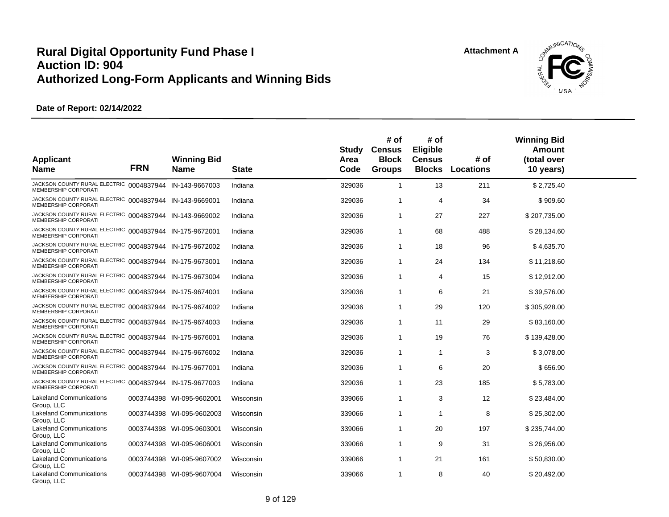

| <b>Applicant</b><br><b>Name</b>                                                        | <b>FRN</b> | <b>Winning Bid</b><br>Name | <b>State</b> | Study<br>Area<br>Code | # of<br><b>Census</b><br><b>Block</b><br><b>Groups</b> | # of<br><b>Eligible</b><br><b>Census</b><br><b>Blocks</b> | # of<br><b>Locations</b> | <b>Winning Bid</b><br>Amount<br>(total over<br>10 years) |  |
|----------------------------------------------------------------------------------------|------------|----------------------------|--------------|-----------------------|--------------------------------------------------------|-----------------------------------------------------------|--------------------------|----------------------------------------------------------|--|
| JACKSON COUNTY RURAL ELECTRIC 0004837944 IN-143-9667003<br><b>MEMBERSHIP CORPORATI</b> |            |                            | Indiana      | 329036                | $\mathbf{1}$                                           | 13                                                        | 211                      | \$2,725.40                                               |  |
| JACKSON COUNTY RURAL ELECTRIC 0004837944 IN-143-9669001<br>MEMBERSHIP CORPORATI        |            |                            | Indiana      | 329036                | 1                                                      | $\overline{4}$                                            | 34                       | \$909.60                                                 |  |
| JACKSON COUNTY RURAL ELECTRIC 0004837944 IN-143-9669002<br>MEMBERSHIP CORPORATI        |            |                            | Indiana      | 329036                | 1                                                      | 27                                                        | 227                      | \$207,735.00                                             |  |
| JACKSON COUNTY RURAL ELECTRIC 0004837944 IN-175-9672001<br><b>MEMBERSHIP CORPORATI</b> |            |                            | Indiana      | 329036                | 1                                                      | 68                                                        | 488                      | \$28,134.60                                              |  |
| JACKSON COUNTY RURAL ELECTRIC 0004837944 IN-175-9672002<br><b>MEMBERSHIP CORPORATI</b> |            |                            | Indiana      | 329036                | $\mathbf 1$                                            | 18                                                        | 96                       | \$4,635.70                                               |  |
| JACKSON COUNTY RURAL ELECTRIC 0004837944 IN-175-9673001<br>MEMBERSHIP CORPORATI        |            |                            | Indiana      | 329036                | 1                                                      | 24                                                        | 134                      | \$11,218.60                                              |  |
| JACKSON COUNTY RURAL ELECTRIC 0004837944 IN-175-9673004<br>MEMBERSHIP CORPORATI        |            |                            | Indiana      | 329036                | 1                                                      | 4                                                         | 15                       | \$12,912.00                                              |  |
| JACKSON COUNTY RURAL ELECTRIC 0004837944 IN-175-9674001<br>MEMBERSHIP CORPORATI        |            |                            | Indiana      | 329036                | 1                                                      | 6                                                         | 21                       | \$39,576.00                                              |  |
| JACKSON COUNTY RURAL ELECTRIC 0004837944 IN-175-9674002<br>MEMBERSHIP CORPORATI        |            |                            | Indiana      | 329036                | 1                                                      | 29                                                        | 120                      | \$305,928.00                                             |  |
| JACKSON COUNTY RURAL ELECTRIC 0004837944 IN-175-9674003<br><b>MEMBERSHIP CORPORATI</b> |            |                            | Indiana      | 329036                | $\mathbf{1}$                                           | 11                                                        | 29                       | \$83,160.00                                              |  |
| JACKSON COUNTY RURAL ELECTRIC 0004837944 IN-175-9676001<br>MEMBERSHIP CORPORATI        |            |                            | Indiana      | 329036                | 1                                                      | 19                                                        | 76                       | \$139,428.00                                             |  |
| JACKSON COUNTY RURAL ELECTRIC 0004837944 IN-175-9676002<br>MEMBERSHIP CORPORATI        |            |                            | Indiana      | 329036                | 1                                                      | $\mathbf 1$                                               | 3                        | \$3,078.00                                               |  |
| JACKSON COUNTY RURAL ELECTRIC 0004837944 IN-175-9677001<br>MEMBERSHIP CORPORATI        |            |                            | Indiana      | 329036                | 1                                                      | 6                                                         | 20                       | \$656.90                                                 |  |
| JACKSON COUNTY RURAL ELECTRIC 0004837944 IN-175-9677003<br>MEMBERSHIP CORPORATI        |            |                            | Indiana      | 329036                | 1                                                      | 23                                                        | 185                      | \$5,783.00                                               |  |
| <b>Lakeland Communications</b><br>Group, LLC                                           |            | 0003744398 WI-095-9602001  | Wisconsin    | 339066                | 1                                                      | 3                                                         | 12                       | \$23,484.00                                              |  |
| <b>Lakeland Communications</b><br>Group, LLC                                           | 0003744398 | WI-095-9602003             | Wisconsin    | 339066                | 1                                                      | 1                                                         | 8                        | \$25,302.00                                              |  |
| <b>Lakeland Communications</b><br>Group, LLC                                           |            | 0003744398 WI-095-9603001  | Wisconsin    | 339066                | 1                                                      | 20                                                        | 197                      | \$235,744.00                                             |  |
| <b>Lakeland Communications</b><br>Group, LLC                                           | 0003744398 | WI-095-9606001             | Wisconsin    | 339066                | $\mathbf 1$                                            | 9                                                         | 31                       | \$26,956.00                                              |  |
| <b>Lakeland Communications</b><br>Group, LLC                                           |            | 0003744398 WI-095-9607002  | Wisconsin    | 339066                | 1                                                      | 21                                                        | 161                      | \$50,830.00                                              |  |
| <b>Lakeland Communications</b><br>Group, LLC                                           |            | 0003744398 WI-095-9607004  | Wisconsin    | 339066                | 1                                                      | 8                                                         | 40                       | \$20,492.00                                              |  |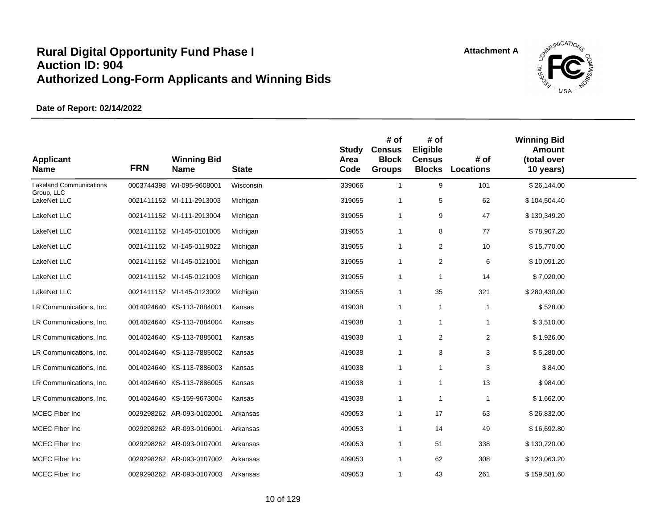

| <b>Applicant</b><br><b>Name</b>              | <b>FRN</b> | <b>Winning Bid</b><br><b>Name</b> | <b>State</b> | <b>Study</b><br>Area<br>Code | # of<br><b>Census</b><br><b>Block</b><br><b>Groups</b> | # of<br>Eligible<br><b>Census</b><br><b>Blocks</b> | # of<br><b>Locations</b> | <b>Winning Bid</b><br><b>Amount</b><br>(total over<br>10 years) |  |
|----------------------------------------------|------------|-----------------------------------|--------------|------------------------------|--------------------------------------------------------|----------------------------------------------------|--------------------------|-----------------------------------------------------------------|--|
| <b>Lakeland Communications</b><br>Group, LLC |            | 0003744398 WI-095-9608001         | Wisconsin    | 339066                       | $\mathbf{1}$                                           | 9                                                  | 101                      | \$26,144.00                                                     |  |
| LakeNet LLC                                  |            | 0021411152 MI-111-2913003         | Michigan     | 319055                       | $\overline{1}$                                         | 5                                                  | 62                       | \$104,504.40                                                    |  |
| LakeNet LLC                                  |            | 0021411152 MI-111-2913004         | Michigan     | 319055                       | $\mathbf{1}$                                           | 9                                                  | 47                       | \$130,349.20                                                    |  |
| LakeNet LLC                                  |            | 0021411152 MI-145-0101005         | Michigan     | 319055                       | $\mathbf{1}$                                           | 8                                                  | 77                       | \$78,907.20                                                     |  |
| LakeNet LLC                                  |            | 0021411152 MI-145-0119022         | Michigan     | 319055                       | $\mathbf{1}$                                           | $\overline{2}$                                     | 10                       | \$15,770.00                                                     |  |
| LakeNet LLC                                  |            | 0021411152 MI-145-0121001         | Michigan     | 319055                       | $\mathbf{1}$                                           | $\overline{2}$                                     | 6                        | \$10,091.20                                                     |  |
| LakeNet LLC                                  |            | 0021411152 MI-145-0121003         | Michigan     | 319055                       | $\mathbf{1}$                                           | $\overline{1}$                                     | 14                       | \$7,020.00                                                      |  |
| LakeNet LLC                                  |            | 0021411152 MI-145-0123002         | Michigan     | 319055                       | $\mathbf{1}$                                           | 35                                                 | 321                      | \$280,430.00                                                    |  |
| LR Communications, Inc.                      |            | 0014024640 KS-113-7884001         | Kansas       | 419038                       | $\mathbf{1}$                                           | $\mathbf{1}$                                       | $\mathbf{1}$             | \$528.00                                                        |  |
| LR Communications, Inc.                      |            | 0014024640 KS-113-7884004         | Kansas       | 419038                       | $\mathbf{1}$                                           | $\mathbf{1}$                                       | $\mathbf{1}$             | \$3,510.00                                                      |  |
| LR Communications, Inc.                      |            | 0014024640 KS-113-7885001         | Kansas       | 419038                       | $\mathbf{1}$                                           | 2                                                  | $\overline{2}$           | \$1,926.00                                                      |  |
| LR Communications, Inc.                      |            | 0014024640 KS-113-7885002         | Kansas       | 419038                       | $\mathbf{1}$                                           | 3                                                  | 3                        | \$5,280.00                                                      |  |
| LR Communications, Inc.                      |            | 0014024640 KS-113-7886003         | Kansas       | 419038                       | $\mathbf{1}$                                           | $\mathbf{1}$                                       | 3                        | \$84.00                                                         |  |
| LR Communications, Inc.                      |            | 0014024640 KS-113-7886005         | Kansas       | 419038                       | $\mathbf{1}$                                           | $\mathbf{1}$                                       | 13                       | \$984.00                                                        |  |
| LR Communications, Inc.                      |            | 0014024640 KS-159-9673004         | Kansas       | 419038                       | $\mathbf{1}$                                           | $\mathbf{1}$                                       | $\overline{1}$           | \$1,662.00                                                      |  |
| MCEC Fiber Inc                               |            | 0029298262 AR-093-0102001         | Arkansas     | 409053                       | $\mathbf{1}$                                           | 17                                                 | 63                       | \$26,832.00                                                     |  |
| MCEC Fiber Inc                               |            | 0029298262 AR-093-0106001         | Arkansas     | 409053                       | $\mathbf{1}$                                           | 14                                                 | 49                       | \$16,692.80                                                     |  |
| MCEC Fiber Inc                               |            | 0029298262 AR-093-0107001         | Arkansas     | 409053                       | $\mathbf{1}$                                           | 51                                                 | 338                      | \$130,720.00                                                    |  |
| MCEC Fiber Inc                               |            | 0029298262 AR-093-0107002         | Arkansas     | 409053                       | $\mathbf{1}$                                           | 62                                                 | 308                      | \$123,063.20                                                    |  |
| MCEC Fiber Inc                               |            | 0029298262 AR-093-0107003         | Arkansas     | 409053                       | $\mathbf{1}$                                           | 43                                                 | 261                      | \$159,581.60                                                    |  |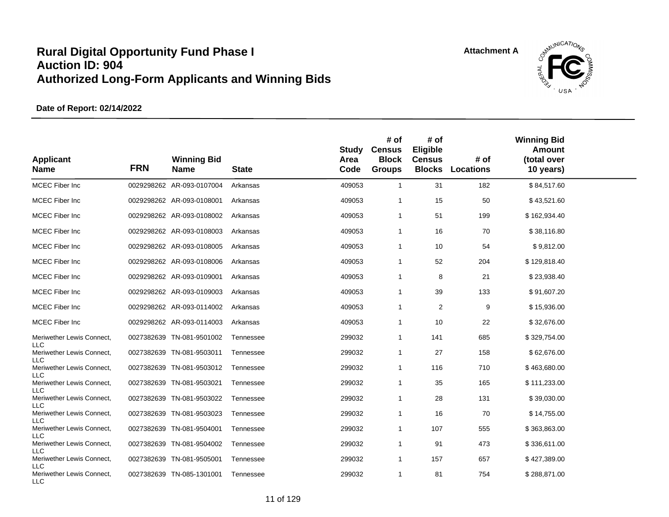

| <b>Applicant</b><br><b>Name</b>                | <b>FRN</b> | <b>Winning Bid</b><br><b>Name</b> | <b>State</b> | Study<br>Area<br>Code | # of<br><b>Census</b><br><b>Block</b><br><b>Groups</b> | # of<br>Eligible<br><b>Census</b><br><b>Blocks</b> | # of<br><b>Locations</b> | <b>Winning Bid</b><br>Amount<br>(total over<br>10 years) |  |
|------------------------------------------------|------------|-----------------------------------|--------------|-----------------------|--------------------------------------------------------|----------------------------------------------------|--------------------------|----------------------------------------------------------|--|
| MCEC Fiber Inc                                 |            | 0029298262 AR-093-0107004         | Arkansas     | 409053                | $\mathbf{1}$                                           | 31                                                 | 182                      | \$84,517.60                                              |  |
| MCEC Fiber Inc                                 |            | 0029298262 AR-093-0108001         | Arkansas     | 409053                | $\overline{1}$                                         | 15                                                 | 50                       | \$43,521.60                                              |  |
| <b>MCEC</b> Fiber Inc                          |            | 0029298262 AR-093-0108002         | Arkansas     | 409053                | $\mathbf{1}$                                           | 51                                                 | 199                      | \$162,934.40                                             |  |
| <b>MCEC</b> Fiber Inc                          |            | 0029298262 AR-093-0108003         | Arkansas     | 409053                | $\mathbf 1$                                            | 16                                                 | 70                       | \$38,116.80                                              |  |
| MCEC Fiber Inc                                 |            | 0029298262 AR-093-0108005         | Arkansas     | 409053                | $\mathbf{1}$                                           | 10                                                 | 54                       | \$9,812.00                                               |  |
| <b>MCEC Fiber Inc</b>                          |            | 0029298262 AR-093-0108006         | Arkansas     | 409053                | $\mathbf{1}$                                           | 52                                                 | 204                      | \$129,818.40                                             |  |
| <b>MCEC Fiber Inc</b>                          |            | 0029298262 AR-093-0109001         | Arkansas     | 409053                | $\mathbf 1$                                            | 8                                                  | 21                       | \$23,938.40                                              |  |
| <b>MCEC</b> Fiber Inc                          |            | 0029298262 AR-093-0109003         | Arkansas     | 409053                | $\mathbf 1$                                            | 39                                                 | 133                      | \$91,607.20                                              |  |
| <b>MCEC</b> Fiber Inc                          |            | 0029298262 AR-093-0114002         | Arkansas     | 409053                | $\mathbf{1}$                                           | 2                                                  | 9                        | \$15,936.00                                              |  |
| <b>MCEC Fiber Inc</b>                          |            | 0029298262 AR-093-0114003         | Arkansas     | 409053                | $\mathbf{1}$                                           | 10                                                 | 22                       | \$32,676.00                                              |  |
| Meriwether Lewis Connect,                      |            | 0027382639 TN-081-9501002         | Tennessee    | 299032                | $\mathbf{1}$                                           | 141                                                | 685                      | \$329,754.00                                             |  |
| <b>LLC</b><br>Meriwether Lewis Connect,        |            | 0027382639 TN-081-9503011         | Tennessee    | 299032                | $\mathbf{1}$                                           | 27                                                 | 158                      | \$62,676.00                                              |  |
| <b>LLC</b><br>Meriwether Lewis Connect,        |            | 0027382639 TN-081-9503012         | Tennessee    | 299032                | $\mathbf{1}$                                           | 116                                                | 710                      | \$463,680.00                                             |  |
| <b>LLC</b><br>Meriwether Lewis Connect,        |            | 0027382639 TN-081-9503021         | Tennessee    | 299032                | $\mathbf{1}$                                           | 35                                                 | 165                      | \$111,233.00                                             |  |
| <b>LLC</b><br>Meriwether Lewis Connect,        |            | 0027382639 TN-081-9503022         | Tennessee    | 299032                | $\mathbf{1}$                                           | 28                                                 | 131                      | \$39,030.00                                              |  |
| <b>LLC</b><br>Meriwether Lewis Connect,        |            | 0027382639 TN-081-9503023         | Tennessee    | 299032                | 1                                                      | 16                                                 | 70                       | \$14,755.00                                              |  |
| <b>LLC</b><br>Meriwether Lewis Connect,        |            | 0027382639 TN-081-9504001         | Tennessee    | 299032                | 1                                                      | 107                                                | 555                      | \$363,863.00                                             |  |
| <b>LLC</b><br>Meriwether Lewis Connect,        |            | 0027382639 TN-081-9504002         | Tennessee    | 299032                | $\mathbf{1}$                                           | 91                                                 | 473                      | \$336,611.00                                             |  |
| <b>LLC</b><br>Meriwether Lewis Connect,        |            | 0027382639 TN-081-9505001         | Tennessee    | 299032                | $\mathbf{1}$                                           | 157                                                | 657                      | \$427,389.00                                             |  |
| <b>LLC</b><br>Meriwether Lewis Connect,<br>LLC |            | 0027382639 TN-085-1301001         | Tennessee    | 299032                | $\mathbf{1}$                                           | 81                                                 | 754                      | \$288,871.00                                             |  |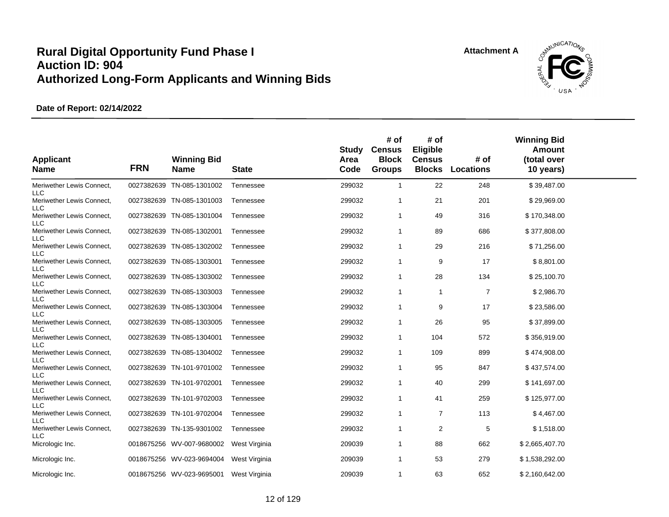

| <b>Applicant</b><br><b>Name</b>         | <b>FRN</b> | <b>Winning Bid</b><br><b>Name</b> | <b>State</b>  | Study<br>Area<br>Code | # of<br><b>Census</b><br><b>Block</b><br><b>Groups</b> | # of<br>Eligible<br><b>Census</b><br><b>Blocks</b> | # of<br><b>Locations</b> | <b>Winning Bid</b><br><b>Amount</b><br>(total over<br>10 years) |  |
|-----------------------------------------|------------|-----------------------------------|---------------|-----------------------|--------------------------------------------------------|----------------------------------------------------|--------------------------|-----------------------------------------------------------------|--|
| Meriwether Lewis Connect,<br><b>LLC</b> | 0027382639 | TN-085-1301002                    | Tennessee     | 299032                | $\mathbf{1}$                                           | 22                                                 | 248                      | \$39,487.00                                                     |  |
| Meriwether Lewis Connect,<br><b>LLC</b> | 0027382639 | TN-085-1301003                    | Tennessee     | 299032                | 1                                                      | 21                                                 | 201                      | \$29,969.00                                                     |  |
| Meriwether Lewis Connect,<br><b>LLC</b> | 0027382639 | TN-085-1301004                    | Tennessee     | 299032                | 1                                                      | 49                                                 | 316                      | \$170,348.00                                                    |  |
| Meriwether Lewis Connect,<br><b>LLC</b> | 0027382639 | TN-085-1302001                    | Tennessee     | 299032                | 1                                                      | 89                                                 | 686                      | \$377,808.00                                                    |  |
| Meriwether Lewis Connect,<br><b>LLC</b> | 0027382639 | TN-085-1302002                    | Tennessee     | 299032                | 1                                                      | 29                                                 | 216                      | \$71,256.00                                                     |  |
| Meriwether Lewis Connect,<br><b>LLC</b> | 0027382639 | TN-085-1303001                    | Tennessee     | 299032                | 1                                                      | 9                                                  | 17                       | \$8,801.00                                                      |  |
| Meriwether Lewis Connect,<br>LLC        | 0027382639 | TN-085-1303002                    | Tennessee     | 299032                | 1                                                      | 28                                                 | 134                      | \$25,100.70                                                     |  |
| Meriwether Lewis Connect,<br>LLC        | 0027382639 | TN-085-1303003                    | Tennessee     | 299032                | $\mathbf{1}$                                           | $\mathbf{1}$                                       | $\overline{7}$           | \$2,986.70                                                      |  |
| Meriwether Lewis Connect,<br><b>LLC</b> | 0027382639 | TN-085-1303004                    | Tennessee     | 299032                | 1                                                      | 9                                                  | 17                       | \$23,586.00                                                     |  |
| Meriwether Lewis Connect,<br>LLC        | 0027382639 | TN-085-1303005                    | Tennessee     | 299032                | $\mathbf{1}$                                           | 26                                                 | 95                       | \$37,899.00                                                     |  |
| Meriwether Lewis Connect,<br><b>LLC</b> | 0027382639 | TN-085-1304001                    | Tennessee     | 299032                | $\mathbf{1}$                                           | 104                                                | 572                      | \$356,919.00                                                    |  |
| Meriwether Lewis Connect,<br>LLC        |            | 0027382639 TN-085-1304002         | Tennessee     | 299032                | $\mathbf{1}$                                           | 109                                                | 899                      | \$474,908.00                                                    |  |
| Meriwether Lewis Connect,<br><b>LLC</b> | 0027382639 | TN-101-9701002                    | Tennessee     | 299032                | 1                                                      | 95                                                 | 847                      | \$437,574.00                                                    |  |
| Meriwether Lewis Connect,<br><b>LLC</b> | 0027382639 | TN-101-9702001                    | Tennessee     | 299032                | $\mathbf{1}$                                           | 40                                                 | 299                      | \$141,697.00                                                    |  |
| Meriwether Lewis Connect,<br><b>LLC</b> |            | 0027382639 TN-101-9702003         | Tennessee     | 299032                | $\mathbf{1}$                                           | 41                                                 | 259                      | \$125,977.00                                                    |  |
| Meriwether Lewis Connect,<br>LLC        | 0027382639 | TN-101-9702004                    | Tennessee     | 299032                | $\mathbf{1}$                                           | $\overline{7}$                                     | 113                      | \$4,467.00                                                      |  |
| Meriwether Lewis Connect,<br><b>LLC</b> | 0027382639 | TN-135-9301002                    | Tennessee     | 299032                | $\mathbf{1}$                                           | 2                                                  | 5                        | \$1,518.00                                                      |  |
| Micrologic Inc.                         |            | 0018675256 WV-007-9680002         | West Virginia | 209039                | $\mathbf{1}$                                           | 88                                                 | 662                      | \$2,665,407.70                                                  |  |
| Micrologic Inc.                         |            | 0018675256 WV-023-9694004         | West Virginia | 209039                | 1                                                      | 53                                                 | 279                      | \$1,538,292.00                                                  |  |
| Micrologic Inc.                         |            | 0018675256 WV-023-9695001         | West Virginia | 209039                | 1                                                      | 63                                                 | 652                      | \$2,160,642.00                                                  |  |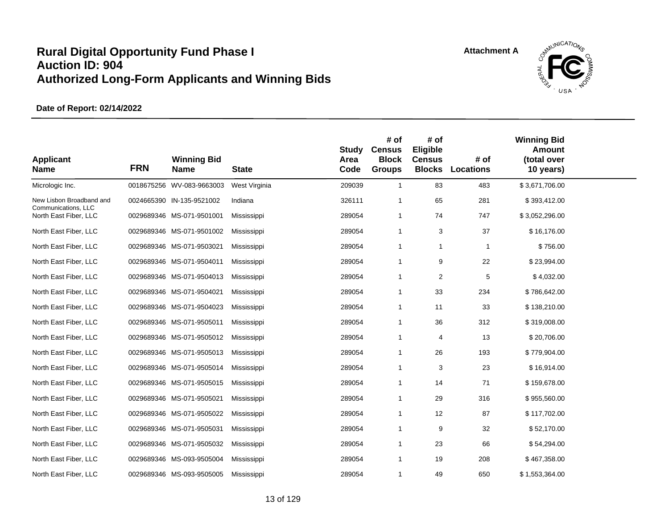

| <b>Applicant</b><br><b>Name</b>                 | <b>FRN</b> | <b>Winning Bid</b><br><b>Name</b> | <b>State</b>  | Study<br>Area<br>Code | # of<br><b>Census</b><br><b>Block</b><br><b>Groups</b> | # of<br>Eligible<br><b>Census</b><br><b>Blocks</b> | # of<br>Locations | <b>Winning Bid</b><br><b>Amount</b><br>(total over<br>10 years) |  |
|-------------------------------------------------|------------|-----------------------------------|---------------|-----------------------|--------------------------------------------------------|----------------------------------------------------|-------------------|-----------------------------------------------------------------|--|
| Micrologic Inc.                                 |            | 0018675256 WV-083-9663003         | West Virginia | 209039                | $\mathbf{1}$                                           | 83                                                 | 483               | \$3,671,706.00                                                  |  |
| New Lisbon Broadband and<br>Communications, LLC |            | 0024665390 IN-135-9521002         | Indiana       | 326111                | 1                                                      | 65                                                 | 281               | \$393,412.00                                                    |  |
| North East Fiber, LLC                           |            | 0029689346 MS-071-9501001         | Mississippi   | 289054                | $\mathbf{1}$                                           | 74                                                 | 747               | \$3,052,296.00                                                  |  |
| North East Fiber, LLC                           |            | 0029689346 MS-071-9501002         | Mississippi   | 289054                | 1                                                      | 3                                                  | 37                | \$16,176.00                                                     |  |
| North East Fiber, LLC                           |            | 0029689346 MS-071-9503021         | Mississippi   | 289054                | $\mathbf{1}$                                           | 1                                                  | $\mathbf{1}$      | \$756.00                                                        |  |
| North East Fiber, LLC                           |            | 0029689346 MS-071-9504011         | Mississippi   | 289054                | $\mathbf{1}$                                           | 9                                                  | 22                | \$23,994.00                                                     |  |
| North East Fiber, LLC                           |            | 0029689346 MS-071-9504013         | Mississippi   | 289054                | 1                                                      | 2                                                  | 5                 | \$4,032.00                                                      |  |
| North East Fiber, LLC                           |            | 0029689346 MS-071-9504021         | Mississippi   | 289054                | 1                                                      | 33                                                 | 234               | \$786,642.00                                                    |  |
| North East Fiber, LLC                           |            | 0029689346 MS-071-9504023         | Mississippi   | 289054                | 1                                                      | 11                                                 | 33                | \$138,210.00                                                    |  |
| North East Fiber, LLC                           |            | 0029689346 MS-071-9505011         | Mississippi   | 289054                | 1                                                      | 36                                                 | 312               | \$319,008.00                                                    |  |
| North East Fiber, LLC                           |            | 0029689346 MS-071-9505012         | Mississippi   | 289054                | $\mathbf{1}$                                           | 4                                                  | 13                | \$20,706.00                                                     |  |
| North East Fiber, LLC                           |            | 0029689346 MS-071-9505013         | Mississippi   | 289054                | 1                                                      | 26                                                 | 193               | \$779,904.00                                                    |  |
| North East Fiber, LLC                           |            | 0029689346 MS-071-9505014         | Mississippi   | 289054                | 1                                                      | 3                                                  | 23                | \$16,914.00                                                     |  |
| North East Fiber, LLC                           |            | 0029689346 MS-071-9505015         | Mississippi   | 289054                | $\mathbf{1}$                                           | 14                                                 | 71                | \$159,678.00                                                    |  |
| North East Fiber, LLC                           |            | 0029689346 MS-071-9505021         | Mississippi   | 289054                | 1                                                      | 29                                                 | 316               | \$955,560.00                                                    |  |
| North East Fiber, LLC                           |            | 0029689346 MS-071-9505022         | Mississippi   | 289054                | 1                                                      | 12                                                 | 87                | \$117,702.00                                                    |  |
| North East Fiber, LLC                           |            | 0029689346 MS-071-9505031         | Mississippi   | 289054                | 1                                                      | 9                                                  | 32                | \$52,170.00                                                     |  |
| North East Fiber, LLC                           |            | 0029689346 MS-071-9505032         | Mississippi   | 289054                | 1                                                      | 23                                                 | 66                | \$54,294.00                                                     |  |
| North East Fiber, LLC                           |            | 0029689346 MS-093-9505004         | Mississippi   | 289054                | 1                                                      | 19                                                 | 208               | \$467,358.00                                                    |  |
| North East Fiber, LLC                           |            | 0029689346 MS-093-9505005         | Mississippi   | 289054                | 1                                                      | 49                                                 | 650               | \$1,553,364.00                                                  |  |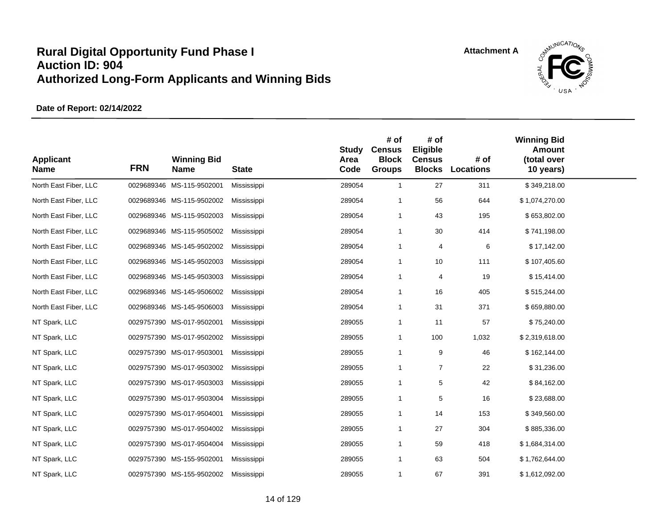

| <b>Applicant</b><br><b>Name</b> | <b>FRN</b> | <b>Winning Bid</b><br>Name | <b>State</b> | <b>Study</b><br>Area<br>Code | # of<br><b>Census</b><br><b>Block</b><br><b>Groups</b> | # of<br>Eligible<br><b>Census</b><br><b>Blocks</b> | # of<br><b>Locations</b> | <b>Winning Bid</b><br><b>Amount</b><br>(total over<br>10 years) |  |
|---------------------------------|------------|----------------------------|--------------|------------------------------|--------------------------------------------------------|----------------------------------------------------|--------------------------|-----------------------------------------------------------------|--|
| North East Fiber, LLC           |            | 0029689346 MS-115-9502001  | Mississippi  | 289054                       | $\mathbf{1}$                                           | 27                                                 | 311                      | \$349,218.00                                                    |  |
| North East Fiber, LLC           |            | 0029689346 MS-115-9502002  | Mississippi  | 289054                       | $\overline{1}$                                         | 56                                                 | 644                      | \$1,074,270.00                                                  |  |
| North East Fiber, LLC           |            | 0029689346 MS-115-9502003  | Mississippi  | 289054                       | $\mathbf{1}$                                           | 43                                                 | 195                      | \$653,802.00                                                    |  |
| North East Fiber, LLC           |            | 0029689346 MS-115-9505002  | Mississippi  | 289054                       | $\mathbf{1}$                                           | 30                                                 | 414                      | \$741,198.00                                                    |  |
| North East Fiber, LLC           |            | 0029689346 MS-145-9502002  | Mississippi  | 289054                       | $\overline{1}$                                         | 4                                                  | 6                        | \$17,142.00                                                     |  |
| North East Fiber, LLC           |            | 0029689346 MS-145-9502003  | Mississippi  | 289054                       | $\mathbf{1}$                                           | 10                                                 | 111                      | \$107,405.60                                                    |  |
| North East Fiber, LLC           |            | 0029689346 MS-145-9503003  | Mississippi  | 289054                       | $\mathbf{1}$                                           | 4                                                  | 19                       | \$15,414.00                                                     |  |
| North East Fiber, LLC           |            | 0029689346 MS-145-9506002  | Mississippi  | 289054                       | -1                                                     | 16                                                 | 405                      | \$515,244.00                                                    |  |
| North East Fiber, LLC           |            | 0029689346 MS-145-9506003  | Mississippi  | 289054                       | $\mathbf{1}$                                           | 31                                                 | 371                      | \$659,880.00                                                    |  |
| NT Spark, LLC                   |            | 0029757390 MS-017-9502001  | Mississippi  | 289055                       | -1                                                     | 11                                                 | 57                       | \$75,240.00                                                     |  |
| NT Spark, LLC                   |            | 0029757390 MS-017-9502002  | Mississippi  | 289055                       | $\mathbf{1}$                                           | 100                                                | 1,032                    | \$2,319,618.00                                                  |  |
| NT Spark, LLC                   |            | 0029757390 MS-017-9503001  | Mississippi  | 289055                       | $\mathbf{1}$                                           | 9                                                  | 46                       | \$162,144.00                                                    |  |
| NT Spark, LLC                   |            | 0029757390 MS-017-9503002  | Mississippi  | 289055                       | $\mathbf{1}$                                           | $\overline{7}$                                     | 22                       | \$31,236.00                                                     |  |
| NT Spark, LLC                   |            | 0029757390 MS-017-9503003  | Mississippi  | 289055                       | $\mathbf{1}$                                           | $\,$ 5 $\,$                                        | 42                       | \$84,162.00                                                     |  |
| NT Spark, LLC                   |            | 0029757390 MS-017-9503004  | Mississippi  | 289055                       | $\mathbf{1}$                                           | 5                                                  | 16                       | \$23,688.00                                                     |  |
| NT Spark, LLC                   |            | 0029757390 MS-017-9504001  | Mississippi  | 289055                       | $\overline{1}$                                         | 14                                                 | 153                      | \$349,560.00                                                    |  |
| NT Spark, LLC                   |            | 0029757390 MS-017-9504002  | Mississippi  | 289055                       | $\mathbf{1}$                                           | 27                                                 | 304                      | \$885,336.00                                                    |  |
| NT Spark, LLC                   |            | 0029757390 MS-017-9504004  | Mississippi  | 289055                       | -1                                                     | 59                                                 | 418                      | \$1,684,314.00                                                  |  |
| NT Spark, LLC                   |            | 0029757390 MS-155-9502001  | Mississippi  | 289055                       | $\overline{1}$                                         | 63                                                 | 504                      | \$1,762,644.00                                                  |  |
| NT Spark, LLC                   |            | 0029757390 MS-155-9502002  | Mississippi  | 289055                       | $\overline{1}$                                         | 67                                                 | 391                      | \$1,612,092.00                                                  |  |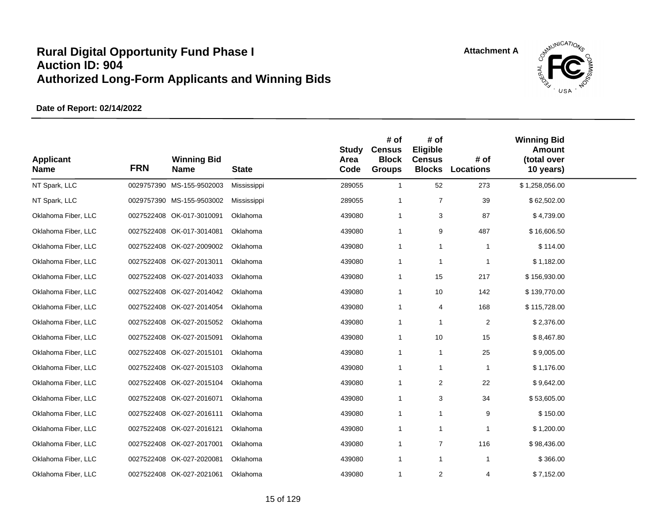

| <b>Applicant</b><br><b>Name</b> | <b>FRN</b> | <b>Winning Bid</b><br><b>Name</b> | <b>State</b> | <b>Study</b><br>Area<br>Code | # of<br><b>Census</b><br><b>Block</b><br><b>Groups</b> | # of<br>Eligible<br><b>Census</b><br><b>Blocks</b> | # of<br><b>Locations</b> | <b>Winning Bid</b><br><b>Amount</b><br>(total over<br>10 years) |  |
|---------------------------------|------------|-----------------------------------|--------------|------------------------------|--------------------------------------------------------|----------------------------------------------------|--------------------------|-----------------------------------------------------------------|--|
| NT Spark, LLC                   |            | 0029757390 MS-155-9502003         | Mississippi  | 289055                       | $\mathbf{1}$                                           | 52                                                 | 273                      | \$1,258,056.00                                                  |  |
| NT Spark, LLC                   |            | 0029757390 MS-155-9503002         | Mississippi  | 289055                       | -1                                                     | $\overline{7}$                                     | 39                       | \$62,502.00                                                     |  |
| Oklahoma Fiber, LLC             |            | 0027522408 OK-017-3010091         | Oklahoma     | 439080                       | $\mathbf{1}$                                           | 3                                                  | 87                       | \$4,739.00                                                      |  |
| Oklahoma Fiber, LLC             |            | 0027522408 OK-017-3014081         | Oklahoma     | 439080                       | $\mathbf{1}$                                           | 9                                                  | 487                      | \$16,606.50                                                     |  |
| Oklahoma Fiber, LLC             |            | 0027522408 OK-027-2009002         | Oklahoma     | 439080                       | $\mathbf{1}$                                           | $\mathbf{1}$                                       | $\mathbf 1$              | \$114.00                                                        |  |
| Oklahoma Fiber, LLC             |            | 0027522408 OK-027-2013011         | Oklahoma     | 439080                       | $\mathbf{1}$                                           | $\mathbf{1}$                                       | 1                        | \$1,182.00                                                      |  |
| Oklahoma Fiber, LLC             |            | 0027522408 OK-027-2014033         | Oklahoma     | 439080                       | $\mathbf{1}$                                           | 15                                                 | 217                      | \$156,930.00                                                    |  |
| Oklahoma Fiber, LLC             |            | 0027522408 OK-027-2014042         | Oklahoma     | 439080                       | $\mathbf{1}$                                           | 10                                                 | 142                      | \$139,770.00                                                    |  |
| Oklahoma Fiber, LLC             |            | 0027522408 OK-027-2014054         | Oklahoma     | 439080                       | $\mathbf{1}$                                           | 4                                                  | 168                      | \$115,728.00                                                    |  |
| Oklahoma Fiber, LLC             |            | 0027522408 OK-027-2015052         | Oklahoma     | 439080                       | $\mathbf{1}$                                           | $\mathbf{1}$                                       | $\overline{2}$           | \$2,376.00                                                      |  |
| Oklahoma Fiber, LLC             |            | 0027522408 OK-027-2015091         | Oklahoma     | 439080                       | $\mathbf{1}$                                           | 10                                                 | 15                       | \$8,467.80                                                      |  |
| Oklahoma Fiber, LLC             |            | 0027522408 OK-027-2015101         | Oklahoma     | 439080                       | $\mathbf{1}$                                           | $\mathbf{1}$                                       | 25                       | \$9,005.00                                                      |  |
| Oklahoma Fiber, LLC             |            | 0027522408 OK-027-2015103         | Oklahoma     | 439080                       | $\mathbf{1}$                                           | $\mathbf{1}$                                       | $\mathbf{1}$             | \$1,176.00                                                      |  |
| Oklahoma Fiber, LLC             |            | 0027522408 OK-027-2015104         | Oklahoma     | 439080                       | $\mathbf{1}$                                           | 2                                                  | 22                       | \$9,642.00                                                      |  |
| Oklahoma Fiber, LLC             |            | 0027522408 OK-027-2016071         | Oklahoma     | 439080                       | $\mathbf{1}$                                           | 3                                                  | 34                       | \$53,605.00                                                     |  |
| Oklahoma Fiber, LLC             |            | 0027522408 OK-027-2016111         | Oklahoma     | 439080                       | $\mathbf{1}$                                           | $\mathbf{1}$                                       | 9                        | \$150.00                                                        |  |
| Oklahoma Fiber, LLC             |            | 0027522408 OK-027-2016121         | Oklahoma     | 439080                       | $\mathbf{1}$                                           | $\mathbf{1}$                                       | $\mathbf{1}$             | \$1,200.00                                                      |  |
| Oklahoma Fiber, LLC             |            | 0027522408 OK-027-2017001         | Oklahoma     | 439080                       | $\mathbf{1}$                                           | $\overline{7}$                                     | 116                      | \$98,436.00                                                     |  |
| Oklahoma Fiber, LLC             |            | 0027522408 OK-027-2020081         | Oklahoma     | 439080                       | $\mathbf{1}$                                           | $\mathbf{1}$                                       | $\mathbf{1}$             | \$366.00                                                        |  |
| Oklahoma Fiber, LLC             |            | 0027522408 OK-027-2021061         | Oklahoma     | 439080                       | $\mathbf{1}$                                           | 2                                                  | 4                        | \$7,152.00                                                      |  |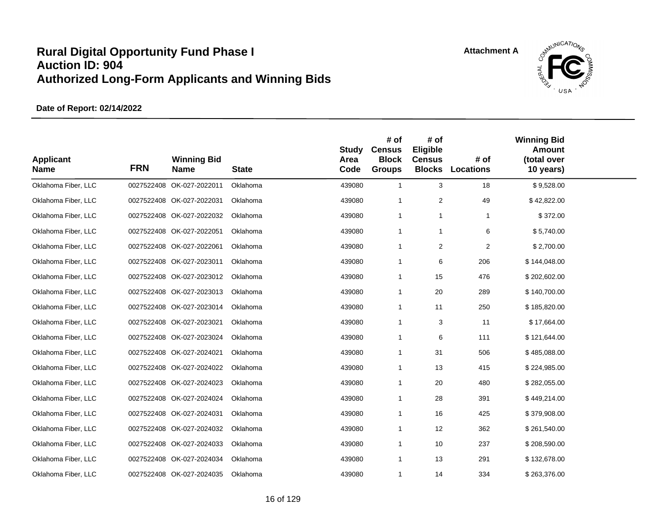

| <b>Applicant</b><br><b>Name</b> | <b>FRN</b> | <b>Winning Bid</b><br><b>Name</b> | <b>State</b> | <b>Study</b><br>Area<br>Code | # of<br><b>Census</b><br><b>Block</b><br><b>Groups</b> | # of<br>Eligible<br><b>Census</b><br><b>Blocks</b> | # of<br><b>Locations</b> | <b>Winning Bid</b><br>Amount<br>(total over<br>10 years) |  |
|---------------------------------|------------|-----------------------------------|--------------|------------------------------|--------------------------------------------------------|----------------------------------------------------|--------------------------|----------------------------------------------------------|--|
| Oklahoma Fiber, LLC             |            | 0027522408 OK-027-2022011         | Oklahoma     | 439080                       | $\mathbf{1}$                                           | 3                                                  | 18                       | \$9,528.00                                               |  |
| Oklahoma Fiber, LLC             |            | 0027522408 OK-027-2022031         | Oklahoma     | 439080                       | $\mathbf{1}$                                           | $\overline{2}$                                     | 49                       | \$42,822.00                                              |  |
| Oklahoma Fiber, LLC             |            | 0027522408 OK-027-2022032         | Oklahoma     | 439080                       | $\mathbf{1}$                                           | $\mathbf{1}$                                       | $\mathbf{1}$             | \$372.00                                                 |  |
| Oklahoma Fiber, LLC             |            | 0027522408 OK-027-2022051         | Oklahoma     | 439080                       | $\mathbf{1}$                                           | $\mathbf{1}$                                       | 6                        | \$5,740.00                                               |  |
| Oklahoma Fiber, LLC             |            | 0027522408 OK-027-2022061         | Oklahoma     | 439080                       | $\mathbf{1}$                                           | $\overline{2}$                                     | $\overline{2}$           | \$2,700.00                                               |  |
| Oklahoma Fiber, LLC             |            | 0027522408 OK-027-2023011         | Oklahoma     | 439080                       | $\mathbf{1}$                                           | 6                                                  | 206                      | \$144,048.00                                             |  |
| Oklahoma Fiber, LLC             |            | 0027522408 OK-027-2023012         | Oklahoma     | 439080                       | $\mathbf{1}$                                           | 15                                                 | 476                      | \$202,602.00                                             |  |
| Oklahoma Fiber, LLC             |            | 0027522408 OK-027-2023013         | Oklahoma     | 439080                       | $\mathbf{1}$                                           | 20                                                 | 289                      | \$140,700.00                                             |  |
| Oklahoma Fiber, LLC             |            | 0027522408 OK-027-2023014         | Oklahoma     | 439080                       | $\mathbf{1}$                                           | 11                                                 | 250                      | \$185,820.00                                             |  |
| Oklahoma Fiber, LLC             |            | 0027522408 OK-027-2023021         | Oklahoma     | 439080                       | $\mathbf{1}$                                           | 3                                                  | 11                       | \$17,664.00                                              |  |
| Oklahoma Fiber, LLC             |            | 0027522408 OK-027-2023024         | Oklahoma     | 439080                       | $\mathbf{1}$                                           | 6                                                  | 111                      | \$121,644.00                                             |  |
| Oklahoma Fiber, LLC             |            | 0027522408 OK-027-2024021         | Oklahoma     | 439080                       | $\mathbf{1}$                                           | 31                                                 | 506                      | \$485,088.00                                             |  |
| Oklahoma Fiber, LLC             |            | 0027522408 OK-027-2024022         | Oklahoma     | 439080                       | $\overline{1}$                                         | 13                                                 | 415                      | \$224,985.00                                             |  |
| Oklahoma Fiber, LLC             |            | 0027522408 OK-027-2024023         | Oklahoma     | 439080                       | $\mathbf{1}$                                           | 20                                                 | 480                      | \$282,055.00                                             |  |
| Oklahoma Fiber, LLC             |            | 0027522408 OK-027-2024024         | Oklahoma     | 439080                       | $\mathbf{1}$                                           | 28                                                 | 391                      | \$449,214.00                                             |  |
| Oklahoma Fiber, LLC             |            | 0027522408 OK-027-2024031         | Oklahoma     | 439080                       | $\mathbf{1}$                                           | 16                                                 | 425                      | \$379,908.00                                             |  |
| Oklahoma Fiber, LLC             |            | 0027522408 OK-027-2024032         | Oklahoma     | 439080                       | $\mathbf{1}$                                           | 12                                                 | 362                      | \$261,540.00                                             |  |
| Oklahoma Fiber, LLC             |            | 0027522408 OK-027-2024033         | Oklahoma     | 439080                       | $\mathbf{1}$                                           | 10                                                 | 237                      | \$208,590.00                                             |  |
| Oklahoma Fiber, LLC             |            | 0027522408 OK-027-2024034         | Oklahoma     | 439080                       | $\mathbf{1}$                                           | 13                                                 | 291                      | \$132,678.00                                             |  |
| Oklahoma Fiber, LLC             |            | 0027522408 OK-027-2024035         | Oklahoma     | 439080                       | $\mathbf{1}$                                           | 14                                                 | 334                      | \$263,376.00                                             |  |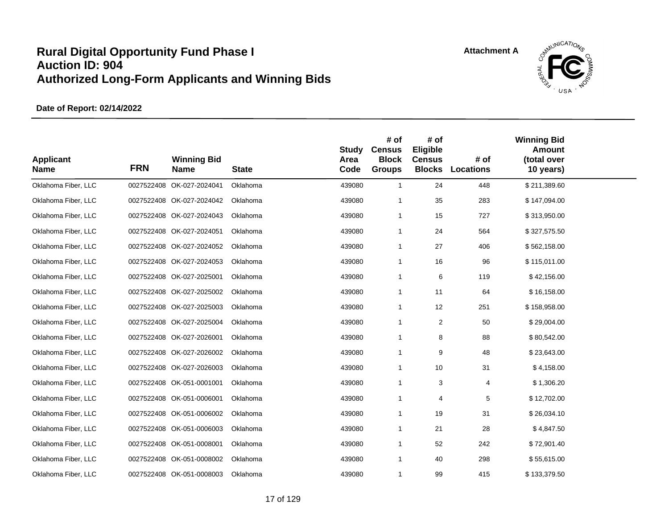

| <b>Applicant</b><br><b>Name</b> | <b>FRN</b> | <b>Winning Bid</b><br><b>Name</b> | <b>State</b> | <b>Study</b><br>Area<br>Code | # of<br><b>Census</b><br><b>Block</b><br><b>Groups</b> | # of<br>Eligible<br><b>Census</b><br><b>Blocks</b> | # of<br>Locations | <b>Winning Bid</b><br><b>Amount</b><br>(total over<br>10 years) |  |
|---------------------------------|------------|-----------------------------------|--------------|------------------------------|--------------------------------------------------------|----------------------------------------------------|-------------------|-----------------------------------------------------------------|--|
| Oklahoma Fiber, LLC             |            | 0027522408 OK-027-2024041         | Oklahoma     | 439080                       | $\mathbf{1}$                                           | 24                                                 | 448               | \$211,389.60                                                    |  |
| Oklahoma Fiber, LLC             |            | 0027522408 OK-027-2024042         | Oklahoma     | 439080                       | $\overline{1}$                                         | 35                                                 | 283               | \$147,094.00                                                    |  |
| Oklahoma Fiber, LLC             |            | 0027522408 OK-027-2024043         | Oklahoma     | 439080                       | $\mathbf{1}$                                           | 15                                                 | 727               | \$313,950.00                                                    |  |
| Oklahoma Fiber, LLC             |            | 0027522408 OK-027-2024051         | Oklahoma     | 439080                       | $\mathbf 1$                                            | 24                                                 | 564               | \$327,575.50                                                    |  |
| Oklahoma Fiber, LLC             |            | 0027522408 OK-027-2024052         | Oklahoma     | 439080                       | $\mathbf 1$                                            | 27                                                 | 406               | \$562,158.00                                                    |  |
| Oklahoma Fiber, LLC             |            | 0027522408 OK-027-2024053         | Oklahoma     | 439080                       | $\mathbf 1$                                            | 16                                                 | 96                | \$115,011.00                                                    |  |
| Oklahoma Fiber, LLC             |            | 0027522408 OK-027-2025001         | Oklahoma     | 439080                       | $\mathbf 1$                                            | 6                                                  | 119               | \$42,156.00                                                     |  |
| Oklahoma Fiber, LLC             |            | 0027522408 OK-027-2025002         | Oklahoma     | 439080                       | $\mathbf{1}$                                           | 11                                                 | 64                | \$16,158.00                                                     |  |
| Oklahoma Fiber, LLC             |            | 0027522408 OK-027-2025003         | Oklahoma     | 439080                       | $\mathbf{1}$                                           | 12                                                 | 251               | \$158,958.00                                                    |  |
| Oklahoma Fiber, LLC             |            | 0027522408 OK-027-2025004         | Oklahoma     | 439080                       | -1                                                     | 2                                                  | 50                | \$29,004.00                                                     |  |
| Oklahoma Fiber, LLC             |            | 0027522408 OK-027-2026001         | Oklahoma     | 439080                       | $\mathbf 1$                                            | 8                                                  | 88                | \$80,542.00                                                     |  |
| Oklahoma Fiber, LLC             |            | 0027522408 OK-027-2026002         | Oklahoma     | 439080                       | $\mathbf 1$                                            | 9                                                  | 48                | \$23,643.00                                                     |  |
| Oklahoma Fiber, LLC             |            | 0027522408 OK-027-2026003         | Oklahoma     | 439080                       | $\mathbf 1$                                            | 10                                                 | 31                | \$4,158.00                                                      |  |
| Oklahoma Fiber, LLC             |            | 0027522408 OK-051-0001001         | Oklahoma     | 439080                       | $\mathbf 1$                                            | 3                                                  | 4                 | \$1,306.20                                                      |  |
| Oklahoma Fiber, LLC             |            | 0027522408 OK-051-0006001         | Oklahoma     | 439080                       | $\mathbf 1$                                            | $\overline{4}$                                     | 5                 | \$12,702.00                                                     |  |
| Oklahoma Fiber, LLC             |            | 0027522408 OK-051-0006002         | Oklahoma     | 439080                       | $\mathbf 1$                                            | 19                                                 | 31                | \$26,034.10                                                     |  |
| Oklahoma Fiber, LLC             |            | 0027522408 OK-051-0006003         | Oklahoma     | 439080                       | $\mathbf 1$                                            | 21                                                 | 28                | \$4,847.50                                                      |  |
| Oklahoma Fiber, LLC             |            | 0027522408 OK-051-0008001         | Oklahoma     | 439080                       | -1                                                     | 52                                                 | 242               | \$72,901.40                                                     |  |
| Oklahoma Fiber, LLC             |            | 0027522408 OK-051-0008002         | Oklahoma     | 439080                       | $\mathbf 1$                                            | 40                                                 | 298               | \$55,615.00                                                     |  |
| Oklahoma Fiber, LLC             |            | 0027522408 OK-051-0008003         | Oklahoma     | 439080                       | $\mathbf 1$                                            | 99                                                 | 415               | \$133,379.50                                                    |  |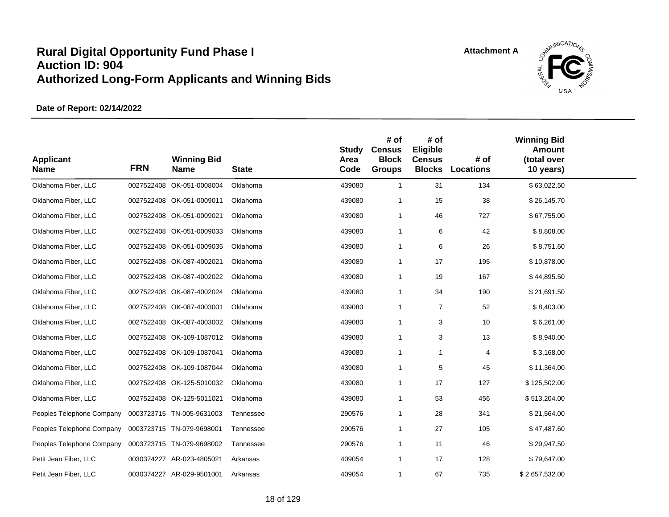

| <b>Applicant</b><br><b>Name</b> | <b>FRN</b> | <b>Winning Bid</b><br><b>Name</b> | <b>State</b> | <b>Study</b><br>Area<br>Code | # of<br><b>Census</b><br><b>Block</b><br><b>Groups</b> | # of<br>Eligible<br><b>Census</b><br><b>Blocks</b> | # of<br>Locations | <b>Winning Bid</b><br>Amount<br>(total over<br>10 years) |  |
|---------------------------------|------------|-----------------------------------|--------------|------------------------------|--------------------------------------------------------|----------------------------------------------------|-------------------|----------------------------------------------------------|--|
| Oklahoma Fiber, LLC             |            | 0027522408 OK-051-0008004         | Oklahoma     | 439080                       | $\mathbf{1}$                                           | 31                                                 | 134               | \$63,022.50                                              |  |
| Oklahoma Fiber, LLC             |            | 0027522408 OK-051-0009011         | Oklahoma     | 439080                       | -1                                                     | 15                                                 | 38                | \$26,145.70                                              |  |
| Oklahoma Fiber, LLC             |            | 0027522408 OK-051-0009021         | Oklahoma     | 439080                       | $\mathbf{1}$                                           | 46                                                 | 727               | \$67,755.00                                              |  |
| Oklahoma Fiber, LLC             |            | 0027522408 OK-051-0009033         | Oklahoma     | 439080                       | $\mathbf{1}$                                           | 6                                                  | 42                | \$8,808.00                                               |  |
| Oklahoma Fiber, LLC             |            | 0027522408 OK-051-0009035         | Oklahoma     | 439080                       | $\mathbf{1}$                                           | 6                                                  | 26                | \$8,751.60                                               |  |
| Oklahoma Fiber, LLC             |            | 0027522408 OK-087-4002021         | Oklahoma     | 439080                       | $\mathbf{1}$                                           | 17                                                 | 195               | \$10,878.00                                              |  |
| Oklahoma Fiber, LLC             |            | 0027522408 OK-087-4002022         | Oklahoma     | 439080                       | $\mathbf{1}$                                           | 19                                                 | 167               | \$44,895.50                                              |  |
| Oklahoma Fiber, LLC             |            | 0027522408 OK-087-4002024         | Oklahoma     | 439080                       | $\mathbf 1$                                            | 34                                                 | 190               | \$21,691.50                                              |  |
| Oklahoma Fiber, LLC             |            | 0027522408 OK-087-4003001         | Oklahoma     | 439080                       | $\mathbf{1}$                                           | $\overline{7}$                                     | 52                | \$8,403.00                                               |  |
| Oklahoma Fiber, LLC             |            | 0027522408 OK-087-4003002         | Oklahoma     | 439080                       | $\mathbf{1}$                                           | 3                                                  | 10                | \$6,261.00                                               |  |
| Oklahoma Fiber, LLC             |            | 0027522408 OK-109-1087012         | Oklahoma     | 439080                       | $\mathbf{1}$                                           | 3                                                  | 13                | \$8,940.00                                               |  |
| Oklahoma Fiber, LLC             |            | 0027522408 OK-109-1087041         | Oklahoma     | 439080                       | $\mathbf{1}$                                           | $\mathbf{1}$                                       | 4                 | \$3,168.00                                               |  |
| Oklahoma Fiber, LLC             |            | 0027522408 OK-109-1087044         | Oklahoma     | 439080                       | $\mathbf{1}$                                           | 5                                                  | 45                | \$11,364.00                                              |  |
| Oklahoma Fiber, LLC             |            | 0027522408 OK-125-5010032         | Oklahoma     | 439080                       | $\mathbf{1}$                                           | 17                                                 | 127               | \$125,502.00                                             |  |
| Oklahoma Fiber, LLC             |            | 0027522408 OK-125-5011021         | Oklahoma     | 439080                       | $\mathbf{1}$                                           | 53                                                 | 456               | \$513,204.00                                             |  |
| Peoples Telephone Company       |            | 0003723715 TN-005-9631003         | Tennessee    | 290576                       | -1                                                     | 28                                                 | 341               | \$21,564.00                                              |  |
| Peoples Telephone Company       |            | 0003723715 TN-079-9698001         | Tennessee    | 290576                       | $\mathbf{1}$                                           | 27                                                 | 105               | \$47,487.60                                              |  |
| Peoples Telephone Company       |            | 0003723715 TN-079-9698002         | Tennessee    | 290576                       | $\overline{1}$                                         | 11                                                 | 46                | \$29,947.50                                              |  |
| Petit Jean Fiber, LLC           |            | 0030374227 AR-023-4805021         | Arkansas     | 409054                       | $\mathbf{1}$                                           | 17                                                 | 128               | \$79,647.00                                              |  |
| Petit Jean Fiber, LLC           |            | 0030374227 AR-029-9501001         | Arkansas     | 409054                       | $\mathbf 1$                                            | 67                                                 | 735               | \$2,657,532.00                                           |  |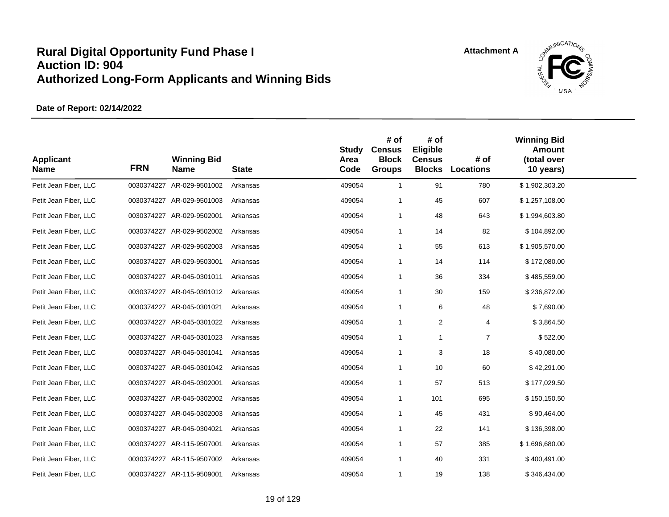

| <b>Applicant</b><br><b>Name</b> | <b>FRN</b> | <b>Winning Bid</b><br><b>Name</b> | <b>State</b> | <b>Study</b><br>Area<br>Code | # of<br><b>Census</b><br><b>Block</b><br><b>Groups</b> | # of<br>Eligible<br><b>Census</b><br><b>Blocks</b> | # of<br><b>Locations</b> | <b>Winning Bid</b><br><b>Amount</b><br>(total over<br>10 years) |  |
|---------------------------------|------------|-----------------------------------|--------------|------------------------------|--------------------------------------------------------|----------------------------------------------------|--------------------------|-----------------------------------------------------------------|--|
| Petit Jean Fiber, LLC           |            | 0030374227 AR-029-9501002         | Arkansas     | 409054                       | $\mathbf{1}$                                           | 91                                                 | 780                      | \$1,902,303.20                                                  |  |
| Petit Jean Fiber, LLC           |            | 0030374227 AR-029-9501003         | Arkansas     | 409054                       | -1                                                     | 45                                                 | 607                      | \$1,257,108.00                                                  |  |
| Petit Jean Fiber, LLC           |            | 0030374227 AR-029-9502001         | Arkansas     | 409054                       | $\mathbf{1}$                                           | 48                                                 | 643                      | \$1,994,603.80                                                  |  |
| Petit Jean Fiber, LLC           |            | 0030374227 AR-029-9502002         | Arkansas     | 409054                       | $\mathbf{1}$                                           | 14                                                 | 82                       | \$104,892.00                                                    |  |
| Petit Jean Fiber, LLC           |            | 0030374227 AR-029-9502003         | Arkansas     | 409054                       | $\mathbf{1}$                                           | 55                                                 | 613                      | \$1,905,570.00                                                  |  |
| Petit Jean Fiber, LLC           |            | 0030374227 AR-029-9503001         | Arkansas     | 409054                       | $\mathbf{1}$                                           | 14                                                 | 114                      | \$172,080.00                                                    |  |
| Petit Jean Fiber, LLC           |            | 0030374227 AR-045-0301011         | Arkansas     | 409054                       | $\mathbf{1}$                                           | 36                                                 | 334                      | \$485,559.00                                                    |  |
| Petit Jean Fiber, LLC           |            | 0030374227 AR-045-0301012         | Arkansas     | 409054                       | $\mathbf 1$                                            | 30                                                 | 159                      | \$236,872.00                                                    |  |
| Petit Jean Fiber, LLC           |            | 0030374227 AR-045-0301021         | Arkansas     | 409054                       | $\mathbf 1$                                            | 6                                                  | 48                       | \$7,690.00                                                      |  |
| Petit Jean Fiber, LLC           |            | 0030374227 AR-045-0301022         | Arkansas     | 409054                       | -1                                                     | 2                                                  | 4                        | \$3,864.50                                                      |  |
| Petit Jean Fiber, LLC           |            | 0030374227 AR-045-0301023         | Arkansas     | 409054                       | $\mathbf{1}$                                           | $\mathbf 1$                                        | $\overline{7}$           | \$522.00                                                        |  |
| Petit Jean Fiber, LLC           |            | 0030374227 AR-045-0301041         | Arkansas     | 409054                       | $\mathbf{1}$                                           | 3                                                  | 18                       | \$40,080.00                                                     |  |
| Petit Jean Fiber, LLC           |            | 0030374227 AR-045-0301042         | Arkansas     | 409054                       | $\mathbf{1}$                                           | 10                                                 | 60                       | \$42,291.00                                                     |  |
| Petit Jean Fiber, LLC           |            | 0030374227 AR-045-0302001         | Arkansas     | 409054                       | $\mathbf{1}$                                           | 57                                                 | 513                      | \$177,029.50                                                    |  |
| Petit Jean Fiber, LLC           |            | 0030374227 AR-045-0302002         | Arkansas     | 409054                       | $\mathbf{1}$                                           | 101                                                | 695                      | \$150,150.50                                                    |  |
| Petit Jean Fiber, LLC           |            | 0030374227 AR-045-0302003         | Arkansas     | 409054                       | $\mathbf{1}$                                           | 45                                                 | 431                      | \$90,464.00                                                     |  |
| Petit Jean Fiber, LLC           |            | 0030374227 AR-045-0304021         | Arkansas     | 409054                       | $\mathbf 1$                                            | 22                                                 | 141                      | \$136,398.00                                                    |  |
| Petit Jean Fiber, LLC           |            | 0030374227 AR-115-9507001         | Arkansas     | 409054                       | -1                                                     | 57                                                 | 385                      | \$1,696,680.00                                                  |  |
| Petit Jean Fiber, LLC           |            | 0030374227 AR-115-9507002         | Arkansas     | 409054                       | $\mathbf 1$                                            | 40                                                 | 331                      | \$400,491.00                                                    |  |
| Petit Jean Fiber, LLC           |            | 0030374227 AR-115-9509001         | Arkansas     | 409054                       | $\mathbf{1}$                                           | 19                                                 | 138                      | \$346,434.00                                                    |  |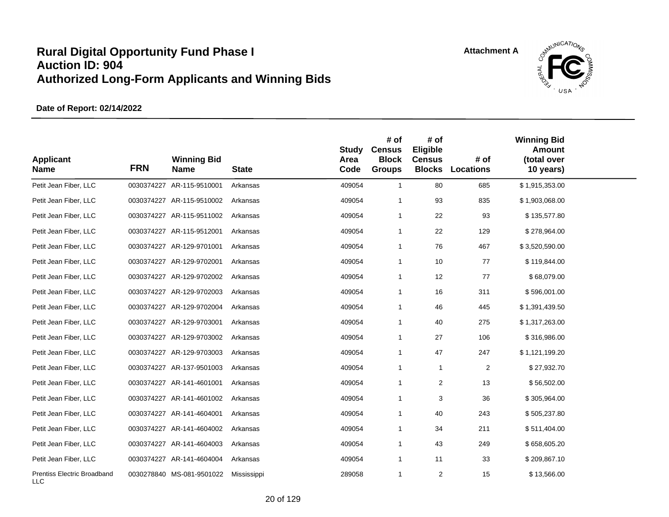

| <b>Applicant</b><br><b>Name</b>    | <b>FRN</b> | <b>Winning Bid</b><br><b>Name</b> | <b>State</b> | <b>Study</b><br>Area<br>Code | # of<br><b>Census</b><br><b>Block</b><br><b>Groups</b> | # of<br>Eligible<br><b>Census</b><br><b>Blocks</b> | # of<br>Locations | <b>Winning Bid</b><br><b>Amount</b><br>(total over<br>10 years) |  |
|------------------------------------|------------|-----------------------------------|--------------|------------------------------|--------------------------------------------------------|----------------------------------------------------|-------------------|-----------------------------------------------------------------|--|
| Petit Jean Fiber, LLC              |            | 0030374227 AR-115-9510001         | Arkansas     | 409054                       | $\overline{1}$                                         | 80                                                 | 685               | \$1,915,353.00                                                  |  |
| Petit Jean Fiber, LLC              |            | 0030374227 AR-115-9510002         | Arkansas     | 409054                       | -1                                                     | 93                                                 | 835               | \$1,903,068.00                                                  |  |
| Petit Jean Fiber, LLC              |            | 0030374227 AR-115-9511002         | Arkansas     | 409054                       | $\overline{1}$                                         | 22                                                 | 93                | \$135,577.80                                                    |  |
| Petit Jean Fiber, LLC              |            | 0030374227 AR-115-9512001         | Arkansas     | 409054                       | $\overline{1}$                                         | 22                                                 | 129               | \$278,964.00                                                    |  |
| Petit Jean Fiber, LLC              |            | 0030374227 AR-129-9701001         | Arkansas     | 409054                       | $\overline{1}$                                         | 76                                                 | 467               | \$3,520,590.00                                                  |  |
| Petit Jean Fiber, LLC              |            | 0030374227 AR-129-9702001         | Arkansas     | 409054                       | $\overline{1}$                                         | 10                                                 | 77                | \$119,844.00                                                    |  |
| Petit Jean Fiber, LLC              |            | 0030374227 AR-129-9702002         | Arkansas     | 409054                       | $\overline{\mathbf{1}}$                                | 12                                                 | 77                | \$68,079.00                                                     |  |
| Petit Jean Fiber, LLC              |            | 0030374227 AR-129-9702003         | Arkansas     | 409054                       | $\overline{1}$                                         | 16                                                 | 311               | \$596,001.00                                                    |  |
| Petit Jean Fiber, LLC              |            | 0030374227 AR-129-9702004         | Arkansas     | 409054                       | $\overline{1}$                                         | 46                                                 | 445               | \$1,391,439.50                                                  |  |
| Petit Jean Fiber, LLC              |            | 0030374227 AR-129-9703001         | Arkansas     | 409054                       | -1                                                     | 40                                                 | 275               | \$1,317,263.00                                                  |  |
| Petit Jean Fiber, LLC              |            | 0030374227 AR-129-9703002         | Arkansas     | 409054                       | $\overline{1}$                                         | 27                                                 | 106               | \$316,986.00                                                    |  |
| Petit Jean Fiber, LLC              |            | 0030374227 AR-129-9703003         | Arkansas     | 409054                       | -1                                                     | 47                                                 | 247               | \$1,121,199.20                                                  |  |
| Petit Jean Fiber, LLC              |            | 0030374227 AR-137-9501003         | Arkansas     | 409054                       | $\overline{1}$                                         | $\overline{1}$                                     | $\overline{c}$    | \$27,932.70                                                     |  |
| Petit Jean Fiber, LLC              |            | 0030374227 AR-141-4601001         | Arkansas     | 409054                       | $\overline{1}$                                         | 2                                                  | 13                | \$56,502.00                                                     |  |
| Petit Jean Fiber, LLC              |            | 0030374227 AR-141-4601002         | Arkansas     | 409054                       | $\overline{1}$                                         | 3                                                  | 36                | \$305,964.00                                                    |  |
| Petit Jean Fiber, LLC              |            | 0030374227 AR-141-4604001         | Arkansas     | 409054                       | $\overline{1}$                                         | 40                                                 | 243               | \$505,237.80                                                    |  |
| Petit Jean Fiber, LLC              |            | 0030374227 AR-141-4604002         | Arkansas     | 409054                       | -1                                                     | 34                                                 | 211               | \$511,404.00                                                    |  |
| Petit Jean Fiber, LLC              |            | 0030374227 AR-141-4604003         | Arkansas     | 409054                       | $\overline{1}$                                         | 43                                                 | 249               | \$658,605.20                                                    |  |
| Petit Jean Fiber, LLC              |            | 0030374227 AR-141-4604004         | Arkansas     | 409054                       | $\overline{1}$                                         | 11                                                 | 33                | \$209,867.10                                                    |  |
| Prentiss Electric Broadband<br>LLC |            | 0030278840 MS-081-9501022         | Mississippi  | 289058                       | $\overline{1}$                                         | 2                                                  | 15                | \$13,566.00                                                     |  |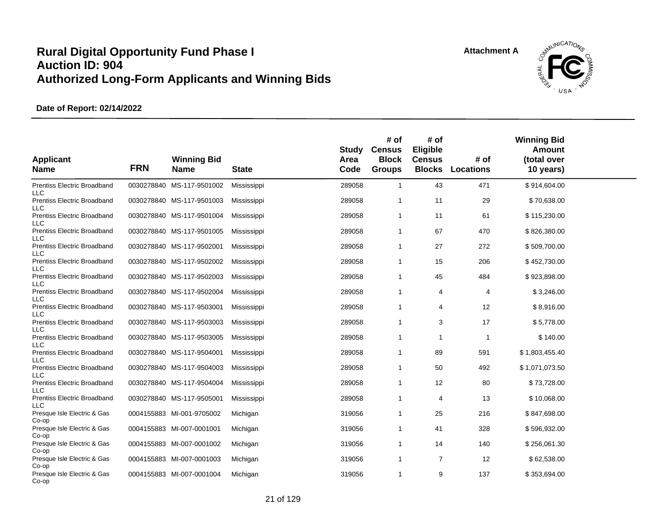

| <b>Applicant</b><br><b>Name</b>                  | <b>FRN</b> | <b>Winning Bid</b><br><b>Name</b> | <b>State</b> | Study<br>Area<br>Code | # of<br><b>Census</b><br><b>Block</b><br><b>Groups</b> | # of<br>Eligible<br><b>Census</b><br><b>Blocks</b> | # of<br><b>Locations</b> | <b>Winning Bid</b><br><b>Amount</b><br>(total over<br>10 years) |  |
|--------------------------------------------------|------------|-----------------------------------|--------------|-----------------------|--------------------------------------------------------|----------------------------------------------------|--------------------------|-----------------------------------------------------------------|--|
| <b>Prentiss Electric Broadband</b><br><b>LLC</b> |            | 0030278840 MS-117-9501002         | Mississippi  | 289058                | $\mathbf{1}$                                           | 43                                                 | 471                      | \$914,604.00                                                    |  |
| Prentiss Electric Broadband<br><b>LLC</b>        |            | 0030278840 MS-117-9501003         | Mississippi  | 289058                | 1                                                      | 11                                                 | 29                       | \$70,638.00                                                     |  |
| <b>Prentiss Electric Broadband</b><br><b>LLC</b> |            | 0030278840 MS-117-9501004         | Mississippi  | 289058                | 1                                                      | 11                                                 | 61                       | \$115,230.00                                                    |  |
| <b>Prentiss Electric Broadband</b><br><b>LLC</b> |            | 0030278840 MS-117-9501005         | Mississippi  | 289058                | 1                                                      | 67                                                 | 470                      | \$826,380.00                                                    |  |
| <b>Prentiss Electric Broadband</b><br><b>LLC</b> |            | 0030278840 MS-117-9502001         | Mississippi  | 289058                | 1                                                      | 27                                                 | 272                      | \$509,700.00                                                    |  |
| Prentiss Electric Broadband<br><b>LLC</b>        |            | 0030278840 MS-117-9502002         | Mississippi  | 289058                | 1                                                      | 15                                                 | 206                      | \$452,730.00                                                    |  |
| Prentiss Electric Broadband<br><b>LLC</b>        |            | 0030278840 MS-117-9502003         | Mississippi  | 289058                | 1                                                      | 45                                                 | 484                      | \$923,898.00                                                    |  |
| <b>Prentiss Electric Broadband</b><br><b>LLC</b> |            | 0030278840 MS-117-9502004         | Mississippi  | 289058                | 1                                                      | 4                                                  | 4                        | \$3,246.00                                                      |  |
| <b>Prentiss Electric Broadband</b><br><b>LLC</b> |            | 0030278840 MS-117-9503001         | Mississippi  | 289058                | 1                                                      | 4                                                  | 12                       | \$8,916.00                                                      |  |
| <b>Prentiss Electric Broadband</b><br><b>LLC</b> |            | 0030278840 MS-117-9503003         | Mississippi  | 289058                | 1                                                      | 3                                                  | 17                       | \$5,778.00                                                      |  |
| <b>Prentiss Electric Broadband</b><br><b>LLC</b> |            | 0030278840 MS-117-9503005         | Mississippi  | 289058                | 1                                                      | -1                                                 | $\mathbf 1$              | \$140.00                                                        |  |
| Prentiss Electric Broadband<br><b>LLC</b>        |            | 0030278840 MS-117-9504001         | Mississippi  | 289058                | $\mathbf{1}$                                           | 89                                                 | 591                      | \$1,803,455.40                                                  |  |
| Prentiss Electric Broadband                      |            | 0030278840 MS-117-9504003         | Mississippi  | 289058                | 1                                                      | 50                                                 | 492                      | \$1,071,073.50                                                  |  |
| <b>LLC</b><br><b>Prentiss Electric Broadband</b> |            | 0030278840 MS-117-9504004         | Mississippi  | 289058                | 1                                                      | 12                                                 | 80                       | \$73,728.00                                                     |  |
| LLC<br>Prentiss Electric Broadband               |            | 0030278840 MS-117-9505001         | Mississippi  | 289058                | 1                                                      | $\overline{4}$                                     | 13                       | \$10,068.00                                                     |  |
| <b>LLC</b><br>Presque Isle Electric & Gas        |            | 0004155883 MI-001-9705002         | Michigan     | 319056                | 1                                                      | 25                                                 | 216                      | \$847,698.00                                                    |  |
| Co-op<br>Presque Isle Electric & Gas             |            | 0004155883 MI-007-0001001         | Michigan     | 319056                | 1                                                      | 41                                                 | 328                      | \$596,932.00                                                    |  |
| Co-op<br>Presque Isle Electric & Gas             |            | 0004155883 MI-007-0001002         | Michigan     | 319056                | $\mathbf{1}$                                           | 14                                                 | 140                      | \$256,061.30                                                    |  |
| Co-op<br>Presque Isle Electric & Gas             |            | 0004155883 MI-007-0001003         | Michigan     | 319056                | $\mathbf{1}$                                           | 7                                                  | 12                       | \$62,538.00                                                     |  |
| Co-op<br>Presque Isle Electric & Gas<br>Co-op    |            | 0004155883 MI-007-0001004         | Michigan     | 319056                | 1                                                      | 9                                                  | 137                      | \$353,694.00                                                    |  |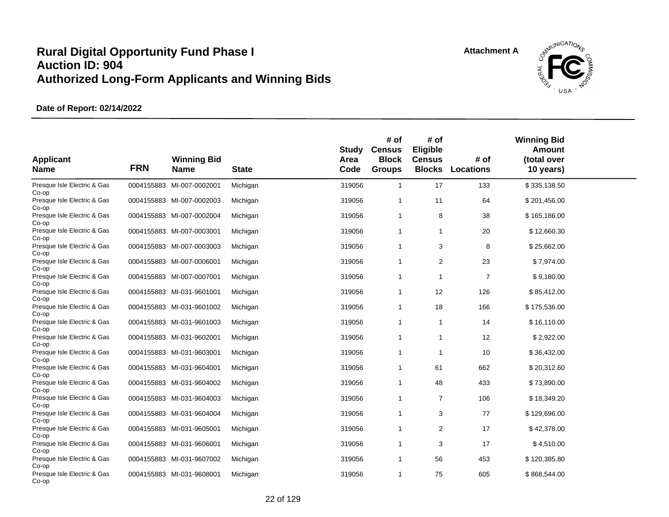

| <b>Applicant</b><br><b>Name</b>      | <b>FRN</b> | <b>Winning Bid</b><br><b>Name</b> | <b>State</b> | Study<br>Area<br>Code | # of<br><b>Census</b><br><b>Block</b><br><b>Groups</b> | # of<br>Eligible<br><b>Census</b><br><b>Blocks</b> | # of<br><b>Locations</b> | <b>Winning Bid</b><br><b>Amount</b><br>(total over<br>10 years) |  |
|--------------------------------------|------------|-----------------------------------|--------------|-----------------------|--------------------------------------------------------|----------------------------------------------------|--------------------------|-----------------------------------------------------------------|--|
| Presque Isle Electric & Gas<br>Co-op |            | 0004155883 MI-007-0002001         | Michigan     | 319056                | $\mathbf{1}$                                           | 17                                                 | 133                      | \$335,138.50                                                    |  |
| Presque Isle Electric & Gas<br>Co-op |            | 0004155883 MI-007-0002003         | Michigan     | 319056                | 1                                                      | 11                                                 | 64                       | \$201,456.00                                                    |  |
| Presque Isle Electric & Gas<br>Co-op |            | 0004155883 MI-007-0002004         | Michigan     | 319056                | 1                                                      | 8                                                  | 38                       | \$165,186.00                                                    |  |
| Presque Isle Electric & Gas<br>Co-op |            | 0004155883 MI-007-0003001         | Michigan     | 319056                | 1                                                      | $\mathbf{1}$                                       | 20                       | \$12,660.30                                                     |  |
| Presque Isle Electric & Gas<br>Co-op |            | 0004155883 MI-007-0003003         | Michigan     | 319056                | $\mathbf{1}$                                           | 3                                                  | 8                        | \$25,662.00                                                     |  |
| Presque Isle Electric & Gas<br>Co-op |            | 0004155883 MI-007-0006001         | Michigan     | 319056                | 1                                                      | 2                                                  | 23                       | \$7,974.00                                                      |  |
| Presque Isle Electric & Gas<br>Co-op |            | 0004155883 MI-007-0007001         | Michigan     | 319056                | 1                                                      | $\mathbf{1}$                                       | $\overline{7}$           | \$9,180.00                                                      |  |
| Presque Isle Electric & Gas<br>Co-op |            | 0004155883 MI-031-9601001         | Michigan     | 319056                | 1                                                      | 12                                                 | 126                      | \$85,412.00                                                     |  |
| Presque Isle Electric & Gas<br>Co-op |            | 0004155883 MI-031-9601002         | Michigan     | 319056                | 1                                                      | 18                                                 | 166                      | \$175,536.00                                                    |  |
| Presque Isle Electric & Gas<br>Co-op |            | 0004155883 MI-031-9601003         | Michigan     | 319056                | $\mathbf{1}$                                           | $\mathbf{1}$                                       | 14                       | \$16,110.00                                                     |  |
| Presque Isle Electric & Gas<br>Co-op |            | 0004155883 MI-031-9602001         | Michigan     | 319056                | 1                                                      | -1                                                 | 12                       | \$2,922.00                                                      |  |
| Presque Isle Electric & Gas<br>Co-op |            | 0004155883 MI-031-9603001         | Michigan     | 319056                | $\mathbf{1}$                                           | $\mathbf{1}$                                       | 10                       | \$36,432.00                                                     |  |
| Presque Isle Electric & Gas<br>Co-op |            | 0004155883 MI-031-9604001         | Michigan     | 319056                | 1                                                      | 61                                                 | 662                      | \$20,312.60                                                     |  |
| Presque Isle Electric & Gas<br>Co-op |            | 0004155883 MI-031-9604002         | Michigan     | 319056                | 1                                                      | 48                                                 | 433                      | \$73,890.00                                                     |  |
| Presque Isle Electric & Gas<br>Co-op |            | 0004155883 MI-031-9604003         | Michigan     | 319056                | 1                                                      | $\overline{7}$                                     | 106                      | \$18,349.20                                                     |  |
| Presque Isle Electric & Gas<br>Co-op |            | 0004155883 MI-031-9604004         | Michigan     | 319056                | 1                                                      | 3                                                  | 77                       | \$129,696.00                                                    |  |
| Presque Isle Electric & Gas<br>Co-op |            | 0004155883 MI-031-9605001         | Michigan     | 319056                | $\mathbf{1}$                                           | 2                                                  | 17                       | \$42,378.00                                                     |  |
| Presque Isle Electric & Gas<br>Co-op |            | 0004155883 MI-031-9606001         | Michigan     | 319056                | 1                                                      | 3                                                  | 17                       | \$4,510.00                                                      |  |
| Presque Isle Electric & Gas<br>Co-op |            | 0004155883 MI-031-9607002         | Michigan     | 319056                | $\mathbf{1}$                                           | 56                                                 | 453                      | \$120,385.80                                                    |  |
| Presque Isle Electric & Gas<br>Co-op |            | 0004155883 MI-031-9608001         | Michigan     | 319056                | 1                                                      | 75                                                 | 605                      | \$868,544.00                                                    |  |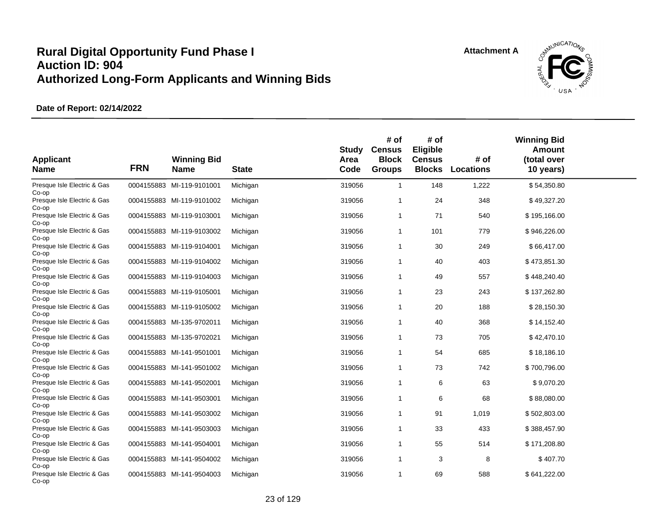

| <b>Applicant</b><br><b>Name</b>               | <b>FRN</b> | <b>Winning Bid</b><br><b>Name</b> | <b>State</b> | Study<br>Area<br>Code | # of<br><b>Census</b><br><b>Block</b><br><b>Groups</b> | # of<br>Eligible<br><b>Census</b><br><b>Blocks</b> | # of<br><b>Locations</b> | <b>Winning Bid</b><br>Amount<br>(total over<br>10 years) |  |
|-----------------------------------------------|------------|-----------------------------------|--------------|-----------------------|--------------------------------------------------------|----------------------------------------------------|--------------------------|----------------------------------------------------------|--|
| Presque Isle Electric & Gas<br>Co-op          |            | 0004155883 MI-119-9101001         | Michigan     | 319056                | $\mathbf{1}$                                           | 148                                                | 1,222                    | \$54,350.80                                              |  |
| Presque Isle Electric & Gas<br>Co-op          |            | 0004155883 MI-119-9101002         | Michigan     | 319056                | $\overline{1}$                                         | 24                                                 | 348                      | \$49,327.20                                              |  |
| Presque Isle Electric & Gas<br>Co-op          |            | 0004155883 MI-119-9103001         | Michigan     | 319056                | $\overline{1}$                                         | 71                                                 | 540                      | \$195,166.00                                             |  |
| Presque Isle Electric & Gas<br>Co-op          |            | 0004155883 MI-119-9103002         | Michigan     | 319056                | $\mathbf{1}$                                           | 101                                                | 779                      | \$946,226.00                                             |  |
| Presque Isle Electric & Gas<br>Co-op          |            | 0004155883 MI-119-9104001         | Michigan     | 319056                | $\mathbf{1}$                                           | 30                                                 | 249                      | \$66,417.00                                              |  |
| Presque Isle Electric & Gas<br>Co-op          |            | 0004155883 MI-119-9104002         | Michigan     | 319056                | $\mathbf{1}$                                           | 40                                                 | 403                      | \$473,851.30                                             |  |
| Presque Isle Electric & Gas<br>Co-op          |            | 0004155883 MI-119-9104003         | Michigan     | 319056                | -1                                                     | 49                                                 | 557                      | \$448,240.40                                             |  |
| Presque Isle Electric & Gas<br>Co-op          |            | 0004155883 MI-119-9105001         | Michigan     | 319056                | $\overline{1}$                                         | 23                                                 | 243                      | \$137,262.80                                             |  |
| Presque Isle Electric & Gas<br>Co-op          |            | 0004155883 MI-119-9105002         | Michigan     | 319056                | $\overline{1}$                                         | 20                                                 | 188                      | \$28,150.30                                              |  |
| Presque Isle Electric & Gas<br>Co-op          |            | 0004155883 MI-135-9702011         | Michigan     | 319056                | -1                                                     | 40                                                 | 368                      | \$14,152.40                                              |  |
| Presque Isle Electric & Gas<br>Co-op          |            | 0004155883 MI-135-9702021         | Michigan     | 319056                | $\overline{1}$                                         | 73                                                 | 705                      | \$42,470.10                                              |  |
| Presque Isle Electric & Gas<br>Co-op          |            | 0004155883 MI-141-9501001         | Michigan     | 319056                | -1                                                     | 54                                                 | 685                      | \$18,186.10                                              |  |
| Presque Isle Electric & Gas                   |            | 0004155883 MI-141-9501002         | Michigan     | 319056                | -1                                                     | 73                                                 | 742                      | \$700,796.00                                             |  |
| Co-op<br>Presque Isle Electric & Gas          |            | 0004155883 MI-141-9502001         | Michigan     | 319056                | $\mathbf{1}$                                           | 6                                                  | 63                       | \$9,070.20                                               |  |
| Co-op<br>Presque Isle Electric & Gas          |            | 0004155883 MI-141-9503001         | Michigan     | 319056                | $\overline{1}$                                         | 6                                                  | 68                       | \$88,080.00                                              |  |
| Co-op<br>Presque Isle Electric & Gas          |            | 0004155883 MI-141-9503002         | Michigan     | 319056                | $\mathbf 1$                                            | 91                                                 | 1,019                    | \$502,803.00                                             |  |
| Co-op<br>Presque Isle Electric & Gas          |            | 0004155883 MI-141-9503003         | Michigan     | 319056                | $\overline{1}$                                         | 33                                                 | 433                      | \$388,457.90                                             |  |
| Co-op<br>Presque Isle Electric & Gas          |            | 0004155883 MI-141-9504001         | Michigan     | 319056                | $\overline{1}$                                         | 55                                                 | 514                      | \$171,208.80                                             |  |
| Co-op<br>Presque Isle Electric & Gas          |            | 0004155883 MI-141-9504002         | Michigan     | 319056                | $\mathbf{1}$                                           | 3                                                  | 8                        | \$407.70                                                 |  |
| Co-op<br>Presque Isle Electric & Gas<br>Co-op |            | 0004155883 MI-141-9504003         | Michigan     | 319056                | -1                                                     | 69                                                 | 588                      | \$641,222.00                                             |  |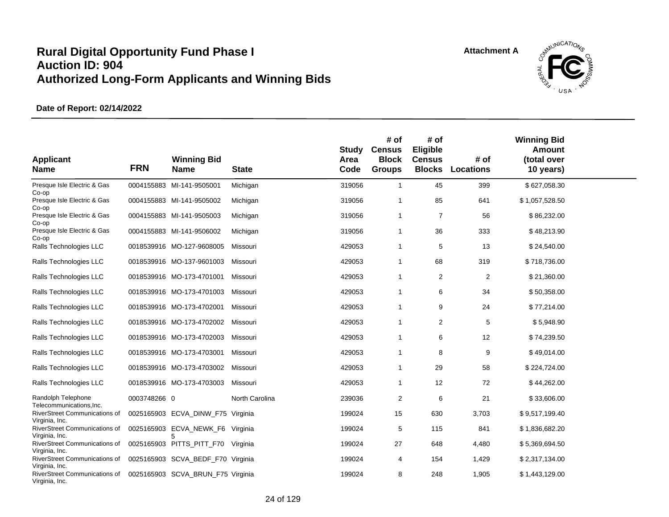

| <b>Applicant</b><br><b>Name</b>                                   | <b>FRN</b>   | <b>Winning Bid</b><br><b>Name</b>       | <b>State</b>   | <b>Study</b><br>Area<br>Code | # of<br><b>Census</b><br><b>Block</b><br><b>Groups</b> | # of<br>Eligible<br><b>Census</b><br><b>Blocks</b> | # of<br><b>Locations</b> | <b>Winning Bid</b><br><b>Amount</b><br>(total over<br>10 years) |  |
|-------------------------------------------------------------------|--------------|-----------------------------------------|----------------|------------------------------|--------------------------------------------------------|----------------------------------------------------|--------------------------|-----------------------------------------------------------------|--|
| Presque Isle Electric & Gas<br>Co-op                              |              | 0004155883 MI-141-9505001               | Michigan       | 319056                       | $\mathbf{1}$                                           | 45                                                 | 399                      | \$627,058.30                                                    |  |
| Presque Isle Electric & Gas<br>Co-op                              |              | 0004155883 MI-141-9505002               | Michigan       | 319056                       | 1                                                      | 85                                                 | 641                      | \$1,057,528.50                                                  |  |
| Presque Isle Electric & Gas<br>Co-op                              |              | 0004155883 MI-141-9505003               | Michigan       | 319056                       | $\mathbf{1}$                                           | $\overline{7}$                                     | 56                       | \$86,232.00                                                     |  |
| Presque Isle Electric & Gas<br>Co-op                              |              | 0004155883 MI-141-9506002               | Michigan       | 319056                       | $\mathbf{1}$                                           | 36                                                 | 333                      | \$48,213.90                                                     |  |
| Ralls Technologies LLC                                            |              | 0018539916 MO-127-9608005               | Missouri       | 429053                       | $\mathbf{1}$                                           | 5                                                  | 13                       | \$24,540.00                                                     |  |
| Ralls Technologies LLC                                            |              | 0018539916 MO-137-9601003               | Missouri       | 429053                       | 1                                                      | 68                                                 | 319                      | \$718,736.00                                                    |  |
| Ralls Technologies LLC                                            |              | 0018539916 MO-173-4701001               | Missouri       | 429053                       | $\mathbf{1}$                                           | 2                                                  | 2                        | \$21,360.00                                                     |  |
| Ralls Technologies LLC                                            |              | 0018539916 MO-173-4701003               | Missouri       | 429053                       | $\mathbf{1}$                                           | 6                                                  | 34                       | \$50,358.00                                                     |  |
| Ralls Technologies LLC                                            |              | 0018539916 MO-173-4702001               | Missouri       | 429053                       | $\mathbf{1}$                                           | 9                                                  | 24                       | \$77,214.00                                                     |  |
| Ralls Technologies LLC                                            |              | 0018539916 MO-173-4702002               | Missouri       | 429053                       | 1                                                      | 2                                                  | 5                        | \$5,948.90                                                      |  |
| Ralls Technologies LLC                                            |              | 0018539916 MO-173-4702003               | Missouri       | 429053                       | $\mathbf{1}$                                           | 6                                                  | 12                       | \$74,239.50                                                     |  |
| Ralls Technologies LLC                                            |              | 0018539916 MO-173-4703001               | Missouri       | 429053                       | $\mathbf{1}$                                           | 8                                                  | 9                        | \$49,014.00                                                     |  |
| Ralls Technologies LLC                                            |              | 0018539916 MO-173-4703002               | Missouri       | 429053                       | $\mathbf{1}$                                           | 29                                                 | 58                       | \$224,724.00                                                    |  |
| Ralls Technologies LLC                                            |              | 0018539916 MO-173-4703003               | Missouri       | 429053                       | $\mathbf{1}$                                           | 12                                                 | 72                       | \$44,262.00                                                     |  |
| Randolph Telephone                                                | 0003748266 0 |                                         | North Carolina | 239036                       | $\overline{2}$                                         | 6                                                  | 21                       | \$33,606.00                                                     |  |
| Telecommunications, Inc.<br>RiverStreet Communications of         |              | 0025165903 ECVA_DINW_F75 Virginia       |                | 199024                       | 15                                                     | 630                                                | 3,703                    | \$9,517,199.40                                                  |  |
| Virginia, Inc.<br>RiverStreet Communications of                   |              | 0025165903 ECVA_NEWK_F6 Virginia        |                | 199024                       | 5                                                      | 115                                                | 841                      | \$1,836,682.20                                                  |  |
| Virginia, Inc.<br>RiverStreet Communications of                   |              | 5<br>0025165903 PITTS_PITT_F70 Virginia |                | 199024                       | 27                                                     | 648                                                | 4,480                    | \$5,369,694.50                                                  |  |
| Virginia, Inc.<br>RiverStreet Communications of                   |              | 0025165903 SCVA BEDF F70 Virginia       |                | 199024                       | 4                                                      | 154                                                | 1,429                    | \$2,317,134.00                                                  |  |
| Virginia, Inc.<br>RiverStreet Communications of<br>Virginia, Inc. |              | 0025165903 SCVA BRUN F75 Virginia       |                | 199024                       | 8                                                      | 248                                                | 1,905                    | \$1,443,129.00                                                  |  |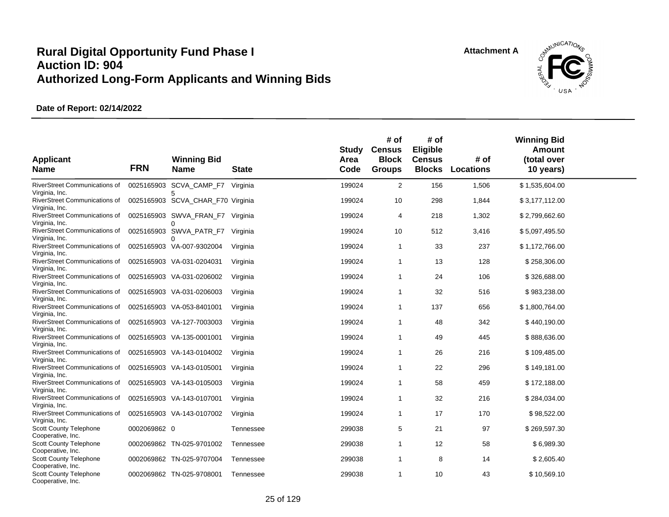

| <b>Applicant</b><br><b>Name</b>                                         | <b>FRN</b>   | <b>Winning Bid</b><br><b>Name</b> | <b>State</b> | <b>Study</b><br>Area<br>Code | # of<br><b>Census</b><br><b>Block</b><br><b>Groups</b> | # of<br>Eligible<br><b>Census</b><br><b>Blocks</b> | # of<br>Locations | <b>Winning Bid</b><br>Amount<br>(total over<br>10 years) |  |
|-------------------------------------------------------------------------|--------------|-----------------------------------|--------------|------------------------------|--------------------------------------------------------|----------------------------------------------------|-------------------|----------------------------------------------------------|--|
| RiverStreet Communications of<br>Virginia, Inc.                         |              | 0025165903 SCVA_CAMP_F7           | Virginia     | 199024                       | $\overline{c}$                                         | 156                                                | 1,506             | \$1,535,604.00                                           |  |
| RiverStreet Communications of<br>Virginia, Inc.                         |              | 0025165903 SCVA_CHAR_F70 Virginia |              | 199024                       | 10                                                     | 298                                                | 1,844             | \$3,177,112.00                                           |  |
| RiverStreet Communications of<br>Virginia, Inc.                         |              | 0025165903 SWVA FRAN F7<br>∩      | Virginia     | 199024                       | $\overline{4}$                                         | 218                                                | 1,302             | \$2,799,662.60                                           |  |
| RiverStreet Communications of<br>Virginia, Inc.                         |              | 0025165903 SWVA_PATR_F7<br>∩      | Virginia     | 199024                       | 10                                                     | 512                                                | 3,416             | \$5,097,495.50                                           |  |
| RiverStreet Communications of<br>Virginia, Inc.                         |              | 0025165903 VA-007-9302004         | Virginia     | 199024                       | $\mathbf{1}$                                           | 33                                                 | 237               | \$1,172,766.00                                           |  |
| RiverStreet Communications of<br>Virginia, Inc.                         |              | 0025165903 VA-031-0204031         | Virginia     | 199024                       | $\mathbf{1}$                                           | 13                                                 | 128               | \$258,306.00                                             |  |
| RiverStreet Communications of<br>Virginia, Inc.                         |              | 0025165903 VA-031-0206002         | Virginia     | 199024                       | $\overline{1}$                                         | 24                                                 | 106               | \$326,688.00                                             |  |
| RiverStreet Communications of                                           |              | 0025165903 VA-031-0206003         | Virginia     | 199024                       | $\mathbf{1}$                                           | 32                                                 | 516               | \$983,238.00                                             |  |
| Virginia, Inc.<br>RiverStreet Communications of                         |              | 0025165903 VA-053-8401001         | Virginia     | 199024                       | $\mathbf{1}$                                           | 137                                                | 656               | \$1,800,764.00                                           |  |
| Virginia, Inc.<br>RiverStreet Communications of                         |              | 0025165903 VA-127-7003003         | Virginia     | 199024                       | $\mathbf 1$                                            | 48                                                 | 342               | \$440,190.00                                             |  |
| Virginia, Inc.<br><b>RiverStreet Communications of</b>                  |              | 0025165903 VA-135-0001001         | Virginia     | 199024                       | $\mathbf{1}$                                           | 49                                                 | 445               | \$888,636.00                                             |  |
| Virginia, Inc.<br>RiverStreet Communications of                         |              | 0025165903 VA-143-0104002         | Virginia     | 199024                       | -1                                                     | 26                                                 | 216               | \$109,485.00                                             |  |
| Virginia, Inc.<br>RiverStreet Communications of                         |              | 0025165903 VA-143-0105001         | Virginia     | 199024                       | $\overline{1}$                                         | 22                                                 | 296               | \$149,181.00                                             |  |
| Virginia, Inc.<br>RiverStreet Communications of                         |              | 0025165903 VA-143-0105003         | Virginia     | 199024                       | -1                                                     | 58                                                 | 459               | \$172,188.00                                             |  |
| Virginia, Inc.<br>RiverStreet Communications of                         |              | 0025165903 VA-143-0107001         | Virginia     | 199024                       | $\mathbf 1$                                            | 32                                                 | 216               | \$284,034.00                                             |  |
| Virginia, Inc.<br><b>RiverStreet Communications of</b>                  |              | 0025165903 VA-143-0107002         | Virginia     | 199024                       | $\mathbf{1}$                                           | 17                                                 | 170               | \$98,522.00                                              |  |
| Virginia, Inc.<br><b>Scott County Telephone</b>                         | 0002069862 0 |                                   | Tennessee    | 299038                       | 5                                                      | 21                                                 | 97                | \$269,597.30                                             |  |
| Cooperative, Inc.<br>Scott County Telephone                             |              | 0002069862 TN-025-9701002         | Tennessee    | 299038                       | $\overline{1}$                                         | 12                                                 | 58                | \$6,989.30                                               |  |
| Cooperative, Inc.<br>Scott County Telephone                             |              | 0002069862 TN-025-9707004         | Tennessee    | 299038                       | $\mathbf 1$                                            | 8                                                  | 14                | \$2,605.40                                               |  |
| Cooperative, Inc.<br><b>Scott County Telephone</b><br>Cooperative, Inc. |              | 0002069862 TN-025-9708001         | Tennessee    | 299038                       | $\overline{1}$                                         | 10                                                 | 43                | \$10,569.10                                              |  |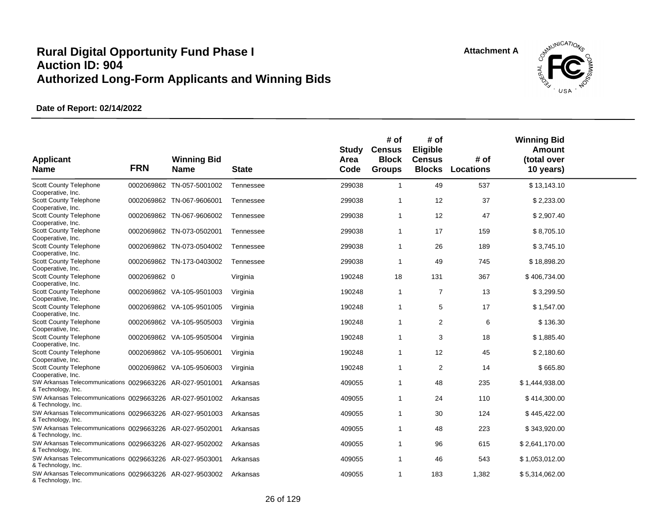

| <b>Applicant</b><br><b>Name</b>                                                                      | <b>FRN</b>   | <b>Winning Bid</b><br><b>Name</b> | <b>State</b> | <b>Study</b><br>Area<br>Code | # of<br><b>Census</b><br><b>Block</b><br><b>Groups</b> | # of<br>Eligible<br><b>Census</b><br><b>Blocks</b> | # of<br><b>Locations</b> | <b>Winning Bid</b><br><b>Amount</b><br>(total over<br>10 years) |  |
|------------------------------------------------------------------------------------------------------|--------------|-----------------------------------|--------------|------------------------------|--------------------------------------------------------|----------------------------------------------------|--------------------------|-----------------------------------------------------------------|--|
| Scott County Telephone<br>Cooperative, Inc.                                                          |              | 0002069862 TN-057-5001002         | Tennessee    | 299038                       | $\mathbf{1}$                                           | 49                                                 | 537                      | \$13,143.10                                                     |  |
| <b>Scott County Telephone</b><br>Cooperative, Inc.                                                   |              | 0002069862 TN-067-9606001         | Tennessee    | 299038                       | $\mathbf{1}$                                           | 12                                                 | 37                       | \$2,233.00                                                      |  |
| Scott County Telephone<br>Cooperative, Inc.                                                          |              | 0002069862 TN-067-9606002         | Tennessee    | 299038                       | $\mathbf{1}$                                           | 12                                                 | 47                       | \$2,907.40                                                      |  |
| <b>Scott County Telephone</b><br>Cooperative, Inc.                                                   |              | 0002069862 TN-073-0502001         | Tennessee    | 299038                       | $\mathbf{1}$                                           | 17                                                 | 159                      | \$8,705.10                                                      |  |
| <b>Scott County Telephone</b><br>Cooperative, Inc.                                                   |              | 0002069862 TN-073-0504002         | Tennessee    | 299038                       | $\mathbf{1}$                                           | 26                                                 | 189                      | \$3,745.10                                                      |  |
| <b>Scott County Telephone</b><br>Cooperative, Inc.                                                   |              | 0002069862 TN-173-0403002         | Tennessee    | 299038                       | $\mathbf 1$                                            | 49                                                 | 745                      | \$18,898.20                                                     |  |
| Scott County Telephone<br>Cooperative, Inc.                                                          | 0002069862 0 |                                   | Virginia     | 190248                       | 18                                                     | 131                                                | 367                      | \$406,734.00                                                    |  |
| <b>Scott County Telephone</b><br>Cooperative, Inc.                                                   |              | 0002069862 VA-105-9501003         | Virginia     | 190248                       | $\mathbf{1}$                                           | 7                                                  | 13                       | \$3,299.50                                                      |  |
| Scott County Telephone<br>Cooperative, Inc.                                                          |              | 0002069862 VA-105-9501005         | Virginia     | 190248                       | $\mathbf{1}$                                           | 5                                                  | 17                       | \$1,547.00                                                      |  |
| <b>Scott County Telephone</b><br>Cooperative, Inc.                                                   |              | 0002069862 VA-105-9505003         | Virginia     | 190248                       | $\overline{1}$                                         | 2                                                  | 6                        | \$136.30                                                        |  |
| Scott County Telephone                                                                               |              | 0002069862 VA-105-9505004         | Virginia     | 190248                       | $\mathbf{1}$                                           | 3                                                  | 18                       | \$1,885.40                                                      |  |
| Cooperative, Inc.<br><b>Scott County Telephone</b>                                                   |              | 0002069862 VA-105-9506001         | Virginia     | 190248                       | $\mathbf{1}$                                           | 12                                                 | 45                       | \$2,180.60                                                      |  |
| Cooperative, Inc.<br>Scott County Telephone                                                          |              | 0002069862 VA-105-9506003         | Virginia     | 190248                       | $\mathbf{1}$                                           | $\overline{2}$                                     | 14                       | \$665.80                                                        |  |
| Cooperative, Inc.<br>SW Arkansas Telecommunications 0029663226 AR-027-9501001                        |              |                                   | Arkansas     | 409055                       | $\mathbf{1}$                                           | 48                                                 | 235                      | \$1,444,938.00                                                  |  |
| & Technology, Inc.<br>SW Arkansas Telecommunications 0029663226 AR-027-9501002                       |              |                                   | Arkansas     | 409055                       | $\mathbf{1}$                                           | 24                                                 | 110                      | \$414,300.00                                                    |  |
| & Technology, Inc.<br>SW Arkansas Telecommunications 0029663226 AR-027-9501003                       |              |                                   | Arkansas     | 409055                       | $\mathbf{1}$                                           | 30                                                 | 124                      | \$445,422.00                                                    |  |
| & Technology, Inc.<br>SW Arkansas Telecommunications 0029663226 AR-027-9502001                       |              |                                   | Arkansas     | 409055                       | $\mathbf{1}$                                           | 48                                                 | 223                      | \$343,920.00                                                    |  |
| & Technology, Inc.<br>SW Arkansas Telecommunications 0029663226 AR-027-9502002                       |              |                                   | Arkansas     | 409055                       | $\mathbf{1}$                                           | 96                                                 | 615                      | \$2,641,170.00                                                  |  |
| & Technology, Inc.<br>SW Arkansas Telecommunications 0029663226 AR-027-9503001                       |              |                                   | Arkansas     | 409055                       | 1                                                      | 46                                                 | 543                      | \$1,053,012.00                                                  |  |
| & Technology, Inc.<br>SW Arkansas Telecommunications 0029663226 AR-027-9503002<br>& Technology, Inc. |              |                                   | Arkansas     | 409055                       | $\mathbf{1}$                                           | 183                                                | 1,382                    | \$5,314,062.00                                                  |  |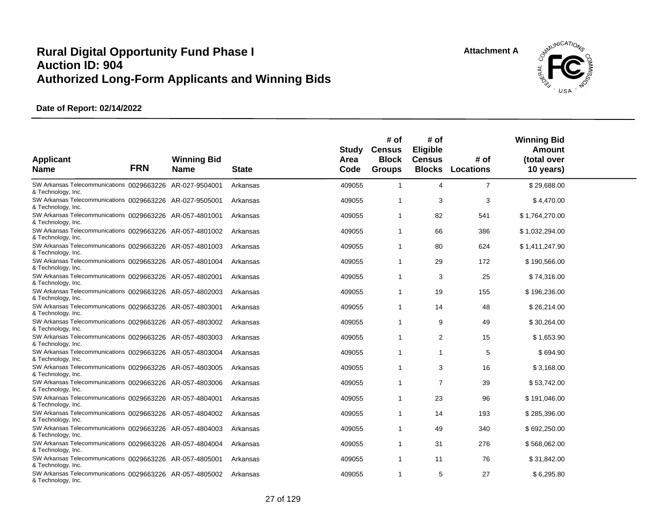

| <b>Applicant</b><br><b>Name</b>                                                | <b>FRN</b> | <b>Winning Bid</b><br><b>Name</b> | <b>State</b> | Study<br>Area<br>Code | # of<br><b>Census</b><br><b>Block</b><br><b>Groups</b> | # of<br>Eligible<br><b>Census</b> | # of<br><b>Blocks Locations</b> | <b>Winning Bid</b><br>Amount<br>(total over<br>10 years) |  |
|--------------------------------------------------------------------------------|------------|-----------------------------------|--------------|-----------------------|--------------------------------------------------------|-----------------------------------|---------------------------------|----------------------------------------------------------|--|
| SW Arkansas Telecommunications 0029663226 AR-027-9504001<br>& Technology, Inc. |            |                                   | Arkansas     | 409055                | $\mathbf{1}$                                           | $\overline{4}$                    | $\overline{7}$                  | \$29,688.00                                              |  |
| SW Arkansas Telecommunications 0029663226 AR-027-9505001<br>& Technology, Inc. |            |                                   | Arkansas     | 409055                | $\overline{1}$                                         | 3                                 | 3                               | \$4,470.00                                               |  |
| SW Arkansas Telecommunications 0029663226 AR-057-4801001<br>& Technology, Inc. |            |                                   | Arkansas     | 409055                | $\overline{1}$                                         | 82                                | 541                             | \$1,764,270.00                                           |  |
| SW Arkansas Telecommunications 0029663226 AR-057-4801002<br>& Technology, Inc. |            |                                   | Arkansas     | 409055                | $\mathbf{1}$                                           | 66                                | 386                             | \$1,032,294.00                                           |  |
| SW Arkansas Telecommunications 0029663226 AR-057-4801003<br>& Technology, Inc. |            |                                   | Arkansas     | 409055                | $\overline{1}$                                         | 80                                | 624                             | \$1,411,247.90                                           |  |
| SW Arkansas Telecommunications 0029663226 AR-057-4801004<br>& Technology, Inc. |            |                                   | Arkansas     | 409055                | $\mathbf 1$                                            | 29                                | 172                             | \$190,566.00                                             |  |
| SW Arkansas Telecommunications 0029663226 AR-057-4802001<br>& Technology, Inc. |            |                                   | Arkansas     | 409055                | $\overline{1}$                                         | 3                                 | 25                              | \$74,316.00                                              |  |
| SW Arkansas Telecommunications 0029663226 AR-057-4802003<br>& Technology, Inc. |            |                                   | Arkansas     | 409055                | $\overline{1}$                                         | 19                                | 155                             | \$196,236.00                                             |  |
| SW Arkansas Telecommunications 0029663226 AR-057-4803001<br>& Technology, Inc. |            |                                   | Arkansas     | 409055                | $\overline{1}$                                         | 14                                | 48                              | \$26,214.00                                              |  |
| SW Arkansas Telecommunications 0029663226 AR-057-4803002<br>& Technology, Inc. |            |                                   | Arkansas     | 409055                | $\overline{1}$                                         | 9                                 | 49                              | \$30,264.00                                              |  |
| SW Arkansas Telecommunications 0029663226 AR-057-4803003<br>& Technology, Inc. |            |                                   | Arkansas     | 409055                | $\overline{1}$                                         | 2                                 | 15                              | \$1,653.90                                               |  |
| SW Arkansas Telecommunications 0029663226 AR-057-4803004<br>& Technology, Inc. |            |                                   | Arkansas     | 409055                | $\mathbf{1}$                                           | $\mathbf{1}$                      | 5                               | \$694.90                                                 |  |
| SW Arkansas Telecommunications 0029663226 AR-057-4803005<br>& Technology, Inc. |            |                                   | Arkansas     | 409055                | $\overline{1}$                                         | 3                                 | 16                              | \$3,168.00                                               |  |
| SW Arkansas Telecommunications 0029663226 AR-057-4803006<br>& Technology, Inc. |            |                                   | Arkansas     | 409055                | $\mathbf{1}$                                           | $\overline{7}$                    | 39                              | \$53,742.00                                              |  |
| SW Arkansas Telecommunications 0029663226 AR-057-4804001<br>& Technology, Inc. |            |                                   | Arkansas     | 409055                | $\overline{1}$                                         | 23                                | 96                              | \$191,046.00                                             |  |
| SW Arkansas Telecommunications 0029663226 AR-057-4804002<br>& Technology, Inc. |            |                                   | Arkansas     | 409055                | $\mathbf{1}$                                           | 14                                | 193                             | \$285,396.00                                             |  |
| SW Arkansas Telecommunications 0029663226 AR-057-4804003<br>& Technology, Inc. |            |                                   | Arkansas     | 409055                | $\mathbf{1}$                                           | 49                                | 340                             | \$692,250.00                                             |  |
| SW Arkansas Telecommunications 0029663226 AR-057-4804004<br>& Technology, Inc. |            |                                   | Arkansas     | 409055                | $\overline{1}$                                         | 31                                | 276                             | \$568,062.00                                             |  |
| SW Arkansas Telecommunications 0029663226 AR-057-4805001<br>& Technology, Inc. |            |                                   | Arkansas     | 409055                | -1                                                     | 11                                | 76                              | \$31,842.00                                              |  |
| SW Arkansas Telecommunications 0029663226 AR-057-4805002<br>& Technology, Inc. |            |                                   | Arkansas     | 409055                | $\overline{1}$                                         | 5                                 | 27                              | \$6,295.80                                               |  |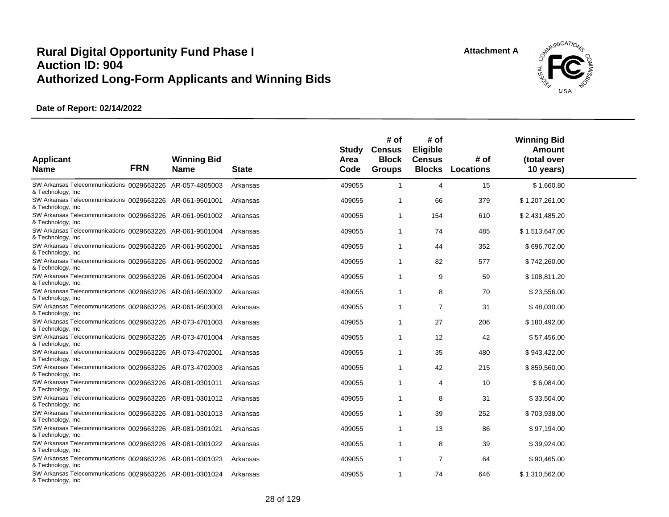

| <b>Applicant</b><br><b>Name</b>                                                                      | <b>FRN</b> | <b>Winning Bid</b><br><b>Name</b> | <b>State</b> | Study<br>Area<br>Code | # of<br><b>Census</b><br><b>Block</b><br><b>Groups</b> | # of<br><b>Eligible</b><br><b>Census</b><br><b>Blocks</b> | # of<br><b>Locations</b> | <b>Winning Bid</b><br>Amount<br>(total over<br>10 years) |  |
|------------------------------------------------------------------------------------------------------|------------|-----------------------------------|--------------|-----------------------|--------------------------------------------------------|-----------------------------------------------------------|--------------------------|----------------------------------------------------------|--|
| SW Arkansas Telecommunications 0029663226 AR-057-4805003<br>& Technology, Inc.                       |            |                                   | Arkansas     | 409055                | $\mathbf{1}$                                           | $\overline{4}$                                            | 15                       | \$1,660.80                                               |  |
| SW Arkansas Telecommunications 0029663226 AR-061-9501001<br>& Technology, Inc.                       |            |                                   | Arkansas     | 409055                | $\overline{1}$                                         | 66                                                        | 379                      | \$1,207,261.00                                           |  |
| SW Arkansas Telecommunications 0029663226 AR-061-9501002<br>& Technology, Inc.                       |            |                                   | Arkansas     | 409055                | $\mathbf{1}$                                           | 154                                                       | 610                      | \$2,431,485.20                                           |  |
| SW Arkansas Telecommunications 0029663226 AR-061-9501004<br>& Technology, Inc.                       |            |                                   | Arkansas     | 409055                | $\mathbf{1}$                                           | 74                                                        | 485                      | \$1,513,647.00                                           |  |
| SW Arkansas Telecommunications 0029663226 AR-061-9502001<br>& Technology, Inc.                       |            |                                   | Arkansas     | 409055                | $\mathbf{1}$                                           | 44                                                        | 352                      | \$696,702.00                                             |  |
| SW Arkansas Telecommunications 0029663226 AR-061-9502002<br>& Technology, Inc.                       |            |                                   | Arkansas     | 409055                | $\mathbf{1}$                                           | 82                                                        | 577                      | \$742,260.00                                             |  |
| SW Arkansas Telecommunications 0029663226 AR-061-9502004<br>& Technology, Inc.                       |            |                                   | Arkansas     | 409055                | -1                                                     | 9                                                         | 59                       | \$108,811.20                                             |  |
| SW Arkansas Telecommunications 0029663226 AR-061-9503002<br>& Technology, Inc.                       |            |                                   | Arkansas     | 409055                | $\mathbf{1}$                                           | 8                                                         | 70                       | \$23,556.00                                              |  |
| SW Arkansas Telecommunications 0029663226 AR-061-9503003<br>& Technology, Inc.                       |            |                                   | Arkansas     | 409055                | $\mathbf{1}$                                           | $\overline{7}$                                            | 31                       | \$48,030.00                                              |  |
| SW Arkansas Telecommunications 0029663226 AR-073-4701003<br>& Technology, Inc.                       |            |                                   | Arkansas     | 409055                | $\mathbf{1}$                                           | 27                                                        | 206                      | \$180,492.00                                             |  |
| SW Arkansas Telecommunications 0029663226 AR-073-4701004<br>& Technology, Inc.                       |            |                                   | Arkansas     | 409055                | $\mathbf{1}$                                           | 12                                                        | 42                       | \$57,456.00                                              |  |
| SW Arkansas Telecommunications 0029663226 AR-073-4702001<br>& Technology, Inc.                       |            |                                   | Arkansas     | 409055                | $\overline{1}$                                         | 35                                                        | 480                      | \$943,422.00                                             |  |
| SW Arkansas Telecommunications 0029663226 AR-073-4702003<br>& Technology, Inc.                       |            |                                   | Arkansas     | 409055                | $\mathbf{1}$                                           | 42                                                        | 215                      | \$859,560.00                                             |  |
| SW Arkansas Telecommunications 0029663226 AR-081-0301011<br>& Technology, Inc.                       |            |                                   | Arkansas     | 409055                | $\mathbf{1}$                                           | $\overline{4}$                                            | 10                       | \$6,084.00                                               |  |
| SW Arkansas Telecommunications 0029663226 AR-081-0301012<br>& Technology, Inc.                       |            |                                   | Arkansas     | 409055                | $\mathbf{1}$                                           | 8                                                         | 31                       | \$33,504.00                                              |  |
| SW Arkansas Telecommunications 0029663226 AR-081-0301013<br>& Technology, Inc.                       |            |                                   | Arkansas     | 409055                | $\mathbf{1}$                                           | 39                                                        | 252                      | \$703,938.00                                             |  |
| SW Arkansas Telecommunications 0029663226 AR-081-0301021<br>& Technology, Inc.                       |            |                                   | Arkansas     | 409055                | $\overline{1}$                                         | 13                                                        | 86                       | \$97,194.00                                              |  |
| SW Arkansas Telecommunications 0029663226 AR-081-0301022                                             |            |                                   | Arkansas     | 409055                | $\mathbf{1}$                                           | 8                                                         | 39                       | \$39,924.00                                              |  |
| & Technology, Inc.<br>SW Arkansas Telecommunications 0029663226 AR-081-0301023                       |            |                                   | Arkansas     | 409055                | $\mathbf{1}$                                           | $\overline{7}$                                            | 64                       | \$90,465.00                                              |  |
| & Technology, Inc.<br>SW Arkansas Telecommunications 0029663226 AR-081-0301024<br>& Technology, Inc. |            |                                   | Arkansas     | 409055                | $\mathbf{1}$                                           | 74                                                        | 646                      | \$1,310,562.00                                           |  |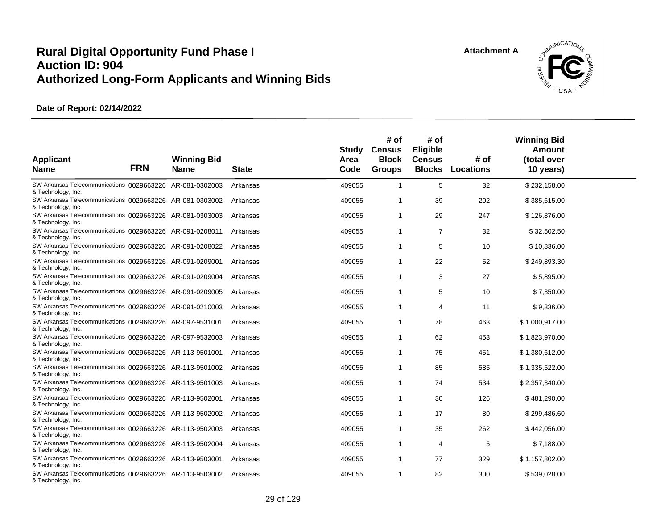

| <b>Applicant</b><br><b>Name</b>                                                | <b>FRN</b> | <b>Winning Bid</b><br><b>Name</b> | <b>State</b> | Study<br>Area<br>Code | # of<br><b>Census</b><br><b>Block</b><br><b>Groups</b> | # of<br><b>Eligible</b><br><b>Census</b><br><b>Blocks</b> | # of<br>Locations | <b>Winning Bid</b><br>Amount<br>(total over<br>10 years) |  |
|--------------------------------------------------------------------------------|------------|-----------------------------------|--------------|-----------------------|--------------------------------------------------------|-----------------------------------------------------------|-------------------|----------------------------------------------------------|--|
| SW Arkansas Telecommunications 0029663226 AR-081-0302003<br>& Technology, Inc. |            |                                   | Arkansas     | 409055                | $\mathbf{1}$                                           | 5                                                         | 32                | \$232,158.00                                             |  |
| SW Arkansas Telecommunications 0029663226 AR-081-0303002<br>& Technology, Inc. |            |                                   | Arkansas     | 409055                | $\overline{1}$                                         | 39                                                        | 202               | \$385,615.00                                             |  |
| SW Arkansas Telecommunications 0029663226 AR-081-0303003<br>& Technology, Inc. |            |                                   | Arkansas     | 409055                | $\mathbf{1}$                                           | 29                                                        | 247               | \$126,876.00                                             |  |
| SW Arkansas Telecommunications 0029663226 AR-091-0208011<br>& Technology, Inc. |            |                                   | Arkansas     | 409055                | $\mathbf{1}$                                           | $\overline{7}$                                            | 32                | \$32,502.50                                              |  |
| SW Arkansas Telecommunications 0029663226 AR-091-0208022<br>& Technology, Inc. |            |                                   | Arkansas     | 409055                | $\mathbf{1}$                                           | 5                                                         | 10                | \$10,836.00                                              |  |
| SW Arkansas Telecommunications 0029663226 AR-091-0209001<br>& Technology, Inc. |            |                                   | Arkansas     | 409055                | $\mathbf{1}$                                           | 22                                                        | 52                | \$249,893.30                                             |  |
| SW Arkansas Telecommunications 0029663226 AR-091-0209004<br>& Technology, Inc. |            |                                   | Arkansas     | 409055                | $\overline{1}$                                         | 3                                                         | 27                | \$5,895.00                                               |  |
| SW Arkansas Telecommunications 0029663226 AR-091-0209005<br>& Technology, Inc. |            |                                   | Arkansas     | 409055                | $\mathbf{1}$                                           | 5                                                         | 10                | \$7,350.00                                               |  |
| SW Arkansas Telecommunications 0029663226 AR-091-0210003<br>& Technology, Inc. |            |                                   | Arkansas     | 409055                | $\mathbf{1}$                                           | $\overline{4}$                                            | 11                | \$9,336.00                                               |  |
| SW Arkansas Telecommunications 0029663226 AR-097-9531001<br>& Technology, Inc. |            |                                   | Arkansas     | 409055                | $\mathbf{1}$                                           | 78                                                        | 463               | \$1,000,917.00                                           |  |
| SW Arkansas Telecommunications 0029663226 AR-097-9532003<br>& Technology, Inc. |            |                                   | Arkansas     | 409055                | $\mathbf{1}$                                           | 62                                                        | 453               | \$1,823,970.00                                           |  |
| SW Arkansas Telecommunications 0029663226 AR-113-9501001<br>& Technology, Inc. |            |                                   | Arkansas     | 409055                | -1                                                     | 75                                                        | 451               | \$1,380,612.00                                           |  |
| SW Arkansas Telecommunications 0029663226 AR-113-9501002<br>& Technology, Inc. |            |                                   | Arkansas     | 409055                | $\mathbf{1}$                                           | 85                                                        | 585               | \$1,335,522.00                                           |  |
| SW Arkansas Telecommunications 0029663226 AR-113-9501003<br>& Technology, Inc. |            |                                   | Arkansas     | 409055                | $\mathbf{1}$                                           | 74                                                        | 534               | \$2,357,340.00                                           |  |
| SW Arkansas Telecommunications 0029663226 AR-113-9502001<br>& Technology, Inc. |            |                                   | Arkansas     | 409055                | $\mathbf{1}$                                           | 30                                                        | 126               | \$481,290.00                                             |  |
| SW Arkansas Telecommunications 0029663226 AR-113-9502002<br>& Technology, Inc. |            |                                   | Arkansas     | 409055                | $\mathbf{1}$                                           | 17                                                        | 80                | \$299,486.60                                             |  |
| SW Arkansas Telecommunications 0029663226 AR-113-9502003<br>& Technology, Inc. |            |                                   | Arkansas     | 409055                | $\overline{1}$                                         | 35                                                        | 262               | \$442,056.00                                             |  |
| SW Arkansas Telecommunications 0029663226 AR-113-9502004<br>& Technology, Inc. |            |                                   | Arkansas     | 409055                | $\mathbf{1}$                                           | $\overline{4}$                                            | 5                 | \$7,188.00                                               |  |
| SW Arkansas Telecommunications 0029663226 AR-113-9503001<br>& Technology, Inc. |            |                                   | Arkansas     | 409055                | $\mathbf{1}$                                           | 77                                                        | 329               | \$1,157,802.00                                           |  |
| SW Arkansas Telecommunications 0029663226 AR-113-9503002<br>& Technology, Inc. |            |                                   | Arkansas     | 409055                | $\mathbf{1}$                                           | 82                                                        | 300               | \$539,028.00                                             |  |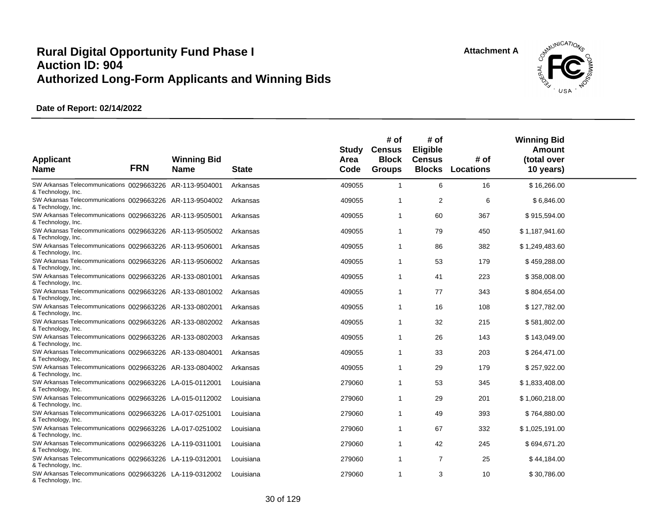

| <b>Applicant</b><br><b>Name</b>                                                | <b>FRN</b> | <b>Winning Bid</b><br><b>Name</b> | <b>State</b> | Study<br>Area<br>Code | # of<br><b>Census</b><br><b>Block</b><br><b>Groups</b> | # of<br><b>Eligible</b><br><b>Census</b><br><b>Blocks</b> | # of<br><b>Locations</b> | <b>Winning Bid</b><br>Amount<br>(total over<br>10 years) |  |
|--------------------------------------------------------------------------------|------------|-----------------------------------|--------------|-----------------------|--------------------------------------------------------|-----------------------------------------------------------|--------------------------|----------------------------------------------------------|--|
| SW Arkansas Telecommunications 0029663226 AR-113-9504001<br>& Technology, Inc. |            |                                   | Arkansas     | 409055                | $\mathbf{1}$                                           | 6                                                         | 16                       | \$16,266.00                                              |  |
| SW Arkansas Telecommunications 0029663226 AR-113-9504002<br>& Technology, Inc. |            |                                   | Arkansas     | 409055                | $\overline{1}$                                         | 2                                                         | 6                        | \$6,846.00                                               |  |
| SW Arkansas Telecommunications 0029663226 AR-113-9505001<br>& Technology, Inc. |            |                                   | Arkansas     | 409055                | $\mathbf{1}$                                           | 60                                                        | 367                      | \$915,594.00                                             |  |
| SW Arkansas Telecommunications 0029663226 AR-113-9505002<br>& Technology, Inc. |            |                                   | Arkansas     | 409055                | $\mathbf{1}$                                           | 79                                                        | 450                      | \$1,187,941.60                                           |  |
| SW Arkansas Telecommunications 0029663226 AR-113-9506001<br>& Technology, Inc. |            |                                   | Arkansas     | 409055                | $\overline{1}$                                         | 86                                                        | 382                      | \$1,249,483.60                                           |  |
| SW Arkansas Telecommunications 0029663226 AR-113-9506002<br>& Technology, Inc. |            |                                   | Arkansas     | 409055                | $\mathbf{1}$                                           | 53                                                        | 179                      | \$459,288.00                                             |  |
| SW Arkansas Telecommunications 0029663226 AR-133-0801001<br>& Technology, Inc. |            |                                   | Arkansas     | 409055                | -1                                                     | 41                                                        | 223                      | \$358,008.00                                             |  |
| SW Arkansas Telecommunications 0029663226 AR-133-0801002<br>& Technology, Inc. |            |                                   | Arkansas     | 409055                | $\mathbf{1}$                                           | 77                                                        | 343                      | \$804,654.00                                             |  |
| SW Arkansas Telecommunications 0029663226 AR-133-0802001<br>& Technology, Inc. |            |                                   | Arkansas     | 409055                | $\mathbf 1$                                            | 16                                                        | 108                      | \$127,782.00                                             |  |
| SW Arkansas Telecommunications 0029663226 AR-133-0802002<br>& Technology, Inc. |            |                                   | Arkansas     | 409055                | -1                                                     | 32                                                        | 215                      | \$581,802.00                                             |  |
| SW Arkansas Telecommunications 0029663226 AR-133-0802003<br>& Technology, Inc. |            |                                   | Arkansas     | 409055                | $\overline{1}$                                         | 26                                                        | 143                      | \$143,049.00                                             |  |
| SW Arkansas Telecommunications 0029663226 AR-133-0804001<br>& Technology, Inc. |            |                                   | Arkansas     | 409055                | -1                                                     | 33                                                        | 203                      | \$264,471.00                                             |  |
| SW Arkansas Telecommunications 0029663226 AR-133-0804002<br>& Technology, Inc. |            |                                   | Arkansas     | 409055                | $\mathbf{1}$                                           | 29                                                        | 179                      | \$257,922.00                                             |  |
| SW Arkansas Telecommunications 0029663226 LA-015-0112001<br>& Technology, Inc. |            |                                   | Louisiana    | 279060                | $\mathbf{1}$                                           | 53                                                        | 345                      | \$1,833,408.00                                           |  |
| SW Arkansas Telecommunications 0029663226 LA-015-0112002<br>& Technology, Inc. |            |                                   | Louisiana    | 279060                | -1                                                     | 29                                                        | 201                      | \$1,060,218.00                                           |  |
| SW Arkansas Telecommunications 0029663226 LA-017-0251001<br>& Technology, Inc. |            |                                   | Louisiana    | 279060                | $\mathbf{1}$                                           | 49                                                        | 393                      | \$764,880.00                                             |  |
| SW Arkansas Telecommunications 0029663226 LA-017-0251002<br>& Technology, Inc. |            |                                   | Louisiana    | 279060                | $\overline{1}$                                         | 67                                                        | 332                      | \$1,025,191.00                                           |  |
| SW Arkansas Telecommunications 0029663226 LA-119-0311001<br>& Technology, Inc. |            |                                   | Louisiana    | 279060                | $\mathbf{1}$                                           | 42                                                        | 245                      | \$694,671.20                                             |  |
| SW Arkansas Telecommunications 0029663226 LA-119-0312001<br>& Technology, Inc. |            |                                   | Louisiana    | 279060                | $\mathbf 1$                                            | $\overline{7}$                                            | 25                       | \$44,184.00                                              |  |
| SW Arkansas Telecommunications 0029663226 LA-119-0312002<br>& Technology, Inc. |            |                                   | Louisiana    | 279060                | $\mathbf{1}$                                           | 3                                                         | 10                       | \$30,786.00                                              |  |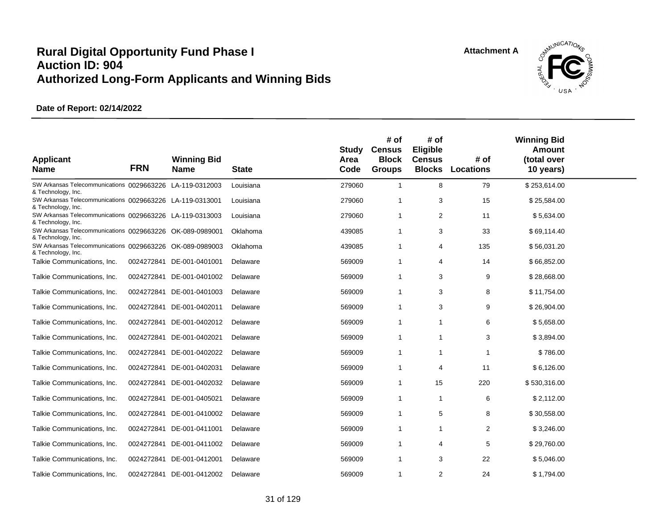

| <b>Applicant</b><br><b>Name</b>                                                | <b>FRN</b> | <b>Winning Bid</b><br><b>Name</b> | <b>State</b> | Study<br>Area<br>Code | # of<br><b>Census</b><br><b>Block</b><br><b>Groups</b> | # of<br>Eligible<br><b>Census</b> | # of<br><b>Blocks Locations</b> | <b>Winning Bid</b><br>Amount<br>(total over<br>10 years) |  |
|--------------------------------------------------------------------------------|------------|-----------------------------------|--------------|-----------------------|--------------------------------------------------------|-----------------------------------|---------------------------------|----------------------------------------------------------|--|
| SW Arkansas Telecommunications 0029663226 LA-119-0312003<br>& Technology, Inc. |            |                                   | Louisiana    | 279060                | $\mathbf{1}$                                           | 8                                 | 79                              | \$253,614.00                                             |  |
| SW Arkansas Telecommunications 0029663226 LA-119-0313001<br>& Technology, Inc. |            |                                   | Louisiana    | 279060                | $\mathbf 1$                                            | 3                                 | 15                              | \$25,584.00                                              |  |
| SW Arkansas Telecommunications 0029663226 LA-119-0313003<br>& Technology, Inc. |            |                                   | Louisiana    | 279060                | $\overline{1}$                                         | 2                                 | 11                              | \$5,634.00                                               |  |
| SW Arkansas Telecommunications 0029663226 OK-089-0989001<br>& Technology, Inc. |            |                                   | Oklahoma     | 439085                | -1                                                     | 3                                 | 33                              | \$69,114.40                                              |  |
| SW Arkansas Telecommunications 0029663226 OK-089-0989003<br>& Technology, Inc. |            |                                   | Oklahoma     | 439085                | $\mathbf 1$                                            | 4                                 | 135                             | \$56,031.20                                              |  |
| Talkie Communications, Inc.                                                    |            | 0024272841 DE-001-0401001         | Delaware     | 569009                | $\mathbf 1$                                            | 4                                 | 14                              | \$66,852.00                                              |  |
| Talkie Communications, Inc.                                                    |            | 0024272841 DE-001-0401002         | Delaware     | 569009                | $\overline{1}$                                         | 3                                 | 9                               | \$28,668.00                                              |  |
| Talkie Communications, Inc.                                                    |            | 0024272841 DE-001-0401003         | Delaware     | 569009                | $\mathbf 1$                                            | 3                                 | 8                               | \$11,754.00                                              |  |
| Talkie Communications, Inc.                                                    |            | 0024272841 DE-001-0402011         | Delaware     | 569009                | $\overline{1}$                                         | 3                                 | 9                               | \$26,904.00                                              |  |
| Talkie Communications, Inc.                                                    |            | 0024272841 DE-001-0402012         | Delaware     | 569009                | $\overline{1}$                                         | $\overline{1}$                    | 6                               | \$5,658.00                                               |  |
| Talkie Communications, Inc.                                                    |            | 0024272841 DE-001-0402021         | Delaware     | 569009                | $\overline{1}$                                         | $\mathbf{1}$                      | 3                               | \$3,894.00                                               |  |
| Talkie Communications, Inc.                                                    |            | 0024272841 DE-001-0402022         | Delaware     | 569009                | $\mathbf{1}$                                           | $\mathbf{1}$                      | $\overline{1}$                  | \$786.00                                                 |  |
| Talkie Communications, Inc.                                                    |            | 0024272841 DE-001-0402031         | Delaware     | 569009                | $\overline{1}$                                         | $\overline{4}$                    | 11                              | \$6,126.00                                               |  |
| Talkie Communications, Inc.                                                    |            | 0024272841 DE-001-0402032         | Delaware     | 569009                | $\mathbf{1}$                                           | 15                                | 220                             | \$530,316.00                                             |  |
| Talkie Communications, Inc.                                                    |            | 0024272841 DE-001-0405021         | Delaware     | 569009                | $\overline{1}$                                         | $\mathbf{1}$                      | 6                               | \$2,112.00                                               |  |
| Talkie Communications, Inc.                                                    |            | 0024272841 DE-001-0410002         | Delaware     | 569009                | $\mathbf 1$                                            | 5                                 | 8                               | \$30,558.00                                              |  |
| Talkie Communications, Inc.                                                    | 0024272841 | DE-001-0411001                    | Delaware     | 569009                | $\mathbf 1$                                            | $\mathbf{1}$                      | 2                               | \$3,246.00                                               |  |
| Talkie Communications, Inc.                                                    |            | 0024272841 DE-001-0411002         | Delaware     | 569009                | $\mathbf 1$                                            | $\overline{4}$                    | 5                               | \$29,760.00                                              |  |
| Talkie Communications, Inc.                                                    |            | 0024272841 DE-001-0412001         | Delaware     | 569009                | $\mathbf 1$                                            | 3                                 | 22                              | \$5,046.00                                               |  |
| Talkie Communications, Inc.                                                    |            | 0024272841 DE-001-0412002         | Delaware     | 569009                | -1                                                     | 2                                 | 24                              | \$1,794.00                                               |  |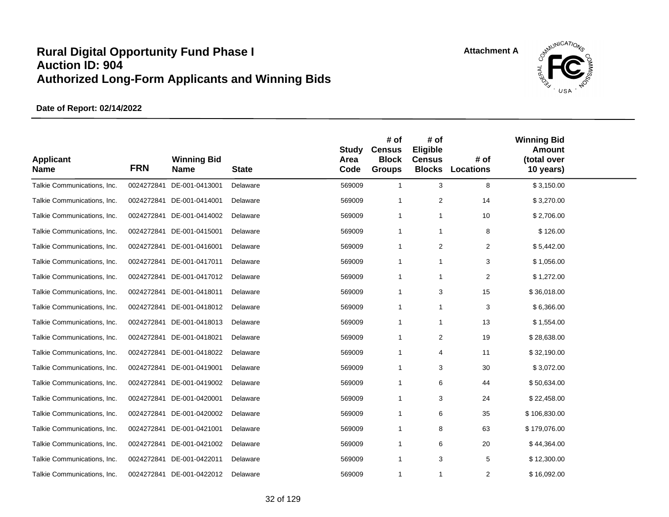

| <b>Applicant</b><br><b>Name</b> | <b>FRN</b> | <b>Winning Bid</b><br><b>Name</b> | <b>State</b> | <b>Study</b><br>Area<br>Code | # of<br><b>Census</b><br><b>Block</b><br><b>Groups</b> | # of<br>Eligible<br><b>Census</b><br><b>Blocks</b> | # of<br>Locations | <b>Winning Bid</b><br><b>Amount</b><br>(total over<br>10 years) |  |
|---------------------------------|------------|-----------------------------------|--------------|------------------------------|--------------------------------------------------------|----------------------------------------------------|-------------------|-----------------------------------------------------------------|--|
| Talkie Communications, Inc.     | 0024272841 | DE-001-0413001                    | Delaware     | 569009                       | $\mathbf{1}$                                           | 3                                                  | 8                 | \$3,150.00                                                      |  |
| Talkie Communications, Inc.     | 0024272841 | DE-001-0414001                    | Delaware     | 569009                       | -1                                                     | 2                                                  | 14                | \$3,270.00                                                      |  |
| Talkie Communications, Inc.     | 0024272841 | DE-001-0414002                    | Delaware     | 569009                       | $\mathbf{1}$                                           | $\mathbf{1}$                                       | 10                | \$2,706.00                                                      |  |
| Talkie Communications, Inc.     | 0024272841 | DE-001-0415001                    | Delaware     | 569009                       | $\mathbf{1}$                                           | $\mathbf{1}$                                       | 8                 | \$126.00                                                        |  |
| Talkie Communications, Inc.     | 0024272841 | DE-001-0416001                    | Delaware     | 569009                       | $\mathbf{1}$                                           | 2                                                  | $\overline{c}$    | \$5,442.00                                                      |  |
| Talkie Communications, Inc.     | 0024272841 | DE-001-0417011                    | Delaware     | 569009                       | $\mathbf 1$                                            | $\mathbf{1}$                                       | 3                 | \$1,056.00                                                      |  |
| Talkie Communications, Inc.     |            | 0024272841 DE-001-0417012         | Delaware     | 569009                       | $\overline{1}$                                         | $\mathbf{1}$                                       | $\overline{2}$    | \$1,272.00                                                      |  |
| Talkie Communications, Inc.     | 0024272841 | DE-001-0418011                    | Delaware     | 569009                       | $\overline{1}$                                         | 3                                                  | 15                | \$36,018.00                                                     |  |
| Talkie Communications, Inc.     | 0024272841 | DE-001-0418012                    | Delaware     | 569009                       | $\mathbf{1}$                                           | $\mathbf{1}$                                       | 3                 | \$6,366.00                                                      |  |
| Talkie Communications, Inc.     | 0024272841 | DE-001-0418013                    | Delaware     | 569009                       | $\overline{1}$                                         | $\mathbf{1}$                                       | 13                | \$1,554.00                                                      |  |
| Talkie Communications, Inc.     | 0024272841 | DE-001-0418021                    | Delaware     | 569009                       | $\overline{1}$                                         | 2                                                  | 19                | \$28,638.00                                                     |  |
| Talkie Communications, Inc.     | 0024272841 | DE-001-0418022                    | Delaware     | 569009                       | $\overline{1}$                                         | $\overline{4}$                                     | 11                | \$32,190.00                                                     |  |
| Talkie Communications, Inc.     | 0024272841 | DE-001-0419001                    | Delaware     | 569009                       | $\overline{1}$                                         | 3                                                  | 30                | \$3,072.00                                                      |  |
| Talkie Communications, Inc.     | 0024272841 | DE-001-0419002                    | Delaware     | 569009                       | $\overline{1}$                                         | 6                                                  | 44                | \$50,634.00                                                     |  |
| Talkie Communications, Inc.     | 0024272841 | DE-001-0420001                    | Delaware     | 569009                       | -1                                                     | 3                                                  | 24                | \$22,458.00                                                     |  |
| Talkie Communications, Inc.     | 0024272841 | DE-001-0420002                    | Delaware     | 569009                       | $\overline{1}$                                         | 6                                                  | 35                | \$106,830.00                                                    |  |
| Talkie Communications, Inc.     | 0024272841 | DE-001-0421001                    | Delaware     | 569009                       | -1                                                     | 8                                                  | 63                | \$179,076.00                                                    |  |
| Talkie Communications, Inc.     | 0024272841 | DE-001-0421002                    | Delaware     | 569009                       | $\overline{1}$                                         | 6                                                  | 20                | \$44,364.00                                                     |  |
| Talkie Communications, Inc.     | 0024272841 | DE-001-0422011                    | Delaware     | 569009                       | $\overline{1}$                                         | 3                                                  | 5                 | \$12,300.00                                                     |  |
| Talkie Communications, Inc.     |            | 0024272841 DE-001-0422012         | Delaware     | 569009                       | $\overline{1}$                                         | $\overline{1}$                                     | 2                 | \$16,092.00                                                     |  |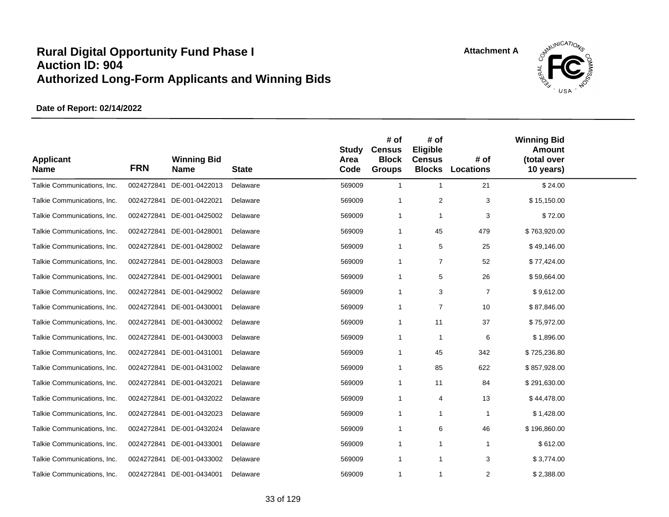

| <b>Applicant</b><br><b>Name</b> | <b>FRN</b> | <b>Winning Bid</b><br><b>Name</b> | <b>State</b> | <b>Study</b><br>Area<br>Code | # of<br><b>Census</b><br><b>Block</b><br><b>Groups</b> | # of<br>Eligible<br><b>Census</b><br><b>Blocks</b> | # of<br><b>Locations</b> | <b>Winning Bid</b><br><b>Amount</b><br>(total over<br>10 years) |  |
|---------------------------------|------------|-----------------------------------|--------------|------------------------------|--------------------------------------------------------|----------------------------------------------------|--------------------------|-----------------------------------------------------------------|--|
| Talkie Communications, Inc.     | 0024272841 | DE-001-0422013                    | Delaware     | 569009                       | $\mathbf{1}$                                           | $\mathbf{1}$                                       | 21                       | \$24.00                                                         |  |
| Talkie Communications, Inc.     | 0024272841 | DE-001-0422021                    | Delaware     | 569009                       | -1                                                     | $\overline{2}$                                     | 3                        | \$15,150.00                                                     |  |
| Talkie Communications, Inc.     | 0024272841 | DE-001-0425002                    | Delaware     | 569009                       | $\mathbf{1}$                                           | $\overline{1}$                                     | 3                        | \$72.00                                                         |  |
| Talkie Communications, Inc.     | 0024272841 | DE-001-0428001                    | Delaware     | 569009                       | $\mathbf{1}$                                           | 45                                                 | 479                      | \$763,920.00                                                    |  |
| Talkie Communications, Inc.     | 0024272841 | DE-001-0428002                    | Delaware     | 569009                       | $\mathbf{1}$                                           | 5                                                  | 25                       | \$49,146.00                                                     |  |
| Talkie Communications, Inc.     | 0024272841 | DE-001-0428003                    | Delaware     | 569009                       | $\mathbf{1}$                                           | $\overline{7}$                                     | 52                       | \$77,424.00                                                     |  |
| Talkie Communications, Inc.     | 0024272841 | DE-001-0429001                    | Delaware     | 569009                       | -1                                                     | 5                                                  | 26                       | \$59,664.00                                                     |  |
| Talkie Communications, Inc.     | 0024272841 | DE-001-0429002                    | Delaware     | 569009                       | $\mathbf{1}$                                           | 3                                                  | $\overline{7}$           | \$9,612.00                                                      |  |
| Talkie Communications, Inc.     | 0024272841 | DE-001-0430001                    | Delaware     | 569009                       | $\mathbf{1}$                                           | $\overline{7}$                                     | 10                       | \$87,846.00                                                     |  |
| Talkie Communications, Inc.     | 0024272841 | DE-001-0430002                    | Delaware     | 569009                       | $\mathbf{1}$                                           | 11                                                 | 37                       | \$75,972.00                                                     |  |
| Talkie Communications, Inc.     | 0024272841 | DE-001-0430003                    | Delaware     | 569009                       | -1                                                     | $\mathbf 1$                                        | 6                        | \$1,896.00                                                      |  |
| Talkie Communications, Inc.     | 0024272841 | DE-001-0431001                    | Delaware     | 569009                       | $\mathbf 1$                                            | 45                                                 | 342                      | \$725,236.80                                                    |  |
| Talkie Communications, Inc.     | 0024272841 | DE-001-0431002                    | Delaware     | 569009                       | $\mathbf 1$                                            | 85                                                 | 622                      | \$857,928.00                                                    |  |
| Talkie Communications, Inc.     | 0024272841 | DE-001-0432021                    | Delaware     | 569009                       | $\mathbf{1}$                                           | 11                                                 | 84                       | \$291,630.00                                                    |  |
| Talkie Communications, Inc.     | 0024272841 | DE-001-0432022                    | Delaware     | 569009                       | $\overline{1}$                                         | $\overline{4}$                                     | 13                       | \$44,478.00                                                     |  |
| Talkie Communications, Inc.     | 0024272841 | DE-001-0432023                    | Delaware     | 569009                       | $\overline{1}$                                         | $\mathbf{1}$                                       | $\mathbf{1}$             | \$1,428.00                                                      |  |
| Talkie Communications, Inc.     | 0024272841 | DE-001-0432024                    | Delaware     | 569009                       | $\mathbf{1}$                                           | 6                                                  | 46                       | \$196,860.00                                                    |  |
| Talkie Communications, Inc.     | 0024272841 | DE-001-0433001                    | Delaware     | 569009                       | $\overline{1}$                                         | $\overline{1}$                                     | 1                        | \$612.00                                                        |  |
| Talkie Communications, Inc.     | 0024272841 | DE-001-0433002                    | Delaware     | 569009                       | $\mathbf{1}$                                           | $\overline{1}$                                     | 3                        | \$3,774.00                                                      |  |
| Talkie Communications, Inc.     |            | 0024272841 DE-001-0434001         | Delaware     | 569009                       | $\mathbf 1$                                            | $\overline{1}$                                     | $\overline{2}$           | \$2,388.00                                                      |  |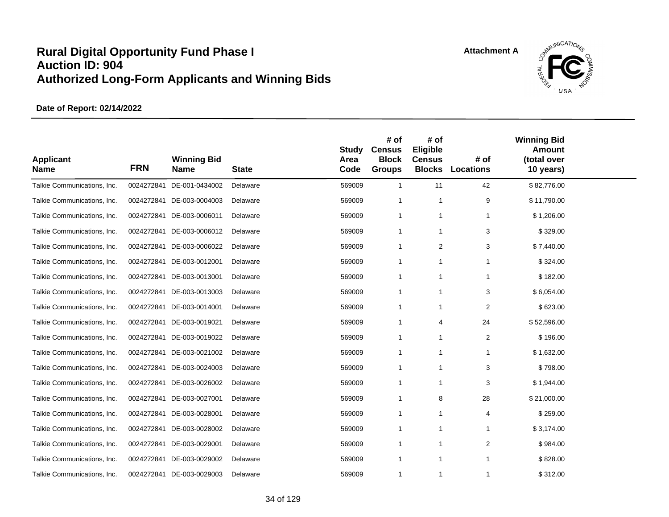

| <b>Applicant</b><br><b>Name</b> | <b>FRN</b> | <b>Winning Bid</b><br><b>Name</b> | <b>State</b> | <b>Study</b><br>Area<br>Code | # of<br><b>Census</b><br><b>Block</b><br><b>Groups</b> | # of<br>Eligible<br><b>Census</b><br><b>Blocks</b> | # of<br><b>Locations</b> | <b>Winning Bid</b><br><b>Amount</b><br>(total over<br>10 years) |  |
|---------------------------------|------------|-----------------------------------|--------------|------------------------------|--------------------------------------------------------|----------------------------------------------------|--------------------------|-----------------------------------------------------------------|--|
| Talkie Communications, Inc.     | 0024272841 | DE-001-0434002                    | Delaware     | 569009                       | $\mathbf{1}$                                           | 11                                                 | 42                       | \$82,776.00                                                     |  |
| Talkie Communications, Inc.     |            | 0024272841 DE-003-0004003         | Delaware     | 569009                       | $\mathbf 1$                                            | $\mathbf 1$                                        | 9                        | \$11,790.00                                                     |  |
| Talkie Communications, Inc.     |            | 0024272841 DE-003-0006011         | Delaware     | 569009                       | $\mathbf 1$                                            | $\mathbf 1$                                        | $\mathbf{1}$             | \$1,206.00                                                      |  |
| Talkie Communications, Inc.     |            | 0024272841 DE-003-0006012         | Delaware     | 569009                       | $\mathbf{1}$                                           | $\overline{1}$                                     | 3                        | \$329.00                                                        |  |
| Talkie Communications, Inc.     | 0024272841 | DE-003-0006022                    | Delaware     | 569009                       | $\mathbf 1$                                            | $\overline{2}$                                     | 3                        | \$7,440.00                                                      |  |
| Talkie Communications, Inc.     | 0024272841 | DE-003-0012001                    | Delaware     | 569009                       | $\mathbf{1}$                                           | -1                                                 |                          | \$324.00                                                        |  |
| Talkie Communications, Inc.     |            | 0024272841 DE-003-0013001         | Delaware     | 569009                       | -1                                                     | $\overline{1}$                                     |                          | \$182.00                                                        |  |
| Talkie Communications, Inc.     | 0024272841 | DE-003-0013003                    | Delaware     | 569009                       | $\mathbf{1}$                                           | $\mathbf{1}$                                       | 3                        | \$6,054.00                                                      |  |
| Talkie Communications, Inc.     | 0024272841 | DE-003-0014001                    | Delaware     | 569009                       | $\mathbf{1}$                                           | $\overline{1}$                                     | $\overline{2}$           | \$623.00                                                        |  |
| Talkie Communications, Inc.     | 0024272841 | DE-003-0019021                    | Delaware     | 569009                       | $\mathbf{1}$                                           | $\overline{4}$                                     | 24                       | \$52,596.00                                                     |  |
| Talkie Communications, Inc.     | 0024272841 | DE-003-0019022                    | Delaware     | 569009                       | $\mathbf{1}$                                           | $\mathbf{1}$                                       | 2                        | \$196.00                                                        |  |
| Talkie Communications, Inc.     |            | 0024272841 DE-003-0021002         | Delaware     | 569009                       | $\mathbf{1}$                                           | $\mathbf{1}$                                       | 1                        | \$1,632.00                                                      |  |
| Talkie Communications, Inc.     | 0024272841 | DE-003-0024003                    | Delaware     | 569009                       | $\mathbf{1}$                                           | $\overline{1}$                                     | 3                        | \$798.00                                                        |  |
| Talkie Communications, Inc.     | 0024272841 | DE-003-0026002                    | Delaware     | 569009                       | $\mathbf 1$                                            | $\mathbf{1}$                                       | 3                        | \$1,944.00                                                      |  |
| Talkie Communications, Inc.     |            | 0024272841 DE-003-0027001         | Delaware     | 569009                       | -1                                                     | 8                                                  | 28                       | \$21,000.00                                                     |  |
| Talkie Communications, Inc.     | 0024272841 | DE-003-0028001                    | Delaware     | 569009                       | $\mathbf{1}$                                           | $\mathbf 1$                                        | 4                        | \$259.00                                                        |  |
| Talkie Communications, Inc.     | 0024272841 | DE-003-0028002                    | Delaware     | 569009                       | $\mathbf{1}$                                           | $\mathbf 1$                                        |                          | \$3,174.00                                                      |  |
| Talkie Communications, Inc.     | 0024272841 | DE-003-0029001                    | Delaware     | 569009                       | $\mathbf 1$                                            | $\overline{1}$                                     | 2                        | \$984.00                                                        |  |
| Talkie Communications, Inc.     | 0024272841 | DE-003-0029002                    | Delaware     | 569009                       | $\mathbf 1$                                            | $\overline{1}$                                     | -1                       | \$828.00                                                        |  |
| Talkie Communications, Inc.     |            | 0024272841 DE-003-0029003         | Delaware     | 569009                       | $\mathbf{1}$                                           | $\mathbf{1}$                                       | 1                        | \$312.00                                                        |  |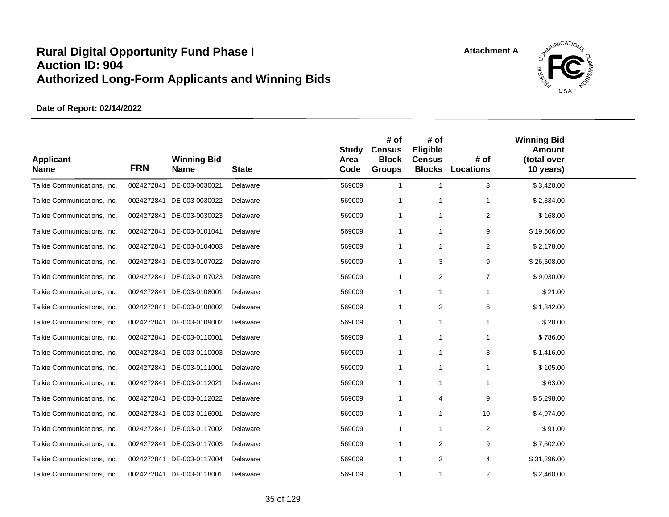

| <b>Applicant</b><br><b>Name</b> | <b>FRN</b> | <b>Winning Bid</b><br><b>Name</b> | <b>State</b> | <b>Study</b><br>Area<br>Code | # of<br><b>Census</b><br><b>Block</b><br><b>Groups</b> | # of<br>Eligible<br><b>Census</b><br><b>Blocks</b> | # of<br><b>Locations</b> | <b>Winning Bid</b><br><b>Amount</b><br>(total over<br>10 years) |  |
|---------------------------------|------------|-----------------------------------|--------------|------------------------------|--------------------------------------------------------|----------------------------------------------------|--------------------------|-----------------------------------------------------------------|--|
| Talkie Communications, Inc.     | 0024272841 | DE-003-0030021                    | Delaware     | 569009                       | $\mathbf{1}$                                           | 1                                                  | 3                        | \$3,420.00                                                      |  |
| Talkie Communications, Inc.     | 0024272841 | DE-003-0030022                    | Delaware     | 569009                       | -1                                                     | 1                                                  | -1                       | \$2,334.00                                                      |  |
| Talkie Communications, Inc.     | 0024272841 | DE-003-0030023                    | Delaware     | 569009                       | $\mathbf{1}$                                           | 1                                                  | $\overline{2}$           | \$168.00                                                        |  |
| Talkie Communications, Inc.     |            | 0024272841 DE-003-0101041         | Delaware     | 569009                       | $\mathbf{1}$                                           | 1                                                  | 9                        | \$19,506.00                                                     |  |
| Talkie Communications, Inc.     | 0024272841 | DE-003-0104003                    | Delaware     | 569009                       | $\mathbf{1}$                                           | 1                                                  | 2                        | \$2,178.00                                                      |  |
| Talkie Communications, Inc.     | 0024272841 | DE-003-0107022                    | Delaware     | 569009                       | $\mathbf{1}$                                           | 3                                                  | 9                        | \$26,508.00                                                     |  |
| Talkie Communications, Inc.     |            | 0024272841 DE-003-0107023         | Delaware     | 569009                       | $\overline{1}$                                         | 2                                                  | $\overline{7}$           | \$9,030.00                                                      |  |
| Talkie Communications, Inc.     | 0024272841 | DE-003-0108001                    | Delaware     | 569009                       | $\mathbf{1}$                                           | 1                                                  | $\mathbf 1$              | \$21.00                                                         |  |
| Talkie Communications, Inc.     | 0024272841 | DE-003-0108002                    | Delaware     | 569009                       | $\mathbf{1}$                                           | $\overline{2}$                                     | 6                        | \$1,842.00                                                      |  |
| Talkie Communications, Inc.     | 0024272841 | DE-003-0109002                    | Delaware     | 569009                       | $\overline{1}$                                         | 1                                                  | $\overline{1}$           | \$28.00                                                         |  |
| Talkie Communications, Inc.     | 0024272841 | DE-003-0110001                    | Delaware     | 569009                       | $\overline{1}$                                         | 1                                                  | 1                        | \$786.00                                                        |  |
| Talkie Communications, Inc.     |            | 0024272841 DE-003-0110003         | Delaware     | 569009                       | $\overline{1}$                                         | $\mathbf{1}$                                       | 3                        | \$1,416.00                                                      |  |
| Talkie Communications, Inc.     | 0024272841 | DE-003-0111001                    | Delaware     | 569009                       | $\mathbf 1$                                            | -1                                                 | $\mathbf 1$              | \$105.00                                                        |  |
| Talkie Communications, Inc.     | 0024272841 | DE-003-0112021                    | Delaware     | 569009                       | -1                                                     | 1                                                  | $\mathbf 1$              | \$63.00                                                         |  |
| Talkie Communications, Inc.     |            | 0024272841 DE-003-0112022         | Delaware     | 569009                       | $\mathbf 1$                                            | 4                                                  | 9                        | \$5,298.00                                                      |  |
| Talkie Communications, Inc.     |            | 0024272841 DE-003-0116001         | Delaware     | 569009                       | $\mathbf{1}$                                           | 1                                                  | 10                       | \$4,974.00                                                      |  |
| Talkie Communications, Inc.     | 0024272841 | DE-003-0117002                    | Delaware     | 569009                       | -1                                                     | 1                                                  | 2                        | \$91.00                                                         |  |
| Talkie Communications, Inc.     | 0024272841 | DE-003-0117003                    | Delaware     | 569009                       | $\overline{1}$                                         | 2                                                  | 9                        | \$7,602.00                                                      |  |
| Talkie Communications, Inc.     | 0024272841 | DE-003-0117004                    | Delaware     | 569009                       | $\mathbf 1$                                            | 3                                                  | 4                        | \$31,296.00                                                     |  |
| Talkie Communications, Inc.     |            | 0024272841 DE-003-0118001         | Delaware     | 569009                       | $\mathbf{1}$                                           | 1                                                  | $\overline{2}$           | \$2,460.00                                                      |  |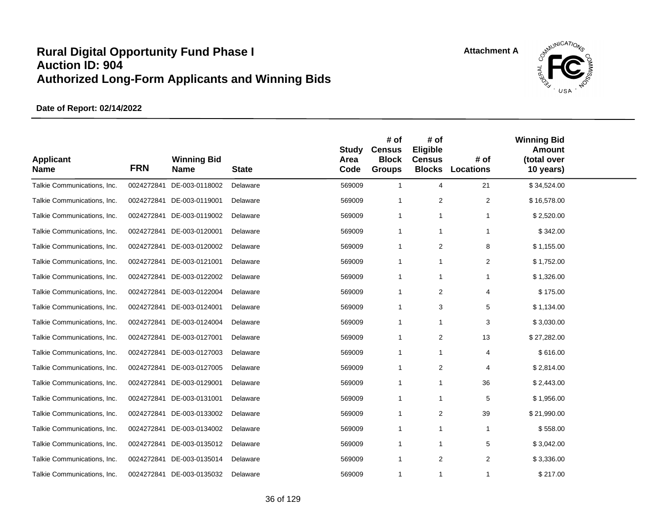

| <b>Applicant</b><br><b>Name</b> | <b>FRN</b> | <b>Winning Bid</b><br><b>Name</b> | <b>State</b> | <b>Study</b><br>Area<br>Code | # of<br><b>Census</b><br><b>Block</b><br><b>Groups</b> | # of<br>Eligible<br><b>Census</b><br><b>Blocks</b> | # of<br><b>Locations</b> | <b>Winning Bid</b><br><b>Amount</b><br>(total over<br>10 years) |  |
|---------------------------------|------------|-----------------------------------|--------------|------------------------------|--------------------------------------------------------|----------------------------------------------------|--------------------------|-----------------------------------------------------------------|--|
| Talkie Communications, Inc.     | 0024272841 | DE-003-0118002                    | Delaware     | 569009                       | $\mathbf{1}$                                           | $\overline{4}$                                     | 21                       | \$34,524.00                                                     |  |
| Talkie Communications, Inc.     | 0024272841 | DE-003-0119001                    | Delaware     | 569009                       | $\mathbf{1}$                                           | $\overline{2}$                                     | $\overline{2}$           | \$16,578.00                                                     |  |
| Talkie Communications, Inc.     | 0024272841 | DE-003-0119002                    | Delaware     | 569009                       | $\mathbf{1}$                                           | $\overline{1}$                                     |                          | \$2,520.00                                                      |  |
| Talkie Communications, Inc.     | 0024272841 | DE-003-0120001                    | Delaware     | 569009                       | $\mathbf{1}$                                           | $\overline{1}$                                     |                          | \$342.00                                                        |  |
| Talkie Communications, Inc.     | 0024272841 | DE-003-0120002                    | Delaware     | 569009                       | $\mathbf 1$                                            | 2                                                  | 8                        | \$1,155.00                                                      |  |
| Talkie Communications, Inc.     | 0024272841 | DE-003-0121001                    | Delaware     | 569009                       | $\mathbf 1$                                            | $\mathbf{1}$                                       | $\overline{2}$           | \$1,752.00                                                      |  |
| Talkie Communications, Inc.     |            | 0024272841 DE-003-0122002         | Delaware     | 569009                       | $\mathbf 1$                                            | $\overline{1}$                                     | $\mathbf{1}$             | \$1,326.00                                                      |  |
| Talkie Communications, Inc.     | 0024272841 | DE-003-0122004                    | Delaware     | 569009                       | $\mathbf{1}$                                           | $\overline{2}$                                     | 4                        | \$175.00                                                        |  |
| Talkie Communications, Inc.     | 0024272841 | DE-003-0124001                    | Delaware     | 569009                       | $\mathbf{1}$                                           | 3                                                  | 5                        | \$1,134.00                                                      |  |
| Talkie Communications, Inc.     | 0024272841 | DE-003-0124004                    | Delaware     | 569009                       | $\mathbf{1}$                                           | $\mathbf{1}$                                       | 3                        | \$3,030.00                                                      |  |
| Talkie Communications, Inc.     | 0024272841 | DE-003-0127001                    | Delaware     | 569009                       | $\mathbf 1$                                            | 2                                                  | 13                       | \$27,282.00                                                     |  |
| Talkie Communications, Inc.     | 0024272841 | DE-003-0127003                    | Delaware     | 569009                       | $\mathbf{1}$                                           | $\overline{1}$                                     | 4                        | \$616.00                                                        |  |
| Talkie Communications, Inc.     | 0024272841 | DE-003-0127005                    | Delaware     | 569009                       | $\mathbf{1}$                                           | 2                                                  | 4                        | \$2,814.00                                                      |  |
| Talkie Communications, Inc.     | 0024272841 | DE-003-0129001                    | Delaware     | 569009                       | 1                                                      | $\mathbf{1}$                                       | 36                       | \$2,443.00                                                      |  |
| Talkie Communications, Inc.     |            | 0024272841 DE-003-0131001         | Delaware     | 569009                       | $\overline{1}$                                         | $\overline{1}$                                     | 5                        | \$1,956.00                                                      |  |
| Talkie Communications, Inc.     | 0024272841 | DE-003-0133002                    | Delaware     | 569009                       | $\mathbf{1}$                                           | $\overline{2}$                                     | 39                       | \$21,990.00                                                     |  |
| Talkie Communications, Inc.     | 0024272841 | DE-003-0134002                    | Delaware     | 569009                       | $\mathbf{1}$                                           | $\overline{1}$                                     | $\mathbf{1}$             | \$558.00                                                        |  |
| Talkie Communications, Inc.     | 0024272841 | DE-003-0135012                    | Delaware     | 569009                       | $\overline{1}$                                         | $\overline{1}$                                     | 5                        | \$3,042.00                                                      |  |
| Talkie Communications, Inc.     | 0024272841 | DE-003-0135014                    | Delaware     | 569009                       | $\mathbf 1$                                            | 2                                                  | 2                        | \$3,336.00                                                      |  |
| Talkie Communications, Inc.     |            | 0024272841 DE-003-0135032         | Delaware     | 569009                       | $\mathbf{1}$                                           | $\overline{1}$                                     | 1                        | \$217.00                                                        |  |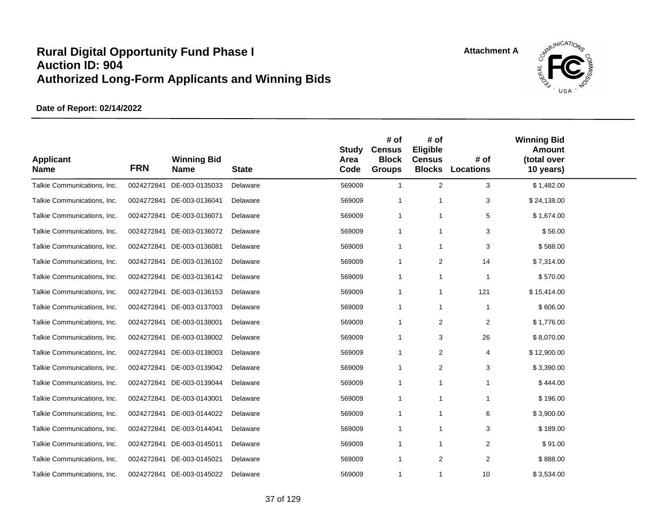

| <b>Applicant</b><br><b>Name</b> | <b>FRN</b> | <b>Winning Bid</b><br><b>Name</b> | <b>State</b> | <b>Study</b><br>Area<br>Code | # of<br><b>Census</b><br><b>Block</b><br><b>Groups</b> | # of<br>Eligible<br><b>Census</b><br><b>Blocks</b> | # of<br><b>Locations</b> | <b>Winning Bid</b><br>Amount<br>(total over<br>10 years) |  |
|---------------------------------|------------|-----------------------------------|--------------|------------------------------|--------------------------------------------------------|----------------------------------------------------|--------------------------|----------------------------------------------------------|--|
| Talkie Communications, Inc.     | 0024272841 | DE-003-0135033                    | Delaware     | 569009                       | $\mathbf{1}$                                           | 2                                                  | 3                        | \$1,482.00                                               |  |
| Talkie Communications, Inc.     |            | 0024272841 DE-003-0136041         | Delaware     | 569009                       | -1                                                     | 1                                                  | 3                        | \$24,138.00                                              |  |
| Talkie Communications, Inc.     |            | 0024272841 DE-003-0136071         | Delaware     | 569009                       | $\mathbf{1}$                                           | 1                                                  | 5                        | \$1,674.00                                               |  |
| Talkie Communications, Inc.     |            | 0024272841 DE-003-0136072         | Delaware     | 569009                       | $\mathbf{1}$                                           | 1                                                  | 3                        | \$56.00                                                  |  |
| Talkie Communications, Inc.     | 0024272841 | DE-003-0136081                    | Delaware     | 569009                       | -1                                                     | 1                                                  | 3                        | \$588.00                                                 |  |
| Talkie Communications, Inc.     | 0024272841 | DE-003-0136102                    | Delaware     | 569009                       | $\mathbf{1}$                                           | $\overline{\mathbf{c}}$                            | 14                       | \$7,314.00                                               |  |
| Talkie Communications, Inc.     |            | 0024272841 DE-003-0136142         | Delaware     | 569009                       | $\mathbf 1$                                            | $\mathbf{1}$                                       | $\overline{1}$           | \$570.00                                                 |  |
| Talkie Communications, Inc.     | 0024272841 | DE-003-0136153                    | Delaware     | 569009                       | $\mathbf{1}$                                           | $\mathbf{1}$                                       | 121                      | \$15,414.00                                              |  |
| Talkie Communications, Inc.     | 0024272841 | DE-003-0137003                    | Delaware     | 569009                       | $\mathbf{1}$                                           | 1                                                  | $\mathbf{1}$             | \$606.00                                                 |  |
| Talkie Communications, Inc.     |            | 0024272841 DE-003-0138001         | Delaware     | 569009                       | $\mathbf{1}$                                           | 2                                                  | 2                        | \$1,776.00                                               |  |
| Talkie Communications, Inc.     | 0024272841 | DE-003-0138002                    | Delaware     | 569009                       | $\overline{1}$                                         | 3                                                  | 26                       | \$8,070.00                                               |  |
| Talkie Communications, Inc.     |            | 0024272841 DE-003-0138003         | Delaware     | 569009                       | $\mathbf{1}$                                           | 2                                                  | $\overline{4}$           | \$12,900.00                                              |  |
| Talkie Communications, Inc.     | 0024272841 | DE-003-0139042                    | Delaware     | 569009                       | $\overline{1}$                                         | 2                                                  | 3                        | \$3,390.00                                               |  |
| Talkie Communications, Inc.     | 0024272841 | DE-003-0139044                    | Delaware     | 569009                       | -1                                                     | 1                                                  | 1                        | \$444.00                                                 |  |
| Talkie Communications, Inc.     |            | 0024272841 DE-003-0143001         | Delaware     | 569009                       | $\mathbf 1$                                            | 1                                                  | 1                        | \$196.00                                                 |  |
| Talkie Communications, Inc.     | 0024272841 | DE-003-0144022                    | Delaware     | 569009                       | -1                                                     | 1                                                  | 6                        | \$3,900.00                                               |  |
| Talkie Communications, Inc.     | 0024272841 | DE-003-0144041                    | Delaware     | 569009                       | -1                                                     | 1                                                  | 3                        | \$189.00                                                 |  |
| Talkie Communications, Inc.     | 0024272841 | DE-003-0145011                    | Delaware     | 569009                       | -1                                                     | 1                                                  | 2                        | \$91.00                                                  |  |
| Talkie Communications, Inc.     | 0024272841 | DE-003-0145021                    | Delaware     | 569009                       | $\mathbf 1$                                            | 2                                                  | 2                        | \$888.00                                                 |  |
| Talkie Communications, Inc.     |            | 0024272841 DE-003-0145022         | Delaware     | 569009                       | $\mathbf{1}$                                           | 1                                                  | 10                       | \$3,534.00                                               |  |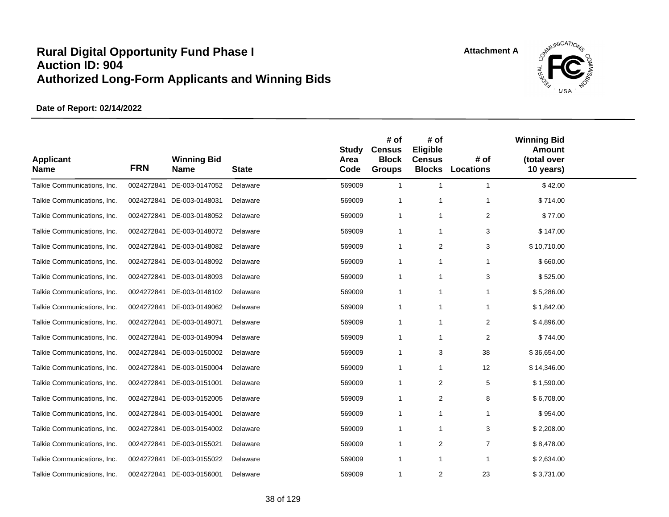

| <b>Applicant</b><br><b>Name</b> | <b>FRN</b> | <b>Winning Bid</b><br><b>Name</b> | <b>State</b> | <b>Study</b><br>Area<br>Code | # of<br><b>Census</b><br><b>Block</b><br><b>Groups</b> | # of<br>Eligible<br><b>Census</b><br><b>Blocks</b> | # of<br><b>Locations</b> | <b>Winning Bid</b><br><b>Amount</b><br>(total over<br>10 years) |  |
|---------------------------------|------------|-----------------------------------|--------------|------------------------------|--------------------------------------------------------|----------------------------------------------------|--------------------------|-----------------------------------------------------------------|--|
| Talkie Communications, Inc.     | 0024272841 | DE-003-0147052                    | Delaware     | 569009                       | $\mathbf{1}$                                           | $\mathbf{1}$                                       | $\mathbf{1}$             | \$42.00                                                         |  |
| Talkie Communications, Inc.     | 0024272841 | DE-003-0148031                    | Delaware     | 569009                       | $\mathbf 1$                                            | 1                                                  | $\mathbf 1$              | \$714.00                                                        |  |
| Talkie Communications, Inc.     | 0024272841 | DE-003-0148052                    | Delaware     | 569009                       | -1                                                     | 1                                                  | 2                        | \$77.00                                                         |  |
| Talkie Communications, Inc.     |            | 0024272841 DE-003-0148072         | Delaware     | 569009                       | $\mathbf{1}$                                           | 1                                                  | 3                        | \$147.00                                                        |  |
| Talkie Communications, Inc.     | 0024272841 | DE-003-0148082                    | Delaware     | 569009                       | -1                                                     | 2                                                  | 3                        | \$10,710.00                                                     |  |
| Talkie Communications, Inc.     | 0024272841 | DE-003-0148092                    | Delaware     | 569009                       | -1                                                     | 1                                                  | 1                        | \$660.00                                                        |  |
| Talkie Communications, Inc.     |            | 0024272841 DE-003-0148093         | Delaware     | 569009                       | $\mathbf 1$                                            | 1                                                  | 3                        | \$525.00                                                        |  |
| Talkie Communications, Inc.     | 0024272841 | DE-003-0148102                    | Delaware     | 569009                       | $\mathbf{1}$                                           | 1                                                  | 1                        | \$5,286.00                                                      |  |
| Talkie Communications, Inc.     | 0024272841 | DE-003-0149062                    | Delaware     | 569009                       | -1                                                     | 1                                                  | -1                       | \$1,842.00                                                      |  |
| Talkie Communications, Inc.     | 0024272841 | DE-003-0149071                    | Delaware     | 569009                       | -1                                                     | 1                                                  | 2                        | \$4,896.00                                                      |  |
| Talkie Communications, Inc.     | 0024272841 | DE-003-0149094                    | Delaware     | 569009                       | -1                                                     | 1                                                  | 2                        | \$744.00                                                        |  |
| Talkie Communications, Inc.     |            | 0024272841 DE-003-0150002         | Delaware     | 569009                       | $\mathbf{1}$                                           | 3                                                  | 38                       | \$36,654.00                                                     |  |
| Talkie Communications, Inc.     | 0024272841 | DE-003-0150004                    | Delaware     | 569009                       | -1                                                     | 1                                                  | 12                       | \$14,346.00                                                     |  |
| Talkie Communications, Inc.     | 0024272841 | DE-003-0151001                    | Delaware     | 569009                       | $\mathbf{1}$                                           | 2                                                  | 5                        | \$1,590.00                                                      |  |
| Talkie Communications, Inc.     |            | 0024272841 DE-003-0152005         | Delaware     | 569009                       | $\mathbf 1$                                            | $\overline{2}$                                     | 8                        | \$6,708.00                                                      |  |
| Talkie Communications, Inc.     | 0024272841 | DE-003-0154001                    | Delaware     | 569009                       | $\mathbf{1}$                                           | 1                                                  | 1                        | \$954.00                                                        |  |
| Talkie Communications, Inc.     | 0024272841 | DE-003-0154002                    | Delaware     | 569009                       | $\mathbf{1}$                                           | 1                                                  | 3                        | \$2,208.00                                                      |  |
| Talkie Communications, Inc.     | 0024272841 | DE-003-0155021                    | Delaware     | 569009                       | $\mathbf{1}$                                           | $\overline{2}$                                     | $\overline{7}$           | \$8,478.00                                                      |  |
| Talkie Communications, Inc.     | 0024272841 | DE-003-0155022                    | Delaware     | 569009                       | $\mathbf 1$                                            | 1                                                  | $\mathbf{1}$             | \$2,634.00                                                      |  |
| Talkie Communications, Inc.     |            | 0024272841 DE-003-0156001         | Delaware     | 569009                       | $\mathbf{1}$                                           | $\overline{2}$                                     | 23                       | \$3,731.00                                                      |  |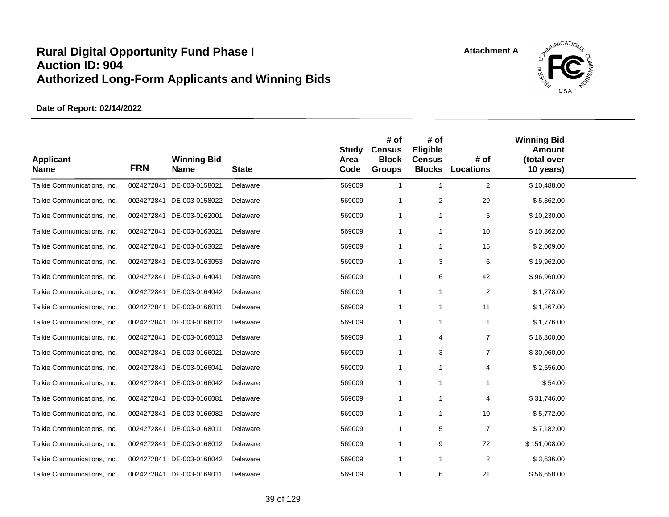

| <b>Applicant</b><br><b>Name</b> | <b>FRN</b> | <b>Winning Bid</b><br><b>Name</b> | <b>State</b> | <b>Study</b><br>Area<br>Code | # of<br><b>Census</b><br><b>Block</b><br><b>Groups</b> | # of<br>Eligible<br><b>Census</b><br><b>Blocks</b> | # of<br><b>Locations</b> | <b>Winning Bid</b><br><b>Amount</b><br>(total over<br>10 years) |  |
|---------------------------------|------------|-----------------------------------|--------------|------------------------------|--------------------------------------------------------|----------------------------------------------------|--------------------------|-----------------------------------------------------------------|--|
| Talkie Communications, Inc.     | 0024272841 | DE-003-0158021                    | Delaware     | 569009                       | $\mathbf{1}$                                           | $\mathbf{1}$                                       | 2                        | \$10,488.00                                                     |  |
| Talkie Communications, Inc.     | 0024272841 | DE-003-0158022                    | Delaware     | 569009                       | -1                                                     | 2                                                  | 29                       | \$5,362.00                                                      |  |
| Talkie Communications, Inc.     | 0024272841 | DE-003-0162001                    | Delaware     | 569009                       | $\mathbf{1}$                                           | $\mathbf{1}$                                       | 5                        | \$10,230.00                                                     |  |
| Talkie Communications, Inc.     | 0024272841 | DE-003-0163021                    | Delaware     | 569009                       | $\mathbf{1}$                                           | $\mathbf{1}$                                       | 10                       | \$10,362.00                                                     |  |
| Talkie Communications, Inc.     | 0024272841 | DE-003-0163022                    | Delaware     | 569009                       | $\mathbf{1}$                                           | $\mathbf{1}$                                       | 15                       | \$2,009.00                                                      |  |
| Talkie Communications, Inc.     | 0024272841 | DE-003-0163053                    | Delaware     | 569009                       | $\mathbf 1$                                            | 3                                                  | 6                        | \$19,962.00                                                     |  |
| Talkie Communications, Inc.     |            | 0024272841 DE-003-0164041         | Delaware     | 569009                       | $\overline{1}$                                         | 6                                                  | 42                       | \$96,960.00                                                     |  |
| Talkie Communications, Inc.     | 0024272841 | DE-003-0164042                    | Delaware     | 569009                       | $\mathbf 1$                                            | $\mathbf{1}$                                       | $\overline{2}$           | \$1,278.00                                                      |  |
| Talkie Communications, Inc.     | 0024272841 | DE-003-0166011                    | Delaware     | 569009                       | $\mathbf{1}$                                           | $\mathbf{1}$                                       | 11                       | \$1,267.00                                                      |  |
| Talkie Communications, Inc.     | 0024272841 | DE-003-0166012                    | Delaware     | 569009                       | $\overline{1}$                                         | $\mathbf{1}$                                       | $\overline{1}$           | \$1,776.00                                                      |  |
| Talkie Communications, Inc.     | 0024272841 | DE-003-0166013                    | Delaware     | 569009                       | $\overline{1}$                                         | $\overline{4}$                                     | $\overline{7}$           | \$16,800.00                                                     |  |
| Talkie Communications, Inc.     | 0024272841 | DE-003-0166021                    | Delaware     | 569009                       | $\mathbf 1$                                            | 3                                                  | $\overline{7}$           | \$30,060.00                                                     |  |
| Talkie Communications, Inc.     | 0024272841 | DE-003-0166041                    | Delaware     | 569009                       | $\overline{1}$                                         | $\overline{1}$                                     | 4                        | \$2,556.00                                                      |  |
| Talkie Communications, Inc.     | 0024272841 | DE-003-0166042                    | Delaware     | 569009                       | -1                                                     | -1                                                 | 1                        | \$54.00                                                         |  |
| Talkie Communications, Inc.     | 0024272841 | DE-003-0166081                    | Delaware     | 569009                       | -1                                                     | -1                                                 | 4                        | \$31,746.00                                                     |  |
| Talkie Communications, Inc.     | 0024272841 | DE-003-0166082                    | Delaware     | 569009                       | $\overline{1}$                                         | -1                                                 | 10                       | \$5,772.00                                                      |  |
| Talkie Communications, Inc.     | 0024272841 | DE-003-0168011                    | Delaware     | 569009                       | $\overline{1}$                                         | 5                                                  | $\overline{7}$           | \$7,182.00                                                      |  |
| Talkie Communications, Inc.     | 0024272841 | DE-003-0168012                    | Delaware     | 569009                       | $\overline{1}$                                         | 9                                                  | 72                       | \$151,008.00                                                    |  |
| Talkie Communications, Inc.     | 0024272841 | DE-003-0168042                    | Delaware     | 569009                       | $\overline{1}$                                         | $\mathbf{1}$                                       | $\overline{c}$           | \$3,636.00                                                      |  |
| Talkie Communications, Inc.     |            | 0024272841 DE-003-0169011         | Delaware     | 569009                       | $\overline{1}$                                         | 6                                                  | 21                       | \$56,658.00                                                     |  |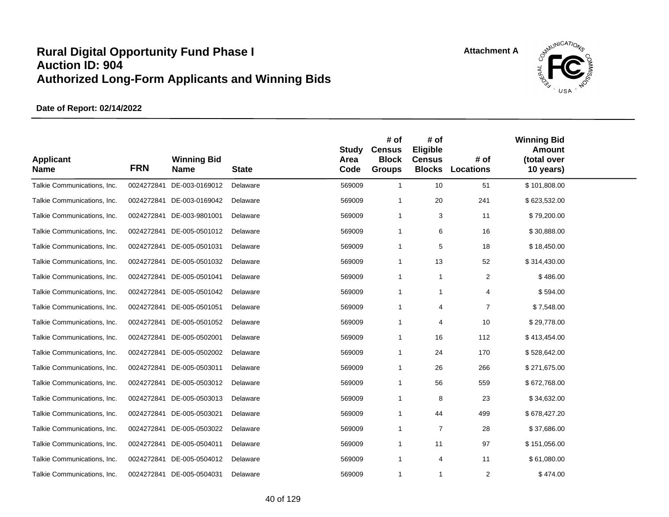

| <b>Applicant</b><br><b>Name</b> | <b>FRN</b> | <b>Winning Bid</b><br><b>Name</b> | <b>State</b> | <b>Study</b><br>Area<br>Code | # of<br><b>Census</b><br><b>Block</b><br><b>Groups</b> | # of<br>Eligible<br><b>Census</b><br><b>Blocks</b> | # of<br><b>Locations</b> | <b>Winning Bid</b><br><b>Amount</b><br>(total over<br>10 years) |  |
|---------------------------------|------------|-----------------------------------|--------------|------------------------------|--------------------------------------------------------|----------------------------------------------------|--------------------------|-----------------------------------------------------------------|--|
| Talkie Communications, Inc.     |            | 0024272841 DE-003-0169012         | Delaware     | 569009                       | $\overline{1}$                                         | 10                                                 | 51                       | \$101,808.00                                                    |  |
| Talkie Communications, Inc.     |            | 0024272841 DE-003-0169042         | Delaware     | 569009                       | $\overline{1}$                                         | 20                                                 | 241                      | \$623,532.00                                                    |  |
| Talkie Communications, Inc.     |            | 0024272841 DE-003-9801001         | Delaware     | 569009                       | $\overline{1}$                                         | 3                                                  | 11                       | \$79,200.00                                                     |  |
| Talkie Communications, Inc.     |            | 0024272841 DE-005-0501012         | Delaware     | 569009                       | -1                                                     | 6                                                  | 16                       | \$30,888.00                                                     |  |
| Talkie Communications, Inc.     |            | 0024272841 DE-005-0501031         | Delaware     | 569009                       | $\overline{1}$                                         | 5                                                  | 18                       | \$18,450.00                                                     |  |
| Talkie Communications, Inc.     |            | 0024272841 DE-005-0501032         | Delaware     | 569009                       | $\overline{1}$                                         | 13                                                 | 52                       | \$314,430.00                                                    |  |
| Talkie Communications, Inc.     |            | 0024272841 DE-005-0501041         | Delaware     | 569009                       | $\overline{1}$                                         | $\overline{1}$                                     | $\overline{2}$           | \$486.00                                                        |  |
| Talkie Communications, Inc.     |            | 0024272841 DE-005-0501042         | Delaware     | 569009                       | -1                                                     | 1                                                  | 4                        | \$594.00                                                        |  |
| Talkie Communications, Inc.     |            | 0024272841 DE-005-0501051         | Delaware     | 569009                       | $\mathbf 1$                                            | 4                                                  | $\overline{7}$           | \$7,548.00                                                      |  |
| Talkie Communications, Inc.     |            | 0024272841 DE-005-0501052         | Delaware     | 569009                       | $\overline{1}$                                         | 4                                                  | 10                       | \$29,778.00                                                     |  |
| Talkie Communications, Inc.     |            | 0024272841 DE-005-0502001         | Delaware     | 569009                       | $\overline{1}$                                         | 16                                                 | 112                      | \$413,454.00                                                    |  |
| Talkie Communications, Inc.     |            | 0024272841 DE-005-0502002         | Delaware     | 569009                       | $\overline{1}$                                         | 24                                                 | 170                      | \$528,642.00                                                    |  |
| Talkie Communications, Inc.     |            | 0024272841 DE-005-0503011         | Delaware     | 569009                       | -1                                                     | 26                                                 | 266                      | \$271,675.00                                                    |  |
| Talkie Communications, Inc.     |            | 0024272841 DE-005-0503012         | Delaware     | 569009                       | $\mathbf 1$                                            | 56                                                 | 559                      | \$672,768.00                                                    |  |
| Talkie Communications, Inc.     |            | 0024272841 DE-005-0503013         | Delaware     | 569009                       | $\overline{1}$                                         | 8                                                  | 23                       | \$34,632.00                                                     |  |
| Talkie Communications, Inc.     |            | 0024272841 DE-005-0503021         | Delaware     | 569009                       | $\mathbf 1$                                            | 44                                                 | 499                      | \$678,427.20                                                    |  |
| Talkie Communications, Inc.     |            | 0024272841 DE-005-0503022         | Delaware     | 569009                       | $\mathbf 1$                                            | $\overline{7}$                                     | 28                       | \$37,686.00                                                     |  |
| Talkie Communications, Inc.     |            | 0024272841 DE-005-0504011         | Delaware     | 569009                       | -1                                                     | 11                                                 | 97                       | \$151,056.00                                                    |  |
| Talkie Communications, Inc.     |            | 0024272841 DE-005-0504012         | Delaware     | 569009                       | $\overline{1}$                                         | $\overline{4}$                                     | 11                       | \$61,080.00                                                     |  |
| Talkie Communications, Inc.     |            | 0024272841 DE-005-0504031         | Delaware     | 569009                       | $\mathbf 1$                                            | $\overline{1}$                                     | $\overline{2}$           | \$474.00                                                        |  |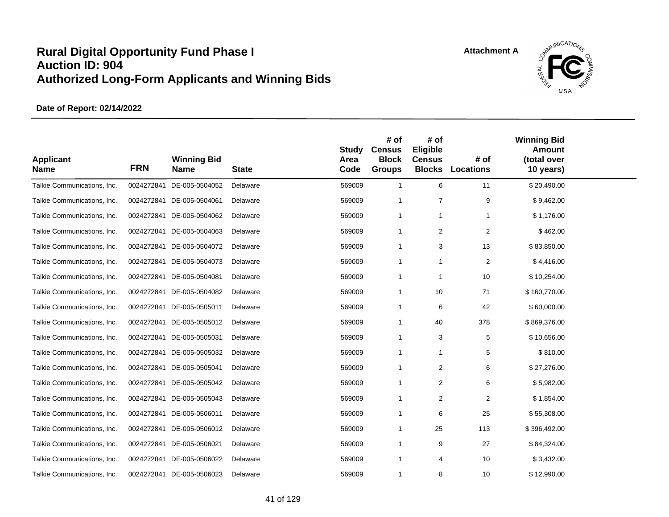

| <b>Applicant</b><br><b>Name</b> | <b>FRN</b> | <b>Winning Bid</b><br><b>Name</b> | <b>State</b> | <b>Study</b><br>Area<br>Code | # of<br><b>Census</b><br><b>Block</b><br><b>Groups</b> | # of<br>Eligible<br><b>Census</b><br><b>Blocks</b> | # of<br><b>Locations</b> | <b>Winning Bid</b><br><b>Amount</b><br>(total over<br>10 years) |  |
|---------------------------------|------------|-----------------------------------|--------------|------------------------------|--------------------------------------------------------|----------------------------------------------------|--------------------------|-----------------------------------------------------------------|--|
| Talkie Communications, Inc.     | 0024272841 | DE-005-0504052                    | Delaware     | 569009                       | $\mathbf{1}$                                           | 6                                                  | 11                       | \$20,490.00                                                     |  |
| Talkie Communications, Inc.     | 0024272841 | DE-005-0504061                    | Delaware     | 569009                       | $\mathbf 1$                                            | $\overline{7}$                                     | 9                        | \$9,462.00                                                      |  |
| Talkie Communications, Inc.     | 0024272841 | DE-005-0504062                    | Delaware     | 569009                       | $\mathbf{1}$                                           | $\mathbf{1}$                                       | 1                        | \$1,176.00                                                      |  |
| Talkie Communications, Inc.     | 0024272841 | DE-005-0504063                    | Delaware     | 569009                       | $\mathbf{1}$                                           | $\overline{2}$                                     | 2                        | \$462.00                                                        |  |
| Talkie Communications, Inc.     | 0024272841 | DE-005-0504072                    | Delaware     | 569009                       | $\mathbf 1$                                            | 3                                                  | 13                       | \$83,850.00                                                     |  |
| Talkie Communications, Inc.     | 0024272841 | DE-005-0504073                    | Delaware     | 569009                       | $\mathbf 1$                                            | $\mathbf{1}$                                       | $\overline{c}$           | \$4,416.00                                                      |  |
| Talkie Communications, Inc.     |            | 0024272841 DE-005-0504081         | Delaware     | 569009                       | $\overline{1}$                                         | $\overline{1}$                                     | 10                       | \$10,254.00                                                     |  |
| Talkie Communications, Inc.     | 0024272841 | DE-005-0504082                    | Delaware     | 569009                       | $\mathbf 1$                                            | 10                                                 | 71                       | \$160,770.00                                                    |  |
| Talkie Communications, Inc.     | 0024272841 | DE-005-0505011                    | Delaware     | 569009                       | $\mathbf 1$                                            | 6                                                  | 42                       | \$60,000.00                                                     |  |
| Talkie Communications, Inc.     | 0024272841 | DE-005-0505012                    | Delaware     | 569009                       | $\overline{1}$                                         | 40                                                 | 378                      | \$869,376.00                                                    |  |
| Talkie Communications, Inc.     | 0024272841 | DE-005-0505031                    | Delaware     | 569009                       | $\overline{1}$                                         | 3                                                  | $\mathbf 5$              | \$10,656.00                                                     |  |
| Talkie Communications, Inc.     | 0024272841 | DE-005-0505032                    | Delaware     | 569009                       | $\overline{1}$                                         | $\overline{1}$                                     | 5                        | \$810.00                                                        |  |
| Talkie Communications, Inc.     | 0024272841 | DE-005-0505041                    | Delaware     | 569009                       | $\overline{1}$                                         | $\overline{2}$                                     | 6                        | \$27,276.00                                                     |  |
| Talkie Communications, Inc.     | 0024272841 | DE-005-0505042                    | Delaware     | 569009                       | $\mathbf 1$                                            | $\overline{2}$                                     | 6                        | \$5,982.00                                                      |  |
| Talkie Communications, Inc.     | 0024272841 | DE-005-0505043                    | Delaware     | 569009                       | -1                                                     | 2                                                  | 2                        | \$1,854.00                                                      |  |
| Talkie Communications, Inc.     | 0024272841 | DE-005-0506011                    | Delaware     | 569009                       | $\overline{1}$                                         | 6                                                  | 25                       | \$55,308.00                                                     |  |
| Talkie Communications, Inc.     | 0024272841 | DE-005-0506012                    | Delaware     | 569009                       | -1                                                     | 25                                                 | 113                      | \$396,492.00                                                    |  |
| Talkie Communications, Inc.     | 0024272841 | DE-005-0506021                    | Delaware     | 569009                       | $\overline{1}$                                         | 9                                                  | 27                       | \$84,324.00                                                     |  |
| Talkie Communications, Inc.     | 0024272841 | DE-005-0506022                    | Delaware     | 569009                       | $\overline{1}$                                         | 4                                                  | 10                       | \$3,432.00                                                      |  |
| Talkie Communications, Inc.     |            | 0024272841 DE-005-0506023         | Delaware     | 569009                       | $\mathbf 1$                                            | 8                                                  | 10                       | \$12,990.00                                                     |  |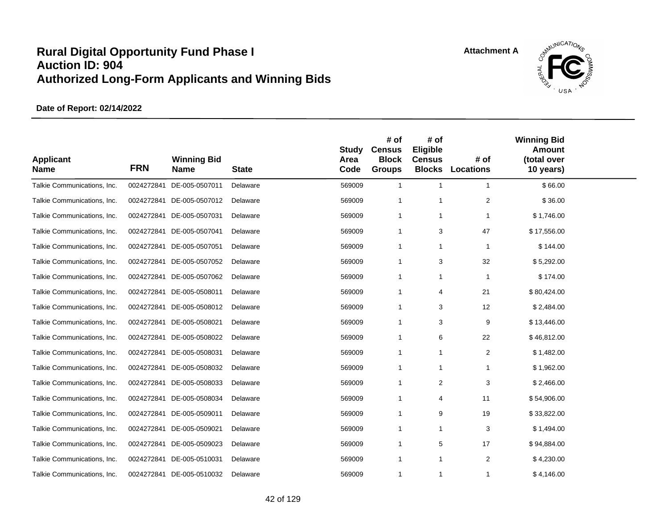

| <b>Applicant</b><br><b>Name</b> | <b>FRN</b> | <b>Winning Bid</b><br><b>Name</b> | <b>State</b> | <b>Study</b><br>Area<br>Code | # of<br><b>Census</b><br><b>Block</b><br><b>Groups</b> | # of<br>Eligible<br><b>Census</b><br><b>Blocks</b> | # of<br><b>Locations</b> | <b>Winning Bid</b><br><b>Amount</b><br>(total over<br>10 years) |  |
|---------------------------------|------------|-----------------------------------|--------------|------------------------------|--------------------------------------------------------|----------------------------------------------------|--------------------------|-----------------------------------------------------------------|--|
| Talkie Communications, Inc.     | 0024272841 | DE-005-0507011                    | Delaware     | 569009                       | $\mathbf{1}$                                           | $\mathbf{1}$                                       | $\mathbf{1}$             | \$66.00                                                         |  |
| Talkie Communications, Inc.     | 0024272841 | DE-005-0507012                    | Delaware     | 569009                       | $\mathbf{1}$                                           | $\overline{1}$                                     | $\overline{2}$           | \$36.00                                                         |  |
| Talkie Communications, Inc.     | 0024272841 | DE-005-0507031                    | Delaware     | 569009                       | $\mathbf{1}$                                           | $\overline{1}$                                     | -1                       | \$1,746.00                                                      |  |
| Talkie Communications, Inc.     | 0024272841 | DE-005-0507041                    | Delaware     | 569009                       | $\mathbf{1}$                                           | 3                                                  | 47                       | \$17,556.00                                                     |  |
| Talkie Communications, Inc.     | 0024272841 | DE-005-0507051                    | Delaware     | 569009                       | $\mathbf{1}$                                           | $\mathbf{1}$                                       | $\overline{1}$           | \$144.00                                                        |  |
| Talkie Communications, Inc.     | 0024272841 | DE-005-0507052                    | Delaware     | 569009                       | $\mathbf{1}$                                           | 3                                                  | 32                       | \$5,292.00                                                      |  |
| Talkie Communications, Inc.     |            | 0024272841 DE-005-0507062         | Delaware     | 569009                       | $\mathbf{1}$                                           | $\mathbf{1}$                                       | $\mathbf{1}$             | \$174.00                                                        |  |
| Talkie Communications, Inc.     | 0024272841 | DE-005-0508011                    | Delaware     | 569009                       | $\mathbf 1$                                            | 4                                                  | 21                       | \$80,424.00                                                     |  |
| Talkie Communications, Inc.     | 0024272841 | DE-005-0508012                    | Delaware     | 569009                       | $\mathbf 1$                                            | 3                                                  | 12                       | \$2,484.00                                                      |  |
| Talkie Communications, Inc.     |            | 0024272841 DE-005-0508021         | Delaware     | 569009                       | $\mathbf 1$                                            | 3                                                  | 9                        | \$13,446.00                                                     |  |
| Talkie Communications, Inc.     |            | 0024272841 DE-005-0508022         | Delaware     | 569009                       | $\mathbf{1}$                                           | 6                                                  | 22                       | \$46,812.00                                                     |  |
| Talkie Communications, Inc.     |            | 0024272841 DE-005-0508031         | Delaware     | 569009                       | 1                                                      | $\mathbf{1}$                                       | 2                        | \$1,482.00                                                      |  |
| Talkie Communications, Inc.     | 0024272841 | DE-005-0508032                    | Delaware     | 569009                       | $\mathbf{1}$                                           | $\overline{1}$                                     | $\mathbf{1}$             | \$1,962.00                                                      |  |
| Talkie Communications, Inc.     | 0024272841 | DE-005-0508033                    | Delaware     | 569009                       | $\mathbf{1}$                                           | $\overline{2}$                                     | 3                        | \$2,466.00                                                      |  |
| Talkie Communications, Inc.     |            | 0024272841 DE-005-0508034         | Delaware     | 569009                       | $\overline{1}$                                         | $\overline{4}$                                     | 11                       | \$54,906.00                                                     |  |
| Talkie Communications, Inc.     | 0024272841 | DE-005-0509011                    | Delaware     | 569009                       | $\mathbf{1}$                                           | 9                                                  | 19                       | \$33,822.00                                                     |  |
| Talkie Communications, Inc.     | 0024272841 | DE-005-0509021                    | Delaware     | 569009                       | $\mathbf 1$                                            | $\overline{1}$                                     | 3                        | \$1,494.00                                                      |  |
| Talkie Communications, Inc.     | 0024272841 | DE-005-0509023                    | Delaware     | 569009                       | $\mathbf 1$                                            | 5                                                  | 17                       | \$94,884.00                                                     |  |
| Talkie Communications, Inc.     | 0024272841 | DE-005-0510031                    | Delaware     | 569009                       | $\mathbf{1}$                                           | $\mathbf{1}$                                       | 2                        | \$4,230.00                                                      |  |
| Talkie Communications, Inc.     |            | 0024272841 DE-005-0510032         | Delaware     | 569009                       | 1                                                      | $\mathbf{1}$                                       | 1                        | \$4,146.00                                                      |  |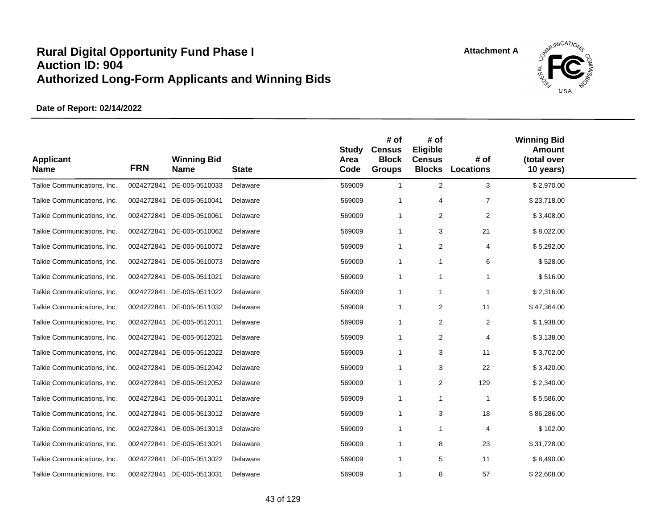

| <b>Applicant</b><br><b>Name</b> | <b>FRN</b> | <b>Winning Bid</b><br><b>Name</b> | <b>State</b> | <b>Study</b><br>Area<br>Code | # of<br><b>Census</b><br><b>Block</b><br><b>Groups</b> | # of<br>Eligible<br><b>Census</b><br><b>Blocks</b> | # of<br><b>Locations</b> | <b>Winning Bid</b><br><b>Amount</b><br>(total over<br>10 years) |  |
|---------------------------------|------------|-----------------------------------|--------------|------------------------------|--------------------------------------------------------|----------------------------------------------------|--------------------------|-----------------------------------------------------------------|--|
| Talkie Communications, Inc.     | 0024272841 | DE-005-0510033                    | Delaware     | 569009                       | $\mathbf{1}$                                           | $\overline{2}$                                     | 3                        | \$2,970.00                                                      |  |
| Talkie Communications, Inc.     |            | 0024272841 DE-005-0510041         | Delaware     | 569009                       | $\mathbf 1$                                            | $\overline{4}$                                     | $\overline{7}$           | \$23,718.00                                                     |  |
| Talkie Communications, Inc.     |            | 0024272841 DE-005-0510061         | Delaware     | 569009                       | $\mathbf{1}$                                           | 2                                                  | 2                        | \$3,408.00                                                      |  |
| Talkie Communications, Inc.     |            | 0024272841 DE-005-0510062         | Delaware     | 569009                       | $\mathbf{1}$                                           | 3                                                  | 21                       | \$8,022.00                                                      |  |
| Talkie Communications, Inc.     | 0024272841 | DE-005-0510072                    | Delaware     | 569009                       | $\mathbf 1$                                            | $\overline{2}$                                     | 4                        | \$5,292.00                                                      |  |
| Talkie Communications, Inc.     | 0024272841 | DE-005-0510073                    | Delaware     | 569009                       | $\mathbf{1}$                                           | $\mathbf 1$                                        | 6                        | \$528.00                                                        |  |
| Talkie Communications, Inc.     |            | 0024272841 DE-005-0511021         | Delaware     | 569009                       | -1                                                     | $\overline{1}$                                     |                          | \$516.00                                                        |  |
| Talkie Communications, Inc.     | 0024272841 | DE-005-0511022                    | Delaware     | 569009                       | $\mathbf{1}$                                           | $\mathbf{1}$                                       | -1                       | \$2,316.00                                                      |  |
| Talkie Communications, Inc.     | 0024272841 | DE-005-0511032                    | Delaware     | 569009                       | $\mathbf{1}$                                           | 2                                                  | 11                       | \$47,364.00                                                     |  |
| Talkie Communications, Inc.     | 0024272841 | DE-005-0512011                    | Delaware     | 569009                       | $\mathbf{1}$                                           | 2                                                  | 2                        | \$1,938.00                                                      |  |
| Talkie Communications, Inc.     | 0024272841 | DE-005-0512021                    | Delaware     | 569009                       | $\mathbf{1}$                                           | 2                                                  | 4                        | \$3,138.00                                                      |  |
| Talkie Communications, Inc.     |            | 0024272841 DE-005-0512022         | Delaware     | 569009                       | $\mathbf{1}$                                           | 3                                                  | 11                       | \$3,702.00                                                      |  |
| Talkie Communications, Inc.     | 0024272841 | DE-005-0512042                    | Delaware     | 569009                       | $\mathbf{1}$                                           | 3                                                  | 22                       | \$3,420.00                                                      |  |
| Talkie Communications, Inc.     | 0024272841 | DE-005-0512052                    | Delaware     | 569009                       | $\mathbf 1$                                            | 2                                                  | 129                      | \$2,340.00                                                      |  |
| Talkie Communications, Inc.     |            | 0024272841 DE-005-0513011         | Delaware     | 569009                       | -1                                                     | $\overline{1}$                                     | $\overline{1}$           | \$5,586.00                                                      |  |
| Talkie Communications, Inc.     | 0024272841 | DE-005-0513012                    | Delaware     | 569009                       | $\mathbf{1}$                                           | 3                                                  | 18                       | \$86,286.00                                                     |  |
| Talkie Communications, Inc.     | 0024272841 | DE-005-0513013                    | Delaware     | 569009                       | $\mathbf{1}$                                           | $\mathbf 1$                                        | 4                        | \$102.00                                                        |  |
| Talkie Communications, Inc.     | 0024272841 | DE-005-0513021                    | Delaware     | 569009                       | $\mathbf 1$                                            | 8                                                  | 23                       | \$31,728.00                                                     |  |
| Talkie Communications, Inc.     | 0024272841 | DE-005-0513022                    | Delaware     | 569009                       | $\mathbf{1}$                                           | 5                                                  | 11                       | \$8,490.00                                                      |  |
| Talkie Communications, Inc.     |            | 0024272841 DE-005-0513031         | Delaware     | 569009                       | $\mathbf{1}$                                           | 8                                                  | 57                       | \$22,608.00                                                     |  |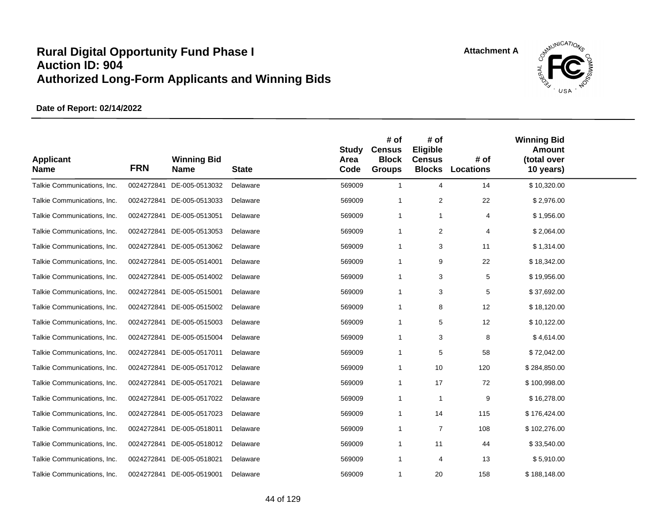

| <b>Applicant</b><br><b>Name</b> | <b>FRN</b> | <b>Winning Bid</b><br><b>Name</b> | <b>State</b> | <b>Study</b><br>Area<br>Code | # of<br><b>Census</b><br><b>Block</b><br><b>Groups</b> | # of<br>Eligible<br><b>Census</b><br><b>Blocks</b> | # of<br>Locations | <b>Winning Bid</b><br><b>Amount</b><br>(total over<br>10 years) |  |
|---------------------------------|------------|-----------------------------------|--------------|------------------------------|--------------------------------------------------------|----------------------------------------------------|-------------------|-----------------------------------------------------------------|--|
| Talkie Communications, Inc.     | 0024272841 | DE-005-0513032                    | Delaware     | 569009                       | $\mathbf{1}$                                           | $\overline{4}$                                     | 14                | \$10,320.00                                                     |  |
| Talkie Communications, Inc.     | 0024272841 | DE-005-0513033                    | Delaware     | 569009                       | -1                                                     | $\overline{2}$                                     | 22                | \$2,976.00                                                      |  |
| Talkie Communications, Inc.     | 0024272841 | DE-005-0513051                    | Delaware     | 569009                       | $\mathbf{1}$                                           | $\mathbf{1}$                                       | 4                 | \$1,956.00                                                      |  |
| Talkie Communications, Inc.     | 0024272841 | DE-005-0513053                    | Delaware     | 569009                       | $\mathbf{1}$                                           | 2                                                  | 4                 | \$2,064.00                                                      |  |
| Talkie Communications, Inc.     | 0024272841 | DE-005-0513062                    | Delaware     | 569009                       | $\overline{1}$                                         | 3                                                  | 11                | \$1,314.00                                                      |  |
| Talkie Communications, Inc.     | 0024272841 | DE-005-0514001                    | Delaware     | 569009                       | $\mathbf{1}$                                           | 9                                                  | 22                | \$18,342.00                                                     |  |
| Talkie Communications, Inc.     | 0024272841 | DE-005-0514002                    | Delaware     | 569009                       | $\overline{1}$                                         | 3                                                  | 5                 | \$19,956.00                                                     |  |
| Talkie Communications, Inc.     | 0024272841 | DE-005-0515001                    | Delaware     | 569009                       | -1                                                     | 3                                                  | 5                 | \$37,692.00                                                     |  |
| Talkie Communications, Inc.     | 0024272841 | DE-005-0515002                    | Delaware     | 569009                       | $\mathbf{1}$                                           | 8                                                  | 12                | \$18,120.00                                                     |  |
| Talkie Communications, Inc.     | 0024272841 | DE-005-0515003                    | Delaware     | 569009                       | -1                                                     | 5                                                  | 12                | \$10,122.00                                                     |  |
| Talkie Communications, Inc.     | 0024272841 | DE-005-0515004                    | Delaware     | 569009                       | $\mathbf{1}$                                           | 3                                                  | 8                 | \$4,614.00                                                      |  |
| Talkie Communications, Inc.     | 0024272841 | DE-005-0517011                    | Delaware     | 569009                       | $\mathbf 1$                                            | 5                                                  | 58                | \$72,042.00                                                     |  |
| Talkie Communications, Inc.     | 0024272841 | DE-005-0517012                    | Delaware     | 569009                       | $\mathbf{1}$                                           | 10                                                 | 120               | \$284,850.00                                                    |  |
| Talkie Communications, Inc.     | 0024272841 | DE-005-0517021                    | Delaware     | 569009                       | $\mathbf{1}$                                           | 17                                                 | 72                | \$100,998.00                                                    |  |
| Talkie Communications, Inc.     | 0024272841 | DE-005-0517022                    | Delaware     | 569009                       | $\mathbf{1}$                                           | $\overline{1}$                                     | 9                 | \$16,278.00                                                     |  |
| Talkie Communications, Inc.     | 0024272841 | DE-005-0517023                    | Delaware     | 569009                       | $\mathbf 1$                                            | 14                                                 | 115               | \$176,424.00                                                    |  |
| Talkie Communications, Inc.     | 0024272841 | DE-005-0518011                    | Delaware     | 569009                       | $\mathbf{1}$                                           | $\overline{7}$                                     | 108               | \$102,276.00                                                    |  |
| Talkie Communications, Inc.     | 0024272841 | DE-005-0518012                    | Delaware     | 569009                       | -1                                                     | 11                                                 | 44                | \$33,540.00                                                     |  |
| Talkie Communications, Inc.     | 0024272841 | DE-005-0518021                    | Delaware     | 569009                       | $\mathbf{1}$                                           | $\overline{4}$                                     | 13                | \$5,910.00                                                      |  |
| Talkie Communications, Inc.     |            | 0024272841 DE-005-0519001         | Delaware     | 569009                       | 1                                                      | 20                                                 | 158               | \$188,148.00                                                    |  |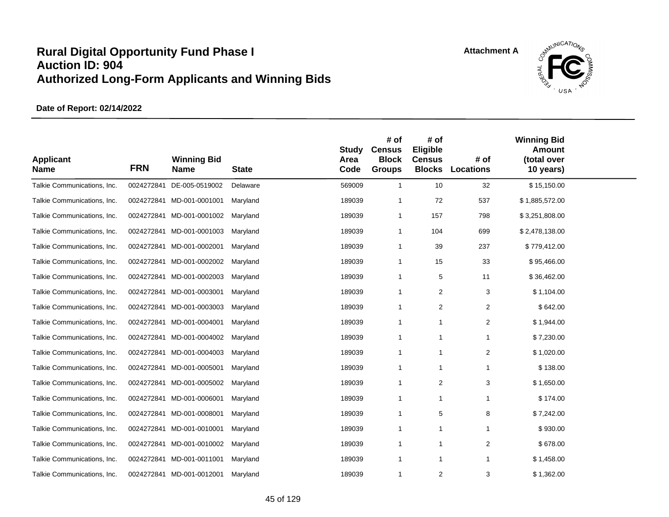

| <b>Applicant</b><br><b>Name</b> | <b>FRN</b> | <b>Winning Bid</b><br><b>Name</b> | <b>State</b> | <b>Study</b><br>Area<br>Code | # of<br><b>Census</b><br><b>Block</b><br><b>Groups</b> | # of<br>Eligible<br><b>Census</b><br><b>Blocks</b> | # of<br>Locations | <b>Winning Bid</b><br><b>Amount</b><br>(total over<br>10 years) |  |
|---------------------------------|------------|-----------------------------------|--------------|------------------------------|--------------------------------------------------------|----------------------------------------------------|-------------------|-----------------------------------------------------------------|--|
| Talkie Communications, Inc.     | 0024272841 | DE-005-0519002                    | Delaware     | 569009                       | $\mathbf{1}$                                           | 10                                                 | 32                | \$15,150.00                                                     |  |
| Talkie Communications, Inc.     |            | 0024272841 MD-001-0001001         | Maryland     | 189039                       | -1                                                     | 72                                                 | 537               | \$1,885,572.00                                                  |  |
| Talkie Communications, Inc.     |            | 0024272841 MD-001-0001002         | Maryland     | 189039                       | $\overline{1}$                                         | 157                                                | 798               | \$3,251,808.00                                                  |  |
| Talkie Communications, Inc.     |            | 0024272841 MD-001-0001003         | Maryland     | 189039                       | $\overline{1}$                                         | 104                                                | 699               | \$2,478,138.00                                                  |  |
| Talkie Communications, Inc.     |            | 0024272841 MD-001-0002001         | Maryland     | 189039                       | -1                                                     | 39                                                 | 237               | \$779,412.00                                                    |  |
| Talkie Communications, Inc.     | 0024272841 | MD-001-0002002                    | Maryland     | 189039                       | $\overline{1}$                                         | 15                                                 | 33                | \$95,466.00                                                     |  |
| Talkie Communications, Inc.     |            | 0024272841 MD-001-0002003         | Maryland     | 189039                       | $\overline{1}$                                         | 5                                                  | 11                | \$36,462.00                                                     |  |
| Talkie Communications, Inc.     | 0024272841 | MD-001-0003001                    | Maryland     | 189039                       | -1                                                     | 2                                                  | 3                 | \$1,104.00                                                      |  |
| Talkie Communications, Inc.     | 0024272841 | MD-001-0003003                    | Maryland     | 189039                       | -1                                                     | 2                                                  | 2                 | \$642.00                                                        |  |
| Talkie Communications, Inc.     | 0024272841 | MD-001-0004001                    | Maryland     | 189039                       | $\overline{1}$                                         | $\mathbf{1}$                                       | $\overline{c}$    | \$1,944.00                                                      |  |
| Talkie Communications, Inc.     |            | 0024272841 MD-001-0004002         | Maryland     | 189039                       | $\mathbf{1}$                                           | $\mathbf{1}$                                       | 1                 | \$7,230.00                                                      |  |
| Talkie Communications, Inc.     |            | 0024272841 MD-001-0004003         | Maryland     | 189039                       | $\overline{1}$                                         | $\mathbf{1}$                                       | 2                 | \$1,020.00                                                      |  |
| Talkie Communications, Inc.     | 0024272841 | MD-001-0005001                    | Maryland     | 189039                       | $\overline{1}$                                         | $\mathbf{1}$                                       | 1                 | \$138.00                                                        |  |
| Talkie Communications, Inc.     | 0024272841 | MD-001-0005002                    | Maryland     | 189039                       | $\mathbf{1}$                                           | $\overline{2}$                                     | 3                 | \$1,650.00                                                      |  |
| Talkie Communications, Inc.     |            | 0024272841 MD-001-0006001         | Maryland     | 189039                       | -1                                                     | $\mathbf{1}$                                       | 1                 | \$174.00                                                        |  |
| Talkie Communications, Inc.     |            | 0024272841 MD-001-0008001         | Maryland     | 189039                       | $\mathbf{1}$                                           | 5                                                  | 8                 | \$7,242.00                                                      |  |
| Talkie Communications, Inc.     |            | 0024272841 MD-001-0010001         | Maryland     | 189039                       | $\overline{1}$                                         | $\mathbf{1}$                                       | 1                 | \$930.00                                                        |  |
| Talkie Communications, Inc.     |            | 0024272841 MD-001-0010002         | Maryland     | 189039                       | $\overline{1}$                                         | $\mathbf{1}$                                       | $\overline{2}$    | \$678.00                                                        |  |
| Talkie Communications, Inc.     | 0024272841 | MD-001-0011001                    | Maryland     | 189039                       | $\mathbf 1$                                            | $\mathbf{1}$                                       | 1                 | \$1,458.00                                                      |  |
| Talkie Communications, Inc.     |            | 0024272841 MD-001-0012001         | Maryland     | 189039                       | $\overline{1}$                                         | $\overline{2}$                                     | 3                 | \$1,362.00                                                      |  |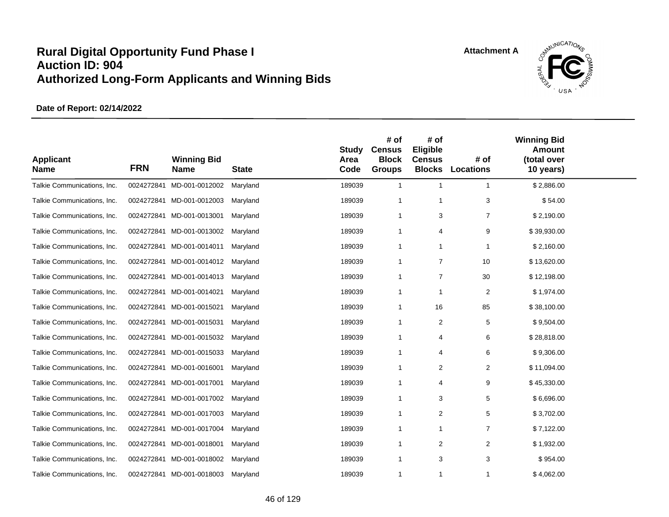

| <b>Applicant</b><br><b>Name</b> | <b>FRN</b> | <b>Winning Bid</b><br><b>Name</b> | <b>State</b> | <b>Study</b><br>Area<br>Code | # of<br><b>Census</b><br><b>Block</b><br><b>Groups</b> | # of<br>Eligible<br><b>Census</b><br><b>Blocks</b> | # of<br><b>Locations</b> | <b>Winning Bid</b><br><b>Amount</b><br>(total over<br>10 years) |  |
|---------------------------------|------------|-----------------------------------|--------------|------------------------------|--------------------------------------------------------|----------------------------------------------------|--------------------------|-----------------------------------------------------------------|--|
| Talkie Communications, Inc.     | 0024272841 | MD-001-0012002                    | Maryland     | 189039                       | $\mathbf{1}$                                           | $\mathbf{1}$                                       | $\mathbf{1}$             | \$2,886.00                                                      |  |
| Talkie Communications, Inc.     |            | 0024272841 MD-001-0012003         | Maryland     | 189039                       | $\mathbf 1$                                            | $\mathbf{1}$                                       | 3                        | \$54.00                                                         |  |
| Talkie Communications, Inc.     |            | 0024272841 MD-001-0013001         | Maryland     | 189039                       | $\mathbf 1$                                            | 3                                                  | $\overline{7}$           | \$2,190.00                                                      |  |
| Talkie Communications, Inc.     |            | 0024272841 MD-001-0013002         | Maryland     | 189039                       | -1                                                     | $\overline{4}$                                     | 9                        | \$39,930.00                                                     |  |
| Talkie Communications, Inc.     |            | 0024272841 MD-001-0014011         | Maryland     | 189039                       | -1                                                     | $\mathbf{1}$                                       | 1                        | \$2,160.00                                                      |  |
| Talkie Communications, Inc.     |            | 0024272841 MD-001-0014012         | Maryland     | 189039                       | $\mathbf 1$                                            | $\overline{7}$                                     | 10                       | \$13,620.00                                                     |  |
| Talkie Communications, Inc.     |            | 0024272841 MD-001-0014013         | Maryland     | 189039                       | $\overline{1}$                                         | $\overline{7}$                                     | 30                       | \$12,198.00                                                     |  |
| Talkie Communications, Inc.     |            | 0024272841 MD-001-0014021         | Maryland     | 189039                       | $\mathbf 1$                                            | $\mathbf 1$                                        | $\overline{c}$           | \$1,974.00                                                      |  |
| Talkie Communications, Inc.     |            | 0024272841 MD-001-0015021         | Maryland     | 189039                       | $\mathbf 1$                                            | 16                                                 | 85                       | \$38,100.00                                                     |  |
| Talkie Communications, Inc.     |            | 0024272841 MD-001-0015031         | Maryland     | 189039                       | $\overline{1}$                                         | $\overline{2}$                                     | 5                        | \$9,504.00                                                      |  |
| Talkie Communications, Inc.     |            | 0024272841 MD-001-0015032         | Maryland     | 189039                       | -1                                                     | $\overline{4}$                                     | 6                        | \$28,818.00                                                     |  |
| Talkie Communications, Inc.     |            | 0024272841 MD-001-0015033         | Maryland     | 189039                       | $\mathbf 1$                                            | $\overline{4}$                                     | 6                        | \$9,306.00                                                      |  |
| Talkie Communications, Inc.     |            | 0024272841 MD-001-0016001         | Maryland     | 189039                       | -1                                                     | $\overline{2}$                                     | 2                        | \$11,094.00                                                     |  |
| Talkie Communications, Inc.     | 0024272841 | MD-001-0017001                    | Maryland     | 189039                       | $\mathbf 1$                                            | 4                                                  | 9                        | \$45,330.00                                                     |  |
| Talkie Communications, Inc.     |            | 0024272841 MD-001-0017002         | Maryland     | 189039                       | -1                                                     | 3                                                  | 5                        | \$6,696.00                                                      |  |
| Talkie Communications, Inc.     |            | 0024272841 MD-001-0017003         | Maryland     | 189039                       | $\mathbf 1$                                            | $\overline{2}$                                     | 5                        | \$3,702.00                                                      |  |
| Talkie Communications, Inc.     | 0024272841 | MD-001-0017004                    | Maryland     | 189039                       | -1                                                     | $\mathbf{1}$                                       | $\overline{7}$           | \$7,122.00                                                      |  |
| Talkie Communications, Inc.     |            | 0024272841 MD-001-0018001         | Maryland     | 189039                       | -1                                                     | 2                                                  | 2                        | \$1,932.00                                                      |  |
| Talkie Communications, Inc.     | 0024272841 | MD-001-0018002                    | Maryland     | 189039                       | -1                                                     | 3                                                  | 3                        | \$954.00                                                        |  |
| Talkie Communications, Inc.     |            | 0024272841 MD-001-0018003         | Maryland     | 189039                       | $\mathbf{1}$                                           | $\mathbf{1}$                                       | 1                        | \$4,062.00                                                      |  |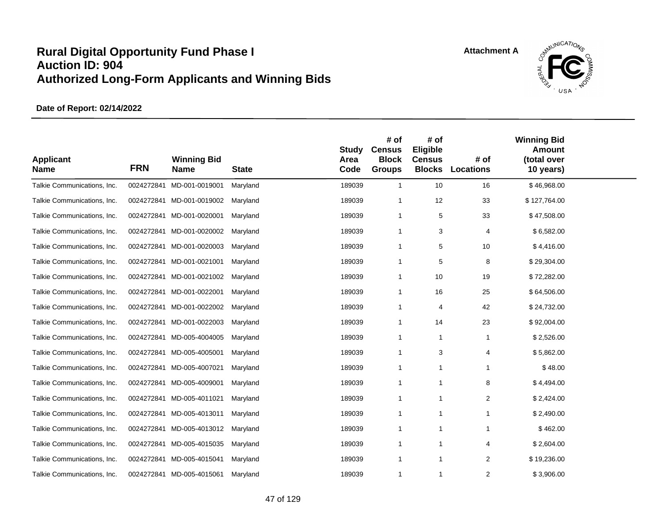

| <b>Applicant</b><br><b>Name</b> | <b>FRN</b> | <b>Winning Bid</b><br><b>Name</b> | <b>State</b> | <b>Study</b><br>Area<br>Code | # of<br><b>Census</b><br><b>Block</b><br><b>Groups</b> | # of<br>Eligible<br><b>Census</b><br><b>Blocks</b> | # of<br><b>Locations</b> | <b>Winning Bid</b><br><b>Amount</b><br>(total over<br>10 years) |  |
|---------------------------------|------------|-----------------------------------|--------------|------------------------------|--------------------------------------------------------|----------------------------------------------------|--------------------------|-----------------------------------------------------------------|--|
| Talkie Communications, Inc.     | 0024272841 | MD-001-0019001                    | Maryland     | 189039                       | $\mathbf{1}$                                           | 10                                                 | 16                       | \$46,968.00                                                     |  |
| Talkie Communications, Inc.     |            | 0024272841 MD-001-0019002         | Maryland     | 189039                       | $\overline{1}$                                         | 12                                                 | 33                       | \$127,764.00                                                    |  |
| Talkie Communications, Inc.     |            | 0024272841 MD-001-0020001         | Maryland     | 189039                       | -1                                                     | 5                                                  | 33                       | \$47,508.00                                                     |  |
| Talkie Communications, Inc.     |            | 0024272841 MD-001-0020002         | Maryland     | 189039                       | -1                                                     | 3                                                  | 4                        | \$6,582.00                                                      |  |
| Talkie Communications, Inc.     |            | 0024272841 MD-001-0020003         | Maryland     | 189039                       | -1                                                     | 5                                                  | 10                       | \$4,416.00                                                      |  |
| Talkie Communications, Inc.     |            | 0024272841 MD-001-0021001         | Maryland     | 189039                       | $\mathbf 1$                                            | 5                                                  | 8                        | \$29,304.00                                                     |  |
| Talkie Communications, Inc.     |            | 0024272841 MD-001-0021002         | Maryland     | 189039                       | $\overline{1}$                                         | 10                                                 | 19                       | \$72,282.00                                                     |  |
| Talkie Communications, Inc.     |            | 0024272841 MD-001-0022001         | Maryland     | 189039                       | -1                                                     | 16                                                 | 25                       | \$64,506.00                                                     |  |
| Talkie Communications, Inc.     |            | 0024272841 MD-001-0022002         | Maryland     | 189039                       | -1                                                     | 4                                                  | 42                       | \$24,732.00                                                     |  |
| Talkie Communications, Inc.     | 0024272841 | MD-001-0022003                    | Maryland     | 189039                       | $\mathbf 1$                                            | 14                                                 | 23                       | \$92,004.00                                                     |  |
| Talkie Communications, Inc.     |            | 0024272841 MD-005-4004005         | Maryland     | 189039                       | $\mathbf 1$                                            | $\mathbf{1}$                                       | 1                        | \$2,526.00                                                      |  |
| Talkie Communications, Inc.     | 0024272841 | MD-005-4005001                    | Maryland     | 189039                       | $\overline{1}$                                         | 3                                                  | 4                        | \$5,862.00                                                      |  |
| Talkie Communications, Inc.     | 0024272841 | MD-005-4007021                    | Maryland     | 189039                       | -1                                                     | -1                                                 | 1                        | \$48.00                                                         |  |
| Talkie Communications, Inc.     | 0024272841 | MD-005-4009001                    | Maryland     | 189039                       | $\mathbf{1}$                                           | $\mathbf{1}$                                       | 8                        | \$4,494.00                                                      |  |
| Talkie Communications, Inc.     |            | 0024272841 MD-005-4011021         | Maryland     | 189039                       | -1                                                     | $\mathbf{1}$                                       | 2                        | \$2,424.00                                                      |  |
| Talkie Communications, Inc.     | 0024272841 | MD-005-4013011                    | Maryland     | 189039                       | $\mathbf 1$                                            | $\mathbf{1}$                                       | 1                        | \$2,490.00                                                      |  |
| Talkie Communications, Inc.     | 0024272841 | MD-005-4013012                    | Maryland     | 189039                       | $\mathbf{1}$                                           | $\mathbf{1}$                                       | 1                        | \$462.00                                                        |  |
| Talkie Communications, Inc.     |            | 0024272841 MD-005-4015035         | Maryland     | 189039                       | $\overline{1}$                                         | $\overline{1}$                                     | 4                        | \$2,604.00                                                      |  |
| Talkie Communications, Inc.     | 0024272841 | MD-005-4015041                    | Maryland     | 189039                       | $\mathbf{1}$                                           | $\mathbf{1}$                                       | 2                        | \$19,236.00                                                     |  |
| Talkie Communications, Inc.     |            | 0024272841 MD-005-4015061         | Maryland     | 189039                       | $\mathbf{1}$                                           | $\mathbf{1}$                                       | $\overline{c}$           | \$3,906.00                                                      |  |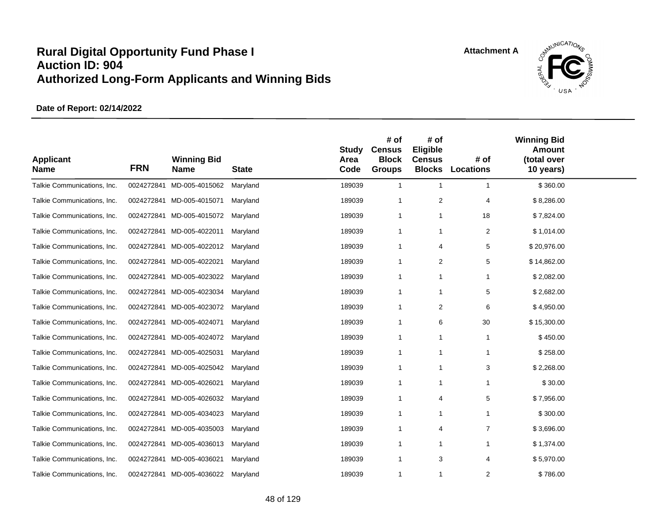

| <b>Applicant</b><br><b>Name</b> | <b>FRN</b> | <b>Winning Bid</b><br><b>Name</b> | <b>State</b> | <b>Study</b><br>Area<br>Code | # of<br><b>Census</b><br><b>Block</b><br><b>Groups</b> | # of<br>Eligible<br><b>Census</b><br><b>Blocks</b> | # of<br><b>Locations</b> | <b>Winning Bid</b><br><b>Amount</b><br>(total over<br>10 years) |  |
|---------------------------------|------------|-----------------------------------|--------------|------------------------------|--------------------------------------------------------|----------------------------------------------------|--------------------------|-----------------------------------------------------------------|--|
| Talkie Communications, Inc.     | 0024272841 | MD-005-4015062                    | Maryland     | 189039                       | $\mathbf{1}$                                           | $\overline{1}$                                     | $\mathbf 1$              | \$360.00                                                        |  |
| Talkie Communications, Inc.     |            | 0024272841 MD-005-4015071         | Maryland     | 189039                       | $\overline{1}$                                         | $\overline{2}$                                     | 4                        | \$8,286.00                                                      |  |
| Talkie Communications, Inc.     |            | 0024272841 MD-005-4015072         | Maryland     | 189039                       | $\mathbf 1$                                            | $\mathbf{1}$                                       | 18                       | \$7,824.00                                                      |  |
| Talkie Communications, Inc.     | 0024272841 | MD-005-4022011                    | Maryland     | 189039                       | $\overline{1}$                                         | $\overline{1}$                                     | 2                        | \$1,014.00                                                      |  |
| Talkie Communications, Inc.     | 0024272841 | MD-005-4022012                    | Maryland     | 189039                       | -1                                                     | $\overline{4}$                                     | 5                        | \$20,976.00                                                     |  |
| Talkie Communications, Inc.     | 0024272841 | MD-005-4022021                    | Maryland     | 189039                       | -1                                                     | 2                                                  | 5                        | \$14,862.00                                                     |  |
| Talkie Communications, Inc.     |            | 0024272841 MD-005-4023022         | Maryland     | 189039                       | -1                                                     | -1                                                 | 1                        | \$2,082.00                                                      |  |
| Talkie Communications, Inc.     | 0024272841 | MD-005-4023034                    | Maryland     | 189039                       | $\overline{1}$                                         | $\mathbf{1}$                                       | 5                        | \$2,682.00                                                      |  |
| Talkie Communications, Inc.     |            | 0024272841 MD-005-4023072         | Maryland     | 189039                       | $\overline{1}$                                         | $\overline{2}$                                     | 6                        | \$4,950.00                                                      |  |
| Talkie Communications, Inc.     |            | 0024272841 MD-005-4024071         | Maryland     | 189039                       | $\overline{1}$                                         | 6                                                  | 30                       | \$15,300.00                                                     |  |
| Talkie Communications, Inc.     |            | 0024272841 MD-005-4024072         | Maryland     | 189039                       | -1                                                     | $\mathbf{1}$                                       | $\mathbf{1}$             | \$450.00                                                        |  |
| Talkie Communications, Inc.     |            | 0024272841 MD-005-4025031         | Maryland     | 189039                       | $\overline{1}$                                         | -1                                                 | -1                       | \$258.00                                                        |  |
| Talkie Communications, Inc.     |            | 0024272841 MD-005-4025042         | Maryland     | 189039                       | -1                                                     | $\mathbf{1}$                                       | 3                        | \$2,268.00                                                      |  |
| Talkie Communications, Inc.     | 0024272841 | MD-005-4026021                    | Maryland     | 189039                       | $\overline{1}$                                         | $\mathbf{1}$                                       | 1                        | \$30.00                                                         |  |
| Talkie Communications, Inc.     |            | 0024272841 MD-005-4026032         | Maryland     | 189039                       | $\overline{1}$                                         | $\overline{4}$                                     | 5                        | \$7,956.00                                                      |  |
| Talkie Communications, Inc.     |            | 0024272841 MD-005-4034023         | Maryland     | 189039                       | $\overline{1}$                                         | $\mathbf{1}$                                       | 1                        | \$300.00                                                        |  |
| Talkie Communications, Inc.     | 0024272841 | MD-005-4035003                    | Maryland     | 189039                       | $\overline{1}$                                         | $\overline{4}$                                     | $\overline{7}$           | \$3,696.00                                                      |  |
| Talkie Communications, Inc.     | 0024272841 | MD-005-4036013                    | Maryland     | 189039                       | -1                                                     | -1                                                 |                          | \$1,374.00                                                      |  |
| Talkie Communications, Inc.     | 0024272841 | MD-005-4036021                    | Maryland     | 189039                       | -1                                                     | 3                                                  | 4                        | \$5,970.00                                                      |  |
| Talkie Communications, Inc.     |            | 0024272841 MD-005-4036022         | Maryland     | 189039                       | $\mathbf 1$                                            | $\mathbf 1$                                        | 2                        | \$786.00                                                        |  |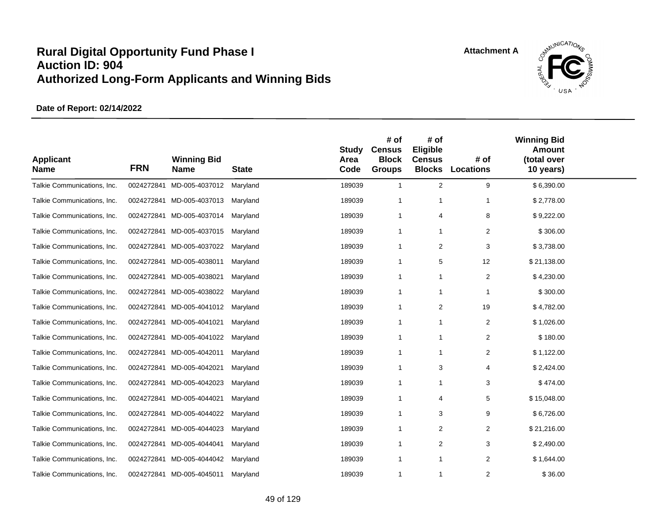

| <b>Applicant</b><br><b>Name</b> | <b>FRN</b> | <b>Winning Bid</b><br><b>Name</b> | <b>State</b> | <b>Study</b><br>Area<br>Code | # of<br><b>Census</b><br><b>Block</b><br><b>Groups</b> | # of<br>Eligible<br><b>Census</b><br><b>Blocks</b> | # of<br><b>Locations</b> | <b>Winning Bid</b><br><b>Amount</b><br>(total over<br>10 years) |  |
|---------------------------------|------------|-----------------------------------|--------------|------------------------------|--------------------------------------------------------|----------------------------------------------------|--------------------------|-----------------------------------------------------------------|--|
| Talkie Communications, Inc.     | 0024272841 | MD-005-4037012                    | Maryland     | 189039                       | $\mathbf{1}$                                           | $\overline{2}$                                     | 9                        | \$6,390.00                                                      |  |
| Talkie Communications, Inc.     |            | 0024272841 MD-005-4037013         | Maryland     | 189039                       | $\mathbf{1}$                                           | 1                                                  | 1                        | \$2,778.00                                                      |  |
| Talkie Communications, Inc.     |            | 0024272841 MD-005-4037014         | Maryland     | 189039                       | -1                                                     | 4                                                  | 8                        | \$9,222.00                                                      |  |
| Talkie Communications, Inc.     |            | 0024272841 MD-005-4037015         | Maryland     | 189039                       | $\mathbf{1}$                                           | 1                                                  | 2                        | \$306.00                                                        |  |
| Talkie Communications, Inc.     | 0024272841 | MD-005-4037022                    | Maryland     | 189039                       | -1                                                     | $\overline{\mathbf{c}}$                            | 3                        | \$3,738.00                                                      |  |
| Talkie Communications, Inc.     |            | 0024272841 MD-005-4038011         | Maryland     | 189039                       | $\mathbf{1}$                                           | 5                                                  | 12                       | \$21,138.00                                                     |  |
| Talkie Communications, Inc.     |            | 0024272841 MD-005-4038021         | Maryland     | 189039                       | $\overline{1}$                                         | $\mathbf{1}$                                       | 2                        | \$4,230.00                                                      |  |
| Talkie Communications, Inc.     |            | 0024272841 MD-005-4038022         | Maryland     | 189039                       | -1                                                     | 1                                                  | $\mathbf{1}$             | \$300.00                                                        |  |
| Talkie Communications, Inc.     |            | 0024272841 MD-005-4041012         | Maryland     | 189039                       | -1                                                     | 2                                                  | 19                       | \$4,782.00                                                      |  |
| Talkie Communications, Inc.     |            | 0024272841 MD-005-4041021         | Maryland     | 189039                       | $\mathbf{1}$                                           | 1                                                  | $\overline{2}$           | \$1,026.00                                                      |  |
| Talkie Communications, Inc.     |            | 0024272841 MD-005-4041022         | Maryland     | 189039                       | $\overline{1}$                                         | 1                                                  | $\overline{2}$           | \$180.00                                                        |  |
| Talkie Communications, Inc.     |            | 0024272841 MD-005-4042011         | Maryland     | 189039                       | $\overline{1}$                                         | $\mathbf{1}$                                       | $\overline{2}$           | \$1,122.00                                                      |  |
| Talkie Communications, Inc.     | 0024272841 | MD-005-4042021                    | Maryland     | 189039                       | $\mathbf 1$                                            | 3                                                  | 4                        | \$2,424.00                                                      |  |
| Talkie Communications, Inc.     | 0024272841 | MD-005-4042023                    | Maryland     | 189039                       | -1                                                     | 1                                                  | 3                        | \$474.00                                                        |  |
| Talkie Communications, Inc.     | 0024272841 | MD-005-4044021                    | Maryland     | 189039                       | $\mathbf 1$                                            | 4                                                  | 5                        | \$15,048.00                                                     |  |
| Talkie Communications, Inc.     | 0024272841 | MD-005-4044022                    | Maryland     | 189039                       | $\overline{1}$                                         | 3                                                  | 9                        | \$6,726.00                                                      |  |
| Talkie Communications, Inc.     | 0024272841 | MD-005-4044023                    | Maryland     | 189039                       | $\mathbf{1}$                                           | $\overline{\mathbf{c}}$                            | $\overline{2}$           | \$21,216.00                                                     |  |
| Talkie Communications, Inc.     | 0024272841 | MD-005-4044041                    | Maryland     | 189039                       | $\mathbf 1$                                            | 2                                                  | 3                        | \$2,490.00                                                      |  |
| Talkie Communications, Inc.     | 0024272841 | MD-005-4044042                    | Maryland     | 189039                       | $\mathbf 1$                                            | 1                                                  | 2                        | \$1,644.00                                                      |  |
| Talkie Communications, Inc.     |            | 0024272841 MD-005-4045011         | Maryland     | 189039                       | $\mathbf{1}$                                           | 1                                                  | $\overline{2}$           | \$36.00                                                         |  |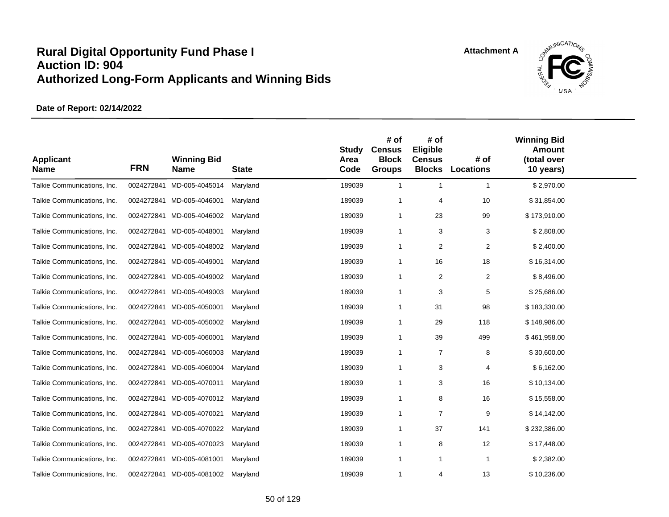

| <b>Applicant</b><br><b>Name</b> | <b>FRN</b> | <b>Winning Bid</b><br><b>Name</b> | <b>State</b> | <b>Study</b><br>Area<br>Code | # of<br><b>Census</b><br><b>Block</b><br><b>Groups</b> | # of<br>Eligible<br><b>Census</b><br><b>Blocks</b> | # of<br><b>Locations</b> | <b>Winning Bid</b><br><b>Amount</b><br>(total over<br>10 years) |  |
|---------------------------------|------------|-----------------------------------|--------------|------------------------------|--------------------------------------------------------|----------------------------------------------------|--------------------------|-----------------------------------------------------------------|--|
| Talkie Communications, Inc.     | 0024272841 | MD-005-4045014                    | Maryland     | 189039                       | $\overline{1}$                                         | $\overline{1}$                                     | $\overline{1}$           | \$2,970.00                                                      |  |
| Talkie Communications, Inc.     |            | 0024272841 MD-005-4046001         | Maryland     | 189039                       | $\overline{1}$                                         | $\overline{4}$                                     | 10                       | \$31,854.00                                                     |  |
| Talkie Communications, Inc.     |            | 0024272841 MD-005-4046002         | Maryland     | 189039                       | $\mathbf{1}$                                           | 23                                                 | 99                       | \$173,910.00                                                    |  |
| Talkie Communications, Inc.     |            | 0024272841 MD-005-4048001         | Maryland     | 189039                       | -1                                                     | 3                                                  | 3                        | \$2,808.00                                                      |  |
| Talkie Communications, Inc.     |            | 0024272841 MD-005-4048002         | Maryland     | 189039                       | $\overline{1}$                                         | $\overline{2}$                                     | $\overline{c}$           | \$2,400.00                                                      |  |
| Talkie Communications, Inc.     | 0024272841 | MD-005-4049001                    | Maryland     | 189039                       | $\overline{1}$                                         | 16                                                 | 18                       | \$16,314.00                                                     |  |
| Talkie Communications, Inc.     |            | 0024272841 MD-005-4049002         | Maryland     | 189039                       | $\overline{1}$                                         | $\overline{2}$                                     | $\sqrt{2}$               | \$8,496.00                                                      |  |
| Talkie Communications, Inc.     | 0024272841 | MD-005-4049003                    | Maryland     | 189039                       | -1                                                     | 3                                                  | 5                        | \$25,686.00                                                     |  |
| Talkie Communications, Inc.     |            | 0024272841 MD-005-4050001         | Maryland     | 189039                       | -1                                                     | 31                                                 | 98                       | \$183,330.00                                                    |  |
| Talkie Communications, Inc.     | 0024272841 | MD-005-4050002                    | Maryland     | 189039                       | $\overline{1}$                                         | 29                                                 | 118                      | \$148,986.00                                                    |  |
| Talkie Communications, Inc.     |            | 0024272841 MD-005-4060001         | Maryland     | 189039                       | $\overline{1}$                                         | 39                                                 | 499                      | \$461,958.00                                                    |  |
| Talkie Communications, Inc.     | 0024272841 | MD-005-4060003                    | Maryland     | 189039                       | $\overline{1}$                                         | $\overline{7}$                                     | 8                        | \$30,600.00                                                     |  |
| Talkie Communications, Inc.     | 0024272841 | MD-005-4060004                    | Maryland     | 189039                       | -1                                                     | 3                                                  | 4                        | \$6,162.00                                                      |  |
| Talkie Communications, Inc.     | 0024272841 | MD-005-4070011                    | Maryland     | 189039                       | $\mathbf 1$                                            | 3                                                  | 16                       | \$10,134.00                                                     |  |
| Talkie Communications, Inc.     |            | 0024272841 MD-005-4070012         | Maryland     | 189039                       | -1                                                     | 8                                                  | 16                       | \$15,558.00                                                     |  |
| Talkie Communications, Inc.     | 0024272841 | MD-005-4070021                    | Maryland     | 189039                       | $\mathbf 1$                                            | $\overline{7}$                                     | 9                        | \$14,142.00                                                     |  |
| Talkie Communications, Inc.     | 0024272841 | MD-005-4070022                    | Maryland     | 189039                       | $\mathbf 1$                                            | 37                                                 | 141                      | \$232,386.00                                                    |  |
| Talkie Communications, Inc.     |            | 0024272841 MD-005-4070023         | Maryland     | 189039                       | -1                                                     | 8                                                  | 12                       | \$17,448.00                                                     |  |
| Talkie Communications, Inc.     | 0024272841 | MD-005-4081001                    | Maryland     | 189039                       | $\mathbf 1$                                            | $\mathbf{1}$                                       | -1                       | \$2,382.00                                                      |  |
| Talkie Communications, Inc.     |            | 0024272841 MD-005-4081002         | Maryland     | 189039                       | $\mathbf{1}$                                           | 4                                                  | 13                       | \$10,236.00                                                     |  |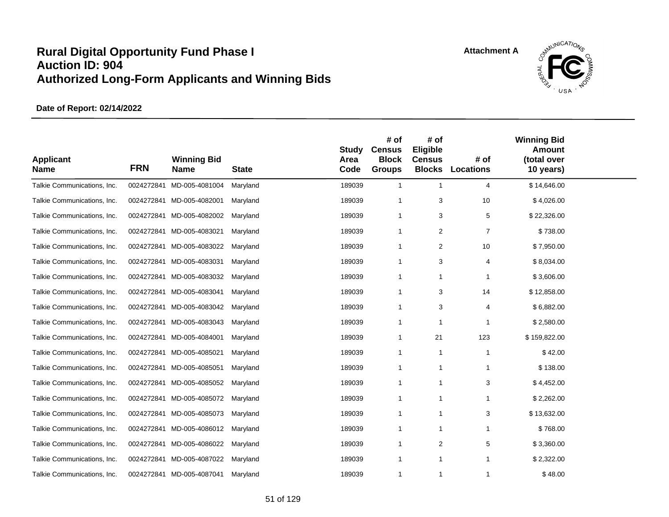

| <b>Applicant</b><br><b>Name</b> | <b>FRN</b> | <b>Winning Bid</b><br><b>Name</b> | <b>State</b> | <b>Study</b><br>Area<br>Code | # of<br><b>Census</b><br><b>Block</b><br><b>Groups</b> | # of<br>Eligible<br><b>Census</b><br><b>Blocks</b> | # of<br><b>Locations</b> | <b>Winning Bid</b><br><b>Amount</b><br>(total over<br>10 years) |  |
|---------------------------------|------------|-----------------------------------|--------------|------------------------------|--------------------------------------------------------|----------------------------------------------------|--------------------------|-----------------------------------------------------------------|--|
| Talkie Communications, Inc.     | 0024272841 | MD-005-4081004                    | Maryland     | 189039                       | $\mathbf{1}$                                           | $\mathbf{1}$                                       | 4                        | \$14,646.00                                                     |  |
| Talkie Communications, Inc.     |            | 0024272841 MD-005-4082001         | Maryland     | 189039                       | $\overline{1}$                                         | 3                                                  | 10                       | \$4,026.00                                                      |  |
| Talkie Communications, Inc.     |            | 0024272841 MD-005-4082002         | Maryland     | 189039                       | $\mathbf 1$                                            | 3                                                  | 5                        | \$22,326.00                                                     |  |
| Talkie Communications, Inc.     |            | 0024272841 MD-005-4083021         | Maryland     | 189039                       | $\mathbf{1}$                                           | 2                                                  | $\overline{7}$           | \$738.00                                                        |  |
| Talkie Communications, Inc.     | 0024272841 | MD-005-4083022                    | Maryland     | 189039                       | -1                                                     | $\overline{\mathbf{c}}$                            | 10                       | \$7,950.00                                                      |  |
| Talkie Communications, Inc.     | 0024272841 | MD-005-4083031                    | Maryland     | 189039                       | $\mathbf{1}$                                           | 3                                                  | 4                        | \$8,034.00                                                      |  |
| Talkie Communications, Inc.     |            | 0024272841 MD-005-4083032         | Maryland     | 189039                       | $\overline{1}$                                         | $\mathbf{1}$                                       | $\mathbf{1}$             | \$3,606.00                                                      |  |
| Talkie Communications, Inc.     |            | 0024272841 MD-005-4083041         | Maryland     | 189039                       | -1                                                     | 3                                                  | 14                       | \$12,858.00                                                     |  |
| Talkie Communications, Inc.     | 0024272841 | MD-005-4083042                    | Maryland     | 189039                       | -1                                                     | 3                                                  | $\overline{4}$           | \$6,882.00                                                      |  |
| Talkie Communications, Inc.     |            | 0024272841 MD-005-4083043         | Maryland     | 189039                       | $\mathbf{1}$                                           | 1                                                  | -1                       | \$2,580.00                                                      |  |
| Talkie Communications, Inc.     | 0024272841 | MD-005-4084001                    | Maryland     | 189039                       | $\overline{1}$                                         | 21                                                 | 123                      | \$159,822.00                                                    |  |
| Talkie Communications, Inc.     |            | 0024272841 MD-005-4085021         | Maryland     | 189039                       | $\mathbf{1}$                                           | 1                                                  | $\overline{1}$           | \$42.00                                                         |  |
| Talkie Communications, Inc.     | 0024272841 | MD-005-4085051                    | Maryland     | 189039                       | $\mathbf 1$                                            | 1                                                  | $\mathbf 1$              | \$138.00                                                        |  |
| Talkie Communications, Inc.     | 0024272841 | MD-005-4085052                    | Maryland     | 189039                       | $\mathbf{1}$                                           | 1                                                  | 3                        | \$4,452.00                                                      |  |
| Talkie Communications, Inc.     | 0024272841 | MD-005-4085072                    | Maryland     | 189039                       | $\mathbf 1$                                            | 1                                                  | 1                        | \$2,262.00                                                      |  |
| Talkie Communications, Inc.     | 0024272841 | MD-005-4085073                    | Maryland     | 189039                       | $\mathbf{1}$                                           | 1                                                  | 3                        | \$13,632.00                                                     |  |
| Talkie Communications, Inc.     | 0024272841 | MD-005-4086012                    | Maryland     | 189039                       | $\mathbf{1}$                                           | 1                                                  | 1                        | \$768.00                                                        |  |
| Talkie Communications, Inc.     | 0024272841 | MD-005-4086022                    | Maryland     | 189039                       | $\mathbf 1$                                            | 2                                                  | 5                        | \$3,360.00                                                      |  |
| Talkie Communications, Inc.     | 0024272841 | MD-005-4087022                    | Maryland     | 189039                       | $\mathbf 1$                                            | 1                                                  | 1                        | \$2,322.00                                                      |  |
| Talkie Communications, Inc.     |            | 0024272841 MD-005-4087041         | Maryland     | 189039                       | $\mathbf{1}$                                           | 1                                                  | $\mathbf 1$              | \$48.00                                                         |  |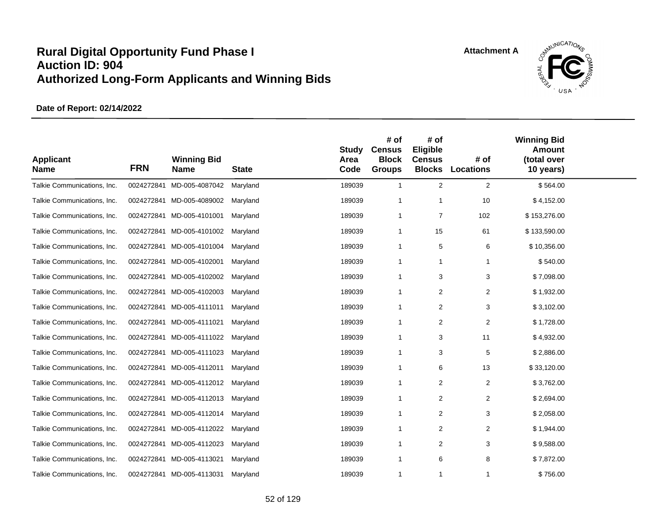

| <b>Applicant</b><br><b>Name</b> | <b>FRN</b> | <b>Winning Bid</b><br><b>Name</b> | <b>State</b> | <b>Study</b><br>Area<br>Code | # of<br><b>Census</b><br><b>Block</b><br><b>Groups</b> | # of<br>Eligible<br><b>Census</b><br><b>Blocks</b> | # of<br><b>Locations</b> | <b>Winning Bid</b><br><b>Amount</b><br>(total over<br>10 years) |  |
|---------------------------------|------------|-----------------------------------|--------------|------------------------------|--------------------------------------------------------|----------------------------------------------------|--------------------------|-----------------------------------------------------------------|--|
| Talkie Communications, Inc.     | 0024272841 | MD-005-4087042                    | Maryland     | 189039                       | $\mathbf{1}$                                           | $\overline{2}$                                     | 2                        | \$564.00                                                        |  |
| Talkie Communications, Inc.     |            | 0024272841 MD-005-4089002         | Maryland     | 189039                       | $\mathbf{1}$                                           | 1                                                  | 10                       | \$4,152.00                                                      |  |
| Talkie Communications, Inc.     |            | 0024272841 MD-005-4101001         | Maryland     | 189039                       | -1                                                     | 7                                                  | 102                      | \$153,276.00                                                    |  |
| Talkie Communications, Inc.     |            | 0024272841 MD-005-4101002         | Maryland     | 189039                       | $\mathbf{1}$                                           | 15                                                 | 61                       | \$133,590.00                                                    |  |
| Talkie Communications, Inc.     |            | 0024272841 MD-005-4101004         | Maryland     | 189039                       | -1                                                     | 5                                                  | 6                        | \$10,356.00                                                     |  |
| Talkie Communications, Inc.     |            | 0024272841 MD-005-4102001         | Maryland     | 189039                       | $\mathbf{1}$                                           | 1                                                  | $\mathbf{1}$             | \$540.00                                                        |  |
| Talkie Communications, Inc.     |            | 0024272841 MD-005-4102002         | Maryland     | 189039                       | $\overline{1}$                                         | 3                                                  | 3                        | \$7,098.00                                                      |  |
| Talkie Communications, Inc.     |            | 0024272841 MD-005-4102003         | Maryland     | 189039                       | -1                                                     | 2                                                  | 2                        | \$1,932.00                                                      |  |
| Talkie Communications, Inc.     |            | 0024272841 MD-005-4111011         | Maryland     | 189039                       | -1                                                     | 2                                                  | 3                        | \$3,102.00                                                      |  |
| Talkie Communications, Inc.     |            | 0024272841 MD-005-4111021         | Maryland     | 189039                       | $\mathbf{1}$                                           | $\overline{\mathbf{c}}$                            | $\overline{2}$           | \$1,728.00                                                      |  |
| Talkie Communications, Inc.     |            | 0024272841 MD-005-4111022         | Maryland     | 189039                       | $\overline{1}$                                         | 3                                                  | 11                       | \$4,932.00                                                      |  |
| Talkie Communications, Inc.     |            | 0024272841 MD-005-4111023         | Maryland     | 189039                       | $\overline{1}$                                         | 3                                                  | 5                        | \$2,886.00                                                      |  |
| Talkie Communications, Inc.     |            | 0024272841 MD-005-4112011         | Maryland     | 189039                       | $\mathbf 1$                                            | 6                                                  | 13                       | \$33,120.00                                                     |  |
| Talkie Communications, Inc.     | 0024272841 | MD-005-4112012                    | Maryland     | 189039                       | $\mathbf{1}$                                           | 2                                                  | $\overline{2}$           | \$3,762.00                                                      |  |
| Talkie Communications, Inc.     |            | 0024272841 MD-005-4112013         | Maryland     | 189039                       | $\mathbf 1$                                            | 2                                                  | $\overline{2}$           | \$2,694.00                                                      |  |
| Talkie Communications, Inc.     |            | 0024272841 MD-005-4112014         | Maryland     | 189039                       | $\overline{1}$                                         | 2                                                  | 3                        | \$2,058.00                                                      |  |
| Talkie Communications, Inc.     | 0024272841 | MD-005-4112022                    | Maryland     | 189039                       | $\mathbf{1}$                                           | $\overline{\mathbf{c}}$                            | $\overline{2}$           | \$1,944.00                                                      |  |
| Talkie Communications, Inc.     |            | 0024272841 MD-005-4112023         | Maryland     | 189039                       | $\mathbf 1$                                            | 2                                                  | 3                        | \$9,588.00                                                      |  |
| Talkie Communications, Inc.     | 0024272841 | MD-005-4113021                    | Maryland     | 189039                       | $\mathbf 1$                                            | 6                                                  | 8                        | \$7,872.00                                                      |  |
| Talkie Communications, Inc.     |            | 0024272841 MD-005-4113031         | Maryland     | 189039                       | $\mathbf{1}$                                           | 1                                                  | $\mathbf 1$              | \$756.00                                                        |  |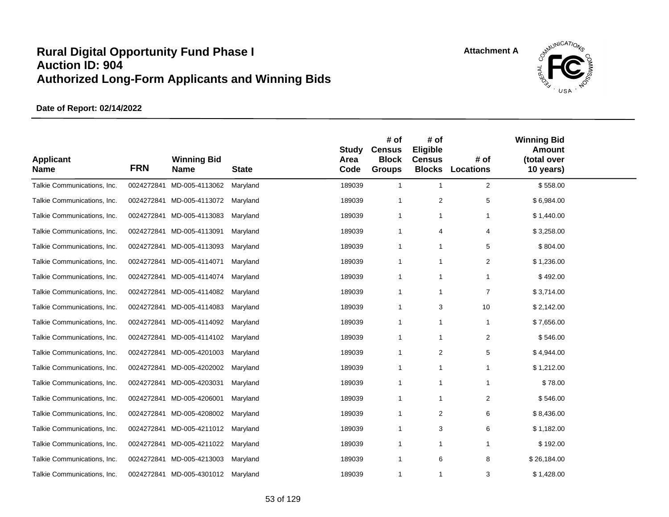

| <b>Applicant</b><br><b>Name</b> | <b>FRN</b> | <b>Winning Bid</b><br><b>Name</b> | <b>State</b> | <b>Study</b><br>Area<br>Code | # of<br><b>Census</b><br><b>Block</b><br><b>Groups</b> | # of<br>Eligible<br><b>Census</b><br><b>Blocks</b> | # of<br><b>Locations</b> | <b>Winning Bid</b><br>Amount<br>(total over<br>10 years) |  |
|---------------------------------|------------|-----------------------------------|--------------|------------------------------|--------------------------------------------------------|----------------------------------------------------|--------------------------|----------------------------------------------------------|--|
| Talkie Communications, Inc.     | 0024272841 | MD-005-4113062                    | Maryland     | 189039                       | $\mathbf{1}$                                           | $\mathbf{1}$                                       | 2                        | \$558.00                                                 |  |
| Talkie Communications, Inc.     |            | 0024272841 MD-005-4113072         | Maryland     | 189039                       | $\mathbf{1}$                                           | $\overline{2}$                                     | 5                        | \$6,984.00                                               |  |
| Talkie Communications, Inc.     |            | 0024272841 MD-005-4113083         | Maryland     | 189039                       | $\mathbf{1}$                                           | $\mathbf{1}$                                       | $\mathbf{1}$             | \$1,440.00                                               |  |
| Talkie Communications, Inc.     |            | 0024272841 MD-005-4113091         | Maryland     | 189039                       | $\mathbf 1$                                            | 4                                                  | 4                        | \$3,258.00                                               |  |
| Talkie Communications, Inc.     |            | 0024272841 MD-005-4113093         | Maryland     | 189039                       | $\mathbf{1}$                                           | $\mathbf 1$                                        | 5                        | \$804.00                                                 |  |
| Talkie Communications, Inc.     |            | 0024272841 MD-005-4114071         | Maryland     | 189039                       | 1                                                      | $\mathbf 1$                                        | 2                        | \$1,236.00                                               |  |
| Talkie Communications, Inc.     |            | 0024272841 MD-005-4114074         | Maryland     | 189039                       | $\overline{1}$                                         | $\overline{1}$                                     |                          | \$492.00                                                 |  |
| Talkie Communications, Inc.     |            | 0024272841 MD-005-4114082         | Maryland     | 189039                       | $\mathbf{1}$                                           | $\mathbf 1$                                        | $\overline{7}$           | \$3,714.00                                               |  |
| Talkie Communications, Inc.     |            | 0024272841 MD-005-4114083         | Maryland     | 189039                       | $\mathbf{1}$                                           | 3                                                  | 10                       | \$2,142.00                                               |  |
| Talkie Communications, Inc.     |            | 0024272841 MD-005-4114092         | Maryland     | 189039                       | $\mathbf{1}$                                           | $\overline{1}$                                     | $\overline{1}$           | \$7,656.00                                               |  |
| Talkie Communications, Inc.     |            | 0024272841 MD-005-4114102         | Maryland     | 189039                       | $\mathbf 1$                                            | $\mathbf 1$                                        | $\overline{2}$           | \$546.00                                                 |  |
| Talkie Communications, Inc.     |            | 0024272841 MD-005-4201003         | Maryland     | 189039                       | $\mathbf 1$                                            | 2                                                  | 5                        | \$4,944.00                                               |  |
| Talkie Communications, Inc.     | 0024272841 | MD-005-4202002                    | Maryland     | 189039                       | $\mathbf 1$                                            | $\mathbf 1$                                        | 1                        | \$1,212.00                                               |  |
| Talkie Communications, Inc.     | 0024272841 | MD-005-4203031                    | Maryland     | 189039                       | 1                                                      | $\overline{1}$                                     | $\mathbf{1}$             | \$78.00                                                  |  |
| Talkie Communications, Inc.     |            | 0024272841 MD-005-4206001         | Maryland     | 189039                       | $\mathbf{1}$                                           | $\overline{1}$                                     | $\overline{2}$           | \$546.00                                                 |  |
| Talkie Communications, Inc.     |            | 0024272841 MD-005-4208002         | Maryland     | 189039                       | $\mathbf{1}$                                           | $\overline{2}$                                     | 6                        | \$8,436.00                                               |  |
| Talkie Communications, Inc.     |            | 0024272841 MD-005-4211012         | Maryland     | 189039                       | $\mathbf 1$                                            | 3                                                  | 6                        | \$1,182.00                                               |  |
| Talkie Communications, Inc.     |            | 0024272841 MD-005-4211022         | Maryland     | 189039                       | $\mathbf 1$                                            | $\mathbf 1$                                        |                          | \$192.00                                                 |  |
| Talkie Communications, Inc.     | 0024272841 | MD-005-4213003                    | Maryland     | 189039                       | 1                                                      | 6                                                  | 8                        | \$26,184.00                                              |  |
| Talkie Communications, Inc.     |            | 0024272841 MD-005-4301012         | Maryland     | 189039                       | $\mathbf{1}$                                           | $\overline{1}$                                     | 3                        | \$1,428.00                                               |  |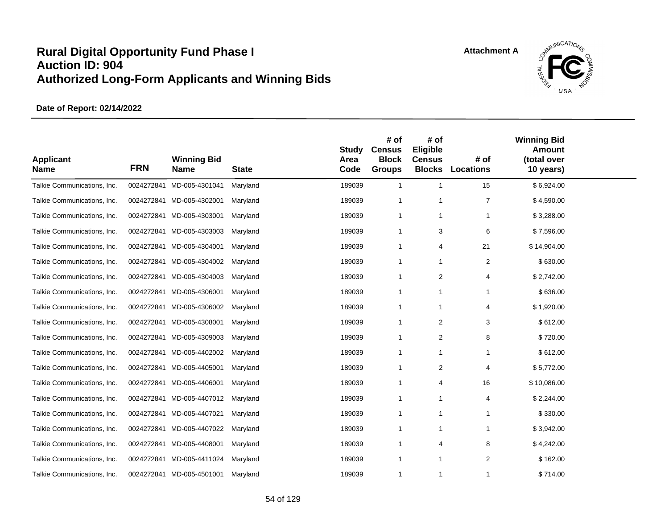

| <b>Applicant</b><br><b>Name</b> | <b>FRN</b> | <b>Winning Bid</b><br><b>Name</b> | <b>State</b> | <b>Study</b><br>Area<br>Code | # of<br><b>Census</b><br><b>Block</b><br><b>Groups</b> | # of<br>Eligible<br><b>Census</b><br><b>Blocks</b> | # of<br><b>Locations</b> | <b>Winning Bid</b><br><b>Amount</b><br>(total over<br>10 years) |  |
|---------------------------------|------------|-----------------------------------|--------------|------------------------------|--------------------------------------------------------|----------------------------------------------------|--------------------------|-----------------------------------------------------------------|--|
| Talkie Communications, Inc.     | 0024272841 | MD-005-4301041                    | Maryland     | 189039                       | $\overline{1}$                                         | $\overline{1}$                                     | 15                       | \$6,924.00                                                      |  |
| Talkie Communications, Inc.     |            | 0024272841 MD-005-4302001         | Maryland     | 189039                       | $\overline{1}$                                         | $\overline{1}$                                     | $\overline{7}$           | \$4,590.00                                                      |  |
| Talkie Communications, Inc.     |            | 0024272841 MD-005-4303001         | Maryland     | 189039                       | -1                                                     | $\mathbf{1}$                                       | 1                        | \$3,288.00                                                      |  |
| Talkie Communications, Inc.     |            | 0024272841 MD-005-4303003         | Maryland     | 189039                       | -1                                                     | 3                                                  | 6                        | \$7,596.00                                                      |  |
| Talkie Communications, Inc.     |            | 0024272841 MD-005-4304001         | Maryland     | 189039                       | -1                                                     | 4                                                  | 21                       | \$14,904.00                                                     |  |
| Talkie Communications, Inc.     | 0024272841 | MD-005-4304002                    | Maryland     | 189039                       | $\mathbf 1$                                            | $\mathbf{1}$                                       | $\overline{c}$           | \$630.00                                                        |  |
| Talkie Communications, Inc.     |            | 0024272841 MD-005-4304003         | Maryland     | 189039                       | $\overline{1}$                                         | $\overline{2}$                                     | 4                        | \$2,742.00                                                      |  |
| Talkie Communications, Inc.     | 0024272841 | MD-005-4306001                    | Maryland     | 189039                       | -1                                                     | $\mathbf{1}$                                       | 1                        | \$636.00                                                        |  |
| Talkie Communications, Inc.     |            | 0024272841 MD-005-4306002         | Maryland     | 189039                       | -1                                                     | 1                                                  | 4                        | \$1,920.00                                                      |  |
| Talkie Communications, Inc.     | 0024272841 | MD-005-4308001                    | Maryland     | 189039                       | $\overline{1}$                                         | $\overline{c}$                                     | 3                        | \$612.00                                                        |  |
| Talkie Communications, Inc.     |            | 0024272841 MD-005-4309003         | Maryland     | 189039                       | $\overline{1}$                                         | $\overline{2}$                                     | 8                        | \$720.00                                                        |  |
| Talkie Communications, Inc.     | 0024272841 | MD-005-4402002                    | Maryland     | 189039                       | $\overline{1}$                                         | $\overline{1}$                                     | 1                        | \$612.00                                                        |  |
| Talkie Communications, Inc.     | 0024272841 | MD-005-4405001                    | Maryland     | 189039                       | -1                                                     | 2                                                  | 4                        | \$5,772.00                                                      |  |
| Talkie Communications, Inc.     | 0024272841 | MD-005-4406001                    | Maryland     | 189039                       | $\mathbf 1$                                            | $\overline{4}$                                     | 16                       | \$10,086.00                                                     |  |
| Talkie Communications, Inc.     |            | 0024272841 MD-005-4407012         | Maryland     | 189039                       | -1                                                     | $\mathbf{1}$                                       | 4                        | \$2,244.00                                                      |  |
| Talkie Communications, Inc.     | 0024272841 | MD-005-4407021                    | Maryland     | 189039                       | $\mathbf 1$                                            | $\mathbf{1}$                                       | 1                        | \$330.00                                                        |  |
| Talkie Communications, Inc.     | 0024272841 | MD-005-4407022                    | Maryland     | 189039                       | $\mathbf{1}$                                           | $\mathbf{1}$                                       | 1                        | \$3,942.00                                                      |  |
| Talkie Communications, Inc.     |            | 0024272841 MD-005-4408001         | Maryland     | 189039                       | -1                                                     | $\overline{4}$                                     | 8                        | \$4,242.00                                                      |  |
| Talkie Communications, Inc.     | 0024272841 | MD-005-4411024                    | Maryland     | 189039                       | $\mathbf{1}$                                           | $\mathbf{1}$                                       | 2                        | \$162.00                                                        |  |
| Talkie Communications, Inc.     |            | 0024272841 MD-005-4501001         | Maryland     | 189039                       | $\mathbf{1}$                                           | $\mathbf{1}$                                       | $\mathbf 1$              | \$714.00                                                        |  |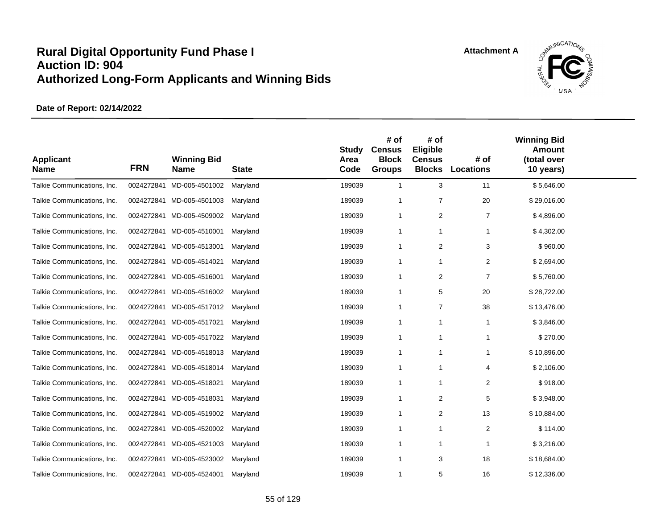

| <b>Applicant</b><br><b>Name</b> | <b>FRN</b> | <b>Winning Bid</b><br><b>Name</b> | <b>State</b> | <b>Study</b><br>Area<br>Code | # of<br><b>Census</b><br><b>Block</b><br><b>Groups</b> | # of<br>Eligible<br><b>Census</b><br><b>Blocks</b> | # of<br><b>Locations</b> | <b>Winning Bid</b><br><b>Amount</b><br>(total over<br>10 years) |  |
|---------------------------------|------------|-----------------------------------|--------------|------------------------------|--------------------------------------------------------|----------------------------------------------------|--------------------------|-----------------------------------------------------------------|--|
| Talkie Communications, Inc.     | 0024272841 | MD-005-4501002                    | Maryland     | 189039                       | $\mathbf{1}$                                           | 3                                                  | 11                       | \$5,646.00                                                      |  |
| Talkie Communications, Inc.     |            | 0024272841 MD-005-4501003         | Maryland     | 189039                       | $\mathbf{1}$                                           | $\overline{7}$                                     | 20                       | \$29,016.00                                                     |  |
| Talkie Communications, Inc.     |            | 0024272841 MD-005-4509002         | Maryland     | 189039                       | $\mathbf{1}$                                           | $\overline{2}$                                     | $\overline{7}$           | \$4,896.00                                                      |  |
| Talkie Communications, Inc.     |            | 0024272841 MD-005-4510001         | Maryland     | 189039                       | $\mathbf{1}$                                           | $\overline{1}$                                     |                          | \$4,302.00                                                      |  |
| Talkie Communications, Inc.     |            | 0024272841 MD-005-4513001         | Maryland     | 189039                       | $\mathbf 1$                                            | 2                                                  | 3                        | \$960.00                                                        |  |
| Talkie Communications, Inc.     | 0024272841 | MD-005-4514021                    | Maryland     | 189039                       | $\mathbf 1$                                            | $\mathbf{1}$                                       | $\overline{2}$           | \$2,694.00                                                      |  |
| Talkie Communications, Inc.     |            | 0024272841 MD-005-4516001         | Maryland     | 189039                       | $\mathbf 1$                                            | 2                                                  | $\overline{7}$           | \$5,760.00                                                      |  |
| Talkie Communications, Inc.     |            | 0024272841 MD-005-4516002         | Maryland     | 189039                       | $\mathbf{1}$                                           | 5                                                  | 20                       | \$28,722.00                                                     |  |
| Talkie Communications, Inc.     |            | 0024272841 MD-005-4517012         | Maryland     | 189039                       | 1                                                      | $\overline{7}$                                     | 38                       | \$13,476.00                                                     |  |
| Talkie Communications, Inc.     |            | 0024272841 MD-005-4517021         | Maryland     | 189039                       | $\mathbf{1}$                                           | $\mathbf{1}$                                       | $\mathbf{1}$             | \$3,846.00                                                      |  |
| Talkie Communications, Inc.     |            | 0024272841 MD-005-4517022         | Maryland     | 189039                       | $\mathbf 1$                                            | $\mathbf{1}$                                       | $\mathbf{1}$             | \$270.00                                                        |  |
| Talkie Communications, Inc.     |            | 0024272841 MD-005-4518013         | Maryland     | 189039                       | $\mathbf{1}$                                           | $\mathbf{1}$                                       | $\mathbf{1}$             | \$10,896.00                                                     |  |
| Talkie Communications, Inc.     |            | 0024272841 MD-005-4518014         | Maryland     | 189039                       | 1                                                      | $\overline{1}$                                     | 4                        | \$2,106.00                                                      |  |
| Talkie Communications, Inc.     |            | 0024272841 MD-005-4518021         | Maryland     | 189039                       | 1                                                      | $\mathbf{1}$                                       | $\overline{2}$           | \$918.00                                                        |  |
| Talkie Communications, Inc.     |            | 0024272841 MD-005-4518031         | Maryland     | 189039                       | $\mathbf{1}$                                           | 2                                                  | 5                        | \$3,948.00                                                      |  |
| Talkie Communications, Inc.     |            | 0024272841 MD-005-4519002         | Maryland     | 189039                       | $\mathbf{1}$                                           | 2                                                  | 13                       | \$10,884.00                                                     |  |
| Talkie Communications, Inc.     | 0024272841 | MD-005-4520002                    | Maryland     | 189039                       | $\mathbf{1}$                                           | $\overline{1}$                                     | 2                        | \$114.00                                                        |  |
| Talkie Communications, Inc.     |            | 0024272841 MD-005-4521003         | Maryland     | 189039                       | -1                                                     | $\overline{1}$                                     | 1                        | \$3,216.00                                                      |  |
| Talkie Communications, Inc.     | 0024272841 | MD-005-4523002                    | Maryland     | 189039                       | $\mathbf 1$                                            | 3                                                  | 18                       | \$18,684.00                                                     |  |
| Talkie Communications, Inc.     |            | 0024272841 MD-005-4524001         | Maryland     | 189039                       | $\mathbf{1}$                                           | 5                                                  | 16                       | \$12,336.00                                                     |  |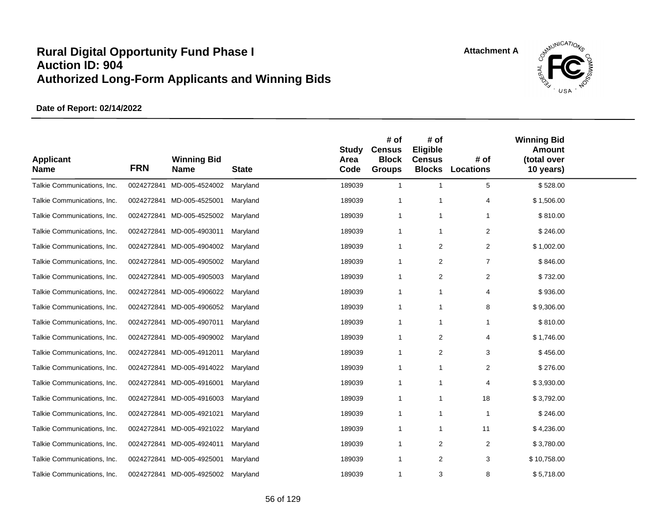

| <b>Applicant</b><br><b>Name</b> | <b>FRN</b> | <b>Winning Bid</b><br>Name | <b>State</b> | Study<br>Area<br>Code | # of<br><b>Census</b><br><b>Block</b><br><b>Groups</b> | # of<br>Eligible<br><b>Census</b><br><b>Blocks</b> | # of<br><b>Locations</b> | <b>Winning Bid</b><br><b>Amount</b><br>(total over<br>10 years) |  |
|---------------------------------|------------|----------------------------|--------------|-----------------------|--------------------------------------------------------|----------------------------------------------------|--------------------------|-----------------------------------------------------------------|--|
| Talkie Communications, Inc.     | 0024272841 | MD-005-4524002             | Maryland     | 189039                | $\mathbf{1}$                                           | $\mathbf{1}$                                       | $\sqrt{5}$               | \$528.00                                                        |  |
| Talkie Communications, Inc.     | 0024272841 | MD-005-4525001             | Maryland     | 189039                | $\mathbf{1}$                                           | 1                                                  | 4                        | \$1,506.00                                                      |  |
| Talkie Communications, Inc.     |            | 0024272841 MD-005-4525002  | Maryland     | 189039                | $\mathbf{1}$                                           | $\mathbf{1}$                                       | -1                       | \$810.00                                                        |  |
| Talkie Communications, Inc.     | 0024272841 | MD-005-4903011             | Maryland     | 189039                | $\mathbf{1}$                                           | $\mathbf{1}$                                       | 2                        | \$246.00                                                        |  |
| Talkie Communications, Inc.     | 0024272841 | MD-005-4904002             | Maryland     | 189039                | -1                                                     | 2                                                  | 2                        | \$1,002.00                                                      |  |
| Talkie Communications, Inc.     |            | 0024272841 MD-005-4905002  | Maryland     | 189039                | $\mathbf{1}$                                           | 2                                                  | $\overline{7}$           | \$846.00                                                        |  |
| Talkie Communications, Inc.     |            | 0024272841 MD-005-4905003  | Maryland     | 189039                | $\mathbf 1$                                            | 2                                                  | $\overline{2}$           | \$732.00                                                        |  |
| Talkie Communications, Inc.     |            | 0024272841 MD-005-4906022  | Maryland     | 189039                | $\mathbf{1}$                                           | $\mathbf{1}$                                       | $\overline{4}$           | \$936.00                                                        |  |
| Talkie Communications, Inc.     |            | 0024272841 MD-005-4906052  | Maryland     | 189039                | $\mathbf{1}$                                           | 1                                                  | 8                        | \$9,306.00                                                      |  |
| Talkie Communications, Inc.     |            | 0024272841 MD-005-4907011  | Maryland     | 189039                | $\overline{1}$                                         | $\mathbf{1}$                                       | 1                        | \$810.00                                                        |  |
| Talkie Communications, Inc.     |            | 0024272841 MD-005-4909002  | Maryland     | 189039                | $\mathbf 1$                                            | 2                                                  | 4                        | \$1,746.00                                                      |  |
| Talkie Communications, Inc.     |            | 0024272841 MD-005-4912011  | Maryland     | 189039                | -1                                                     | 2                                                  | 3                        | \$456.00                                                        |  |
| Talkie Communications, Inc.     |            | 0024272841 MD-005-4914022  | Maryland     | 189039                | -1                                                     | 1                                                  | 2                        | \$276.00                                                        |  |
| Talkie Communications, Inc.     | 0024272841 | MD-005-4916001             | Maryland     | 189039                | $\mathbf{1}$                                           | $\mathbf{1}$                                       | 4                        | \$3,930.00                                                      |  |
| Talkie Communications, Inc.     |            | 0024272841 MD-005-4916003  | Maryland     | 189039                | $\overline{1}$                                         | 1                                                  | 18                       | \$3,792.00                                                      |  |
| Talkie Communications, Inc.     |            | 0024272841 MD-005-4921021  | Maryland     | 189039                | $\mathbf{1}$                                           | $\mathbf{1}$                                       | $\mathbf{1}$             | \$246.00                                                        |  |
| Talkie Communications, Inc.     | 0024272841 | MD-005-4921022             | Maryland     | 189039                | $\mathbf{1}$                                           | 1                                                  | 11                       | \$4,236.00                                                      |  |
| Talkie Communications, Inc.     |            | 0024272841 MD-005-4924011  | Maryland     | 189039                | $\mathbf 1$                                            | 2                                                  | 2                        | \$3,780.00                                                      |  |
| Talkie Communications, Inc.     | 0024272841 | MD-005-4925001             | Maryland     | 189039                | $\mathbf 1$                                            | 2                                                  | 3                        | \$10,758.00                                                     |  |
| Talkie Communications, Inc.     |            | 0024272841 MD-005-4925002  | Maryland     | 189039                | $\mathbf{1}$                                           | 3                                                  | 8                        | \$5,718.00                                                      |  |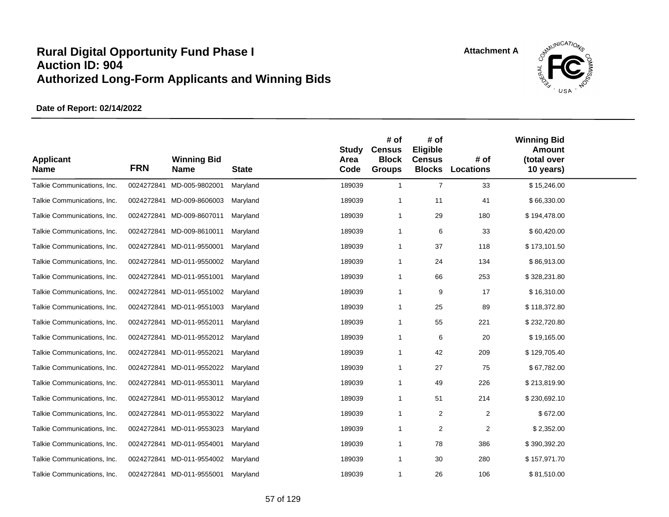

| <b>Applicant</b><br><b>Name</b> | <b>FRN</b> | <b>Winning Bid</b><br><b>Name</b> | <b>State</b> | <b>Study</b><br>Area<br>Code | # of<br><b>Census</b><br><b>Block</b><br><b>Groups</b> | # of<br>Eligible<br><b>Census</b><br><b>Blocks</b> | # of<br><b>Locations</b> | <b>Winning Bid</b><br><b>Amount</b><br>(total over<br>10 years) |  |
|---------------------------------|------------|-----------------------------------|--------------|------------------------------|--------------------------------------------------------|----------------------------------------------------|--------------------------|-----------------------------------------------------------------|--|
| Talkie Communications, Inc.     | 0024272841 | MD-005-9802001                    | Maryland     | 189039                       | $\overline{1}$                                         | $\overline{7}$                                     | 33                       | \$15,246.00                                                     |  |
| Talkie Communications, Inc.     |            | 0024272841 MD-009-8606003         | Maryland     | 189039                       | $\overline{1}$                                         | 11                                                 | 41                       | \$66,330.00                                                     |  |
| Talkie Communications, Inc.     | 0024272841 | MD-009-8607011                    | Maryland     | 189039                       | $\overline{1}$                                         | 29                                                 | 180                      | \$194,478.00                                                    |  |
| Talkie Communications, Inc.     | 0024272841 | MD-009-8610011                    | Maryland     | 189039                       | $\overline{1}$                                         | 6                                                  | 33                       | \$60,420.00                                                     |  |
| Talkie Communications, Inc.     | 0024272841 | MD-011-9550001                    | Maryland     | 189039                       | $\overline{1}$                                         | 37                                                 | 118                      | \$173,101.50                                                    |  |
| Talkie Communications, Inc.     |            | 0024272841 MD-011-9550002         | Maryland     | 189039                       | $\overline{1}$                                         | 24                                                 | 134                      | \$86,913.00                                                     |  |
| Talkie Communications, Inc.     |            | 0024272841 MD-011-9551001         | Maryland     | 189039                       | $\mathbf 1$                                            | 66                                                 | 253                      | \$328,231.80                                                    |  |
| Talkie Communications, Inc.     | 0024272841 | MD-011-9551002                    | Maryland     | 189039                       | $\mathbf 1$                                            | 9                                                  | 17                       | \$16,310.00                                                     |  |
| Talkie Communications, Inc.     | 0024272841 | MD-011-9551003                    | Maryland     | 189039                       | $\overline{1}$                                         | 25                                                 | 89                       | \$118,372.80                                                    |  |
| Talkie Communications, Inc.     | 0024272841 | MD-011-9552011                    | Maryland     | 189039                       | $\overline{1}$                                         | 55                                                 | 221                      | \$232,720.80                                                    |  |
| Talkie Communications, Inc.     | 0024272841 | MD-011-9552012                    | Maryland     | 189039                       | $\overline{1}$                                         | 6                                                  | 20                       | \$19,165.00                                                     |  |
| Talkie Communications, Inc.     | 0024272841 | MD-011-9552021                    | Maryland     | 189039                       | -1                                                     | 42                                                 | 209                      | \$129,705.40                                                    |  |
| Talkie Communications, Inc.     | 0024272841 | MD-011-9552022                    | Maryland     | 189039                       | $\mathbf 1$                                            | 27                                                 | 75                       | \$67,782.00                                                     |  |
| Talkie Communications, Inc.     | 0024272841 | MD-011-9553011                    | Maryland     | 189039                       | $\overline{1}$                                         | 49                                                 | 226                      | \$213,819.90                                                    |  |
| Talkie Communications, Inc.     |            | 0024272841 MD-011-9553012         | Maryland     | 189039                       | $\overline{1}$                                         | 51                                                 | 214                      | \$230,692.10                                                    |  |
| Talkie Communications, Inc.     | 0024272841 | MD-011-9553022                    | Maryland     | 189039                       | $\overline{1}$                                         | $\overline{2}$                                     | $\boldsymbol{2}$         | \$672.00                                                        |  |
| Talkie Communications, Inc.     | 0024272841 | MD-011-9553023                    | Maryland     | 189039                       | $\overline{1}$                                         | $\overline{c}$                                     | $\overline{c}$           | \$2,352.00                                                      |  |
| Talkie Communications, Inc.     | 0024272841 | MD-011-9554001                    | Maryland     | 189039                       | $\overline{1}$                                         | 78                                                 | 386                      | \$390,392.20                                                    |  |
| Talkie Communications, Inc.     |            | 0024272841 MD-011-9554002         | Maryland     | 189039                       | $\overline{1}$                                         | 30                                                 | 280                      | \$157,971.70                                                    |  |
| Talkie Communications, Inc.     |            | 0024272841 MD-011-9555001         | Maryland     | 189039                       | $\mathbf 1$                                            | 26                                                 | 106                      | \$81,510.00                                                     |  |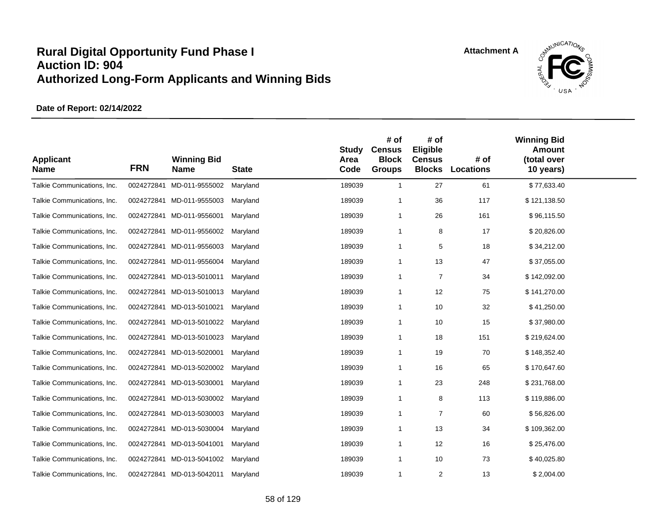

| <b>Applicant</b><br><b>Name</b> | <b>FRN</b> | <b>Winning Bid</b><br><b>Name</b> | <b>State</b> | <b>Study</b><br>Area<br>Code | # of<br><b>Census</b><br><b>Block</b><br><b>Groups</b> | # of<br>Eligible<br><b>Census</b><br><b>Blocks</b> | # of<br><b>Locations</b> | <b>Winning Bid</b><br><b>Amount</b><br>(total over<br>10 years) |  |
|---------------------------------|------------|-----------------------------------|--------------|------------------------------|--------------------------------------------------------|----------------------------------------------------|--------------------------|-----------------------------------------------------------------|--|
| Talkie Communications, Inc.     | 0024272841 | MD-011-9555002                    | Maryland     | 189039                       | $\mathbf{1}$                                           | 27                                                 | 61                       | \$77,633.40                                                     |  |
| Talkie Communications, Inc.     |            | 0024272841 MD-011-9555003         | Maryland     | 189039                       | -1                                                     | 36                                                 | 117                      | \$121,138.50                                                    |  |
| Talkie Communications, Inc.     |            | 0024272841 MD-011-9556001         | Maryland     | 189039                       | $\mathbf{1}$                                           | 26                                                 | 161                      | \$96,115.50                                                     |  |
| Talkie Communications, Inc.     | 0024272841 | MD-011-9556002                    | Maryland     | 189039                       | $\mathbf 1$                                            | 8                                                  | 17                       | \$20,826.00                                                     |  |
| Talkie Communications, Inc.     | 0024272841 | MD-011-9556003                    | Maryland     | 189039                       | $\mathbf{1}$                                           | 5                                                  | 18                       | \$34,212.00                                                     |  |
| Talkie Communications, Inc.     | 0024272841 | MD-011-9556004                    | Maryland     | 189039                       | $\mathbf{1}$                                           | 13                                                 | 47                       | \$37,055.00                                                     |  |
| Talkie Communications, Inc.     |            | 0024272841 MD-013-5010011         | Maryland     | 189039                       | $\mathbf 1$                                            | 7                                                  | 34                       | \$142,092.00                                                    |  |
| Talkie Communications, Inc.     | 0024272841 | MD-013-5010013                    | Maryland     | 189039                       | $\mathbf{1}$                                           | 12                                                 | 75                       | \$141,270.00                                                    |  |
| Talkie Communications, Inc.     | 0024272841 | MD-013-5010021                    | Maryland     | 189039                       | $\mathbf{1}$                                           | 10                                                 | 32                       | \$41,250.00                                                     |  |
| Talkie Communications, Inc.     | 0024272841 | MD-013-5010022                    | Maryland     | 189039                       | $\mathbf 1$                                            | 10                                                 | 15                       | \$37,980.00                                                     |  |
| Talkie Communications, Inc.     |            | 0024272841 MD-013-5010023         | Maryland     | 189039                       | $\mathbf{1}$                                           | 18                                                 | 151                      | \$219,624.00                                                    |  |
| Talkie Communications, Inc.     |            | 0024272841 MD-013-5020001         | Maryland     | 189039                       | $\mathbf{1}$                                           | 19                                                 | 70                       | \$148,352.40                                                    |  |
| Talkie Communications, Inc.     | 0024272841 | MD-013-5020002                    | Maryland     | 189039                       | -1                                                     | 16                                                 | 65                       | \$170,647.60                                                    |  |
| Talkie Communications, Inc.     | 0024272841 | MD-013-5030001                    | Maryland     | 189039                       | $\mathbf{1}$                                           | 23                                                 | 248                      | \$231,768.00                                                    |  |
| Talkie Communications, Inc.     |            | 0024272841 MD-013-5030002         | Maryland     | 189039                       | $\overline{1}$                                         | 8                                                  | 113                      | \$119,886.00                                                    |  |
| Talkie Communications, Inc.     |            | 0024272841 MD-013-5030003         | Maryland     | 189039                       | $\mathbf{1}$                                           | $\overline{7}$                                     | 60                       | \$56,826.00                                                     |  |
| Talkie Communications, Inc.     | 0024272841 | MD-013-5030004                    | Maryland     | 189039                       | $\mathbf{1}$                                           | 13                                                 | 34                       | \$109,362.00                                                    |  |
| Talkie Communications, Inc.     |            | 0024272841 MD-013-5041001         | Maryland     | 189039                       | $\mathbf{1}$                                           | 12                                                 | 16                       | \$25,476.00                                                     |  |
| Talkie Communications, Inc.     | 0024272841 | MD-013-5041002                    | Maryland     | 189039                       | $\overline{1}$                                         | 10                                                 | 73                       | \$40,025.80                                                     |  |
| Talkie Communications, Inc.     |            | 0024272841 MD-013-5042011         | Maryland     | 189039                       | $\overline{1}$                                         | 2                                                  | 13                       | \$2,004.00                                                      |  |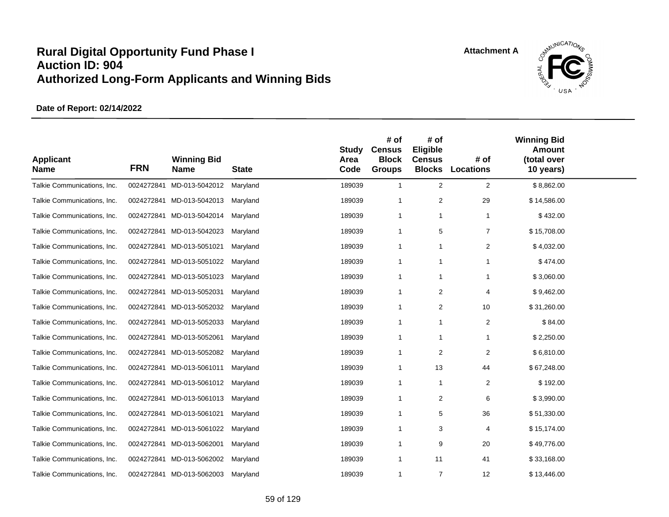

| <b>Applicant</b><br><b>Name</b> | <b>FRN</b> | <b>Winning Bid</b><br><b>Name</b> | <b>State</b> | <b>Study</b><br>Area<br>Code | # of<br><b>Census</b><br><b>Block</b><br><b>Groups</b> | # of<br>Eligible<br><b>Census</b><br><b>Blocks</b> | # of<br><b>Locations</b> | <b>Winning Bid</b><br><b>Amount</b><br>(total over<br>10 years) |  |
|---------------------------------|------------|-----------------------------------|--------------|------------------------------|--------------------------------------------------------|----------------------------------------------------|--------------------------|-----------------------------------------------------------------|--|
| Talkie Communications, Inc.     | 0024272841 | MD-013-5042012                    | Maryland     | 189039                       | $\mathbf{1}$                                           | 2                                                  | $\overline{2}$           | \$8,862.00                                                      |  |
| Talkie Communications, Inc.     |            | 0024272841 MD-013-5042013         | Maryland     | 189039                       | $\overline{1}$                                         | $\overline{2}$                                     | 29                       | \$14,586.00                                                     |  |
| Talkie Communications, Inc.     |            | 0024272841 MD-013-5042014         | Maryland     | 189039                       | $\mathbf 1$                                            | $\mathbf{1}$                                       | $\mathbf 1$              | \$432.00                                                        |  |
| Talkie Communications, Inc.     | 0024272841 | MD-013-5042023                    | Maryland     | 189039                       | $\mathbf 1$                                            | 5                                                  | $\overline{7}$           | \$15,708.00                                                     |  |
| Talkie Communications, Inc.     |            | 0024272841 MD-013-5051021         | Maryland     | 189039                       | -1                                                     | $\mathbf{1}$                                       | $\overline{c}$           | \$4,032.00                                                      |  |
| Talkie Communications, Inc.     | 0024272841 | MD-013-5051022                    | Maryland     | 189039                       | $\mathbf 1$                                            | $\mathbf{1}$                                       | 1                        | \$474.00                                                        |  |
| Talkie Communications, Inc.     |            | 0024272841 MD-013-5051023         | Maryland     | 189039                       | -1                                                     | -1                                                 | 1                        | \$3,060.00                                                      |  |
| Talkie Communications, Inc.     | 0024272841 | MD-013-5052031                    | Maryland     | 189039                       | $\mathbf 1$                                            | $\overline{2}$                                     | 4                        | \$9,462.00                                                      |  |
| Talkie Communications, Inc.     |            | 0024272841 MD-013-5052032         | Maryland     | 189039                       | $\mathbf 1$                                            | $\overline{2}$                                     | 10                       | \$31,260.00                                                     |  |
| Talkie Communications, Inc.     |            | 0024272841 MD-013-5052033         | Maryland     | 189039                       | $\overline{1}$                                         | $\mathbf{1}$                                       | $\overline{2}$           | \$84.00                                                         |  |
| Talkie Communications, Inc.     |            | 0024272841 MD-013-5052061         | Maryland     | 189039                       | -1                                                     | $\mathbf{1}$                                       | 1                        | \$2,250.00                                                      |  |
| Talkie Communications, Inc.     |            | 0024272841 MD-013-5052082         | Maryland     | 189039                       | $\overline{1}$                                         | $\overline{2}$                                     | $\overline{2}$           | \$6,810.00                                                      |  |
| Talkie Communications, Inc.     |            | 0024272841 MD-013-5061011         | Maryland     | 189039                       | -1                                                     | 13                                                 | 44                       | \$67,248.00                                                     |  |
| Talkie Communications, Inc.     |            | 0024272841 MD-013-5061012         | Maryland     | 189039                       | $\overline{1}$                                         | $\mathbf{1}$                                       | $\overline{c}$           | \$192.00                                                        |  |
| Talkie Communications, Inc.     |            | 0024272841 MD-013-5061013         | Maryland     | 189039                       | $\overline{1}$                                         | 2                                                  | 6                        | \$3,990.00                                                      |  |
| Talkie Communications, Inc.     |            | 0024272841 MD-013-5061021         | Maryland     | 189039                       | $\overline{1}$                                         | 5                                                  | 36                       | \$51,330.00                                                     |  |
| Talkie Communications, Inc.     |            | 0024272841 MD-013-5061022         | Maryland     | 189039                       | $\overline{1}$                                         | 3                                                  | 4                        | \$15,174.00                                                     |  |
| Talkie Communications, Inc.     |            | 0024272841 MD-013-5062001         | Maryland     | 189039                       | -1                                                     | 9                                                  | 20                       | \$49,776.00                                                     |  |
| Talkie Communications, Inc.     |            | 0024272841 MD-013-5062002         | Maryland     | 189039                       | -1                                                     | 11                                                 | 41                       | \$33,168.00                                                     |  |
| Talkie Communications, Inc.     |            | 0024272841 MD-013-5062003         | Maryland     | 189039                       | $\overline{1}$                                         | $\overline{7}$                                     | 12                       | \$13,446.00                                                     |  |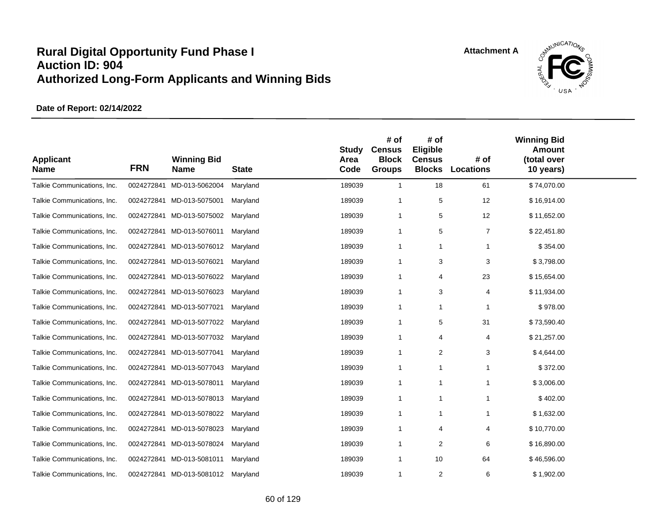

| <b>Applicant</b><br><b>Name</b> | <b>FRN</b> | <b>Winning Bid</b><br><b>Name</b>  | <b>State</b> | <b>Study</b><br>Area<br>Code | # of<br><b>Census</b><br><b>Block</b><br><b>Groups</b> | # of<br>Eligible<br><b>Census</b><br><b>Blocks</b> | # of<br><b>Locations</b> | <b>Winning Bid</b><br><b>Amount</b><br>(total over<br>10 years) |  |
|---------------------------------|------------|------------------------------------|--------------|------------------------------|--------------------------------------------------------|----------------------------------------------------|--------------------------|-----------------------------------------------------------------|--|
| Talkie Communications, Inc.     | 0024272841 | MD-013-5062004                     | Maryland     | 189039                       | $\overline{1}$                                         | 18                                                 | 61                       | \$74,070.00                                                     |  |
| Talkie Communications, Inc.     |            | 0024272841 MD-013-5075001          | Maryland     | 189039                       | $\overline{1}$                                         | $\mathbf 5$                                        | 12                       | \$16,914.00                                                     |  |
| Talkie Communications, Inc.     |            | 0024272841 MD-013-5075002          | Maryland     | 189039                       | -1                                                     | 5                                                  | 12                       | \$11,652.00                                                     |  |
| Talkie Communications, Inc.     |            | 0024272841 MD-013-5076011          | Maryland     | 189039                       | -1                                                     | 5                                                  | $\overline{7}$           | \$22,451.80                                                     |  |
| Talkie Communications, Inc.     |            | 0024272841 MD-013-5076012          | Maryland     | 189039                       | -1                                                     | $\mathbf{1}$                                       | 1                        | \$354.00                                                        |  |
| Talkie Communications, Inc.     |            | 0024272841 MD-013-5076021          | Maryland     | 189039                       | $\mathbf 1$                                            | 3                                                  | 3                        | \$3,798.00                                                      |  |
| Talkie Communications, Inc.     |            | 0024272841 MD-013-5076022          | Maryland     | 189039                       | $\overline{1}$                                         | $\overline{4}$                                     | 23                       | \$15,654.00                                                     |  |
| Talkie Communications, Inc.     |            | 0024272841 MD-013-5076023          | Maryland     | 189039                       | -1                                                     | 3                                                  | 4                        | \$11,934.00                                                     |  |
| Talkie Communications, Inc.     |            | 0024272841 MD-013-5077021          | Maryland     | 189039                       | -1                                                     | 1                                                  | 1                        | \$978.00                                                        |  |
| Talkie Communications, Inc.     |            | 0024272841 MD-013-5077022          | Maryland     | 189039                       | $\overline{1}$                                         | 5                                                  | 31                       | \$73,590.40                                                     |  |
| Talkie Communications, Inc.     |            | 0024272841 MD-013-5077032          | Maryland     | 189039                       | $\mathbf 1$                                            | 4                                                  | 4                        | \$21,257.00                                                     |  |
| Talkie Communications, Inc.     |            | 0024272841 MD-013-5077041          | Maryland     | 189039                       | $\overline{1}$                                         | 2                                                  | 3                        | \$4,644.00                                                      |  |
| Talkie Communications, Inc.     | 0024272841 | MD-013-5077043                     | Maryland     | 189039                       | -1                                                     | -1                                                 | 1                        | \$372.00                                                        |  |
| Talkie Communications, Inc.     | 0024272841 | MD-013-5078011                     | Maryland     | 189039                       | $\mathbf 1$                                            | $\mathbf{1}$                                       | 1                        | \$3,006.00                                                      |  |
| Talkie Communications, Inc.     |            | 0024272841 MD-013-5078013          | Maryland     | 189039                       | -1                                                     | $\overline{1}$                                     | 1                        | \$402.00                                                        |  |
| Talkie Communications, Inc.     |            | 0024272841 MD-013-5078022          | Maryland     | 189039                       | $\mathbf 1$                                            | $\mathbf{1}$                                       | 1                        | \$1,632.00                                                      |  |
| Talkie Communications, Inc.     |            | 0024272841 MD-013-5078023          | Maryland     | 189039                       | $\mathbf 1$                                            | $\overline{4}$                                     | 4                        | \$10,770.00                                                     |  |
| Talkie Communications, Inc.     |            | 0024272841 MD-013-5078024          | Maryland     | 189039                       | -1                                                     | 2                                                  | 6                        | \$16,890.00                                                     |  |
| Talkie Communications, Inc.     |            | 0024272841 MD-013-5081011          | Maryland     | 189039                       | -1                                                     | 10                                                 | 64                       | \$46,596.00                                                     |  |
| Talkie Communications, Inc.     |            | 0024272841 MD-013-5081012 Maryland |              | 189039                       | $\mathbf 1$                                            | $\overline{2}$                                     | 6                        | \$1,902.00                                                      |  |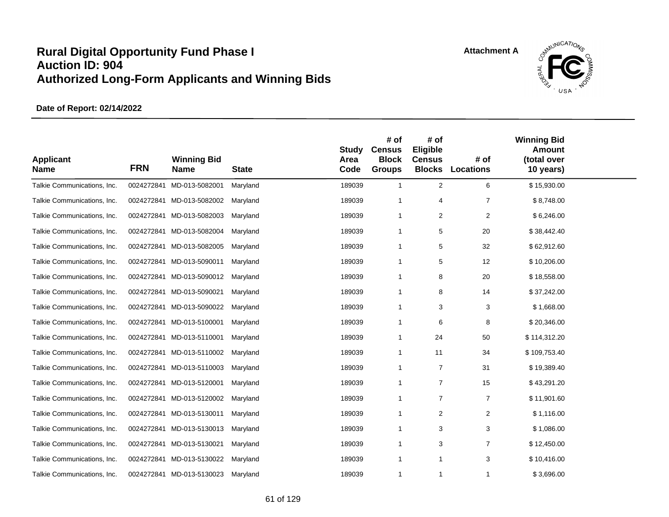

| <b>Applicant</b><br><b>Name</b> | <b>FRN</b> | <b>Winning Bid</b><br><b>Name</b> | <b>State</b> | <b>Study</b><br>Area<br>Code | # of<br><b>Census</b><br><b>Block</b><br><b>Groups</b> | # of<br>Eligible<br><b>Census</b><br><b>Blocks</b> | # of<br><b>Locations</b> | <b>Winning Bid</b><br><b>Amount</b><br>(total over<br>10 years) |  |
|---------------------------------|------------|-----------------------------------|--------------|------------------------------|--------------------------------------------------------|----------------------------------------------------|--------------------------|-----------------------------------------------------------------|--|
| Talkie Communications, Inc.     | 0024272841 | MD-013-5082001                    | Maryland     | 189039                       | $\overline{1}$                                         | 2                                                  | 6                        | \$15,930.00                                                     |  |
| Talkie Communications, Inc.     |            | 0024272841 MD-013-5082002         | Maryland     | 189039                       | $\overline{1}$                                         | $\overline{4}$                                     | $\overline{7}$           | \$8,748.00                                                      |  |
| Talkie Communications, Inc.     |            | 0024272841 MD-013-5082003         | Maryland     | 189039                       | -1                                                     | 2                                                  | $\overline{2}$           | \$6,246.00                                                      |  |
| Talkie Communications, Inc.     |            | 0024272841 MD-013-5082004         | Maryland     | 189039                       | -1                                                     | 5                                                  | 20                       | \$38,442.40                                                     |  |
| Talkie Communications, Inc.     |            | 0024272841 MD-013-5082005         | Maryland     | 189039                       | -1                                                     | 5                                                  | 32                       | \$62,912.60                                                     |  |
| Talkie Communications, Inc.     |            | 0024272841 MD-013-5090011         | Maryland     | 189039                       | $\mathbf 1$                                            | 5                                                  | 12                       | \$10,206.00                                                     |  |
| Talkie Communications, Inc.     |            | 0024272841 MD-013-5090012         | Maryland     | 189039                       | $\overline{1}$                                         | 8                                                  | 20                       | \$18,558.00                                                     |  |
| Talkie Communications, Inc.     |            | 0024272841 MD-013-5090021         | Maryland     | 189039                       | -1                                                     | 8                                                  | 14                       | \$37,242.00                                                     |  |
| Talkie Communications, Inc.     |            | 0024272841 MD-013-5090022         | Maryland     | 189039                       | -1                                                     | 3                                                  | 3                        | \$1,668.00                                                      |  |
| Talkie Communications, Inc.     |            | 0024272841 MD-013-5100001         | Maryland     | 189039                       | $\overline{1}$                                         | 6                                                  | 8                        | \$20,346.00                                                     |  |
| Talkie Communications, Inc.     |            | 0024272841 MD-013-5110001         | Maryland     | 189039                       | $\mathbf 1$                                            | 24                                                 | 50                       | \$114,312.20                                                    |  |
| Talkie Communications, Inc.     |            | 0024272841 MD-013-5110002         | Maryland     | 189039                       | $\mathbf 1$                                            | 11                                                 | 34                       | \$109,753.40                                                    |  |
| Talkie Communications, Inc.     |            | 0024272841 MD-013-5110003         | Maryland     | 189039                       | -1                                                     | $\overline{7}$                                     | 31                       | \$19,389.40                                                     |  |
| Talkie Communications, Inc.     | 0024272841 | MD-013-5120001                    | Maryland     | 189039                       | $\mathbf{1}$                                           | $\overline{7}$                                     | 15                       | \$43,291.20                                                     |  |
| Talkie Communications, Inc.     |            | 0024272841 MD-013-5120002         | Maryland     | 189039                       | -1                                                     | $\overline{7}$                                     | 7                        | \$11,901.60                                                     |  |
| Talkie Communications, Inc.     |            | 0024272841 MD-013-5130011         | Maryland     | 189039                       | $\overline{1}$                                         | 2                                                  | $\overline{2}$           | \$1,116.00                                                      |  |
| Talkie Communications, Inc.     |            | 0024272841 MD-013-5130013         | Maryland     | 189039                       | $\overline{1}$                                         | 3                                                  | 3                        | \$1,086.00                                                      |  |
| Talkie Communications, Inc.     |            | 0024272841 MD-013-5130021         | Maryland     | 189039                       | -1                                                     | 3                                                  | 7                        | \$12,450.00                                                     |  |
| Talkie Communications, Inc.     |            | 0024272841 MD-013-5130022         | Maryland     | 189039                       | $\mathbf{1}$                                           | $\mathbf{1}$                                       | 3                        | \$10,416.00                                                     |  |
| Talkie Communications, Inc.     |            | 0024272841 MD-013-5130023         | Maryland     | 189039                       | $\mathbf{1}$                                           | $\mathbf{1}$                                       | 1                        | \$3,696.00                                                      |  |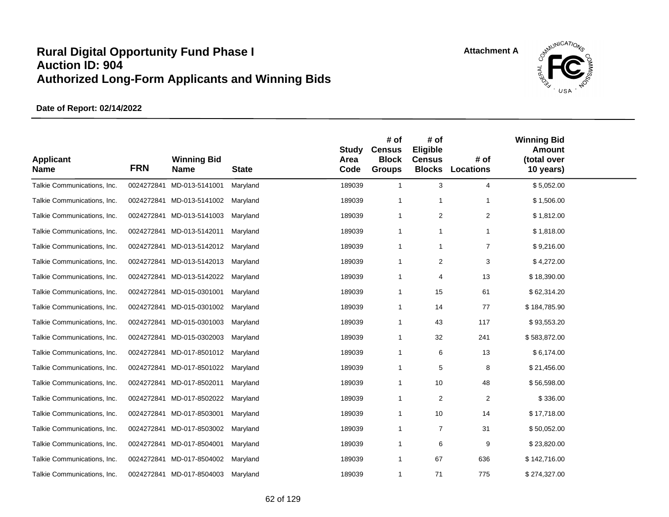

| <b>Applicant</b><br><b>Name</b> | <b>FRN</b> | <b>Winning Bid</b><br><b>Name</b> | <b>State</b> | <b>Study</b><br>Area<br>Code | # of<br><b>Census</b><br><b>Block</b><br><b>Groups</b> | # of<br>Eligible<br><b>Census</b><br><b>Blocks</b> | # of<br>Locations | <b>Winning Bid</b><br><b>Amount</b><br>(total over<br>10 years) |  |
|---------------------------------|------------|-----------------------------------|--------------|------------------------------|--------------------------------------------------------|----------------------------------------------------|-------------------|-----------------------------------------------------------------|--|
| Talkie Communications, Inc.     | 0024272841 | MD-013-5141001                    | Maryland     | 189039                       | $\mathbf{1}$                                           | 3                                                  | 4                 | \$5,052.00                                                      |  |
| Talkie Communications, Inc.     | 0024272841 | MD-013-5141002                    | Maryland     | 189039                       | -1                                                     | -1                                                 | 1                 | \$1,506.00                                                      |  |
| Talkie Communications, Inc.     |            | 0024272841 MD-013-5141003         | Maryland     | 189039                       | $\mathbf{1}$                                           | 2                                                  | $\overline{2}$    | \$1,812.00                                                      |  |
| Talkie Communications, Inc.     |            | 0024272841 MD-013-5142011         | Maryland     | 189039                       | $\mathbf{1}$                                           | -1                                                 | 1                 | \$1,818.00                                                      |  |
| Talkie Communications, Inc.     | 0024272841 | MD-013-5142012                    | Maryland     | 189039                       | $\mathbf{1}$                                           | $\overline{1}$                                     | $\overline{7}$    | \$9,216.00                                                      |  |
| Talkie Communications, Inc.     |            | 0024272841 MD-013-5142013         | Maryland     | 189039                       | $\mathbf 1$                                            | $\overline{2}$                                     | 3                 | \$4,272.00                                                      |  |
| Talkie Communications, Inc.     |            | 0024272841 MD-013-5142022         | Maryland     | 189039                       | $\mathbf{1}$                                           | $\overline{4}$                                     | 13                | \$18,390.00                                                     |  |
| Talkie Communications, Inc.     | 0024272841 | MD-015-0301001                    | Maryland     | 189039                       | $\mathbf 1$                                            | 15                                                 | 61                | \$62,314.20                                                     |  |
| Talkie Communications, Inc.     | 0024272841 | MD-015-0301002                    | Maryland     | 189039                       | $\mathbf{1}$                                           | 14                                                 | 77                | \$184,785.90                                                    |  |
| Talkie Communications, Inc.     |            | 0024272841 MD-015-0301003         | Maryland     | 189039                       | -1                                                     | 43                                                 | 117               | \$93,553.20                                                     |  |
| Talkie Communications, Inc.     |            | 0024272841 MD-015-0302003         | Maryland     | 189039                       | $\mathbf{1}$                                           | 32                                                 | 241               | \$583,872.00                                                    |  |
| Talkie Communications, Inc.     |            | 0024272841 MD-017-8501012         | Maryland     | 189039                       | $\overline{1}$                                         | 6                                                  | 13                | \$6,174.00                                                      |  |
| Talkie Communications, Inc.     |            | 0024272841 MD-017-8501022         | Maryland     | 189039                       | $\overline{1}$                                         | 5                                                  | 8                 | \$21,456.00                                                     |  |
| Talkie Communications, Inc.     | 0024272841 | MD-017-8502011                    | Maryland     | 189039                       | $\mathbf 1$                                            | 10                                                 | 48                | \$56,598.00                                                     |  |
| Talkie Communications, Inc.     |            | 0024272841 MD-017-8502022         | Maryland     | 189039                       | -1                                                     | $\overline{2}$                                     | 2                 | \$336.00                                                        |  |
| Talkie Communications, Inc.     | 0024272841 | MD-017-8503001                    | Maryland     | 189039                       | -1                                                     | 10                                                 | 14                | \$17,718.00                                                     |  |
| Talkie Communications, Inc.     | 0024272841 | MD-017-8503002                    | Maryland     | 189039                       | $\mathbf{1}$                                           | $\overline{7}$                                     | 31                | \$50,052.00                                                     |  |
| Talkie Communications, Inc.     | 0024272841 | MD-017-8504001                    | Maryland     | 189039                       | -1                                                     | 6                                                  | 9                 | \$23,820.00                                                     |  |
| Talkie Communications, Inc.     |            | 0024272841 MD-017-8504002         | Maryland     | 189039                       | $\mathbf 1$                                            | 67                                                 | 636               | \$142,716.00                                                    |  |
| Talkie Communications, Inc.     |            | 0024272841 MD-017-8504003         | Maryland     | 189039                       | -1                                                     | 71                                                 | 775               | \$274,327.00                                                    |  |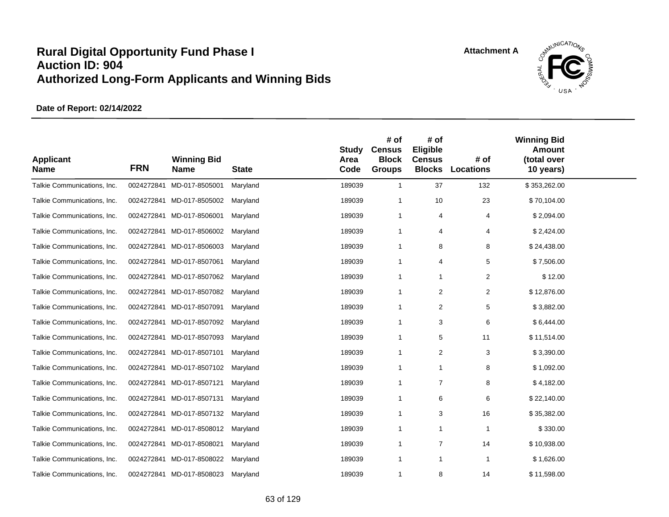

| <b>Applicant</b><br><b>Name</b> | <b>FRN</b> | <b>Winning Bid</b><br><b>Name</b> | <b>State</b> | <b>Study</b><br>Area<br>Code | # of<br><b>Census</b><br><b>Block</b><br><b>Groups</b> | # of<br>Eligible<br><b>Census</b><br><b>Blocks</b> | # of<br>Locations | <b>Winning Bid</b><br><b>Amount</b><br>(total over<br>10 years) |  |
|---------------------------------|------------|-----------------------------------|--------------|------------------------------|--------------------------------------------------------|----------------------------------------------------|-------------------|-----------------------------------------------------------------|--|
| Talkie Communications, Inc.     | 0024272841 | MD-017-8505001                    | Maryland     | 189039                       | $\overline{1}$                                         | 37                                                 | 132               | \$353,262.00                                                    |  |
| Talkie Communications, Inc.     |            | 0024272841 MD-017-8505002         | Maryland     | 189039                       | $\overline{1}$                                         | 10                                                 | 23                | \$70,104.00                                                     |  |
| Talkie Communications, Inc.     |            | 0024272841 MD-017-8506001         | Maryland     | 189039                       | $\mathbf{1}$                                           | $\overline{4}$                                     | 4                 | \$2,094.00                                                      |  |
| Talkie Communications, Inc.     | 0024272841 | MD-017-8506002                    | Maryland     | 189039                       | -1                                                     | 4                                                  | 4                 | \$2,424.00                                                      |  |
| Talkie Communications, Inc.     |            | 0024272841 MD-017-8506003         | Maryland     | 189039                       | $\overline{1}$                                         | 8                                                  | 8                 | \$24,438.00                                                     |  |
| Talkie Communications, Inc.     |            | 0024272841 MD-017-8507061         | Maryland     | 189039                       | $\overline{1}$                                         | 4                                                  | 5                 | \$7,506.00                                                      |  |
| Talkie Communications, Inc.     |            | 0024272841 MD-017-8507062         | Maryland     | 189039                       | -1                                                     | $\mathbf{1}$                                       | $\overline{2}$    | \$12.00                                                         |  |
| Talkie Communications, Inc.     |            | 0024272841 MD-017-8507082         | Maryland     | 189039                       | $\overline{1}$                                         | 2                                                  | $\overline{c}$    | \$12,876.00                                                     |  |
| Talkie Communications, Inc.     |            | 0024272841 MD-017-8507091         | Maryland     | 189039                       | $\overline{1}$                                         | 2                                                  | 5                 | \$3,882.00                                                      |  |
| Talkie Communications, Inc.     |            | 0024272841 MD-017-8507092         | Maryland     | 189039                       | $\overline{1}$                                         | 3                                                  | 6                 | \$6,444.00                                                      |  |
| Talkie Communications, Inc.     |            | 0024272841 MD-017-8507093         | Maryland     | 189039                       | -1                                                     | 5                                                  | 11                | \$11,514.00                                                     |  |
| Talkie Communications, Inc.     |            | 0024272841 MD-017-8507101         | Maryland     | 189039                       | $\overline{1}$                                         | $\overline{2}$                                     | 3                 | \$3,390.00                                                      |  |
| Talkie Communications, Inc.     |            | 0024272841 MD-017-8507102         | Maryland     | 189039                       | $\overline{1}$                                         | $\overline{1}$                                     | 8                 | \$1,092.00                                                      |  |
| Talkie Communications, Inc.     | 0024272841 | MD-017-8507121                    | Maryland     | 189039                       | $\overline{1}$                                         | $\overline{7}$                                     | 8                 | \$4,182.00                                                      |  |
| Talkie Communications, Inc.     |            | 0024272841 MD-017-8507131         | Maryland     | 189039                       | -1                                                     | 6                                                  | 6                 | \$22,140.00                                                     |  |
| Talkie Communications, Inc.     |            | 0024272841 MD-017-8507132         | Maryland     | 189039                       | $\overline{1}$                                         | 3                                                  | 16                | \$35,382.00                                                     |  |
| Talkie Communications, Inc.     | 0024272841 | MD-017-8508012                    | Maryland     | 189039                       | $\overline{1}$                                         | $\mathbf{1}$                                       | $\mathbf 1$       | \$330.00                                                        |  |
| Talkie Communications, Inc.     |            | 0024272841 MD-017-8508021         | Maryland     | 189039                       | $\overline{1}$                                         | 7                                                  | 14                | \$10,938.00                                                     |  |
| Talkie Communications, Inc.     | 0024272841 | MD-017-8508022                    | Maryland     | 189039                       | -1                                                     | $\mathbf{1}$                                       | -1                | \$1,626.00                                                      |  |
| Talkie Communications, Inc.     |            | 0024272841 MD-017-8508023         | Maryland     | 189039                       | $\mathbf{1}$                                           | 8                                                  | 14                | \$11,598.00                                                     |  |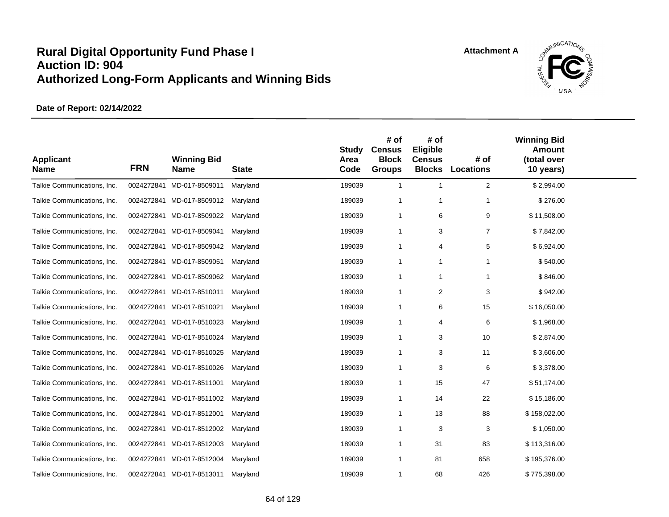

| <b>Applicant</b><br><b>Name</b> | <b>FRN</b> | <b>Winning Bid</b><br><b>Name</b> | <b>State</b> | <b>Study</b><br>Area<br>Code | # of<br><b>Census</b><br><b>Block</b><br><b>Groups</b> | # of<br>Eligible<br><b>Census</b><br><b>Blocks</b> | # of<br><b>Locations</b> | <b>Winning Bid</b><br><b>Amount</b><br>(total over<br>10 years) |  |
|---------------------------------|------------|-----------------------------------|--------------|------------------------------|--------------------------------------------------------|----------------------------------------------------|--------------------------|-----------------------------------------------------------------|--|
| Talkie Communications, Inc.     | 0024272841 | MD-017-8509011                    | Maryland     | 189039                       | 1                                                      | $\mathbf{1}$                                       | 2                        | \$2,994.00                                                      |  |
| Talkie Communications, Inc.     |            | 0024272841 MD-017-8509012         | Maryland     | 189039                       | $\mathbf 1$                                            | $\mathbf 1$                                        |                          | \$276.00                                                        |  |
| Talkie Communications, Inc.     |            | 0024272841 MD-017-8509022         | Maryland     | 189039                       | $\mathbf{1}$                                           | 6                                                  | 9                        | \$11,508.00                                                     |  |
| Talkie Communications, Inc.     | 0024272841 | MD-017-8509041                    | Maryland     | 189039                       | $\mathbf{1}$                                           | 3                                                  | $\overline{7}$           | \$7,842.00                                                      |  |
| Talkie Communications, Inc.     | 0024272841 | MD-017-8509042                    | Maryland     | 189039                       | $\mathbf{1}$                                           | 4                                                  | 5                        | \$6,924.00                                                      |  |
| Talkie Communications, Inc.     | 0024272841 | MD-017-8509051                    | Maryland     | 189039                       | $\mathbf{1}$                                           | $\mathbf{1}$                                       |                          | \$540.00                                                        |  |
| Talkie Communications, Inc.     |            | 0024272841 MD-017-8509062         | Maryland     | 189039                       | $\mathbf{1}$                                           | $\mathbf{1}$                                       | $\mathbf{1}$             | \$846.00                                                        |  |
| Talkie Communications, Inc.     |            | 0024272841 MD-017-8510011         | Maryland     | 189039                       | $\mathbf 1$                                            | 2                                                  | 3                        | \$942.00                                                        |  |
| Talkie Communications, Inc.     |            | 0024272841 MD-017-8510021         | Maryland     | 189039                       | $\mathbf 1$                                            | 6                                                  | 15                       | \$16,050.00                                                     |  |
| Talkie Communications, Inc.     |            | 0024272841 MD-017-8510023         | Maryland     | 189039                       | $\mathbf 1$                                            | $\overline{4}$                                     | 6                        | \$1,968.00                                                      |  |
| Talkie Communications, Inc.     |            | 0024272841 MD-017-8510024         | Maryland     | 189039                       | $\mathbf 1$                                            | 3                                                  | 10                       | \$2,874.00                                                      |  |
| Talkie Communications, Inc.     |            | 0024272841 MD-017-8510025         | Maryland     | 189039                       | $\mathbf{1}$                                           | 3                                                  | 11                       | \$3,606.00                                                      |  |
| Talkie Communications, Inc.     |            | 0024272841 MD-017-8510026         | Maryland     | 189039                       | $\mathbf{1}$                                           | 3                                                  | 6                        | \$3,378.00                                                      |  |
| Talkie Communications, Inc.     |            | 0024272841 MD-017-8511001         | Maryland     | 189039                       | $\mathbf{1}$                                           | 15                                                 | 47                       | \$51,174.00                                                     |  |
| Talkie Communications, Inc.     |            | 0024272841 MD-017-8511002         | Maryland     | 189039                       | $\overline{1}$                                         | 14                                                 | 22                       | \$15,186.00                                                     |  |
| Talkie Communications, Inc.     |            | 0024272841 MD-017-8512001         | Maryland     | 189039                       | $\mathbf{1}$                                           | 13                                                 | 88                       | \$158,022.00                                                    |  |
| Talkie Communications, Inc.     |            | 0024272841 MD-017-8512002         | Maryland     | 189039                       | $\mathbf{1}$                                           | 3                                                  | 3                        | \$1,050.00                                                      |  |
| Talkie Communications, Inc.     |            | 0024272841 MD-017-8512003         | Maryland     | 189039                       | $\mathbf 1$                                            | 31                                                 | 83                       | \$113,316.00                                                    |  |
| Talkie Communications, Inc.     |            | 0024272841 MD-017-8512004         | Maryland     | 189039                       | $\mathbf{1}$                                           | 81                                                 | 658                      | \$195,376.00                                                    |  |
| Talkie Communications, Inc.     |            | 0024272841 MD-017-8513011         | Maryland     | 189039                       | $\mathbf{1}$                                           | 68                                                 | 426                      | \$775,398.00                                                    |  |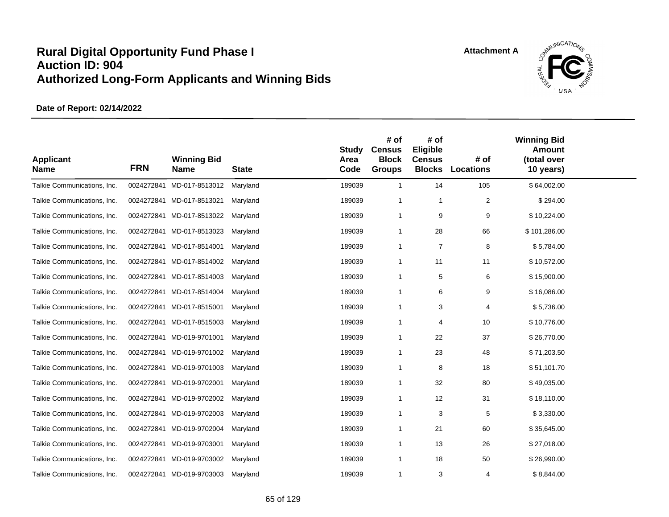

| <b>Applicant</b><br><b>Name</b> | <b>FRN</b> | <b>Winning Bid</b><br><b>Name</b> | <b>State</b> | <b>Study</b><br>Area<br>Code | # of<br><b>Census</b><br><b>Block</b><br><b>Groups</b> | # of<br>Eligible<br><b>Census</b><br><b>Blocks</b> | # of<br><b>Locations</b> | <b>Winning Bid</b><br><b>Amount</b><br>(total over<br>10 years) |  |
|---------------------------------|------------|-----------------------------------|--------------|------------------------------|--------------------------------------------------------|----------------------------------------------------|--------------------------|-----------------------------------------------------------------|--|
| Talkie Communications, Inc.     | 0024272841 | MD-017-8513012                    | Maryland     | 189039                       | $\mathbf{1}$                                           | 14                                                 | 105                      | \$64,002.00                                                     |  |
| Talkie Communications, Inc.     |            | 0024272841 MD-017-8513021         | Maryland     | 189039                       | $\overline{1}$                                         | $\overline{1}$                                     | $\boldsymbol{2}$         | \$294.00                                                        |  |
| Talkie Communications, Inc.     |            | 0024272841 MD-017-8513022         | Maryland     | 189039                       | $\mathbf{1}$                                           | 9                                                  | 9                        | \$10,224.00                                                     |  |
| Talkie Communications, Inc.     |            | 0024272841 MD-017-8513023         | Maryland     | 189039                       | $\mathbf{1}$                                           | 28                                                 | 66                       | \$101,286.00                                                    |  |
| Talkie Communications, Inc.     |            | 0024272841 MD-017-8514001         | Maryland     | 189039                       | $\mathbf{1}$                                           | $\overline{7}$                                     | 8                        | \$5,784.00                                                      |  |
| Talkie Communications, Inc.     |            | 0024272841 MD-017-8514002         | Maryland     | 189039                       | 1                                                      | 11                                                 | 11                       | \$10,572.00                                                     |  |
| Talkie Communications, Inc.     |            | 0024272841 MD-017-8514003         | Maryland     | 189039                       | $\mathbf{1}$                                           | 5                                                  | 6                        | \$15,900.00                                                     |  |
| Talkie Communications, Inc.     |            | 0024272841 MD-017-8514004         | Maryland     | 189039                       | $\mathbf{1}$                                           | 6                                                  | 9                        | \$16,086.00                                                     |  |
| Talkie Communications, Inc.     |            | 0024272841 MD-017-8515001         | Maryland     | 189039                       | $\mathbf{1}$                                           | 3                                                  | 4                        | \$5,736.00                                                      |  |
| Talkie Communications, Inc.     |            | 0024272841 MD-017-8515003         | Maryland     | 189039                       | $\mathbf{1}$                                           | $\overline{4}$                                     | 10                       | \$10,776.00                                                     |  |
| Talkie Communications, Inc.     |            | 0024272841 MD-019-9701001         | Maryland     | 189039                       | $\mathbf{1}$                                           | 22                                                 | 37                       | \$26,770.00                                                     |  |
| Talkie Communications, Inc.     |            | 0024272841 MD-019-9701002         | Maryland     | 189039                       | $\mathbf{1}$                                           | 23                                                 | 48                       | \$71,203.50                                                     |  |
| Talkie Communications, Inc.     |            | 0024272841 MD-019-9701003         | Maryland     | 189039                       | -1                                                     | 8                                                  | 18                       | \$51,101.70                                                     |  |
| Talkie Communications, Inc.     | 0024272841 | MD-019-9702001                    | Maryland     | 189039                       | $\mathbf{1}$                                           | 32                                                 | 80                       | \$49,035.00                                                     |  |
| Talkie Communications, Inc.     |            | 0024272841 MD-019-9702002         | Maryland     | 189039                       | $\mathbf 1$                                            | 12                                                 | 31                       | \$18,110.00                                                     |  |
| Talkie Communications, Inc.     |            | 0024272841 MD-019-9702003         | Maryland     | 189039                       | $\mathbf{1}$                                           | 3                                                  | 5                        | \$3,330.00                                                      |  |
| Talkie Communications, Inc.     | 0024272841 | MD-019-9702004                    | Maryland     | 189039                       | $\mathbf{1}$                                           | 21                                                 | 60                       | \$35,645.00                                                     |  |
| Talkie Communications, Inc.     |            | 0024272841 MD-019-9703001         | Maryland     | 189039                       | $\mathbf{1}$                                           | 13                                                 | 26                       | \$27,018.00                                                     |  |
| Talkie Communications, Inc.     | 0024272841 | MD-019-9703002                    | Maryland     | 189039                       | $\mathbf{1}$                                           | 18                                                 | 50                       | \$26,990.00                                                     |  |
| Talkie Communications, Inc.     |            | 0024272841 MD-019-9703003         | Maryland     | 189039                       | $\mathbf{1}$                                           | 3                                                  | 4                        | \$8,844.00                                                      |  |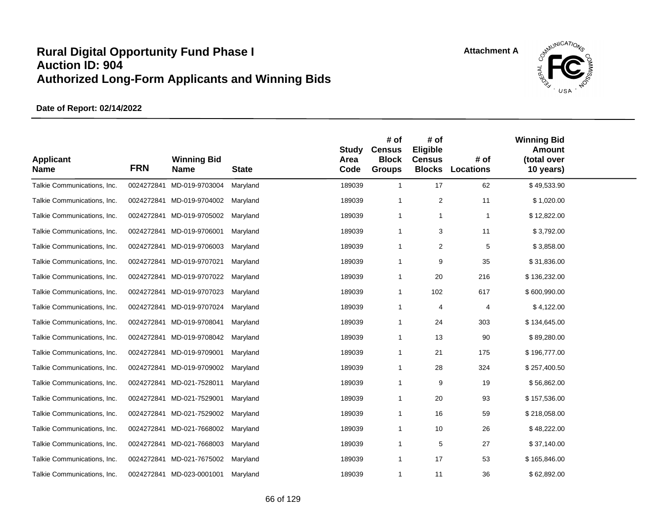

| <b>Applicant</b><br><b>Name</b> | <b>FRN</b> | <b>Winning Bid</b><br><b>Name</b> | <b>State</b> | <b>Study</b><br>Area<br>Code | # of<br><b>Census</b><br><b>Block</b><br><b>Groups</b> | # of<br>Eligible<br><b>Census</b><br><b>Blocks</b> | # of<br><b>Locations</b> | <b>Winning Bid</b><br><b>Amount</b><br>(total over<br>10 years) |  |
|---------------------------------|------------|-----------------------------------|--------------|------------------------------|--------------------------------------------------------|----------------------------------------------------|--------------------------|-----------------------------------------------------------------|--|
| Talkie Communications, Inc.     | 0024272841 | MD-019-9703004                    | Maryland     | 189039                       | $\overline{1}$                                         | 17                                                 | 62                       | \$49,533.90                                                     |  |
| Talkie Communications, Inc.     |            | 0024272841 MD-019-9704002         | Maryland     | 189039                       | $\overline{1}$                                         | $\overline{2}$                                     | 11                       | \$1,020.00                                                      |  |
| Talkie Communications, Inc.     |            | 0024272841 MD-019-9705002         | Maryland     | 189039                       | $\overline{1}$                                         | $\mathbf{1}$                                       | $\mathbf 1$              | \$12,822.00                                                     |  |
| Talkie Communications, Inc.     | 0024272841 | MD-019-9706001                    | Maryland     | 189039                       | $\overline{1}$                                         | 3                                                  | 11                       | \$3,792.00                                                      |  |
| Talkie Communications, Inc.     |            | 0024272841 MD-019-9706003         | Maryland     | 189039                       | -1                                                     | $\overline{2}$                                     | 5                        | \$3,858.00                                                      |  |
| Talkie Communications, Inc.     | 0024272841 | MD-019-9707021                    | Maryland     | 189039                       | $\mathbf 1$                                            | 9                                                  | 35                       | \$31,836.00                                                     |  |
| Talkie Communications, Inc.     |            | 0024272841 MD-019-9707022         | Maryland     | 189039                       | -1                                                     | 20                                                 | 216                      | \$136,232.00                                                    |  |
| Talkie Communications, Inc.     | 0024272841 | MD-019-9707023                    | Maryland     | 189039                       | $\mathbf 1$                                            | 102                                                | 617                      | \$600,990.00                                                    |  |
| Talkie Communications, Inc.     |            | 0024272841 MD-019-9707024         | Maryland     | 189039                       | $\mathbf 1$                                            | 4                                                  | 4                        | \$4,122.00                                                      |  |
| Talkie Communications, Inc.     |            | 0024272841 MD-019-9708041         | Maryland     | 189039                       | $\mathbf 1$                                            | 24                                                 | 303                      | \$134,645.00                                                    |  |
| Talkie Communications, Inc.     |            | 0024272841 MD-019-9708042         | Maryland     | 189039                       | -1                                                     | 13                                                 | 90                       | \$89,280.00                                                     |  |
| Talkie Communications, Inc.     |            | 0024272841 MD-019-9709001         | Maryland     | 189039                       | $\mathbf 1$                                            | 21                                                 | 175                      | \$196,777.00                                                    |  |
| Talkie Communications, Inc.     |            | 0024272841 MD-019-9709002         | Maryland     | 189039                       | -1                                                     | 28                                                 | 324                      | \$257,400.50                                                    |  |
| Talkie Communications, Inc.     | 0024272841 | MD-021-7528011                    | Maryland     | 189039                       | $\mathbf 1$                                            | 9                                                  | 19                       | \$56,862.00                                                     |  |
| Talkie Communications, Inc.     |            | 0024272841 MD-021-7529001         | Maryland     | 189039                       | $\overline{1}$                                         | 20                                                 | 93                       | \$157,536.00                                                    |  |
| Talkie Communications, Inc.     |            | 0024272841 MD-021-7529002         | Maryland     | 189039                       | $\mathbf 1$                                            | 16                                                 | 59                       | \$218,058.00                                                    |  |
| Talkie Communications, Inc.     |            | 0024272841 MD-021-7668002         | Maryland     | 189039                       | $\mathbf 1$                                            | 10                                                 | 26                       | \$48,222.00                                                     |  |
| Talkie Communications, Inc.     |            | 0024272841 MD-021-7668003         | Maryland     | 189039                       | $\overline{1}$                                         | 5                                                  | 27                       | \$37,140.00                                                     |  |
| Talkie Communications, Inc.     |            | 0024272841 MD-021-7675002         | Maryland     | 189039                       | $\mathbf 1$                                            | 17                                                 | 53                       | \$165,846.00                                                    |  |
| Talkie Communications, Inc.     |            | 0024272841 MD-023-0001001         | Maryland     | 189039                       | $\mathbf 1$                                            | 11                                                 | 36                       | \$62,892.00                                                     |  |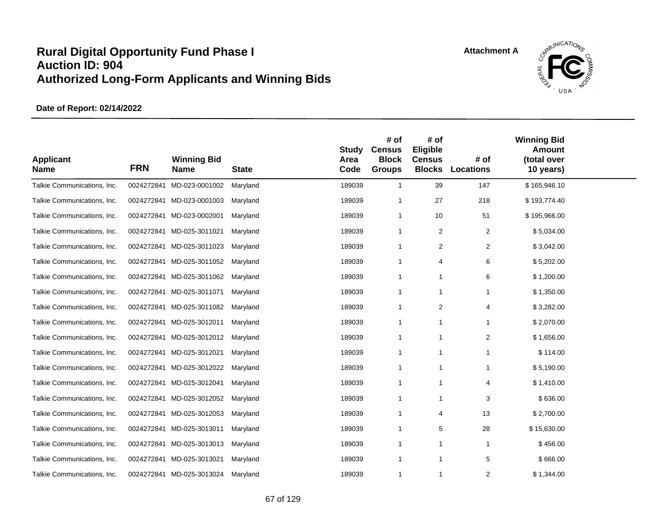

| <b>Applicant</b><br><b>Name</b> | <b>FRN</b> | <b>Winning Bid</b><br><b>Name</b> | <b>State</b> | <b>Study</b><br>Area<br>Code | # of<br><b>Census</b><br><b>Block</b><br><b>Groups</b> | # of<br>Eligible<br><b>Census</b><br><b>Blocks</b> | # of<br><b>Locations</b> | <b>Winning Bid</b><br><b>Amount</b><br>(total over<br>10 years) |  |
|---------------------------------|------------|-----------------------------------|--------------|------------------------------|--------------------------------------------------------|----------------------------------------------------|--------------------------|-----------------------------------------------------------------|--|
| Talkie Communications, Inc.     | 0024272841 | MD-023-0001002                    | Maryland     | 189039                       | $\mathbf{1}$                                           | 39                                                 | 147                      | \$165,946.10                                                    |  |
| Talkie Communications, Inc.     |            | 0024272841 MD-023-0001003         | Maryland     | 189039                       | -1                                                     | 27                                                 | 218                      | \$193,774.40                                                    |  |
| Talkie Communications, Inc.     |            | 0024272841 MD-023-0002001         | Maryland     | 189039                       | $\mathbf{1}$                                           | 10                                                 | 51                       | \$195,966.00                                                    |  |
| Talkie Communications, Inc.     |            | 0024272841 MD-025-3011021         | Maryland     | 189039                       | -1                                                     | 2                                                  | 2                        | \$5,034.00                                                      |  |
| Talkie Communications, Inc.     |            | 0024272841 MD-025-3011023         | Maryland     | 189039                       | -1                                                     | 2                                                  | 2                        | \$3,042.00                                                      |  |
| Talkie Communications, Inc.     | 0024272841 | MD-025-3011052                    | Maryland     | 189039                       | $\mathbf 1$                                            | 4                                                  | 6                        | \$5,202.00                                                      |  |
| Talkie Communications, Inc.     |            | 0024272841 MD-025-3011062         | Maryland     | 189039                       | $\overline{1}$                                         |                                                    | 6                        | \$1,200.00                                                      |  |
| Talkie Communications, Inc.     | 0024272841 | MD-025-3011071                    | Maryland     | 189039                       | $\mathbf 1$                                            | -1                                                 | 1                        | \$1,350.00                                                      |  |
| Talkie Communications, Inc.     | 0024272841 | MD-025-3011082                    | Maryland     | 189039                       | $\mathbf{1}$                                           | 2                                                  | 4                        | \$3,282.00                                                      |  |
| Talkie Communications, Inc.     | 0024272841 | MD-025-3012011                    | Maryland     | 189039                       | $\mathbf 1$                                            | $\overline{1}$                                     | 1                        | \$2,070.00                                                      |  |
| Talkie Communications, Inc.     |            | 0024272841 MD-025-3012012         | Maryland     | 189039                       | $\mathbf{1}$                                           | $\mathbf 1$                                        | 2                        | \$1,656.00                                                      |  |
| Talkie Communications, Inc.     |            | 0024272841 MD-025-3012021         | Maryland     | 189039                       | $\mathbf 1$                                            | $\mathbf 1$                                        | 1                        | \$114.00                                                        |  |
| Talkie Communications, Inc.     | 0024272841 | MD-025-3012022                    | Maryland     | 189039                       | $\mathbf 1$                                            | -1                                                 | 1                        | \$5,190.00                                                      |  |
| Talkie Communications, Inc.     | 0024272841 | MD-025-3012041                    | Maryland     | 189039                       | $\mathbf{1}$                                           | $\overline{1}$                                     | 4                        | \$1,410.00                                                      |  |
| Talkie Communications, Inc.     |            | 0024272841 MD-025-3012052         | Maryland     | 189039                       | -1                                                     |                                                    | 3                        | \$636.00                                                        |  |
| Talkie Communications, Inc.     |            | 0024272841 MD-025-3012053         | Maryland     | 189039                       | $\mathbf{1}$                                           | $\overline{4}$                                     | 13                       | \$2,700.00                                                      |  |
| Talkie Communications, Inc.     |            | 0024272841 MD-025-3013011         | Maryland     | 189039                       | $\mathbf 1$                                            | 5                                                  | 28                       | \$15,630.00                                                     |  |
| Talkie Communications, Inc.     |            | 0024272841 MD-025-3013013         | Maryland     | 189039                       | $\mathbf{1}$                                           | $\overline{1}$                                     | $\overline{1}$           | \$456.00                                                        |  |
| Talkie Communications, Inc.     | 0024272841 | MD-025-3013021                    | Maryland     | 189039                       | $\mathbf{1}$                                           | $\mathbf{1}$                                       | 5                        | \$666.00                                                        |  |
| Talkie Communications, Inc.     |            | 0024272841 MD-025-3013024         | Maryland     | 189039                       | $\overline{1}$                                         | $\overline{1}$                                     | 2                        | \$1,344.00                                                      |  |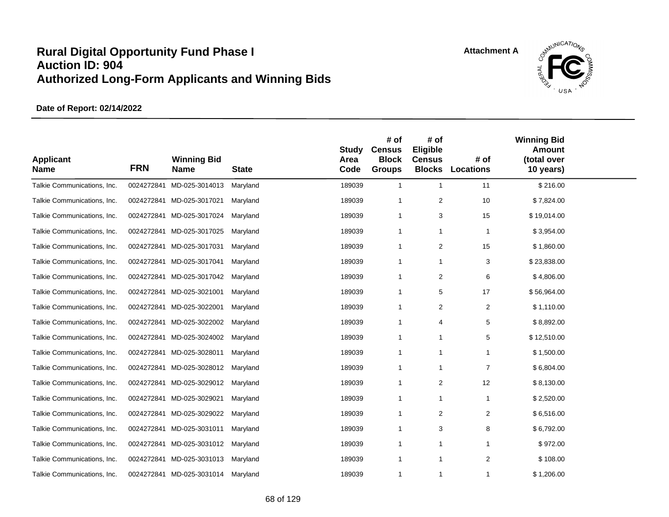

| <b>Applicant</b><br><b>Name</b> | <b>FRN</b> | <b>Winning Bid</b><br><b>Name</b> | <b>State</b> | <b>Study</b><br>Area<br>Code | # of<br><b>Census</b><br><b>Block</b><br><b>Groups</b> | # of<br>Eligible<br><b>Census</b><br><b>Blocks</b> | # of<br><b>Locations</b> | <b>Winning Bid</b><br><b>Amount</b><br>(total over<br>10 years) |  |
|---------------------------------|------------|-----------------------------------|--------------|------------------------------|--------------------------------------------------------|----------------------------------------------------|--------------------------|-----------------------------------------------------------------|--|
| Talkie Communications, Inc.     | 0024272841 | MD-025-3014013                    | Maryland     | 189039                       | $\mathbf{1}$                                           | $\mathbf{1}$                                       | 11                       | \$216.00                                                        |  |
| Talkie Communications, Inc.     |            | 0024272841 MD-025-3017021         | Maryland     | 189039                       | -1                                                     | 2                                                  | 10                       | \$7,824.00                                                      |  |
| Talkie Communications, Inc.     |            | 0024272841 MD-025-3017024         | Maryland     | 189039                       | $\mathbf{1}$                                           | 3                                                  | 15                       | \$19,014.00                                                     |  |
| Talkie Communications, Inc.     |            | 0024272841 MD-025-3017025         | Maryland     | 189039                       | $\mathbf{1}$                                           | $\mathbf{1}$                                       | $\mathbf{1}$             | \$3,954.00                                                      |  |
| Talkie Communications, Inc.     |            | 0024272841 MD-025-3017031         | Maryland     | 189039                       | -1                                                     | 2                                                  | 15                       | \$1,860.00                                                      |  |
| Talkie Communications, Inc.     |            | 0024272841 MD-025-3017041         | Maryland     | 189039                       | $\mathbf{1}$                                           | 1                                                  | 3                        | \$23,838.00                                                     |  |
| Talkie Communications, Inc.     |            | 0024272841 MD-025-3017042         | Maryland     | 189039                       | $\overline{1}$                                         | 2                                                  | 6                        | \$4,806.00                                                      |  |
| Talkie Communications, Inc.     |            | 0024272841 MD-025-3021001         | Maryland     | 189039                       | $\overline{1}$                                         | 5                                                  | 17                       | \$56,964.00                                                     |  |
| Talkie Communications, Inc.     | 0024272841 | MD-025-3022001                    | Maryland     | 189039                       | -1                                                     | 2                                                  | 2                        | \$1,110.00                                                      |  |
| Talkie Communications, Inc.     |            | 0024272841 MD-025-3022002         | Maryland     | 189039                       | $\overline{1}$                                         | $\overline{4}$                                     | 5                        | \$8,892.00                                                      |  |
| Talkie Communications, Inc.     | 0024272841 | MD-025-3024002                    | Maryland     | 189039                       | $\overline{1}$                                         | 1                                                  | 5                        | \$12,510.00                                                     |  |
| Talkie Communications, Inc.     |            | 0024272841 MD-025-3028011         | Maryland     | 189039                       | -1                                                     | 1                                                  | -1                       | \$1,500.00                                                      |  |
| Talkie Communications, Inc.     | 0024272841 | MD-025-3028012                    | Maryland     | 189039                       | -1                                                     | 1                                                  | $\overline{7}$           | \$6,804.00                                                      |  |
| Talkie Communications, Inc.     | 0024272841 | MD-025-3029012                    | Maryland     | 189039                       | $\mathbf{1}$                                           | $\overline{\mathbf{c}}$                            | 12                       | \$8,130.00                                                      |  |
| Talkie Communications, Inc.     |            | 0024272841 MD-025-3029021         | Maryland     | 189039                       | -1                                                     | 1                                                  | $\mathbf{1}$             | \$2,520.00                                                      |  |
| Talkie Communications, Inc.     |            | 0024272841 MD-025-3029022         | Maryland     | 189039                       | -1                                                     | 2                                                  | $\overline{2}$           | \$6,516.00                                                      |  |
| Talkie Communications, Inc.     |            | 0024272841 MD-025-3031011         | Maryland     | 189039                       | $\mathbf{1}$                                           | 3                                                  | 8                        | \$6,792.00                                                      |  |
| Talkie Communications, Inc.     |            | 0024272841 MD-025-3031012         | Maryland     | 189039                       | $\mathbf{1}$                                           | 1                                                  | 1                        | \$972.00                                                        |  |
| Talkie Communications, Inc.     | 0024272841 | MD-025-3031013                    | Maryland     | 189039                       | $\mathbf{1}$                                           | 1                                                  | 2                        | \$108.00                                                        |  |
| Talkie Communications, Inc.     |            | 0024272841 MD-025-3031014         | Maryland     | 189039                       | $\overline{1}$                                         | 1                                                  | $\mathbf 1$              | \$1,206.00                                                      |  |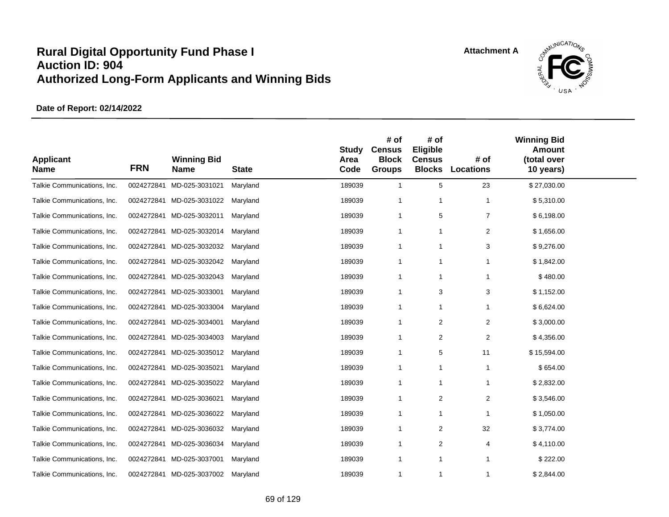

| <b>Applicant</b><br><b>Name</b> | <b>FRN</b> | <b>Winning Bid</b><br><b>Name</b> | <b>State</b> | <b>Study</b><br>Area<br>Code | # of<br><b>Census</b><br><b>Block</b><br><b>Groups</b> | # of<br>Eligible<br><b>Census</b><br><b>Blocks</b> | # of<br><b>Locations</b> | <b>Winning Bid</b><br><b>Amount</b><br>(total over<br>10 years) |  |
|---------------------------------|------------|-----------------------------------|--------------|------------------------------|--------------------------------------------------------|----------------------------------------------------|--------------------------|-----------------------------------------------------------------|--|
| Talkie Communications, Inc.     | 0024272841 | MD-025-3031021                    | Maryland     | 189039                       | $\mathbf{1}$                                           | 5                                                  | 23                       | \$27,030.00                                                     |  |
| Talkie Communications, Inc.     | 0024272841 | MD-025-3031022                    | Maryland     | 189039                       | $\overline{1}$                                         | $\overline{1}$                                     | $\mathbf{1}$             | \$5,310.00                                                      |  |
| Talkie Communications, Inc.     | 0024272841 | MD-025-3032011                    | Maryland     | 189039                       | $\mathbf 1$                                            | 5                                                  | $\overline{7}$           | \$6,198.00                                                      |  |
| Talkie Communications, Inc.     | 0024272841 | MD-025-3032014                    | Maryland     | 189039                       | $\mathbf{1}$                                           | -1                                                 | 2                        | \$1,656.00                                                      |  |
| Talkie Communications, Inc.     | 0024272841 | MD-025-3032032                    | Maryland     | 189039                       | -1                                                     | $\mathbf 1$                                        | 3                        | \$9,276.00                                                      |  |
| Talkie Communications, Inc.     | 0024272841 | MD-025-3032042                    | Maryland     | 189039                       | $\mathbf{1}$                                           | -1                                                 |                          | \$1,842.00                                                      |  |
| Talkie Communications, Inc.     | 0024272841 | MD-025-3032043                    | Maryland     | 189039                       | $\overline{1}$                                         | $\overline{1}$                                     |                          | \$480.00                                                        |  |
| Talkie Communications, Inc.     | 0024272841 | MD-025-3033001                    | Maryland     | 189039                       | $\mathbf 1$                                            | 3                                                  | 3                        | \$1,152.00                                                      |  |
| Talkie Communications, Inc.     | 0024272841 | MD-025-3033004                    | Maryland     | 189039                       | -1                                                     | $\mathbf 1$                                        |                          | \$6,624.00                                                      |  |
| Talkie Communications, Inc.     | 0024272841 | MD-025-3034001                    | Maryland     | 189039                       | $\mathbf{1}$                                           | $\overline{c}$                                     | $\overline{c}$           | \$3,000.00                                                      |  |
| Talkie Communications, Inc.     | 0024272841 | MD-025-3034003                    | Maryland     | 189039                       | $\overline{1}$                                         | $\overline{c}$                                     | $\overline{c}$           | \$4,356.00                                                      |  |
| Talkie Communications, Inc.     | 0024272841 | MD-025-3035012                    | Maryland     | 189039                       | $\overline{1}$                                         | 5                                                  | 11                       | \$15,594.00                                                     |  |
| Talkie Communications, Inc.     | 0024272841 | MD-025-3035021                    | Maryland     | 189039                       | $\mathbf 1$                                            | $\mathbf 1$                                        | $\mathbf{1}$             | \$654.00                                                        |  |
| Talkie Communications, Inc.     | 0024272841 | MD-025-3035022                    | Maryland     | 189039                       | $\mathbf{1}$                                           | -1                                                 | $\mathbf{1}$             | \$2,832.00                                                      |  |
| Talkie Communications, Inc.     | 0024272841 | MD-025-3036021                    | Maryland     | 189039                       | $\mathbf 1$                                            | 2                                                  | 2                        | \$3,546.00                                                      |  |
| Talkie Communications, Inc.     | 0024272841 | MD-025-3036022                    | Maryland     | 189039                       | $\overline{1}$                                         | $\overline{1}$                                     | 1                        | \$1,050.00                                                      |  |
| Talkie Communications, Inc.     | 0024272841 | MD-025-3036032                    | Maryland     | 189039                       | $\overline{1}$                                         | 2                                                  | 32                       | \$3,774.00                                                      |  |
| Talkie Communications, Inc.     | 0024272841 | MD-025-3036034                    | Maryland     | 189039                       | $\mathbf 1$                                            | 2                                                  | 4                        | \$4,110.00                                                      |  |
| Talkie Communications, Inc.     | 0024272841 | MD-025-3037001                    | Maryland     | 189039                       | $\mathbf{1}$                                           | $\mathbf{1}$                                       | $\mathbf{1}$             | \$222.00                                                        |  |
| Talkie Communications, Inc.     |            | 0024272841 MD-025-3037002         | Maryland     | 189039                       | $\mathbf{1}$                                           | $\overline{1}$                                     | 1                        | \$2,844.00                                                      |  |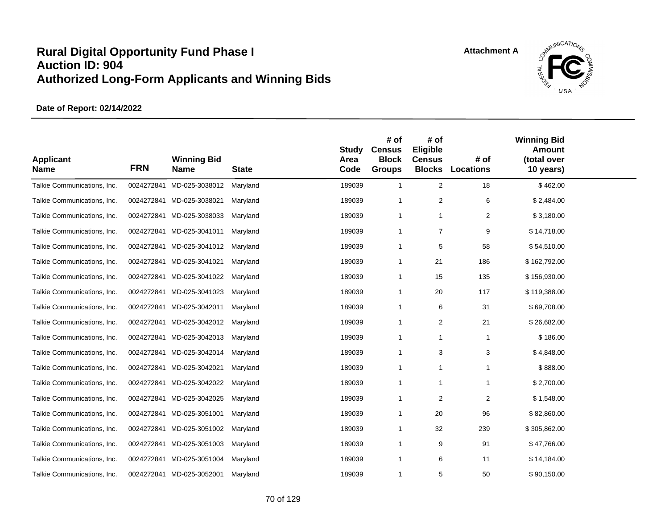

| <b>Applicant</b><br><b>Name</b> | <b>FRN</b> | <b>Winning Bid</b><br><b>Name</b> | <b>State</b> | <b>Study</b><br>Area<br>Code | # of<br><b>Census</b><br><b>Block</b><br><b>Groups</b> | # of<br>Eligible<br><b>Census</b><br><b>Blocks</b> | # of<br><b>Locations</b> | <b>Winning Bid</b><br><b>Amount</b><br>(total over<br>10 years) |  |
|---------------------------------|------------|-----------------------------------|--------------|------------------------------|--------------------------------------------------------|----------------------------------------------------|--------------------------|-----------------------------------------------------------------|--|
| Talkie Communications, Inc.     | 0024272841 | MD-025-3038012                    | Maryland     | 189039                       | $\mathbf{1}$                                           | 2                                                  | 18                       | \$462.00                                                        |  |
| Talkie Communications, Inc.     |            | 0024272841 MD-025-3038021         | Maryland     | 189039                       | $\overline{1}$                                         | $\overline{2}$                                     | 6                        | \$2,484.00                                                      |  |
| Talkie Communications, Inc.     |            | 0024272841 MD-025-3038033         | Maryland     | 189039                       | -1                                                     | $\mathbf{1}$                                       | $\overline{2}$           | \$3,180.00                                                      |  |
| Talkie Communications, Inc.     |            | 0024272841 MD-025-3041011         | Maryland     | 189039                       | -1                                                     | $\overline{7}$                                     | 9                        | \$14,718.00                                                     |  |
| Talkie Communications, Inc.     |            | 0024272841 MD-025-3041012         | Maryland     | 189039                       | $\mathbf 1$                                            | 5                                                  | 58                       | \$54,510.00                                                     |  |
| Talkie Communications, Inc.     |            | 0024272841 MD-025-3041021         | Maryland     | 189039                       | $\mathbf 1$                                            | 21                                                 | 186                      | \$162,792.00                                                    |  |
| Talkie Communications, Inc.     |            | 0024272841 MD-025-3041022         | Maryland     | 189039                       | $\overline{1}$                                         | 15                                                 | 135                      | \$156,930.00                                                    |  |
| Talkie Communications, Inc.     |            | 0024272841 MD-025-3041023         | Maryland     | 189039                       | -1                                                     | 20                                                 | 117                      | \$119,388.00                                                    |  |
| Talkie Communications, Inc.     |            | 0024272841 MD-025-3042011         | Maryland     | 189039                       | -1                                                     | 6                                                  | 31                       | \$69,708.00                                                     |  |
| Talkie Communications, Inc.     | 0024272841 | MD-025-3042012                    | Maryland     | 189039                       | $\overline{1}$                                         | $\overline{2}$                                     | 21                       | \$26,682.00                                                     |  |
| Talkie Communications, Inc.     |            | 0024272841 MD-025-3042013         | Maryland     | 189039                       | $\mathbf 1$                                            | $\mathbf{1}$                                       | $\mathbf 1$              | \$186.00                                                        |  |
| Talkie Communications, Inc.     | 0024272841 | MD-025-3042014                    | Maryland     | 189039                       | $\overline{1}$                                         | 3                                                  | 3                        | \$4,848.00                                                      |  |
| Talkie Communications, Inc.     | 0024272841 | MD-025-3042021                    | Maryland     | 189039                       | -1                                                     | $\mathbf{1}$                                       | 1                        | \$888.00                                                        |  |
| Talkie Communications, Inc.     | 0024272841 | MD-025-3042022                    | Maryland     | 189039                       | $\mathbf{1}$                                           | $\mathbf{1}$                                       | 1                        | \$2,700.00                                                      |  |
| Talkie Communications, Inc.     |            | 0024272841 MD-025-3042025         | Maryland     | 189039                       | $\overline{1}$                                         | 2                                                  | 2                        | \$1,548.00                                                      |  |
| Talkie Communications, Inc.     | 0024272841 | MD-025-3051001                    | Maryland     | 189039                       | $\mathbf 1$                                            | 20                                                 | 96                       | \$82,860.00                                                     |  |
| Talkie Communications, Inc.     | 0024272841 | MD-025-3051002                    | Maryland     | 189039                       | $\mathbf 1$                                            | 32                                                 | 239                      | \$305,862.00                                                    |  |
| Talkie Communications, Inc.     |            | 0024272841 MD-025-3051003         | Maryland     | 189039                       | -1                                                     | 9                                                  | 91                       | \$47,766.00                                                     |  |
| Talkie Communications, Inc.     | 0024272841 | MD-025-3051004                    | Maryland     | 189039                       | -1                                                     | 6                                                  | 11                       | \$14,184.00                                                     |  |
| Talkie Communications, Inc.     |            | 0024272841 MD-025-3052001         | Maryland     | 189039                       | $\mathbf{1}$                                           | 5                                                  | 50                       | \$90,150.00                                                     |  |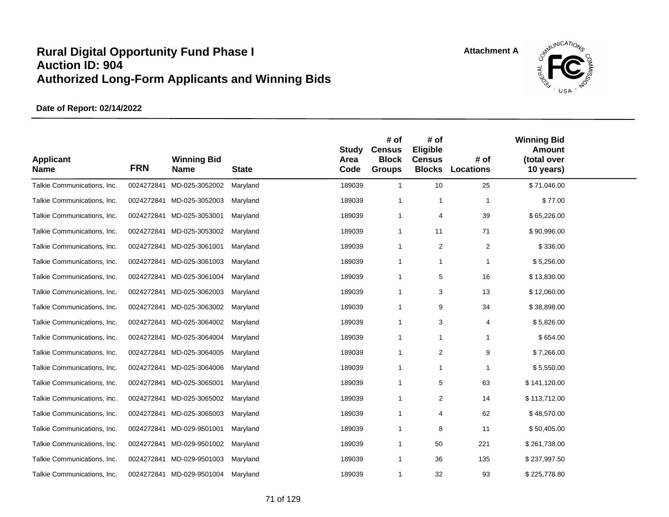

| <b>Applicant</b><br><b>Name</b> | <b>FRN</b> | <b>Winning Bid</b><br><b>Name</b> | <b>State</b> | <b>Study</b><br>Area<br>Code | # of<br><b>Census</b><br><b>Block</b><br><b>Groups</b> | # of<br>Eligible<br><b>Census</b><br><b>Blocks</b> | # of<br><b>Locations</b> | <b>Winning Bid</b><br><b>Amount</b><br>(total over<br>10 years) |  |
|---------------------------------|------------|-----------------------------------|--------------|------------------------------|--------------------------------------------------------|----------------------------------------------------|--------------------------|-----------------------------------------------------------------|--|
| Talkie Communications, Inc.     | 0024272841 | MD-025-3052002                    | Maryland     | 189039                       | $\mathbf{1}$                                           | 10                                                 | 25                       | \$71,046.00                                                     |  |
| Talkie Communications, Inc.     |            | 0024272841 MD-025-3052003         | Maryland     | 189039                       | -1                                                     | $\mathbf 1$                                        | $\mathbf{1}$             | \$77.00                                                         |  |
| Talkie Communications, Inc.     |            | 0024272841 MD-025-3053001         | Maryland     | 189039                       | 1                                                      | 4                                                  | 39                       | \$65,226.00                                                     |  |
| Talkie Communications, Inc.     | 0024272841 | MD-025-3053002                    | Maryland     | 189039                       | $\mathbf{1}$                                           | 11                                                 | 71                       | \$90,996.00                                                     |  |
| Talkie Communications, Inc.     | 0024272841 | MD-025-3061001                    | Maryland     | 189039                       | $\mathbf{1}$                                           | $\overline{2}$                                     | $\overline{2}$           | \$336.00                                                        |  |
| Talkie Communications, Inc.     | 0024272841 | MD-025-3061003                    | Maryland     | 189039                       | $\mathbf{1}$                                           | $\mathbf{1}$                                       | $\mathbf{1}$             | \$5,256.00                                                      |  |
| Talkie Communications, Inc.     |            | 0024272841 MD-025-3061004         | Maryland     | 189039                       | $\mathbf{1}$                                           | 5                                                  | 16                       | \$13,830.00                                                     |  |
| Talkie Communications, Inc.     | 0024272841 | MD-025-3062003                    | Maryland     | 189039                       | $\mathbf 1$                                            | 3                                                  | 13                       | \$12,060.00                                                     |  |
| Talkie Communications, Inc.     | 0024272841 | MD-025-3063002                    | Maryland     | 189039                       | $\mathbf 1$                                            | 9                                                  | 34                       | \$38,898.00                                                     |  |
| Talkie Communications, Inc.     |            | 0024272841 MD-025-3064002         | Maryland     | 189039                       | $\mathbf 1$                                            | 3                                                  | 4                        | \$5,826.00                                                      |  |
| Talkie Communications, Inc.     |            | 0024272841 MD-025-3064004         | Maryland     | 189039                       | $\mathbf 1$                                            | $\mathbf{1}$                                       | $\mathbf{1}$             | \$654.00                                                        |  |
| Talkie Communications, Inc.     |            | 0024272841 MD-025-3064005         | Maryland     | 189039                       | $\mathbf{1}$                                           | 2                                                  | 9                        | \$7,266.00                                                      |  |
| Talkie Communications, Inc.     |            | 0024272841 MD-025-3064006         | Maryland     | 189039                       | $\mathbf{1}$                                           | $\overline{1}$                                     | $\overline{1}$           | \$5,550.00                                                      |  |
| Talkie Communications, Inc.     | 0024272841 | MD-025-3065001                    | Maryland     | 189039                       | $\mathbf{1}$                                           | 5                                                  | 63                       | \$141,120.00                                                    |  |
| Talkie Communications, Inc.     |            | 0024272841 MD-025-3065002         | Maryland     | 189039                       | $\overline{1}$                                         | 2                                                  | 14                       | \$113,712.00                                                    |  |
| Talkie Communications, Inc.     |            | 0024272841 MD-025-3065003         | Maryland     | 189039                       | $\mathbf{1}$                                           | $\overline{4}$                                     | 62                       | \$48,570.00                                                     |  |
| Talkie Communications, Inc.     | 0024272841 | MD-029-9501001                    | Maryland     | 189039                       | $\mathbf 1$                                            | 8                                                  | 11                       | \$50,405.00                                                     |  |
| Talkie Communications, Inc.     |            | 0024272841 MD-029-9501002         | Maryland     | 189039                       | $\mathbf 1$                                            | 50                                                 | 221                      | \$261,738.00                                                    |  |
| Talkie Communications, Inc.     |            | 0024272841 MD-029-9501003         | Maryland     | 189039                       | $\mathbf 1$                                            | 36                                                 | 135                      | \$237,997.50                                                    |  |
| Talkie Communications, Inc.     |            | 0024272841 MD-029-9501004         | Maryland     | 189039                       | $\mathbf{1}$                                           | 32                                                 | 93                       | \$225,778.80                                                    |  |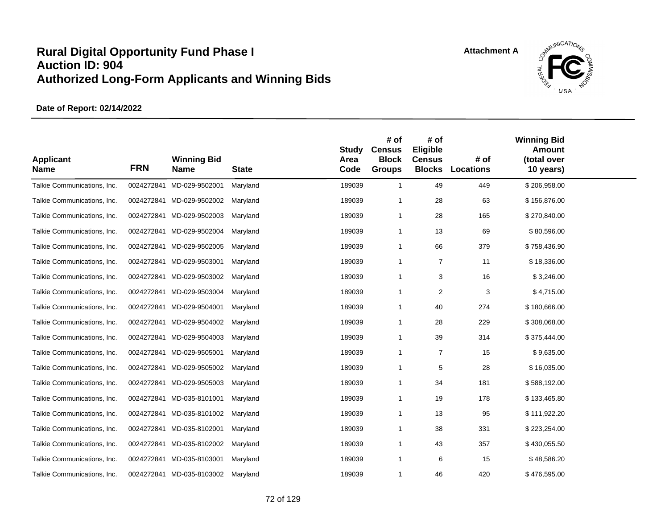

| <b>Applicant</b><br><b>Name</b> | <b>FRN</b> | <b>Winning Bid</b><br><b>Name</b> | <b>State</b> | <b>Study</b><br>Area<br>Code | # of<br><b>Census</b><br><b>Block</b><br><b>Groups</b> | # of<br>Eligible<br><b>Census</b><br><b>Blocks</b> | # of<br><b>Locations</b> | <b>Winning Bid</b><br><b>Amount</b><br>(total over<br>10 years) |  |
|---------------------------------|------------|-----------------------------------|--------------|------------------------------|--------------------------------------------------------|----------------------------------------------------|--------------------------|-----------------------------------------------------------------|--|
| Talkie Communications, Inc.     | 0024272841 | MD-029-9502001                    | Maryland     | 189039                       | $\overline{1}$                                         | 49                                                 | 449                      | \$206,958.00                                                    |  |
| Talkie Communications, Inc.     |            | 0024272841 MD-029-9502002         | Maryland     | 189039                       | -1                                                     | 28                                                 | 63                       | \$156,876.00                                                    |  |
| Talkie Communications, Inc.     |            | 0024272841 MD-029-9502003         | Maryland     | 189039                       | $\overline{1}$                                         | 28                                                 | 165                      | \$270,840.00                                                    |  |
| Talkie Communications, Inc.     | 0024272841 | MD-029-9502004                    | Maryland     | 189039                       | $\mathbf 1$                                            | 13                                                 | 69                       | \$80,596.00                                                     |  |
| Talkie Communications, Inc.     | 0024272841 | MD-029-9502005                    | Maryland     | 189039                       | $\overline{1}$                                         | 66                                                 | 379                      | \$758,436.90                                                    |  |
| Talkie Communications, Inc.     | 0024272841 | MD-029-9503001                    | Maryland     | 189039                       | $\overline{1}$                                         | $\overline{7}$                                     | 11                       | \$18,336.00                                                     |  |
| Talkie Communications, Inc.     |            | 0024272841 MD-029-9503002         | Maryland     | 189039                       | $\overline{1}$                                         | 3                                                  | 16                       | \$3,246.00                                                      |  |
| Talkie Communications, Inc.     | 0024272841 | MD-029-9503004                    | Maryland     | 189039                       | $\mathbf 1$                                            | 2                                                  | 3                        | \$4,715.00                                                      |  |
| Talkie Communications, Inc.     | 0024272841 | MD-029-9504001                    | Maryland     | 189039                       | $\overline{1}$                                         | 40                                                 | 274                      | \$180,666.00                                                    |  |
| Talkie Communications, Inc.     | 0024272841 | MD-029-9504002                    | Maryland     | 189039                       | $\mathbf 1$                                            | 28                                                 | 229                      | \$308,068.00                                                    |  |
| Talkie Communications, Inc.     |            | 0024272841 MD-029-9504003         | Maryland     | 189039                       | $\overline{1}$                                         | 39                                                 | 314                      | \$375,444.00                                                    |  |
| Talkie Communications, Inc.     | 0024272841 | MD-029-9505001                    | Maryland     | 189039                       | $\overline{1}$                                         | $\overline{7}$                                     | 15                       | \$9,635.00                                                      |  |
| Talkie Communications, Inc.     | 0024272841 | MD-029-9505002                    | Maryland     | 189039                       | $\overline{1}$                                         | 5                                                  | 28                       | \$16,035.00                                                     |  |
| Talkie Communications, Inc.     | 0024272841 | MD-029-9505003                    | Maryland     | 189039                       | $\overline{1}$                                         | 34                                                 | 181                      | \$588,192.00                                                    |  |
| Talkie Communications, Inc.     |            | 0024272841 MD-035-8101001         | Maryland     | 189039                       | $\overline{1}$                                         | 19                                                 | 178                      | \$133,465.80                                                    |  |
| Talkie Communications, Inc.     | 0024272841 | MD-035-8101002                    | Maryland     | 189039                       | $\overline{1}$                                         | 13                                                 | 95                       | \$111,922.20                                                    |  |
| Talkie Communications, Inc.     | 0024272841 | MD-035-8102001                    | Maryland     | 189039                       | $\mathbf 1$                                            | 38                                                 | 331                      | \$223,254.00                                                    |  |
| Talkie Communications, Inc.     | 0024272841 | MD-035-8102002                    | Maryland     | 189039                       | $\overline{1}$                                         | 43                                                 | 357                      | \$430,055.50                                                    |  |
| Talkie Communications, Inc.     |            | 0024272841 MD-035-8103001         | Maryland     | 189039                       | $\overline{1}$                                         | 6                                                  | 15                       | \$48,586.20                                                     |  |
| Talkie Communications, Inc.     |            | 0024272841 MD-035-8103002         | Maryland     | 189039                       | $\mathbf 1$                                            | 46                                                 | 420                      | \$476,595.00                                                    |  |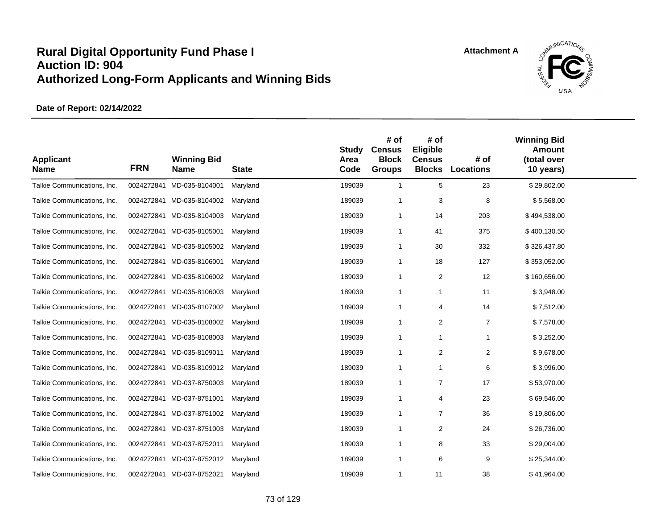

| <b>Applicant</b><br><b>Name</b> | <b>FRN</b> | <b>Winning Bid</b><br><b>Name</b> | <b>State</b> | <b>Study</b><br>Area<br>Code | # of<br><b>Census</b><br><b>Block</b><br><b>Groups</b> | # of<br>Eligible<br><b>Census</b><br><b>Blocks</b> | # of<br>Locations | <b>Winning Bid</b><br><b>Amount</b><br>(total over<br>10 years) |  |
|---------------------------------|------------|-----------------------------------|--------------|------------------------------|--------------------------------------------------------|----------------------------------------------------|-------------------|-----------------------------------------------------------------|--|
| Talkie Communications, Inc.     | 0024272841 | MD-035-8104001                    | Maryland     | 189039                       | $\mathbf{1}$                                           | 5                                                  | 23                | \$29,802.00                                                     |  |
| Talkie Communications, Inc.     |            | 0024272841 MD-035-8104002         | Maryland     | 189039                       | $\overline{1}$                                         | 3                                                  | 8                 | \$5,568.00                                                      |  |
| Talkie Communications, Inc.     |            | 0024272841 MD-035-8104003         | Maryland     | 189039                       | $\overline{1}$                                         | 14                                                 | 203               | \$494,538.00                                                    |  |
| Talkie Communications, Inc.     | 0024272841 | MD-035-8105001                    | Maryland     | 189039                       | -1                                                     | 41                                                 | 375               | \$400,130.50                                                    |  |
| Talkie Communications, Inc.     | 0024272841 | MD-035-8105002                    | Maryland     | 189039                       | -1                                                     | 30                                                 | 332               | \$326,437.80                                                    |  |
| Talkie Communications, Inc.     | 0024272841 | MD-035-8106001                    | Maryland     | 189039                       | $\overline{1}$                                         | 18                                                 | 127               | \$353,052.00                                                    |  |
| Talkie Communications, Inc.     |            | 0024272841 MD-035-8106002         | Maryland     | 189039                       | $\overline{1}$                                         | 2                                                  | 12                | \$160,656.00                                                    |  |
| Talkie Communications, Inc.     | 0024272841 | MD-035-8106003                    | Maryland     | 189039                       | $\overline{1}$                                         | $\mathbf{1}$                                       | 11                | \$3,948.00                                                      |  |
| Talkie Communications, Inc.     | 0024272841 | MD-035-8107002                    | Maryland     | 189039                       | $\mathbf{1}$                                           | 4                                                  | 14                | \$7,512.00                                                      |  |
| Talkie Communications, Inc.     |            | 0024272841 MD-035-8108002         | Maryland     | 189039                       | $\overline{1}$                                         | 2                                                  | $\overline{7}$    | \$7,578.00                                                      |  |
| Talkie Communications, Inc.     |            | 0024272841 MD-035-8108003         | Maryland     | 189039                       | $\overline{1}$                                         | $\mathbf{1}$                                       | $\mathbf{1}$      | \$3,252.00                                                      |  |
| Talkie Communications, Inc.     |            | 0024272841 MD-035-8109011         | Maryland     | 189039                       | $\overline{1}$                                         | $\overline{2}$                                     | 2                 | \$9,678.00                                                      |  |
| Talkie Communications, Inc.     |            | 0024272841 MD-035-8109012         | Maryland     | 189039                       | $\overline{1}$                                         | $\mathbf{1}$                                       | 6                 | \$3,996.00                                                      |  |
| Talkie Communications, Inc.     |            | 0024272841 MD-037-8750003         | Maryland     | 189039                       | $\overline{1}$                                         | $\overline{7}$                                     | 17                | \$53,970.00                                                     |  |
| Talkie Communications, Inc.     |            | 0024272841 MD-037-8751001         | Maryland     | 189039                       | $\overline{1}$                                         | $\overline{4}$                                     | 23                | \$69,546.00                                                     |  |
| Talkie Communications, Inc.     |            | 0024272841 MD-037-8751002         | Maryland     | 189039                       | $\overline{1}$                                         | $\overline{7}$                                     | 36                | \$19,806.00                                                     |  |
| Talkie Communications, Inc.     |            | 0024272841 MD-037-8751003         | Maryland     | 189039                       | $\overline{1}$                                         | 2                                                  | 24                | \$26,736.00                                                     |  |
| Talkie Communications, Inc.     |            | 0024272841 MD-037-8752011         | Maryland     | 189039                       | $\overline{1}$                                         | 8                                                  | 33                | \$29,004.00                                                     |  |
| Talkie Communications, Inc.     |            | 0024272841 MD-037-8752012         | Maryland     | 189039                       | -1                                                     | 6                                                  | 9                 | \$25,344.00                                                     |  |
| Talkie Communications, Inc.     |            | 0024272841 MD-037-8752021         | Maryland     | 189039                       | $\overline{1}$                                         | 11                                                 | 38                | \$41,964.00                                                     |  |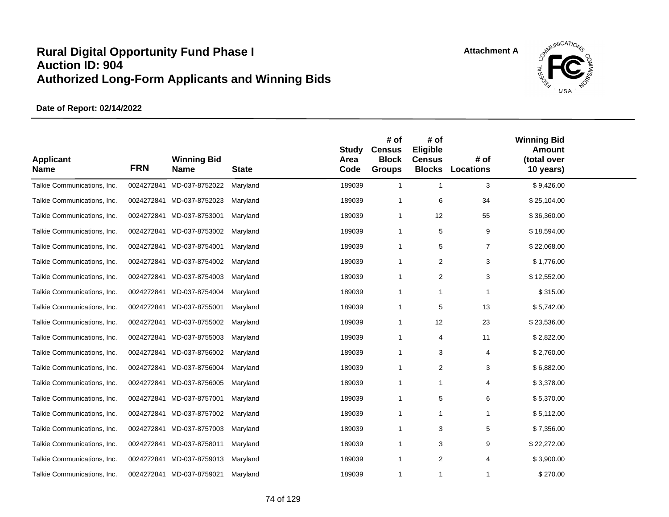

| <b>Applicant</b><br><b>Name</b> | <b>FRN</b> | <b>Winning Bid</b><br><b>Name</b> | <b>State</b> | <b>Study</b><br>Area<br>Code | # of<br><b>Census</b><br><b>Block</b><br><b>Groups</b> | # of<br>Eligible<br><b>Census</b><br><b>Blocks</b> | # of<br><b>Locations</b> | <b>Winning Bid</b><br><b>Amount</b><br>(total over<br>10 years) |  |
|---------------------------------|------------|-----------------------------------|--------------|------------------------------|--------------------------------------------------------|----------------------------------------------------|--------------------------|-----------------------------------------------------------------|--|
| Talkie Communications, Inc.     | 0024272841 | MD-037-8752022                    | Maryland     | 189039                       | $\mathbf{1}$                                           | $\mathbf{1}$                                       | 3                        | \$9,426.00                                                      |  |
| Talkie Communications, Inc.     |            | 0024272841 MD-037-8752023         | Maryland     | 189039                       | $\overline{1}$                                         | 6                                                  | 34                       | \$25,104.00                                                     |  |
| Talkie Communications, Inc.     |            | 0024272841 MD-037-8753001         | Maryland     | 189039                       | -1                                                     | 12                                                 | 55                       | \$36,360.00                                                     |  |
| Talkie Communications, Inc.     |            | 0024272841 MD-037-8753002         | Maryland     | 189039                       | -1                                                     | 5                                                  | 9                        | \$18,594.00                                                     |  |
| Talkie Communications, Inc.     |            | 0024272841 MD-037-8754001         | Maryland     | 189039                       | -1                                                     | 5                                                  | $\overline{7}$           | \$22,068.00                                                     |  |
| Talkie Communications, Inc.     |            | 0024272841 MD-037-8754002         | Maryland     | 189039                       | $\overline{1}$                                         | $\overline{c}$                                     | 3                        | \$1,776.00                                                      |  |
| Talkie Communications, Inc.     |            | 0024272841 MD-037-8754003         | Maryland     | 189039                       | $\overline{1}$                                         | $\overline{2}$                                     | 3                        | \$12,552.00                                                     |  |
| Talkie Communications, Inc.     |            | 0024272841 MD-037-8754004         | Maryland     | 189039                       | -1                                                     | -1                                                 | 1                        | \$315.00                                                        |  |
| Talkie Communications, Inc.     |            | 0024272841 MD-037-8755001         | Maryland     | 189039                       | -1                                                     | 5                                                  | 13                       | \$5,742.00                                                      |  |
| Talkie Communications, Inc.     |            | 0024272841 MD-037-8755002         | Maryland     | 189039                       | $\overline{1}$                                         | 12                                                 | 23                       | \$23,536.00                                                     |  |
| Talkie Communications, Inc.     |            | 0024272841 MD-037-8755003         | Maryland     | 189039                       | $\mathbf 1$                                            | 4                                                  | 11                       | \$2,822.00                                                      |  |
| Talkie Communications, Inc.     |            | 0024272841 MD-037-8756002         | Maryland     | 189039                       | $\overline{1}$                                         | 3                                                  | 4                        | \$2,760.00                                                      |  |
| Talkie Communications, Inc.     | 0024272841 | MD-037-8756004                    | Maryland     | 189039                       | -1                                                     | 2                                                  | 3                        | \$6,882.00                                                      |  |
| Talkie Communications, Inc.     | 0024272841 | MD-037-8756005                    | Maryland     | 189039                       | $\mathbf 1$                                            | $\mathbf{1}$                                       | 4                        | \$3,378.00                                                      |  |
| Talkie Communications, Inc.     |            | 0024272841 MD-037-8757001         | Maryland     | 189039                       | -1                                                     | 5                                                  | 6                        | \$5,370.00                                                      |  |
| Talkie Communications, Inc.     |            | 0024272841 MD-037-8757002         | Maryland     | 189039                       | $\mathbf 1$                                            | $\mathbf{1}$                                       | 1                        | \$5,112.00                                                      |  |
| Talkie Communications, Inc.     |            | 0024272841 MD-037-8757003         | Maryland     | 189039                       | $\mathbf 1$                                            | 3                                                  | 5                        | \$7,356.00                                                      |  |
| Talkie Communications, Inc.     |            | 0024272841 MD-037-8758011         | Maryland     | 189039                       | -1                                                     | 3                                                  | 9                        | \$22,272.00                                                     |  |
| Talkie Communications, Inc.     |            | 0024272841 MD-037-8759013         | Maryland     | 189039                       | -1                                                     | 2                                                  | 4                        | \$3,900.00                                                      |  |
| Talkie Communications, Inc.     |            | 0024272841 MD-037-8759021         | Maryland     | 189039                       | $\mathbf{1}$                                           | $\mathbf{1}$                                       | 1                        | \$270.00                                                        |  |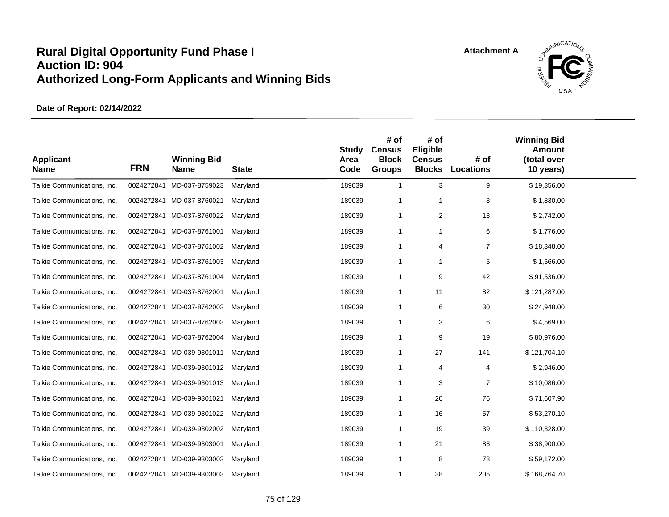

| <b>Applicant</b><br><b>Name</b> | <b>FRN</b> | <b>Winning Bid</b><br><b>Name</b> | <b>State</b> | <b>Study</b><br>Area<br>Code | # of<br><b>Census</b><br><b>Block</b><br><b>Groups</b> | # of<br>Eligible<br><b>Census</b><br><b>Blocks</b> | # of<br><b>Locations</b> | <b>Winning Bid</b><br><b>Amount</b><br>(total over<br>10 years) |  |
|---------------------------------|------------|-----------------------------------|--------------|------------------------------|--------------------------------------------------------|----------------------------------------------------|--------------------------|-----------------------------------------------------------------|--|
| Talkie Communications, Inc.     | 0024272841 | MD-037-8759023                    | Maryland     | 189039                       | $\mathbf{1}$                                           | 3                                                  | 9                        | \$19,356.00                                                     |  |
| Talkie Communications, Inc.     |            | 0024272841 MD-037-8760021         | Maryland     | 189039                       | $\overline{1}$                                         | $\overline{1}$                                     | 3                        | \$1,830.00                                                      |  |
| Talkie Communications, Inc.     |            | 0024272841 MD-037-8760022         | Maryland     | 189039                       | $\mathbf 1$                                            | 2                                                  | 13                       | \$2,742.00                                                      |  |
| Talkie Communications, Inc.     |            | 0024272841 MD-037-8761001         | Maryland     | 189039                       | $\mathbf 1$                                            | $\overline{1}$                                     | 6                        | \$1,776.00                                                      |  |
| Talkie Communications, Inc.     |            | 0024272841 MD-037-8761002         | Maryland     | 189039                       | -1                                                     | $\overline{4}$                                     | $\overline{7}$           | \$18,348.00                                                     |  |
| Talkie Communications, Inc.     |            | 0024272841 MD-037-8761003         | Maryland     | 189039                       | $\mathbf 1$                                            | $\mathbf{1}$                                       | 5                        | \$1,566.00                                                      |  |
| Talkie Communications, Inc.     |            | 0024272841 MD-037-8761004         | Maryland     | 189039                       | -1                                                     | 9                                                  | 42                       | \$91,536.00                                                     |  |
| Talkie Communications, Inc.     | 0024272841 | MD-037-8762001                    | Maryland     | 189039                       | $\mathbf 1$                                            | 11                                                 | 82                       | \$121,287.00                                                    |  |
| Talkie Communications, Inc.     |            | 0024272841 MD-037-8762002         | Maryland     | 189039                       | $\mathbf 1$                                            | 6                                                  | 30                       | \$24,948.00                                                     |  |
| Talkie Communications, Inc.     |            | 0024272841 MD-037-8762003         | Maryland     | 189039                       | $\overline{1}$                                         | 3                                                  | 6                        | \$4,569.00                                                      |  |
| Talkie Communications, Inc.     |            | 0024272841 MD-037-8762004         | Maryland     | 189039                       | -1                                                     | 9                                                  | 19                       | \$80,976.00                                                     |  |
| Talkie Communications, Inc.     |            | 0024272841 MD-039-9301011         | Maryland     | 189039                       | $\mathbf 1$                                            | 27                                                 | 141                      | \$121,704.10                                                    |  |
| Talkie Communications, Inc.     |            | 0024272841 MD-039-9301012         | Maryland     | 189039                       | -1                                                     | 4                                                  | 4                        | \$2,946.00                                                      |  |
| Talkie Communications, Inc.     | 0024272841 | MD-039-9301013                    | Maryland     | 189039                       | $\mathbf 1$                                            | 3                                                  | $\overline{7}$           | \$10,086.00                                                     |  |
| Talkie Communications, Inc.     |            | 0024272841 MD-039-9301021         | Maryland     | 189039                       | $\overline{1}$                                         | 20                                                 | 76                       | \$71,607.90                                                     |  |
| Talkie Communications, Inc.     |            | 0024272841 MD-039-9301022         | Maryland     | 189039                       | $\mathbf 1$                                            | 16                                                 | 57                       | \$53,270.10                                                     |  |
| Talkie Communications, Inc.     |            | 0024272841 MD-039-9302002         | Maryland     | 189039                       | $\overline{1}$                                         | 19                                                 | 39                       | \$110,328.00                                                    |  |
| Talkie Communications, Inc.     | 0024272841 | MD-039-9303001                    | Maryland     | 189039                       | -1                                                     | 21                                                 | 83                       | \$38,900.00                                                     |  |
| Talkie Communications, Inc.     |            | 0024272841 MD-039-9303002         | Maryland     | 189039                       | -1                                                     | 8                                                  | 78                       | \$59,172.00                                                     |  |
| Talkie Communications, Inc.     |            | 0024272841 MD-039-9303003         | Maryland     | 189039                       | $\mathbf 1$                                            | 38                                                 | 205                      | \$168,764.70                                                    |  |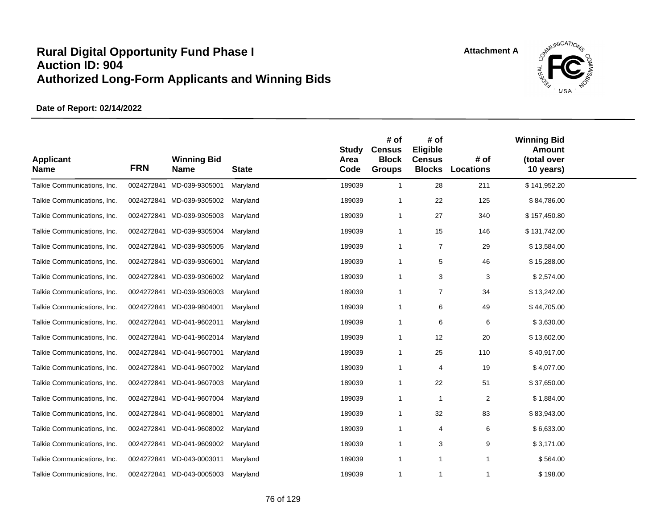

| <b>Applicant</b><br><b>Name</b> | <b>FRN</b> | <b>Winning Bid</b><br><b>Name</b> | <b>State</b> | <b>Study</b><br>Area<br>Code | # of<br><b>Census</b><br><b>Block</b><br><b>Groups</b> | # of<br>Eligible<br><b>Census</b><br><b>Blocks</b> | # of<br><b>Locations</b> | <b>Winning Bid</b><br><b>Amount</b><br>(total over<br>10 years) |  |
|---------------------------------|------------|-----------------------------------|--------------|------------------------------|--------------------------------------------------------|----------------------------------------------------|--------------------------|-----------------------------------------------------------------|--|
| Talkie Communications, Inc.     | 0024272841 | MD-039-9305001                    | Maryland     | 189039                       | $\overline{1}$                                         | 28                                                 | 211                      | \$141,952.20                                                    |  |
| Talkie Communications, Inc.     |            | 0024272841 MD-039-9305002         | Maryland     | 189039                       | -1                                                     | 22                                                 | 125                      | \$84,786.00                                                     |  |
| Talkie Communications, Inc.     |            | 0024272841 MD-039-9305003         | Maryland     | 189039                       | $\overline{1}$                                         | 27                                                 | 340                      | \$157,450.80                                                    |  |
| Talkie Communications, Inc.     | 0024272841 | MD-039-9305004                    | Maryland     | 189039                       | $\mathbf 1$                                            | 15                                                 | 146                      | \$131,742.00                                                    |  |
| Talkie Communications, Inc.     | 0024272841 | MD-039-9305005                    | Maryland     | 189039                       | $\overline{1}$                                         | $\overline{7}$                                     | 29                       | \$13,584.00                                                     |  |
| Talkie Communications, Inc.     | 0024272841 | MD-039-9306001                    | Maryland     | 189039                       | $\mathbf 1$                                            | 5                                                  | 46                       | \$15,288.00                                                     |  |
| Talkie Communications, Inc.     |            | 0024272841 MD-039-9306002         | Maryland     | 189039                       | $\overline{1}$                                         | 3                                                  | 3                        | \$2,574.00                                                      |  |
| Talkie Communications, Inc.     | 0024272841 | MD-039-9306003                    | Maryland     | 189039                       | $\overline{1}$                                         | 7                                                  | 34                       | \$13,242.00                                                     |  |
| Talkie Communications, Inc.     | 0024272841 | MD-039-9804001                    | Maryland     | 189039                       | $\overline{1}$                                         | 6                                                  | 49                       | \$44,705.00                                                     |  |
| Talkie Communications, Inc.     | 0024272841 | MD-041-9602011                    | Maryland     | 189039                       | $\overline{1}$                                         | 6                                                  | 6                        | \$3,630.00                                                      |  |
| Talkie Communications, Inc.     |            | 0024272841 MD-041-9602014         | Maryland     | 189039                       | $\overline{1}$                                         | 12                                                 | 20                       | \$13,602.00                                                     |  |
| Talkie Communications, Inc.     | 0024272841 | MD-041-9607001                    | Maryland     | 189039                       | $\mathbf 1$                                            | 25                                                 | 110                      | \$40,917.00                                                     |  |
| Talkie Communications, Inc.     | 0024272841 | MD-041-9607002                    | Maryland     | 189039                       | $\overline{1}$                                         | 4                                                  | 19                       | \$4,077.00                                                      |  |
| Talkie Communications, Inc.     | 0024272841 | MD-041-9607003                    | Maryland     | 189039                       | $\overline{1}$                                         | 22                                                 | 51                       | \$37,650.00                                                     |  |
| Talkie Communications, Inc.     |            | 0024272841 MD-041-9607004         | Maryland     | 189039                       | $\overline{1}$                                         | $\overline{1}$                                     | 2                        | \$1,884.00                                                      |  |
| Talkie Communications, Inc.     | 0024272841 | MD-041-9608001                    | Maryland     | 189039                       | $\overline{1}$                                         | 32                                                 | 83                       | \$83,943.00                                                     |  |
| Talkie Communications, Inc.     | 0024272841 | MD-041-9608002                    | Maryland     | 189039                       | $\mathbf 1$                                            | 4                                                  | 6                        | \$6,633.00                                                      |  |
| Talkie Communications, Inc.     | 0024272841 | MD-041-9609002                    | Maryland     | 189039                       | $\overline{1}$                                         | 3                                                  | 9                        | \$3,171.00                                                      |  |
| Talkie Communications, Inc.     | 0024272841 | MD-043-0003011                    | Maryland     | 189039                       | $\mathbf 1$                                            | $\mathbf 1$                                        | 1                        | \$564.00                                                        |  |
| Talkie Communications, Inc.     |            | 0024272841 MD-043-0005003         | Maryland     | 189039                       | $\overline{1}$                                         | $\overline{1}$                                     | 1                        | \$198.00                                                        |  |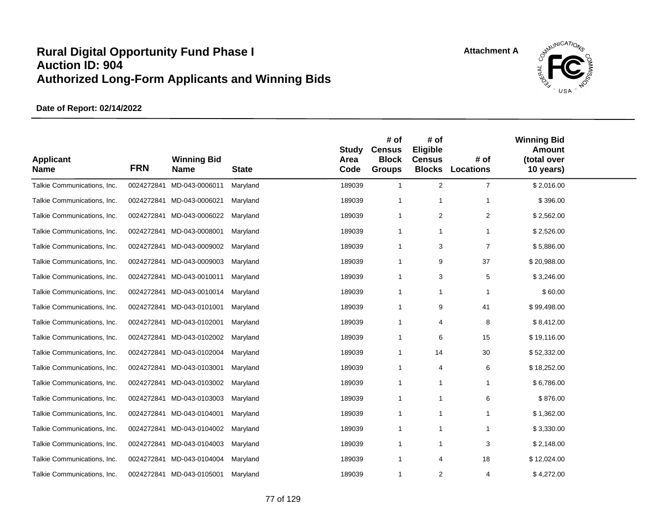

| <b>Applicant</b><br><b>Name</b> | <b>FRN</b> | <b>Winning Bid</b><br><b>Name</b> | <b>State</b> | <b>Study</b><br>Area<br>Code | # of<br><b>Census</b><br><b>Block</b><br><b>Groups</b> | # of<br>Eligible<br><b>Census</b><br><b>Blocks</b> | # of<br><b>Locations</b> | <b>Winning Bid</b><br><b>Amount</b><br>(total over<br>10 years) |  |
|---------------------------------|------------|-----------------------------------|--------------|------------------------------|--------------------------------------------------------|----------------------------------------------------|--------------------------|-----------------------------------------------------------------|--|
| Talkie Communications, Inc.     | 0024272841 | MD-043-0006011                    | Maryland     | 189039                       | $\mathbf{1}$                                           | $\overline{2}$                                     | $\overline{7}$           | \$2,016.00                                                      |  |
| Talkie Communications, Inc.     |            | 0024272841 MD-043-0006021         | Maryland     | 189039                       | $\overline{1}$                                         | $\overline{1}$                                     | 1                        | \$396.00                                                        |  |
| Talkie Communications, Inc.     |            | 0024272841 MD-043-0006022         | Maryland     | 189039                       | $\mathbf 1$                                            | 2                                                  | $\overline{c}$           | \$2,562.00                                                      |  |
| Talkie Communications, Inc.     | 0024272841 | MD-043-0008001                    | Maryland     | 189039                       | $\overline{1}$                                         | $\overline{1}$                                     |                          | \$2,526.00                                                      |  |
| Talkie Communications, Inc.     | 0024272841 | MD-043-0009002                    | Maryland     | 189039                       | -1                                                     | 3                                                  | $\overline{7}$           | \$5,886.00                                                      |  |
| Talkie Communications, Inc.     | 0024272841 | MD-043-0009003                    | Maryland     | 189039                       | -1                                                     | 9                                                  | 37                       | \$20,988.00                                                     |  |
| Talkie Communications, Inc.     |            | 0024272841 MD-043-0010011         | Maryland     | 189039                       | -1                                                     | 3                                                  | 5                        | \$3,246.00                                                      |  |
| Talkie Communications, Inc.     | 0024272841 | MD-043-0010014                    | Maryland     | 189039                       | $\mathbf 1$                                            | $\mathbf{1}$                                       | -1                       | \$60.00                                                         |  |
| Talkie Communications, Inc.     |            | 0024272841 MD-043-0101001         | Maryland     | 189039                       | $\mathbf 1$                                            | 9                                                  | 41                       | \$99,498.00                                                     |  |
| Talkie Communications, Inc.     |            | 0024272841 MD-043-0102001         | Maryland     | 189039                       | $\overline{1}$                                         | $\overline{4}$                                     | 8                        | \$8,412.00                                                      |  |
| Talkie Communications, Inc.     |            | 0024272841 MD-043-0102002         | Maryland     | 189039                       | -1                                                     | 6                                                  | 15                       | \$19,116.00                                                     |  |
| Talkie Communications, Inc.     |            | 0024272841 MD-043-0102004         | Maryland     | 189039                       | -1                                                     | 14                                                 | 30                       | \$52,332.00                                                     |  |
| Talkie Communications, Inc.     |            | 0024272841 MD-043-0103001         | Maryland     | 189039                       | -1                                                     | 4                                                  | 6                        | \$18,252.00                                                     |  |
| Talkie Communications, Inc.     | 0024272841 | MD-043-0103002                    | Maryland     | 189039                       | $\mathbf 1$                                            | $\mathbf{1}$                                       | 1                        | \$6,786.00                                                      |  |
| Talkie Communications, Inc.     |            | 0024272841 MD-043-0103003         | Maryland     | 189039                       | $\overline{1}$                                         | $\overline{1}$                                     | 6                        | \$876.00                                                        |  |
| Talkie Communications, Inc.     |            | 0024272841 MD-043-0104001         | Maryland     | 189039                       | $\mathbf 1$                                            | $\mathbf{1}$                                       | $\mathbf 1$              | \$1,362.00                                                      |  |
| Talkie Communications, Inc.     |            | 0024272841 MD-043-0104002         | Maryland     | 189039                       | $\mathbf 1$                                            | $\overline{1}$                                     | $\mathbf 1$              | \$3,330.00                                                      |  |
| Talkie Communications, Inc.     |            | 0024272841 MD-043-0104003         | Maryland     | 189039                       | -1                                                     | -1                                                 | 3                        | \$2,148.00                                                      |  |
| Talkie Communications, Inc.     |            | 0024272841 MD-043-0104004         | Maryland     | 189039                       | -1                                                     | $\overline{4}$                                     | 18                       | \$12,024.00                                                     |  |
| Talkie Communications, Inc.     |            | 0024272841 MD-043-0105001         | Maryland     | 189039                       | $\mathbf 1$                                            | $\overline{2}$                                     | 4                        | \$4,272.00                                                      |  |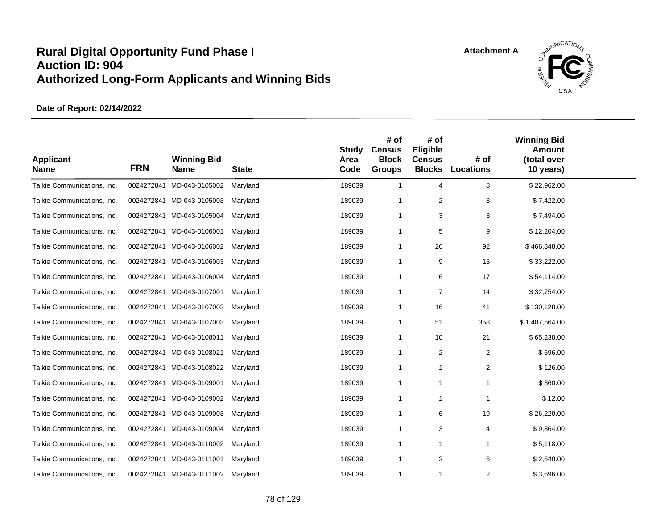

| <b>Applicant</b><br><b>Name</b> | <b>FRN</b> | <b>Winning Bid</b><br><b>Name</b> | <b>State</b> | <b>Study</b><br>Area<br>Code | # of<br><b>Census</b><br><b>Block</b><br><b>Groups</b> | # of<br>Eligible<br><b>Census</b><br><b>Blocks</b> | # of<br><b>Locations</b> | <b>Winning Bid</b><br><b>Amount</b><br>(total over<br>10 years) |  |
|---------------------------------|------------|-----------------------------------|--------------|------------------------------|--------------------------------------------------------|----------------------------------------------------|--------------------------|-----------------------------------------------------------------|--|
| Talkie Communications, Inc.     | 0024272841 | MD-043-0105002                    | Maryland     | 189039                       | $\overline{1}$                                         | $\overline{4}$                                     | 8                        | \$22,962.00                                                     |  |
| Talkie Communications, Inc.     |            | 0024272841 MD-043-0105003         | Maryland     | 189039                       | $\overline{1}$                                         | $\overline{2}$                                     | 3                        | \$7,422.00                                                      |  |
| Talkie Communications, Inc.     |            | 0024272841 MD-043-0105004         | Maryland     | 189039                       | -1                                                     | 3                                                  | 3                        | \$7,494.00                                                      |  |
| Talkie Communications, Inc.     |            | 0024272841 MD-043-0106001         | Maryland     | 189039                       | -1                                                     | 5                                                  | 9                        | \$12,204.00                                                     |  |
| Talkie Communications, Inc.     |            | 0024272841 MD-043-0106002         | Maryland     | 189039                       | $\mathbf 1$                                            | 26                                                 | 92                       | \$466,848.00                                                    |  |
| Talkie Communications, Inc.     | 0024272841 | MD-043-0106003                    | Maryland     | 189039                       | $\mathbf 1$                                            | 9                                                  | 15                       | \$33,222.00                                                     |  |
| Talkie Communications, Inc.     |            | 0024272841 MD-043-0106004         | Maryland     | 189039                       | $\overline{1}$                                         | 6                                                  | 17                       | \$54,114.00                                                     |  |
| Talkie Communications, Inc.     |            | 0024272841 MD-043-0107001         | Maryland     | 189039                       | $\overline{1}$                                         | $\overline{7}$                                     | 14                       | \$32,754.00                                                     |  |
| Talkie Communications, Inc.     |            | 0024272841 MD-043-0107002         | Maryland     | 189039                       | -1                                                     | 16                                                 | 41                       | \$130,128.00                                                    |  |
| Talkie Communications, Inc.     |            | 0024272841 MD-043-0107003         | Maryland     | 189039                       | $\mathbf 1$                                            | 51                                                 | 358                      | \$1,407,564.00                                                  |  |
| Talkie Communications, Inc.     |            | 0024272841 MD-043-0108011         | Maryland     | 189039                       | $\mathbf 1$                                            | 10                                                 | 21                       | \$65,238.00                                                     |  |
| Talkie Communications, Inc.     | 0024272841 | MD-043-0108021                    | Maryland     | 189039                       | $\overline{1}$                                         | $\overline{2}$                                     | $\overline{2}$           | \$696.00                                                        |  |
| Talkie Communications, Inc.     | 0024272841 | MD-043-0108022                    | Maryland     | 189039                       | -1                                                     | $\mathbf{1}$                                       | 2                        | \$126.00                                                        |  |
| Talkie Communications, Inc.     | 0024272841 | MD-043-0109001                    | Maryland     | 189039                       | $\mathbf 1$                                            | $\mathbf{1}$                                       | 1                        | \$360.00                                                        |  |
| Talkie Communications, Inc.     |            | 0024272841 MD-043-0109002         | Maryland     | 189039                       | -1                                                     | $\mathbf{1}$                                       | 1                        | \$12.00                                                         |  |
| Talkie Communications, Inc.     | 0024272841 | MD-043-0109003                    | Maryland     | 189039                       | $\mathbf 1$                                            | 6                                                  | 19                       | \$26,220.00                                                     |  |
| Talkie Communications, Inc.     | 0024272841 | MD-043-0109004                    | Maryland     | 189039                       | $\mathbf 1$                                            | 3                                                  | 4                        | \$9,864.00                                                      |  |
| Talkie Communications, Inc.     |            | 0024272841 MD-043-0110002         | Maryland     | 189039                       | -1                                                     | $\mathbf{1}$                                       | 1                        | \$5,118.00                                                      |  |
| Talkie Communications, Inc.     | 0024272841 | MD-043-0111001                    | Maryland     | 189039                       | $\mathbf{1}$                                           | 3                                                  | 6                        | \$2,640.00                                                      |  |
| Talkie Communications, Inc.     |            | 0024272841 MD-043-0111002         | Maryland     | 189039                       | $\mathbf{1}$                                           | $\mathbf{1}$                                       | 2                        | \$3,696.00                                                      |  |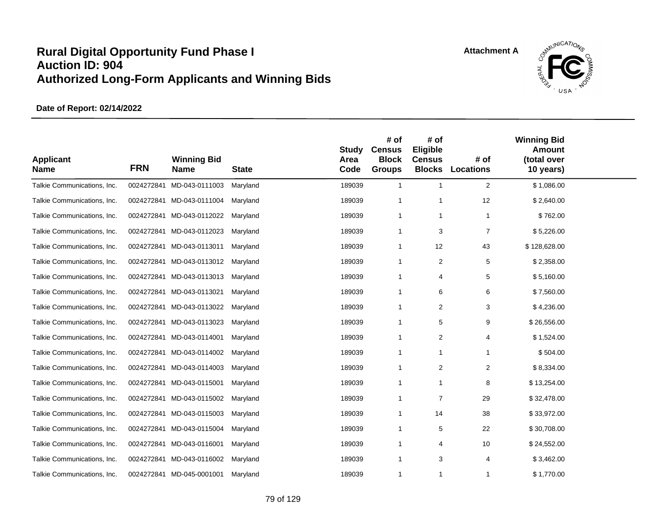

| <b>Applicant</b><br><b>Name</b> | <b>FRN</b> | <b>Winning Bid</b><br><b>Name</b> | <b>State</b> | <b>Study</b><br>Area<br>Code | # of<br><b>Census</b><br><b>Block</b><br><b>Groups</b> | # of<br>Eligible<br><b>Census</b><br><b>Blocks</b> | # of<br><b>Locations</b> | <b>Winning Bid</b><br><b>Amount</b><br>(total over<br>10 years) |  |
|---------------------------------|------------|-----------------------------------|--------------|------------------------------|--------------------------------------------------------|----------------------------------------------------|--------------------------|-----------------------------------------------------------------|--|
| Talkie Communications, Inc.     | 0024272841 | MD-043-0111003                    | Maryland     | 189039                       | $\mathbf{1}$                                           | $\mathbf{1}$                                       | $\overline{2}$           | \$1,086.00                                                      |  |
| Talkie Communications, Inc.     |            | 0024272841 MD-043-0111004         | Maryland     | 189039                       | -1                                                     | -1                                                 | 12                       | \$2,640.00                                                      |  |
| Talkie Communications, Inc.     |            | 0024272841 MD-043-0112022         | Maryland     | 189039                       | $\mathbf 1$                                            | $\mathbf{1}$                                       | $\mathbf 1$              | \$762.00                                                        |  |
| Talkie Communications, Inc.     |            | 0024272841 MD-043-0112023         | Maryland     | 189039                       | $\overline{1}$                                         | 3                                                  | $\overline{7}$           | \$5,226.00                                                      |  |
| Talkie Communications, Inc.     |            | 0024272841 MD-043-0113011         | Maryland     | 189039                       | -1                                                     | 12                                                 | 43                       | \$128,628.00                                                    |  |
| Talkie Communications, Inc.     | 0024272841 | MD-043-0113012                    | Maryland     | 189039                       | $\mathbf 1$                                            | $\overline{\mathbf{c}}$                            | 5                        | \$2,358.00                                                      |  |
| Talkie Communications, Inc.     |            | 0024272841 MD-043-0113013         | Maryland     | 189039                       | $\overline{1}$                                         | $\overline{4}$                                     | 5                        | \$5,160.00                                                      |  |
| Talkie Communications, Inc.     | 0024272841 | MD-043-0113021                    | Maryland     | 189039                       | -1                                                     | 6                                                  | 6                        | \$7,560.00                                                      |  |
| Talkie Communications, Inc.     |            | 0024272841 MD-043-0113022         | Maryland     | 189039                       | -1                                                     | 2                                                  | 3                        | \$4,236.00                                                      |  |
| Talkie Communications, Inc.     | 0024272841 | MD-043-0113023                    | Maryland     | 189039                       | $\overline{1}$                                         | 5                                                  | 9                        | \$26,556.00                                                     |  |
| Talkie Communications, Inc.     |            | 0024272841 MD-043-0114001         | Maryland     | 189039                       | $\mathbf 1$                                            | 2                                                  | 4                        | \$1,524.00                                                      |  |
| Talkie Communications, Inc.     |            | 0024272841 MD-043-0114002         | Maryland     | 189039                       | -1                                                     | $\mathbf{1}$                                       | 1                        | \$504.00                                                        |  |
| Talkie Communications, Inc.     | 0024272841 | MD-043-0114003                    | Maryland     | 189039                       | $\mathbf 1$                                            | 2                                                  | $\overline{2}$           | \$8,334.00                                                      |  |
| Talkie Communications, Inc.     | 0024272841 | MD-043-0115001                    | Maryland     | 189039                       | $\mathbf{1}$                                           | $\mathbf{1}$                                       | 8                        | \$13,254.00                                                     |  |
| Talkie Communications, Inc.     |            | 0024272841 MD-043-0115002         | Maryland     | 189039                       | -1                                                     | $\overline{7}$                                     | 29                       | \$32,478.00                                                     |  |
| Talkie Communications, Inc.     |            | 0024272841 MD-043-0115003         | Maryland     | 189039                       | $\mathbf{1}$                                           | 14                                                 | 38                       | \$33,972.00                                                     |  |
| Talkie Communications, Inc.     |            | 0024272841 MD-043-0115004         | Maryland     | 189039                       | $\mathbf 1$                                            | 5                                                  | 22                       | \$30,708.00                                                     |  |
| Talkie Communications, Inc.     |            | 0024272841 MD-043-0116001         | Maryland     | 189039                       | $\overline{1}$                                         | $\overline{4}$                                     | 10                       | \$24,552.00                                                     |  |
| Talkie Communications, Inc.     | 0024272841 | MD-043-0116002                    | Maryland     | 189039                       | $\mathbf 1$                                            | 3                                                  | 4                        | \$3,462.00                                                      |  |
| Talkie Communications, Inc.     |            | 0024272841 MD-045-0001001         | Maryland     | 189039                       | $\overline{1}$                                         | $\overline{1}$                                     | $\mathbf 1$              | \$1,770.00                                                      |  |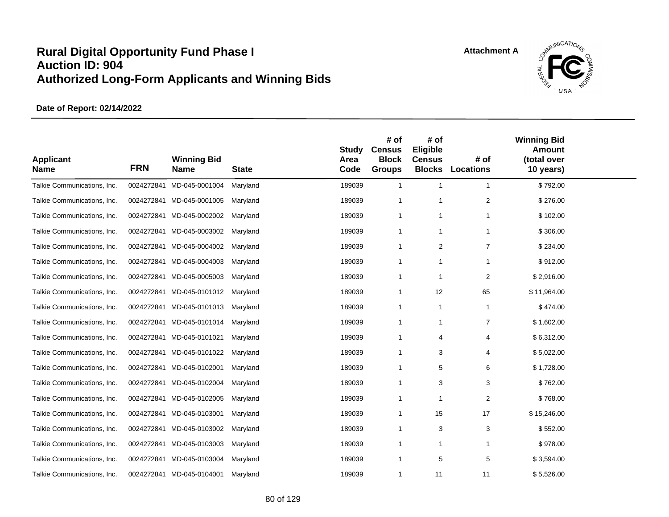

| <b>Applicant</b><br><b>Name</b> | <b>FRN</b> | <b>Winning Bid</b><br><b>Name</b> | <b>State</b> | <b>Study</b><br>Area<br>Code | # of<br><b>Census</b><br><b>Block</b><br><b>Groups</b> | # of<br>Eligible<br><b>Census</b><br><b>Blocks</b> | # of<br><b>Locations</b> | <b>Winning Bid</b><br><b>Amount</b><br>(total over<br>10 years) |  |
|---------------------------------|------------|-----------------------------------|--------------|------------------------------|--------------------------------------------------------|----------------------------------------------------|--------------------------|-----------------------------------------------------------------|--|
| Talkie Communications, Inc.     | 0024272841 | MD-045-0001004                    | Maryland     | 189039                       | $\mathbf{1}$                                           | $\mathbf{1}$                                       | $\mathbf 1$              | \$792.00                                                        |  |
| Talkie Communications, Inc.     |            | 0024272841 MD-045-0001005         | Maryland     | 189039                       | $\overline{1}$                                         | $\overline{1}$                                     | $\overline{c}$           | \$276.00                                                        |  |
| Talkie Communications, Inc.     |            | 0024272841 MD-045-0002002         | Maryland     | 189039                       | $\mathbf 1$                                            | $\mathbf{1}$                                       | 1                        | \$102.00                                                        |  |
| Talkie Communications, Inc.     | 0024272841 | MD-045-0003002                    | Maryland     | 189039                       | $\mathbf 1$                                            | $\overline{1}$                                     | 1                        | \$306.00                                                        |  |
| Talkie Communications, Inc.     |            | 0024272841 MD-045-0004002         | Maryland     | 189039                       | -1                                                     | $\overline{2}$                                     | $\overline{7}$           | \$234.00                                                        |  |
| Talkie Communications, Inc.     | 0024272841 | MD-045-0004003                    | Maryland     | 189039                       | $\mathbf 1$                                            | $\mathbf{1}$                                       | -1                       | \$912.00                                                        |  |
| Talkie Communications, Inc.     |            | 0024272841 MD-045-0005003         | Maryland     | 189039                       | -1                                                     | -1                                                 | $\overline{c}$           | \$2,916.00                                                      |  |
| Talkie Communications, Inc.     | 0024272841 | MD-045-0101012                    | Maryland     | 189039                       | $\mathbf 1$                                            | 12                                                 | 65                       | \$11,964.00                                                     |  |
| Talkie Communications, Inc.     |            | 0024272841 MD-045-0101013         | Maryland     | 189039                       | $\mathbf 1$                                            | $\mathbf{1}$                                       | $\mathbf 1$              | \$474.00                                                        |  |
| Talkie Communications, Inc.     |            | 0024272841 MD-045-0101014         | Maryland     | 189039                       | $\overline{1}$                                         | $\mathbf{1}$                                       | $\overline{7}$           | \$1,602.00                                                      |  |
| Talkie Communications, Inc.     |            | 0024272841 MD-045-0101021         | Maryland     | 189039                       | -1                                                     | $\overline{4}$                                     | 4                        | \$6,312.00                                                      |  |
| Talkie Communications, Inc.     |            | 0024272841 MD-045-0101022         | Maryland     | 189039                       | $\mathbf 1$                                            | 3                                                  | 4                        | \$5,022.00                                                      |  |
| Talkie Communications, Inc.     |            | 0024272841 MD-045-0102001         | Maryland     | 189039                       | -1                                                     | 5                                                  | 6                        | \$1,728.00                                                      |  |
| Talkie Communications, Inc.     | 0024272841 | MD-045-0102004                    | Maryland     | 189039                       | $\mathbf 1$                                            | 3                                                  | 3                        | \$762.00                                                        |  |
| Talkie Communications, Inc.     |            | 0024272841 MD-045-0102005         | Maryland     | 189039                       | $\overline{1}$                                         | $\overline{1}$                                     | 2                        | \$768.00                                                        |  |
| Talkie Communications, Inc.     |            | 0024272841 MD-045-0103001         | Maryland     | 189039                       | $\mathbf 1$                                            | 15                                                 | 17                       | \$15,246.00                                                     |  |
| Talkie Communications, Inc.     |            | 0024272841 MD-045-0103002         | Maryland     | 189039                       | $\overline{1}$                                         | 3                                                  | 3                        | \$552.00                                                        |  |
| Talkie Communications, Inc.     |            | 0024272841 MD-045-0103003         | Maryland     | 189039                       | -1                                                     | $\overline{1}$                                     | 1                        | \$978.00                                                        |  |
| Talkie Communications, Inc.     |            | 0024272841 MD-045-0103004         | Maryland     | 189039                       | -1                                                     | 5                                                  | 5                        | \$3,594.00                                                      |  |
| Talkie Communications, Inc.     |            | 0024272841 MD-045-0104001         | Maryland     | 189039                       | $\mathbf 1$                                            | 11                                                 | 11                       | \$5,526.00                                                      |  |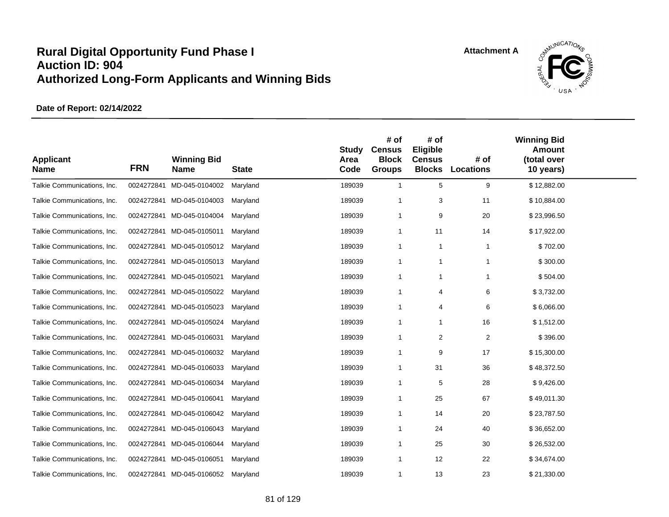

| <b>Applicant</b><br><b>Name</b> | <b>FRN</b> | <b>Winning Bid</b><br><b>Name</b> | <b>State</b> | <b>Study</b><br>Area<br>Code | # of<br><b>Census</b><br><b>Block</b><br><b>Groups</b> | # of<br>Eligible<br><b>Census</b><br><b>Blocks</b> | # of<br><b>Locations</b> | <b>Winning Bid</b><br><b>Amount</b><br>(total over<br>10 years) |  |
|---------------------------------|------------|-----------------------------------|--------------|------------------------------|--------------------------------------------------------|----------------------------------------------------|--------------------------|-----------------------------------------------------------------|--|
| Talkie Communications, Inc.     | 0024272841 | MD-045-0104002                    | Maryland     | 189039                       | $\mathbf{1}$                                           | 5                                                  | 9                        | \$12,882.00                                                     |  |
| Talkie Communications, Inc.     |            | 0024272841 MD-045-0104003         | Maryland     | 189039                       | -1                                                     | 3                                                  | 11                       | \$10,884.00                                                     |  |
| Talkie Communications, Inc.     |            | 0024272841 MD-045-0104004         | Maryland     | 189039                       | $\mathbf 1$                                            | 9                                                  | 20                       | \$23,996.50                                                     |  |
| Talkie Communications, Inc.     | 0024272841 | MD-045-0105011                    | Maryland     | 189039                       | $\mathbf 1$                                            | 11                                                 | 14                       | \$17,922.00                                                     |  |
| Talkie Communications, Inc.     | 0024272841 | MD-045-0105012                    | Maryland     | 189039                       | $\mathbf 1$                                            | $\mathbf{1}$                                       | $\overline{1}$           | \$702.00                                                        |  |
| Talkie Communications, Inc.     | 0024272841 | MD-045-0105013                    | Maryland     | 189039                       | $\mathbf 1$                                            | $\mathbf{1}$                                       | $\mathbf 1$              | \$300.00                                                        |  |
| Talkie Communications, Inc.     |            | 0024272841 MD-045-0105021         | Maryland     | 189039                       | $\overline{1}$                                         | $\mathbf{1}$                                       | 1                        | \$504.00                                                        |  |
| Talkie Communications, Inc.     | 0024272841 | MD-045-0105022                    | Maryland     | 189039                       | -1                                                     | $\overline{4}$                                     | 6                        | \$3,732.00                                                      |  |
| Talkie Communications, Inc.     | 0024272841 | MD-045-0105023                    | Maryland     | 189039                       | $\mathbf{1}$                                           | 4                                                  | 6                        | \$6,066.00                                                      |  |
| Talkie Communications, Inc.     |            | 0024272841 MD-045-0105024         | Maryland     | 189039                       | $\mathbf 1$                                            | $\mathbf{1}$                                       | 16                       | \$1,512.00                                                      |  |
| Talkie Communications, Inc.     |            | 0024272841 MD-045-0106031         | Maryland     | 189039                       | $\mathbf{1}$                                           | 2                                                  | $\sqrt{2}$               | \$396.00                                                        |  |
| Talkie Communications, Inc.     |            | 0024272841 MD-045-0106032         | Maryland     | 189039                       | $\mathbf 1$                                            | 9                                                  | 17                       | \$15,300.00                                                     |  |
| Talkie Communications, Inc.     |            | 0024272841 MD-045-0106033         | Maryland     | 189039                       | $\mathbf 1$                                            | 31                                                 | 36                       | \$48,372.50                                                     |  |
| Talkie Communications, Inc.     | 0024272841 | MD-045-0106034                    | Maryland     | 189039                       | $\mathbf 1$                                            | 5                                                  | 28                       | \$9,426.00                                                      |  |
| Talkie Communications, Inc.     |            | 0024272841 MD-045-0106041         | Maryland     | 189039                       | $\overline{1}$                                         | 25                                                 | 67                       | \$49,011.30                                                     |  |
| Talkie Communications, Inc.     |            | 0024272841 MD-045-0106042         | Maryland     | 189039                       | $\overline{1}$                                         | 14                                                 | 20                       | \$23,787.50                                                     |  |
| Talkie Communications, Inc.     |            | 0024272841 MD-045-0106043         | Maryland     | 189039                       | -1                                                     | 24                                                 | 40                       | \$36,652.00                                                     |  |
| Talkie Communications, Inc.     | 0024272841 | MD-045-0106044                    | Maryland     | 189039                       | -1                                                     | 25                                                 | 30                       | \$26,532.00                                                     |  |
| Talkie Communications, Inc.     |            | 0024272841 MD-045-0106051         | Maryland     | 189039                       | $\mathbf 1$                                            | 12                                                 | 22                       | \$34,674.00                                                     |  |
| Talkie Communications, Inc.     |            | 0024272841 MD-045-0106052         | Maryland     | 189039                       | $\mathbf 1$                                            | 13                                                 | 23                       | \$21,330.00                                                     |  |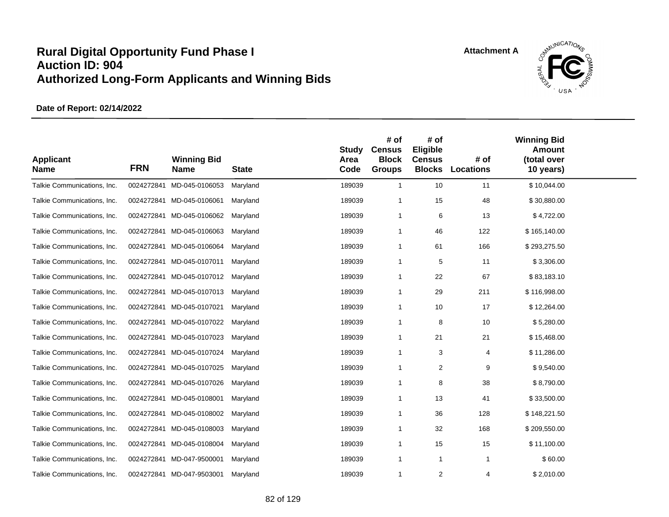

| <b>Applicant</b><br><b>Name</b> | <b>FRN</b> | <b>Winning Bid</b><br>Name | <b>State</b> | <b>Study</b><br>Area<br>Code | # of<br><b>Census</b><br><b>Block</b><br><b>Groups</b> | # of<br>Eligible<br><b>Census</b><br><b>Blocks</b> | # of<br><b>Locations</b> | <b>Winning Bid</b><br><b>Amount</b><br>(total over<br>10 years) |  |
|---------------------------------|------------|----------------------------|--------------|------------------------------|--------------------------------------------------------|----------------------------------------------------|--------------------------|-----------------------------------------------------------------|--|
| Talkie Communications, Inc.     | 0024272841 | MD-045-0106053             | Maryland     | 189039                       | $\overline{1}$                                         | 10                                                 | 11                       | \$10,044.00                                                     |  |
| Talkie Communications, Inc.     |            | 0024272841 MD-045-0106061  | Maryland     | 189039                       | $\overline{1}$                                         | 15                                                 | 48                       | \$30,880.00                                                     |  |
| Talkie Communications, Inc.     |            | 0024272841 MD-045-0106062  | Maryland     | 189039                       | $\overline{1}$                                         | 6                                                  | 13                       | \$4,722.00                                                      |  |
| Talkie Communications, Inc.     | 0024272841 | MD-045-0106063             | Maryland     | 189039                       | -1                                                     | 46                                                 | 122                      | \$165,140.00                                                    |  |
| Talkie Communications, Inc.     | 0024272841 | MD-045-0106064             | Maryland     | 189039                       | $\overline{1}$                                         | 61                                                 | 166                      | \$293,275.50                                                    |  |
| Talkie Communications, Inc.     | 0024272841 | MD-045-0107011             | Maryland     | 189039                       | $\overline{1}$                                         | 5                                                  | 11                       | \$3,306.00                                                      |  |
| Talkie Communications, Inc.     |            | 0024272841 MD-045-0107012  | Maryland     | 189039                       | $\overline{1}$                                         | 22                                                 | 67                       | \$83,183.10                                                     |  |
| Talkie Communications, Inc.     | 0024272841 | MD-045-0107013             | Maryland     | 189039                       | -1                                                     | 29                                                 | 211                      | \$116,998.00                                                    |  |
| Talkie Communications, Inc.     |            | 0024272841 MD-045-0107021  | Maryland     | 189039                       | $\overline{1}$                                         | 10                                                 | 17                       | \$12,264.00                                                     |  |
| Talkie Communications, Inc.     | 0024272841 | MD-045-0107022             | Maryland     | 189039                       | $\overline{1}$                                         | 8                                                  | 10                       | \$5,280.00                                                      |  |
| Talkie Communications, Inc.     |            | 0024272841 MD-045-0107023  | Maryland     | 189039                       | $\overline{1}$                                         | 21                                                 | 21                       | \$15,468.00                                                     |  |
| Talkie Communications, Inc.     | 0024272841 | MD-045-0107024             | Maryland     | 189039                       | $\overline{1}$                                         | 3                                                  | 4                        | \$11,286.00                                                     |  |
| Talkie Communications, Inc.     | 0024272841 | MD-045-0107025             | Maryland     | 189039                       | $\overline{1}$                                         | 2                                                  | 9                        | \$9,540.00                                                      |  |
| Talkie Communications, Inc.     | 0024272841 | MD-045-0107026             | Maryland     | 189039                       | $\overline{1}$                                         | 8                                                  | 38                       | \$8,790.00                                                      |  |
| Talkie Communications, Inc.     |            | 0024272841 MD-045-0108001  | Maryland     | 189039                       | $\overline{1}$                                         | 13                                                 | 41                       | \$33,500.00                                                     |  |
| Talkie Communications, Inc.     | 0024272841 | MD-045-0108002             | Maryland     | 189039                       | $\overline{1}$                                         | 36                                                 | 128                      | \$148,221.50                                                    |  |
| Talkie Communications, Inc.     | 0024272841 | MD-045-0108003             | Maryland     | 189039                       | $\mathbf 1$                                            | 32                                                 | 168                      | \$209,550.00                                                    |  |
| Talkie Communications, Inc.     | 0024272841 | MD-045-0108004             | Maryland     | 189039                       | $\overline{1}$                                         | 15                                                 | 15                       | \$11,100.00                                                     |  |
| Talkie Communications, Inc.     | 0024272841 | MD-047-9500001             | Maryland     | 189039                       | $\overline{1}$                                         | $\overline{1}$                                     | $\mathbf{1}$             | \$60.00                                                         |  |
| Talkie Communications, Inc.     |            | 0024272841 MD-047-9503001  | Maryland     | 189039                       | $\overline{1}$                                         | 2                                                  | 4                        | \$2,010.00                                                      |  |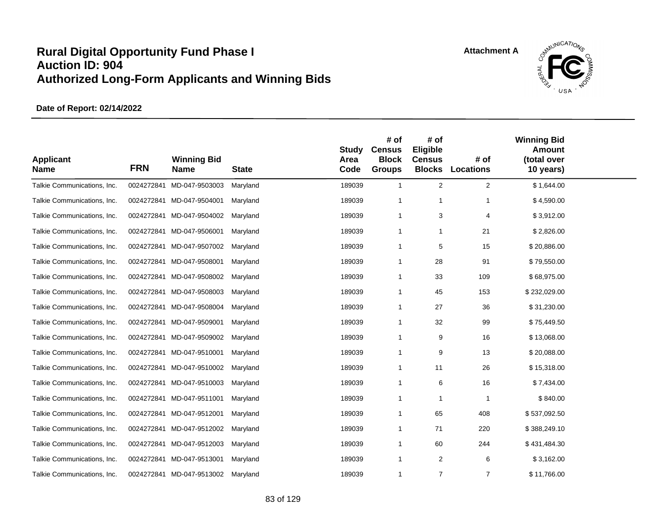

| <b>Applicant</b><br><b>Name</b> | <b>FRN</b> | <b>Winning Bid</b><br><b>Name</b> | <b>State</b> | <b>Study</b><br>Area<br>Code | # of<br><b>Census</b><br><b>Block</b><br><b>Groups</b> | # of<br>Eligible<br><b>Census</b><br><b>Blocks</b> | # of<br>Locations        | <b>Winning Bid</b><br><b>Amount</b><br>(total over<br>10 years) |  |
|---------------------------------|------------|-----------------------------------|--------------|------------------------------|--------------------------------------------------------|----------------------------------------------------|--------------------------|-----------------------------------------------------------------|--|
| Talkie Communications, Inc.     | 0024272841 | MD-047-9503003                    | Maryland     | 189039                       | $\mathbf{1}$                                           | $\overline{2}$                                     | $\overline{2}$           | \$1,644.00                                                      |  |
| Talkie Communications, Inc.     |            | 0024272841 MD-047-9504001         | Maryland     | 189039                       | -1                                                     | -1                                                 | 1                        | \$4,590.00                                                      |  |
| Talkie Communications, Inc.     |            | 0024272841 MD-047-9504002         | Maryland     | 189039                       | $\mathbf 1$                                            | 3                                                  | 4                        | \$3,912.00                                                      |  |
| Talkie Communications, Inc.     |            | 0024272841 MD-047-9506001         | Maryland     | 189039                       | $\mathbf 1$                                            | -1                                                 | 21                       | \$2,826.00                                                      |  |
| Talkie Communications, Inc.     |            | 0024272841 MD-047-9507002         | Maryland     | 189039                       | $\overline{1}$                                         | 5                                                  | 15                       | \$20,886.00                                                     |  |
| Talkie Communications, Inc.     | 0024272841 | MD-047-9508001                    | Maryland     | 189039                       | -1                                                     | 28                                                 | 91                       | \$79,550.00                                                     |  |
| Talkie Communications, Inc.     |            | 0024272841 MD-047-9508002         | Maryland     | 189039                       | -1                                                     | 33                                                 | 109                      | \$68,975.00                                                     |  |
| Talkie Communications, Inc.     | 0024272841 | MD-047-9508003                    | Maryland     | 189039                       | $\mathbf 1$                                            | 45                                                 | 153                      | \$232,029.00                                                    |  |
| Talkie Communications, Inc.     | 0024272841 | MD-047-9508004                    | Maryland     | 189039                       | $\mathbf 1$                                            | 27                                                 | 36                       | \$31,230.00                                                     |  |
| Talkie Communications, Inc.     | 0024272841 | MD-047-9509001                    | Maryland     | 189039                       | -1                                                     | 32                                                 | 99                       | \$75,449.50                                                     |  |
| Talkie Communications, Inc.     |            | 0024272841 MD-047-9509002         | Maryland     | 189039                       | $\mathbf 1$                                            | 9                                                  | 16                       | \$13,068.00                                                     |  |
| Talkie Communications, Inc.     |            | 0024272841 MD-047-9510001         | Maryland     | 189039                       | $\mathbf{1}$                                           | 9                                                  | 13                       | \$20,088.00                                                     |  |
| Talkie Communications, Inc.     | 0024272841 | MD-047-9510002                    | Maryland     | 189039                       | $\mathbf 1$                                            | 11                                                 | 26                       | \$15,318.00                                                     |  |
| Talkie Communications, Inc.     |            | 0024272841 MD-047-9510003         | Maryland     | 189039                       | $\mathbf{1}$                                           | 6                                                  | 16                       | \$7,434.00                                                      |  |
| Talkie Communications, Inc.     |            | 0024272841 MD-047-9511001         | Maryland     | 189039                       | -1                                                     | $\mathbf 1$                                        | $\overline{\phantom{a}}$ | \$840.00                                                        |  |
| Talkie Communications, Inc.     |            | 0024272841 MD-047-9512001         | Maryland     | 189039                       | $\mathbf 1$                                            | 65                                                 | 408                      | \$537,092.50                                                    |  |
| Talkie Communications, Inc.     | 0024272841 | MD-047-9512002                    | Maryland     | 189039                       | $\mathbf 1$                                            | 71                                                 | 220                      | \$388,249.10                                                    |  |
| Talkie Communications, Inc.     |            | 0024272841 MD-047-9512003         | Maryland     | 189039                       | -1                                                     | 60                                                 | 244                      | \$431,484.30                                                    |  |
| Talkie Communications, Inc.     | 0024272841 | MD-047-9513001                    | Maryland     | 189039                       | $\mathbf 1$                                            | 2                                                  | 6                        | \$3,162.00                                                      |  |
| Talkie Communications, Inc.     |            | 0024272841 MD-047-9513002         | Maryland     | 189039                       | $\mathbf{1}$                                           | $\overline{7}$                                     | $\overline{7}$           | \$11,766.00                                                     |  |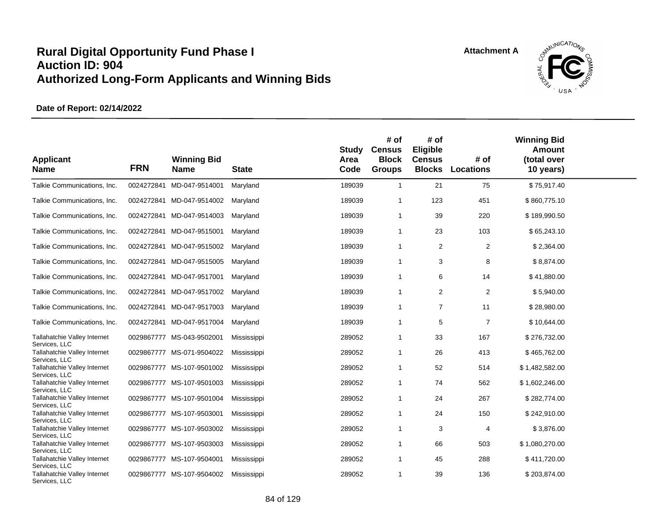

| <b>Applicant</b><br><b>Name</b>                      | <b>FRN</b> | <b>Winning Bid</b><br><b>Name</b> | <b>State</b> | Study<br>Area<br>Code | # of<br><b>Census</b><br><b>Block</b><br><b>Groups</b> | # of<br><b>Eligible</b><br><b>Census</b><br><b>Blocks</b> | # of<br><b>Locations</b> | <b>Winning Bid</b><br>Amount<br>(total over<br>10 years) |  |
|------------------------------------------------------|------------|-----------------------------------|--------------|-----------------------|--------------------------------------------------------|-----------------------------------------------------------|--------------------------|----------------------------------------------------------|--|
| Talkie Communications, Inc.                          | 0024272841 | MD-047-9514001                    | Maryland     | 189039                | $\overline{1}$                                         | 21                                                        | 75                       | \$75,917.40                                              |  |
| Talkie Communications, Inc.                          |            | 0024272841 MD-047-9514002         | Maryland     | 189039                | -1                                                     | 123                                                       | 451                      | \$860,775.10                                             |  |
| Talkie Communications, Inc.                          |            | 0024272841 MD-047-9514003         | Maryland     | 189039                | $\overline{1}$                                         | 39                                                        | 220                      | \$189,990.50                                             |  |
| Talkie Communications, Inc.                          |            | 0024272841 MD-047-9515001         | Maryland     | 189039                | $\overline{1}$                                         | 23                                                        | 103                      | \$65,243.10                                              |  |
| Talkie Communications, Inc.                          | 0024272841 | MD-047-9515002                    | Maryland     | 189039                | $\overline{1}$                                         | 2                                                         | 2                        | \$2,364.00                                               |  |
| Talkie Communications, Inc.                          |            | 0024272841 MD-047-9515005         | Maryland     | 189039                | $\overline{1}$                                         | 3                                                         | 8                        | \$8,874.00                                               |  |
| Talkie Communications, Inc.                          |            | 0024272841 MD-047-9517001         | Maryland     | 189039                | $\overline{1}$                                         | 6                                                         | 14                       | \$41,880.00                                              |  |
| Talkie Communications, Inc.                          |            | 0024272841 MD-047-9517002         | Maryland     | 189039                | $\overline{1}$                                         | 2                                                         | 2                        | \$5,940.00                                               |  |
| Talkie Communications, Inc.                          |            | 0024272841 MD-047-9517003         | Maryland     | 189039                | $\overline{1}$                                         | $\overline{7}$                                            | 11                       | \$28,980.00                                              |  |
| Talkie Communications, Inc.                          |            | 0024272841 MD-047-9517004         | Maryland     | 189039                | $\overline{1}$                                         | 5                                                         | $\overline{7}$           | \$10,644.00                                              |  |
| Tallahatchie Valley Internet<br>Services, LLC        |            | 0029867777 MS-043-9502001         | Mississippi  | 289052                | $\overline{1}$                                         | 33                                                        | 167                      | \$276,732.00                                             |  |
| <b>Tallahatchie Valley Internet</b><br>Services, LLC |            | 0029867777 MS-071-9504022         | Mississippi  | 289052                | -1                                                     | 26                                                        | 413                      | \$465,762.00                                             |  |
| Tallahatchie Valley Internet<br>Services, LLC        |            | 0029867777 MS-107-9501002         | Mississippi  | 289052                | $\overline{1}$                                         | 52                                                        | 514                      | \$1,482,582.00                                           |  |
| Tallahatchie Valley Internet<br>Services, LLC        |            | 0029867777 MS-107-9501003         | Mississippi  | 289052                | $\overline{1}$                                         | 74                                                        | 562                      | \$1,602,246.00                                           |  |
| Tallahatchie Valley Internet<br>Services, LLC        |            | 0029867777 MS-107-9501004         | Mississippi  | 289052                | $\overline{1}$                                         | 24                                                        | 267                      | \$282,774.00                                             |  |
| Tallahatchie Valley Internet<br>Services, LLC        |            | 0029867777 MS-107-9503001         | Mississippi  | 289052                | $\overline{1}$                                         | 24                                                        | 150                      | \$242,910.00                                             |  |
| Tallahatchie Valley Internet<br>Services, LLC        |            | 0029867777 MS-107-9503002         | Mississippi  | 289052                | $\overline{\mathbf{1}}$                                | 3                                                         | 4                        | \$3,876.00                                               |  |
| Tallahatchie Valley Internet<br>Services, LLC        |            | 0029867777 MS-107-9503003         | Mississippi  | 289052                | $\overline{1}$                                         | 66                                                        | 503                      | \$1,080,270.00                                           |  |
| Tallahatchie Valley Internet<br>Services, LLC        |            | 0029867777 MS-107-9504001         | Mississippi  | 289052                | -1                                                     | 45                                                        | 288                      | \$411,720.00                                             |  |
| Tallahatchie Valley Internet<br>Services, LLC        |            | 0029867777 MS-107-9504002         | Mississippi  | 289052                | $\overline{1}$                                         | 39                                                        | 136                      | \$203,874.00                                             |  |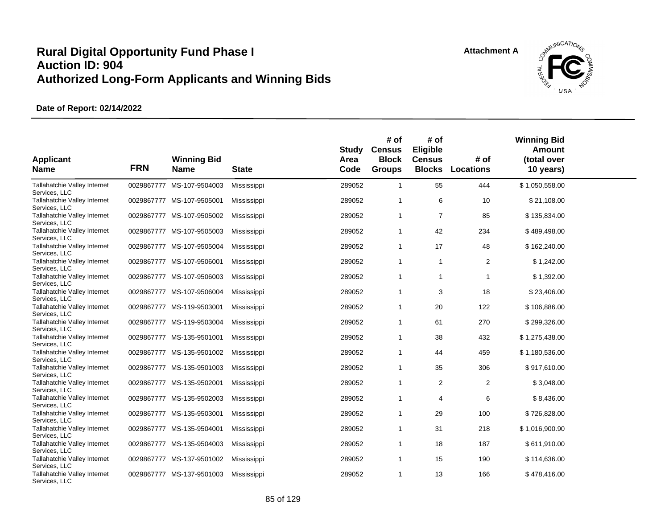

| <b>Applicant</b><br><b>Name</b>                                | <b>FRN</b> | <b>Winning Bid</b><br><b>Name</b> | <b>State</b> | Study<br>Area<br>Code | # of<br><b>Census</b><br><b>Block</b><br><b>Groups</b> | # of<br>Eligible<br><b>Census</b><br><b>Blocks</b> | # of<br><b>Locations</b> | <b>Winning Bid</b><br><b>Amount</b><br>(total over<br>10 years) |  |
|----------------------------------------------------------------|------------|-----------------------------------|--------------|-----------------------|--------------------------------------------------------|----------------------------------------------------|--------------------------|-----------------------------------------------------------------|--|
| Tallahatchie Valley Internet<br>Services, LLC                  | 0029867777 | MS-107-9504003                    | Mississippi  | 289052                | $\mathbf{1}$                                           | 55                                                 | 444                      | \$1,050,558.00                                                  |  |
| Tallahatchie Valley Internet<br>Services, LLC                  |            | 0029867777 MS-107-9505001         | Mississippi  | 289052                | 1                                                      | 6                                                  | 10                       | \$21,108.00                                                     |  |
| Tallahatchie Valley Internet<br>Services, LLC                  |            | 0029867777 MS-107-9505002         | Mississippi  | 289052                | 1                                                      | $\overline{7}$                                     | 85                       | \$135,834.00                                                    |  |
| Tallahatchie Valley Internet<br>Services, LLC                  |            | 0029867777 MS-107-9505003         | Mississippi  | 289052                | 1                                                      | 42                                                 | 234                      | \$489,498.00                                                    |  |
| Tallahatchie Valley Internet<br>Services, LLC                  |            | 0029867777 MS-107-9505004         | Mississippi  | 289052                | 1                                                      | 17                                                 | 48                       | \$162,240.00                                                    |  |
| Tallahatchie Valley Internet<br>Services, LLC                  |            | 0029867777 MS-107-9506001         | Mississippi  | 289052                | 1                                                      | $\mathbf{1}$                                       | $\overline{2}$           | \$1,242.00                                                      |  |
| Tallahatchie Valley Internet<br>Services, LLC                  |            | 0029867777 MS-107-9506003         | Mississippi  | 289052                | $\mathbf{1}$                                           | $\mathbf{1}$                                       | 1                        | \$1,392.00                                                      |  |
| Tallahatchie Valley Internet<br>Services, LLC                  |            | 0029867777 MS-107-9506004         | Mississippi  | 289052                | $\mathbf{1}$                                           | 3                                                  | 18                       | \$23,406.00                                                     |  |
| Tallahatchie Valley Internet<br>Services, LLC                  |            | 0029867777 MS-119-9503001         | Mississippi  | 289052                | 1                                                      | 20                                                 | 122                      | \$106,886.00                                                    |  |
| Tallahatchie Valley Internet<br>Services, LLC                  |            | 0029867777 MS-119-9503004         | Mississippi  | 289052                | 1                                                      | 61                                                 | 270                      | \$299,326.00                                                    |  |
| Tallahatchie Valley Internet<br>Services, LLC                  |            | 0029867777 MS-135-9501001         | Mississippi  | 289052                | 1                                                      | 38                                                 | 432                      | \$1,275,438.00                                                  |  |
| Tallahatchie Valley Internet<br>Services, LLC                  |            | 0029867777 MS-135-9501002         | Mississippi  | 289052                | 1                                                      | 44                                                 | 459                      | \$1,180,536.00                                                  |  |
| Tallahatchie Valley Internet<br>Services, LLC                  |            | 0029867777 MS-135-9501003         | Mississippi  | 289052                | 1                                                      | 35                                                 | 306                      | \$917,610.00                                                    |  |
| Tallahatchie Valley Internet<br>Services, LLC                  |            | 0029867777 MS-135-9502001         | Mississippi  | 289052                | $\mathbf{1}$                                           | $\overline{2}$                                     | $\overline{c}$           | \$3,048.00                                                      |  |
| Tallahatchie Valley Internet<br>Services, LLC                  |            | 0029867777 MS-135-9502003         | Mississippi  | 289052                | 1                                                      | 4                                                  | 6                        | \$8,436.00                                                      |  |
| Tallahatchie Valley Internet<br>Services, LLC                  |            | 0029867777 MS-135-9503001         | Mississippi  | 289052                | 1                                                      | 29                                                 | 100                      | \$726,828.00                                                    |  |
| Tallahatchie Valley Internet<br>Services, LLC                  |            | 0029867777 MS-135-9504001         | Mississippi  | 289052                | 1                                                      | 31                                                 | 218                      | \$1,016,900.90                                                  |  |
| Tallahatchie Valley Internet                                   |            | 0029867777 MS-135-9504003         | Mississippi  | 289052                | 1                                                      | 18                                                 | 187                      | \$611,910.00                                                    |  |
| Services, LLC<br>Tallahatchie Valley Internet                  |            | 0029867777 MS-137-9501002         | Mississippi  | 289052                | 1                                                      | 15                                                 | 190                      | \$114,636.00                                                    |  |
| Services, LLC<br>Tallahatchie Valley Internet<br>Services, LLC |            | 0029867777 MS-137-9501003         | Mississippi  | 289052                | 1                                                      | 13                                                 | 166                      | \$478,416.00                                                    |  |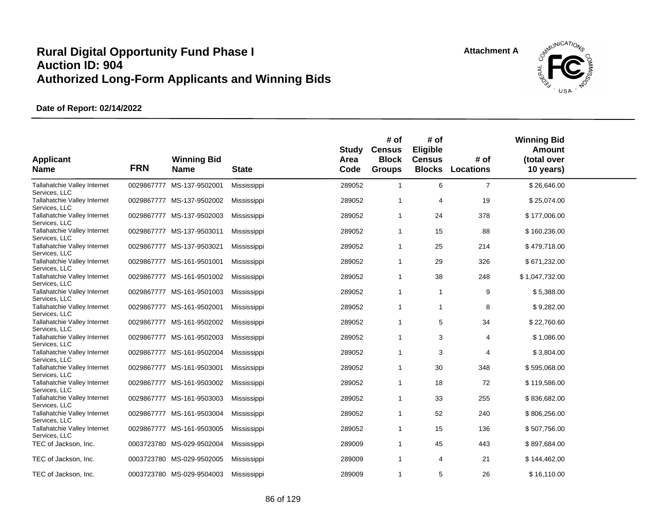

| <b>Applicant</b><br><b>Name</b>               | <b>FRN</b> | <b>Winning Bid</b><br><b>Name</b> | <b>State</b> | <b>Study</b><br>Area<br>Code | # of<br><b>Census</b><br><b>Block</b><br><b>Groups</b> | # of<br>Eligible<br><b>Census</b><br><b>Blocks</b> | # of<br><b>Locations</b> | <b>Winning Bid</b><br><b>Amount</b><br>(total over<br>10 years) |  |
|-----------------------------------------------|------------|-----------------------------------|--------------|------------------------------|--------------------------------------------------------|----------------------------------------------------|--------------------------|-----------------------------------------------------------------|--|
| Tallahatchie Valley Internet<br>Services, LLC | 0029867777 | MS-137-9502001                    | Mississippi  | 289052                       | $\mathbf{1}$                                           | 6                                                  | $\overline{7}$           | \$26,646.00                                                     |  |
| Tallahatchie Valley Internet<br>Services, LLC |            | 0029867777 MS-137-9502002         | Mississippi  | 289052                       | 1                                                      | 4                                                  | 19                       | \$25,074.00                                                     |  |
| Tallahatchie Valley Internet<br>Services, LLC |            | 0029867777 MS-137-9502003         | Mississippi  | 289052                       | $\mathbf{1}$                                           | 24                                                 | 378                      | \$177,006.00                                                    |  |
| Tallahatchie Valley Internet<br>Services, LLC |            | 0029867777 MS-137-9503011         | Mississippi  | 289052                       | $\mathbf{1}$                                           | 15                                                 | 88                       | \$160,236.00                                                    |  |
| Tallahatchie Valley Internet<br>Services, LLC |            | 0029867777 MS-137-9503021         | Mississippi  | 289052                       | -1                                                     | 25                                                 | 214                      | \$479,718.00                                                    |  |
| Tallahatchie Valley Internet<br>Services, LLC |            | 0029867777 MS-161-9501001         | Mississippi  | 289052                       | $\mathbf{1}$                                           | 29                                                 | 326                      | \$671,232.00                                                    |  |
| Tallahatchie Valley Internet<br>Services, LLC |            | 0029867777 MS-161-9501002         | Mississippi  | 289052                       | $\mathbf{1}$                                           | 38                                                 | 248                      | \$1,047,732.00                                                  |  |
| Tallahatchie Valley Internet<br>Services, LLC |            | 0029867777 MS-161-9501003         | Mississippi  | 289052                       | $\mathbf{1}$                                           | $\mathbf{1}$                                       | 9                        | \$5,388.00                                                      |  |
| Tallahatchie Valley Internet<br>Services, LLC | 0029867777 | MS-161-9502001                    | Mississippi  | 289052                       | $\mathbf{1}$                                           | 1                                                  | 8                        | \$9,282.00                                                      |  |
| Tallahatchie Valley Internet<br>Services, LLC |            | 0029867777 MS-161-9502002         | Mississippi  | 289052                       | $\mathbf{1}$                                           | 5                                                  | 34                       | \$22,760.60                                                     |  |
| Tallahatchie Valley Internet<br>Services, LLC |            | 0029867777 MS-161-9502003         | Mississippi  | 289052                       | $\mathbf{1}$                                           | 3                                                  | 4                        | \$1,086.00                                                      |  |
| Tallahatchie Valley Internet<br>Services, LLC |            | 0029867777 MS-161-9502004         | Mississippi  | 289052                       | $\mathbf{1}$                                           | 3                                                  | 4                        | \$3,804.00                                                      |  |
| Tallahatchie Valley Internet<br>Services, LLC |            | 0029867777 MS-161-9503001         | Mississippi  | 289052                       | $\mathbf{1}$                                           | 30                                                 | 348                      | \$595,068.00                                                    |  |
| Tallahatchie Valley Internet<br>Services, LLC |            | 0029867777 MS-161-9503002         | Mississippi  | 289052                       | $\mathbf{1}$                                           | 18                                                 | 72                       | \$119,586.00                                                    |  |
| Tallahatchie Valley Internet<br>Services, LLC |            | 0029867777 MS-161-9503003         | Mississippi  | 289052                       | $\mathbf{1}$                                           | 33                                                 | 255                      | \$836,682.00                                                    |  |
| Tallahatchie Valley Internet<br>Services, LLC |            | 0029867777 MS-161-9503004         | Mississippi  | 289052                       | $\mathbf{1}$                                           | 52                                                 | 240                      | \$806,256.00                                                    |  |
| Tallahatchie Valley Internet<br>Services, LLC | 0029867777 | MS-161-9503005                    | Mississippi  | 289052                       | $\mathbf{1}$                                           | 15                                                 | 136                      | \$507,756.00                                                    |  |
| TEC of Jackson, Inc.                          |            | 0003723780 MS-029-9502004         | Mississippi  | 289009                       | $\mathbf{1}$                                           | 45                                                 | 443                      | \$897,684.00                                                    |  |
| TEC of Jackson, Inc.                          | 0003723780 | MS-029-9502005                    | Mississippi  | 289009                       | $\mathbf{1}$                                           | 4                                                  | 21                       | \$144,462.00                                                    |  |
| TEC of Jackson, Inc.                          |            | 0003723780 MS-029-9504003         | Mississippi  | 289009                       | 1                                                      | 5                                                  | 26                       | \$16,110.00                                                     |  |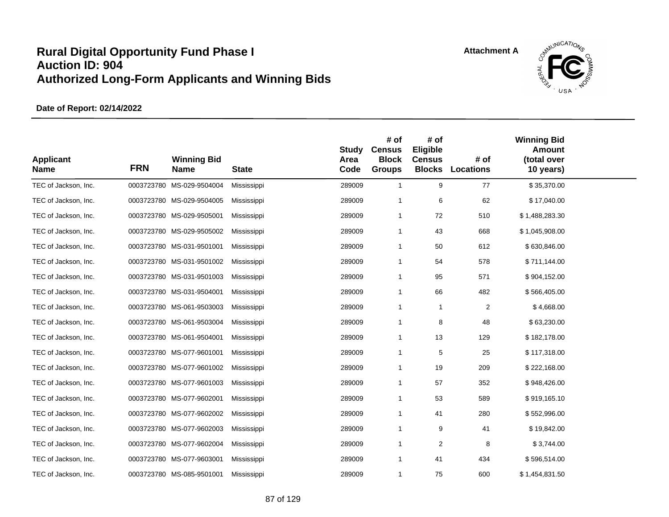

| <b>Applicant</b><br><b>Name</b> | <b>FRN</b> | <b>Winning Bid</b><br><b>Name</b> | <b>State</b> | <b>Study</b><br>Area<br>Code | # of<br><b>Census</b><br><b>Block</b><br><b>Groups</b> | # of<br>Eligible<br><b>Census</b><br><b>Blocks</b> | # of<br><b>Locations</b> | <b>Winning Bid</b><br><b>Amount</b><br>(total over<br>10 years) |  |
|---------------------------------|------------|-----------------------------------|--------------|------------------------------|--------------------------------------------------------|----------------------------------------------------|--------------------------|-----------------------------------------------------------------|--|
| TEC of Jackson, Inc.            |            | 0003723780 MS-029-9504004         | Mississippi  | 289009                       | $\mathbf{1}$                                           | 9                                                  | 77                       | \$35,370.00                                                     |  |
| TEC of Jackson, Inc.            |            | 0003723780 MS-029-9504005         | Mississippi  | 289009                       | $\mathbf{1}$                                           | 6                                                  | 62                       | \$17,040.00                                                     |  |
| TEC of Jackson, Inc.            |            | 0003723780 MS-029-9505001         | Mississippi  | 289009                       | $\mathbf{1}$                                           | 72                                                 | 510                      | \$1,488,283.30                                                  |  |
| TEC of Jackson, Inc.            |            | 0003723780 MS-029-9505002         | Mississippi  | 289009                       | $\mathbf{1}$                                           | 43                                                 | 668                      | \$1,045,908.00                                                  |  |
| TEC of Jackson, Inc.            |            | 0003723780 MS-031-9501001         | Mississippi  | 289009                       | $\mathbf{1}$                                           | 50                                                 | 612                      | \$630,846.00                                                    |  |
| TEC of Jackson, Inc.            |            | 0003723780 MS-031-9501002         | Mississippi  | 289009                       | $\mathbf{1}$                                           | 54                                                 | 578                      | \$711,144.00                                                    |  |
| TEC of Jackson, Inc.            |            | 0003723780 MS-031-9501003         | Mississippi  | 289009                       | $\mathbf{1}$                                           | 95                                                 | 571                      | \$904,152.00                                                    |  |
| TEC of Jackson, Inc.            |            | 0003723780 MS-031-9504001         | Mississippi  | 289009                       | $\mathbf{1}$                                           | 66                                                 | 482                      | \$566,405.00                                                    |  |
| TEC of Jackson, Inc.            |            | 0003723780 MS-061-9503003         | Mississippi  | 289009                       | $\mathbf{1}$                                           | $\mathbf{1}$                                       | 2                        | \$4,668.00                                                      |  |
| TEC of Jackson, Inc.            |            | 0003723780 MS-061-9503004         | Mississippi  | 289009                       | $\mathbf{1}$                                           | 8                                                  | 48                       | \$63,230.00                                                     |  |
| TEC of Jackson, Inc.            |            | 0003723780 MS-061-9504001         | Mississippi  | 289009                       | $\mathbf{1}$                                           | 13                                                 | 129                      | \$182,178.00                                                    |  |
| TEC of Jackson, Inc.            |            | 0003723780 MS-077-9601001         | Mississippi  | 289009                       | $\mathbf{1}$                                           | 5                                                  | 25                       | \$117,318.00                                                    |  |
| TEC of Jackson, Inc.            |            | 0003723780 MS-077-9601002         | Mississippi  | 289009                       | $\mathbf{1}$                                           | 19                                                 | 209                      | \$222,168.00                                                    |  |
| TEC of Jackson, Inc.            |            | 0003723780 MS-077-9601003         | Mississippi  | 289009                       | $\mathbf{1}$                                           | 57                                                 | 352                      | \$948,426.00                                                    |  |
| TEC of Jackson, Inc.            |            | 0003723780 MS-077-9602001         | Mississippi  | 289009                       | $\mathbf{1}$                                           | 53                                                 | 589                      | \$919,165.10                                                    |  |
| TEC of Jackson, Inc.            |            | 0003723780 MS-077-9602002         | Mississippi  | 289009                       | $\mathbf{1}$                                           | 41                                                 | 280                      | \$552,996.00                                                    |  |
| TEC of Jackson, Inc.            |            | 0003723780 MS-077-9602003         | Mississippi  | 289009                       | $\mathbf{1}$                                           | 9                                                  | 41                       | \$19,842.00                                                     |  |
| TEC of Jackson, Inc.            |            | 0003723780 MS-077-9602004         | Mississippi  | 289009                       | $\mathbf{1}$                                           | 2                                                  | 8                        | \$3,744.00                                                      |  |
| TEC of Jackson, Inc.            |            | 0003723780 MS-077-9603001         | Mississippi  | 289009                       | $\mathbf{1}$                                           | 41                                                 | 434                      | \$596,514.00                                                    |  |
| TEC of Jackson, Inc.            |            | 0003723780 MS-085-9501001         | Mississippi  | 289009                       | $\mathbf{1}$                                           | 75                                                 | 600                      | \$1,454,831.50                                                  |  |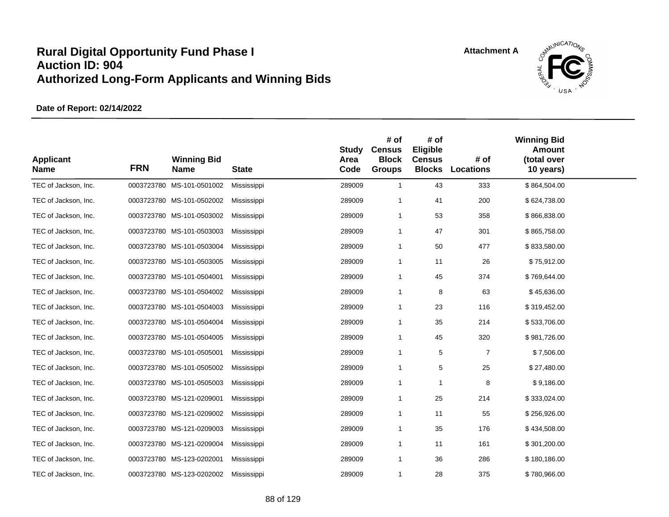

| <b>Applicant</b><br><b>Name</b> | <b>FRN</b> | <b>Winning Bid</b><br><b>Name</b> | <b>State</b> | <b>Study</b><br>Area<br>Code | # of<br><b>Census</b><br><b>Block</b><br><b>Groups</b> | # of<br>Eligible<br><b>Census</b><br><b>Blocks</b> | # of<br>Locations | <b>Winning Bid</b><br><b>Amount</b><br>(total over<br>10 years) |  |
|---------------------------------|------------|-----------------------------------|--------------|------------------------------|--------------------------------------------------------|----------------------------------------------------|-------------------|-----------------------------------------------------------------|--|
| TEC of Jackson, Inc.            |            | 0003723780 MS-101-0501002         | Mississippi  | 289009                       | $\mathbf{1}$                                           | 43                                                 | 333               | \$864,504.00                                                    |  |
| TEC of Jackson, Inc.            |            | 0003723780 MS-101-0502002         | Mississippi  | 289009                       | -1                                                     | 41                                                 | 200               | \$624,738.00                                                    |  |
| TEC of Jackson, Inc.            |            | 0003723780 MS-101-0503002         | Mississippi  | 289009                       | $\mathbf{1}$                                           | 53                                                 | 358               | \$866,838.00                                                    |  |
| TEC of Jackson, Inc.            |            | 0003723780 MS-101-0503003         | Mississippi  | 289009                       | $\mathbf{1}$                                           | 47                                                 | 301               | \$865,758.00                                                    |  |
| TEC of Jackson, Inc.            |            | 0003723780 MS-101-0503004         | Mississippi  | 289009                       | $\mathbf{1}$                                           | 50                                                 | 477               | \$833,580.00                                                    |  |
| TEC of Jackson, Inc.            |            | 0003723780 MS-101-0503005         | Mississippi  | 289009                       | $\mathbf{1}$                                           | 11                                                 | 26                | \$75,912.00                                                     |  |
| TEC of Jackson, Inc.            |            | 0003723780 MS-101-0504001         | Mississippi  | 289009                       | $\mathbf{1}$                                           | 45                                                 | 374               | \$769,644.00                                                    |  |
| TEC of Jackson, Inc.            |            | 0003723780 MS-101-0504002         | Mississippi  | 289009                       | -1                                                     | 8                                                  | 63                | \$45,636.00                                                     |  |
| TEC of Jackson, Inc.            |            | 0003723780 MS-101-0504003         | Mississippi  | 289009                       | $\mathbf{1}$                                           | 23                                                 | 116               | \$319,452.00                                                    |  |
| TEC of Jackson, Inc.            |            | 0003723780 MS-101-0504004         | Mississippi  | 289009                       | -1                                                     | 35                                                 | 214               | \$533,706.00                                                    |  |
| TEC of Jackson, Inc.            |            | 0003723780 MS-101-0504005         | Mississippi  | 289009                       | $\mathbf{1}$                                           | 45                                                 | 320               | \$981,726.00                                                    |  |
| TEC of Jackson, Inc.            |            | 0003723780 MS-101-0505001         | Mississippi  | 289009                       | $\mathbf{1}$                                           | 5                                                  | $\overline{7}$    | \$7,506.00                                                      |  |
| TEC of Jackson, Inc.            |            | 0003723780 MS-101-0505002         | Mississippi  | 289009                       | $\mathbf{1}$                                           | 5                                                  | 25                | \$27,480.00                                                     |  |
| TEC of Jackson, Inc.            |            | 0003723780 MS-101-0505003         | Mississippi  | 289009                       | $\mathbf{1}$                                           | $\overline{1}$                                     | 8                 | \$9,186.00                                                      |  |
| TEC of Jackson, Inc.            |            | 0003723780 MS-121-0209001         | Mississippi  | 289009                       | $\mathbf{1}$                                           | 25                                                 | 214               | \$333,024.00                                                    |  |
| TEC of Jackson, Inc.            |            | 0003723780 MS-121-0209002         | Mississippi  | 289009                       | $\mathbf 1$                                            | 11                                                 | 55                | \$256,926.00                                                    |  |
| TEC of Jackson, Inc.            |            | 0003723780 MS-121-0209003         | Mississippi  | 289009                       | $\mathbf 1$                                            | 35                                                 | 176               | \$434,508.00                                                    |  |
| TEC of Jackson, Inc.            |            | 0003723780 MS-121-0209004         | Mississippi  | 289009                       | -1                                                     | 11                                                 | 161               | \$301,200.00                                                    |  |
| TEC of Jackson, Inc.            |            | 0003723780 MS-123-0202001         | Mississippi  | 289009                       | $\mathbf{1}$                                           | 36                                                 | 286               | \$180,186.00                                                    |  |
| TEC of Jackson, Inc.            |            | 0003723780 MS-123-0202002         | Mississippi  | 289009                       | $\mathbf 1$                                            | 28                                                 | 375               | \$780,966.00                                                    |  |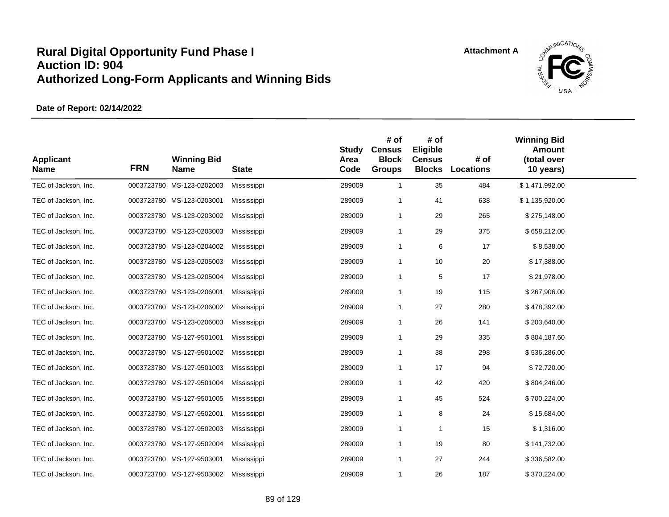

| <b>Applicant</b><br><b>Name</b> | <b>FRN</b> | <b>Winning Bid</b><br>Name | <b>State</b> | <b>Study</b><br>Area<br>Code | # of<br><b>Census</b><br><b>Block</b><br><b>Groups</b> | # of<br>Eligible<br><b>Census</b><br><b>Blocks</b> | # of<br><b>Locations</b> | <b>Winning Bid</b><br><b>Amount</b><br>(total over<br>10 years) |  |
|---------------------------------|------------|----------------------------|--------------|------------------------------|--------------------------------------------------------|----------------------------------------------------|--------------------------|-----------------------------------------------------------------|--|
| TEC of Jackson, Inc.            |            | 0003723780 MS-123-0202003  | Mississippi  | 289009                       | $\overline{1}$                                         | 35                                                 | 484                      | \$1,471,992.00                                                  |  |
| TEC of Jackson, Inc.            |            | 0003723780 MS-123-0203001  | Mississippi  | 289009                       | $\overline{\mathbf{1}}$                                | 41                                                 | 638                      | \$1,135,920.00                                                  |  |
| TEC of Jackson, Inc.            |            | 0003723780 MS-123-0203002  | Mississippi  | 289009                       | $\overline{1}$                                         | 29                                                 | 265                      | \$275,148.00                                                    |  |
| TEC of Jackson, Inc.            |            | 0003723780 MS-123-0203003  | Mississippi  | 289009                       | $\overline{1}$                                         | 29                                                 | 375                      | \$658,212.00                                                    |  |
| TEC of Jackson, Inc.            |            | 0003723780 MS-123-0204002  | Mississippi  | 289009                       | $\overline{1}$                                         | 6                                                  | 17                       | \$8,538.00                                                      |  |
| TEC of Jackson, Inc.            |            | 0003723780 MS-123-0205003  | Mississippi  | 289009                       | $\overline{1}$                                         | 10                                                 | 20                       | \$17,388.00                                                     |  |
| TEC of Jackson, Inc.            |            | 0003723780 MS-123-0205004  | Mississippi  | 289009                       | $\overline{1}$                                         | 5                                                  | 17                       | \$21,978.00                                                     |  |
| TEC of Jackson, Inc.            |            | 0003723780 MS-123-0206001  | Mississippi  | 289009                       | $\overline{1}$                                         | 19                                                 | 115                      | \$267,906.00                                                    |  |
| TEC of Jackson, Inc.            |            | 0003723780 MS-123-0206002  | Mississippi  | 289009                       | $\overline{1}$                                         | 27                                                 | 280                      | \$478,392.00                                                    |  |
| TEC of Jackson, Inc.            |            | 0003723780 MS-123-0206003  | Mississippi  | 289009                       | -1                                                     | 26                                                 | 141                      | \$203,640.00                                                    |  |
| TEC of Jackson, Inc.            |            | 0003723780 MS-127-9501001  | Mississippi  | 289009                       | $\overline{1}$                                         | 29                                                 | 335                      | \$804,187.60                                                    |  |
| TEC of Jackson, Inc.            |            | 0003723780 MS-127-9501002  | Mississippi  | 289009                       | $\overline{1}$                                         | 38                                                 | 298                      | \$536,286.00                                                    |  |
| TEC of Jackson, Inc.            |            | 0003723780 MS-127-9501003  | Mississippi  | 289009                       | $\overline{1}$                                         | 17                                                 | 94                       | \$72,720.00                                                     |  |
| TEC of Jackson, Inc.            |            | 0003723780 MS-127-9501004  | Mississippi  | 289009                       | $\overline{1}$                                         | 42                                                 | 420                      | \$804,246.00                                                    |  |
| TEC of Jackson, Inc.            |            | 0003723780 MS-127-9501005  | Mississippi  | 289009                       | $\overline{1}$                                         | 45                                                 | 524                      | \$700,224.00                                                    |  |
| TEC of Jackson, Inc.            |            | 0003723780 MS-127-9502001  | Mississippi  | 289009                       | $\overline{1}$                                         | 8                                                  | 24                       | \$15,684.00                                                     |  |
| TEC of Jackson, Inc.            |            | 0003723780 MS-127-9502003  | Mississippi  | 289009                       | $\overline{1}$                                         | -1                                                 | 15                       | \$1,316.00                                                      |  |
| TEC of Jackson, Inc.            |            | 0003723780 MS-127-9502004  | Mississippi  | 289009                       | $\overline{1}$                                         | 19                                                 | 80                       | \$141,732.00                                                    |  |
| TEC of Jackson, Inc.            |            | 0003723780 MS-127-9503001  | Mississippi  | 289009                       | $\overline{1}$                                         | 27                                                 | 244                      | \$336,582.00                                                    |  |
| TEC of Jackson, Inc.            |            | 0003723780 MS-127-9503002  | Mississippi  | 289009                       | $\mathbf 1$                                            | 26                                                 | 187                      | \$370,224.00                                                    |  |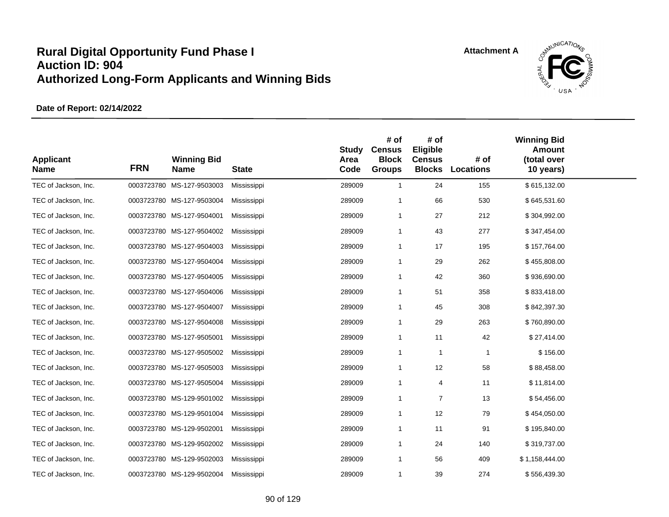

| <b>Applicant</b><br><b>Name</b> | <b>FRN</b> | <b>Winning Bid</b><br><b>Name</b> | <b>State</b> | <b>Study</b><br>Area<br>Code | # of<br><b>Census</b><br><b>Block</b><br><b>Groups</b> | # of<br>Eligible<br><b>Census</b><br><b>Blocks</b> | # of<br>Locations | <b>Winning Bid</b><br><b>Amount</b><br>(total over<br>10 years) |  |
|---------------------------------|------------|-----------------------------------|--------------|------------------------------|--------------------------------------------------------|----------------------------------------------------|-------------------|-----------------------------------------------------------------|--|
| TEC of Jackson, Inc.            |            | 0003723780 MS-127-9503003         | Mississippi  | 289009                       | $\mathbf{1}$                                           | 24                                                 | 155               | \$615,132.00                                                    |  |
| TEC of Jackson, Inc.            |            | 0003723780 MS-127-9503004         | Mississippi  | 289009                       | -1                                                     | 66                                                 | 530               | \$645,531.60                                                    |  |
| TEC of Jackson, Inc.            |            | 0003723780 MS-127-9504001         | Mississippi  | 289009                       | $\mathbf{1}$                                           | 27                                                 | 212               | \$304,992.00                                                    |  |
| TEC of Jackson, Inc.            |            | 0003723780 MS-127-9504002         | Mississippi  | 289009                       | $\mathbf{1}$                                           | 43                                                 | 277               | \$347,454.00                                                    |  |
| TEC of Jackson, Inc.            |            | 0003723780 MS-127-9504003         | Mississippi  | 289009                       | $\mathbf{1}$                                           | 17                                                 | 195               | \$157,764.00                                                    |  |
| TEC of Jackson, Inc.            |            | 0003723780 MS-127-9504004         | Mississippi  | 289009                       | $\mathbf{1}$                                           | 29                                                 | 262               | \$455,808.00                                                    |  |
| TEC of Jackson, Inc.            |            | 0003723780 MS-127-9504005         | Mississippi  | 289009                       | $\mathbf{1}$                                           | 42                                                 | 360               | \$936,690.00                                                    |  |
| TEC of Jackson, Inc.            |            | 0003723780 MS-127-9504006         | Mississippi  | 289009                       | -1                                                     | 51                                                 | 358               | \$833,418.00                                                    |  |
| TEC of Jackson, Inc.            |            | 0003723780 MS-127-9504007         | Mississippi  | 289009                       | $\mathbf 1$                                            | 45                                                 | 308               | \$842,397.30                                                    |  |
| TEC of Jackson, Inc.            |            | 0003723780 MS-127-9504008         | Mississippi  | 289009                       | -1                                                     | 29                                                 | 263               | \$760,890.00                                                    |  |
| TEC of Jackson, Inc.            |            | 0003723780 MS-127-9505001         | Mississippi  | 289009                       | $\mathbf{1}$                                           | 11                                                 | 42                | \$27,414.00                                                     |  |
| TEC of Jackson, Inc.            |            | 0003723780 MS-127-9505002         | Mississippi  | 289009                       | $\mathbf{1}$                                           | $\mathbf 1$                                        | $\mathbf{1}$      | \$156.00                                                        |  |
| TEC of Jackson, Inc.            |            | 0003723780 MS-127-9505003         | Mississippi  | 289009                       | $\mathbf{1}$                                           | 12                                                 | 58                | \$88,458.00                                                     |  |
| TEC of Jackson, Inc.            |            | 0003723780 MS-127-9505004         | Mississippi  | 289009                       | $\mathbf{1}$                                           | $\overline{4}$                                     | 11                | \$11,814.00                                                     |  |
| TEC of Jackson, Inc.            |            | 0003723780 MS-129-9501002         | Mississippi  | 289009                       | $\mathbf{1}$                                           | $\overline{7}$                                     | 13                | \$54,456.00                                                     |  |
| TEC of Jackson, Inc.            |            | 0003723780 MS-129-9501004         | Mississippi  | 289009                       | $\mathbf{1}$                                           | 12                                                 | 79                | \$454,050.00                                                    |  |
| TEC of Jackson, Inc.            |            | 0003723780 MS-129-9502001         | Mississippi  | 289009                       | $\mathbf 1$                                            | 11                                                 | 91                | \$195,840.00                                                    |  |
| TEC of Jackson, Inc.            |            | 0003723780 MS-129-9502002         | Mississippi  | 289009                       | -1                                                     | 24                                                 | 140               | \$319,737.00                                                    |  |
| TEC of Jackson, Inc.            |            | 0003723780 MS-129-9502003         | Mississippi  | 289009                       | $\mathbf{1}$                                           | 56                                                 | 409               | \$1,158,444.00                                                  |  |
| TEC of Jackson, Inc.            |            | 0003723780 MS-129-9502004         | Mississippi  | 289009                       | $\mathbf{1}$                                           | 39                                                 | 274               | \$556,439.30                                                    |  |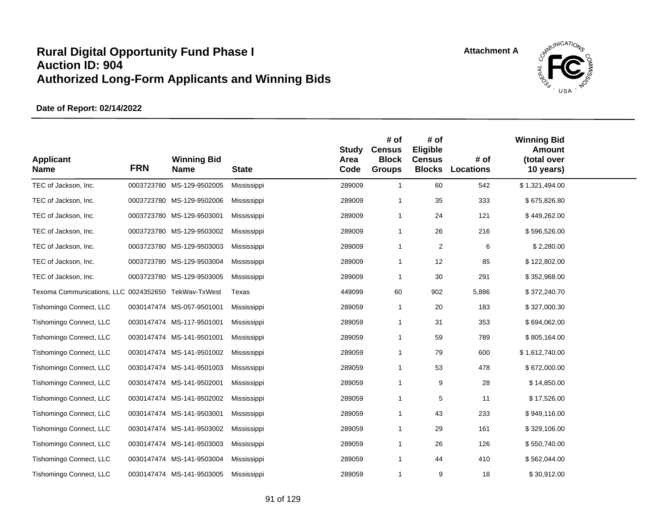

| <b>Applicant</b><br><b>Name</b>                     | <b>FRN</b> | <b>Winning Bid</b><br><b>Name</b> | <b>State</b> | <b>Study</b><br>Area<br>Code | # of<br><b>Census</b><br><b>Block</b><br><b>Groups</b> | # of<br>Eligible<br><b>Census</b><br><b>Blocks</b> | # of<br><b>Locations</b> | <b>Winning Bid</b><br><b>Amount</b><br>(total over<br>10 years) |  |
|-----------------------------------------------------|------------|-----------------------------------|--------------|------------------------------|--------------------------------------------------------|----------------------------------------------------|--------------------------|-----------------------------------------------------------------|--|
| TEC of Jackson, Inc.                                |            | 0003723780 MS-129-9502005         | Mississippi  | 289009                       | $\overline{1}$                                         | 60                                                 | 542                      | \$1,321,494.00                                                  |  |
| TEC of Jackson, Inc.                                |            | 0003723780 MS-129-9502006         | Mississippi  | 289009                       | -1                                                     | 35                                                 | 333                      | \$675,826.80                                                    |  |
| TEC of Jackson, Inc.                                |            | 0003723780 MS-129-9503001         | Mississippi  | 289009                       | $\overline{1}$                                         | 24                                                 | 121                      | \$449,262.00                                                    |  |
| TEC of Jackson, Inc.                                |            | 0003723780 MS-129-9503002         | Mississippi  | 289009                       | $\overline{1}$                                         | 26                                                 | 216                      | \$596,526.00                                                    |  |
| TEC of Jackson, Inc.                                |            | 0003723780 MS-129-9503003         | Mississippi  | 289009                       | $\overline{1}$                                         | $\boldsymbol{2}$                                   | 6                        | \$2,280.00                                                      |  |
| TEC of Jackson, Inc.                                |            | 0003723780 MS-129-9503004         | Mississippi  | 289009                       | $\overline{1}$                                         | 12                                                 | 85                       | \$122,802.00                                                    |  |
| TEC of Jackson, Inc.                                |            | 0003723780 MS-129-9503005         | Mississippi  | 289009                       | $\overline{1}$                                         | 30                                                 | 291                      | \$352,968.00                                                    |  |
| Texoma Communications, LLC 0024352650 TekWav-TxWest |            |                                   | Texas        | 449099                       | 60                                                     | 902                                                | 5,886                    | \$372,240.70                                                    |  |
| Tishomingo Connect, LLC                             |            | 0030147474 MS-057-9501001         | Mississippi  | 289059                       | $\overline{1}$                                         | 20                                                 | 183                      | \$327,000.30                                                    |  |
| Tishomingo Connect, LLC                             |            | 0030147474 MS-117-9501001         | Mississippi  | 289059                       | $\overline{1}$                                         | 31                                                 | 353                      | \$694,062.00                                                    |  |
| Tishomingo Connect, LLC                             |            | 0030147474 MS-141-9501001         | Mississippi  | 289059                       | $\overline{1}$                                         | 59                                                 | 789                      | \$805,164.00                                                    |  |
| Tishomingo Connect, LLC                             |            | 0030147474 MS-141-9501002         | Mississippi  | 289059                       | $\mathbf 1$                                            | 79                                                 | 600                      | \$1,612,740.00                                                  |  |
| Tishomingo Connect, LLC                             |            | 0030147474 MS-141-9501003         | Mississippi  | 289059                       | $\overline{1}$                                         | 53                                                 | 478                      | \$672,000.00                                                    |  |
| Tishomingo Connect, LLC                             |            | 0030147474 MS-141-9502001         | Mississippi  | 289059                       | $\overline{1}$                                         | 9                                                  | 28                       | \$14,850.00                                                     |  |
| Tishomingo Connect, LLC                             |            | 0030147474 MS-141-9502002         | Mississippi  | 289059                       | $\overline{1}$                                         | 5                                                  | 11                       | \$17,526.00                                                     |  |
| Tishomingo Connect, LLC                             |            | 0030147474 MS-141-9503001         | Mississippi  | 289059                       | $\overline{1}$                                         | 43                                                 | 233                      | \$949,116.00                                                    |  |
| Tishomingo Connect, LLC                             |            | 0030147474 MS-141-9503002         | Mississippi  | 289059                       | $\overline{1}$                                         | 29                                                 | 161                      | \$329,106.00                                                    |  |
| Tishomingo Connect, LLC                             |            | 0030147474 MS-141-9503003         | Mississippi  | 289059                       | $\overline{1}$                                         | 26                                                 | 126                      | \$550,740.00                                                    |  |
| Tishomingo Connect, LLC                             |            | 0030147474 MS-141-9503004         | Mississippi  | 289059                       | $\overline{1}$                                         | 44                                                 | 410                      | \$562,044.00                                                    |  |
| Tishomingo Connect, LLC                             |            | 0030147474 MS-141-9503005         | Mississippi  | 289059                       | $\mathbf 1$                                            | 9                                                  | 18                       | \$30,912.00                                                     |  |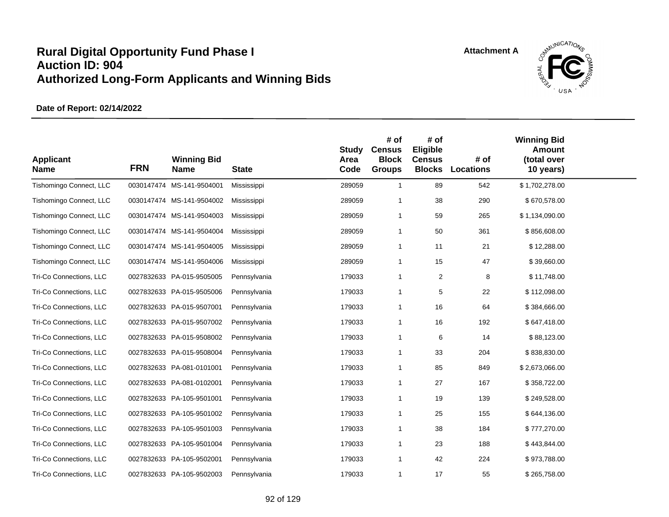

| <b>Applicant</b><br><b>Name</b> | <b>FRN</b> | <b>Winning Bid</b><br><b>Name</b> | <b>State</b> | <b>Study</b><br>Area<br>Code | # of<br><b>Census</b><br><b>Block</b><br><b>Groups</b> | # of<br>Eligible<br><b>Census</b><br><b>Blocks</b> | # of<br><b>Locations</b> | <b>Winning Bid</b><br><b>Amount</b><br>(total over<br>10 years) |  |
|---------------------------------|------------|-----------------------------------|--------------|------------------------------|--------------------------------------------------------|----------------------------------------------------|--------------------------|-----------------------------------------------------------------|--|
| Tishomingo Connect, LLC         |            | 0030147474 MS-141-9504001         | Mississippi  | 289059                       | $\mathbf{1}$                                           | 89                                                 | 542                      | \$1,702,278.00                                                  |  |
| Tishomingo Connect, LLC         |            | 0030147474 MS-141-9504002         | Mississippi  | 289059                       | -1                                                     | 38                                                 | 290                      | \$670,578.00                                                    |  |
| Tishomingo Connect, LLC         |            | 0030147474 MS-141-9504003         | Mississippi  | 289059                       | $\overline{1}$                                         | 59                                                 | 265                      | \$1,134,090.00                                                  |  |
| Tishomingo Connect, LLC         |            | 0030147474 MS-141-9504004         | Mississippi  | 289059                       | $\overline{1}$                                         | 50                                                 | 361                      | \$856,608.00                                                    |  |
| Tishomingo Connect, LLC         |            | 0030147474 MS-141-9504005         | Mississippi  | 289059                       | $\overline{1}$                                         | 11                                                 | 21                       | \$12,288.00                                                     |  |
| Tishomingo Connect, LLC         |            | 0030147474 MS-141-9504006         | Mississippi  | 289059                       | $\overline{1}$                                         | 15                                                 | 47                       | \$39,660.00                                                     |  |
| Tri-Co Connections, LLC         |            | 0027832633 PA-015-9505005         | Pennsylvania | 179033                       | $\overline{1}$                                         | 2                                                  | 8                        | \$11,748.00                                                     |  |
| Tri-Co Connections, LLC         |            | 0027832633 PA-015-9505006         | Pennsylvania | 179033                       | $\overline{1}$                                         | 5                                                  | 22                       | \$112,098.00                                                    |  |
| Tri-Co Connections, LLC         |            | 0027832633 PA-015-9507001         | Pennsylvania | 179033                       | $\overline{1}$                                         | 16                                                 | 64                       | \$384,666.00                                                    |  |
| Tri-Co Connections, LLC         |            | 0027832633 PA-015-9507002         | Pennsylvania | 179033                       | $\overline{1}$                                         | 16                                                 | 192                      | \$647,418.00                                                    |  |
| Tri-Co Connections, LLC         |            | 0027832633 PA-015-9508002         | Pennsylvania | 179033                       | $\overline{1}$                                         | 6                                                  | 14                       | \$88,123.00                                                     |  |
| Tri-Co Connections, LLC         |            | 0027832633 PA-015-9508004         | Pennsylvania | 179033                       | $\mathbf 1$                                            | 33                                                 | 204                      | \$838,830.00                                                    |  |
| Tri-Co Connections, LLC         |            | 0027832633 PA-081-0101001         | Pennsylvania | 179033                       | $\overline{1}$                                         | 85                                                 | 849                      | \$2,673,066.00                                                  |  |
| Tri-Co Connections, LLC         |            | 0027832633 PA-081-0102001         | Pennsylvania | 179033                       | $\overline{1}$                                         | 27                                                 | 167                      | \$358,722.00                                                    |  |
| Tri-Co Connections, LLC         |            | 0027832633 PA-105-9501001         | Pennsylvania | 179033                       | $\overline{1}$                                         | 19                                                 | 139                      | \$249,528.00                                                    |  |
| Tri-Co Connections, LLC         |            | 0027832633 PA-105-9501002         | Pennsylvania | 179033                       | $\overline{1}$                                         | 25                                                 | 155                      | \$644,136.00                                                    |  |
| Tri-Co Connections, LLC         |            | 0027832633 PA-105-9501003         | Pennsylvania | 179033                       | $\overline{1}$                                         | 38                                                 | 184                      | \$777,270.00                                                    |  |
| Tri-Co Connections, LLC         |            | 0027832633 PA-105-9501004         | Pennsylvania | 179033                       | $\overline{1}$                                         | 23                                                 | 188                      | \$443,844.00                                                    |  |
| Tri-Co Connections, LLC         |            | 0027832633 PA-105-9502001         | Pennsylvania | 179033                       | $\overline{1}$                                         | 42                                                 | 224                      | \$973,788.00                                                    |  |
| Tri-Co Connections, LLC         |            | 0027832633 PA-105-9502003         | Pennsylvania | 179033                       | $\mathbf 1$                                            | 17                                                 | 55                       | \$265,758.00                                                    |  |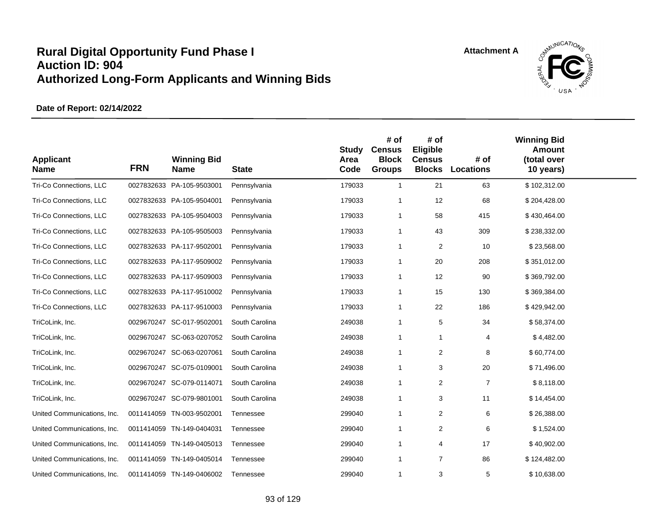

| <b>Applicant</b><br><b>Name</b> | <b>FRN</b> | <b>Winning Bid</b><br><b>Name</b> | <b>State</b>   | <b>Study</b><br>Area<br>Code | # of<br><b>Census</b><br><b>Block</b><br><b>Groups</b> | # of<br>Eligible<br><b>Census</b><br><b>Blocks</b> | # of<br><b>Locations</b> | <b>Winning Bid</b><br><b>Amount</b><br>(total over<br>10 years) |  |
|---------------------------------|------------|-----------------------------------|----------------|------------------------------|--------------------------------------------------------|----------------------------------------------------|--------------------------|-----------------------------------------------------------------|--|
| Tri-Co Connections, LLC         |            | 0027832633 PA-105-9503001         | Pennsylvania   | 179033                       | $\mathbf{1}$                                           | 21                                                 | 63                       | \$102,312.00                                                    |  |
| Tri-Co Connections, LLC         |            | 0027832633 PA-105-9504001         | Pennsylvania   | 179033                       | $\overline{\mathbf{1}}$                                | 12                                                 | 68                       | \$204,428.00                                                    |  |
| Tri-Co Connections, LLC         |            | 0027832633 PA-105-9504003         | Pennsylvania   | 179033                       | $\overline{1}$                                         | 58                                                 | 415                      | \$430,464.00                                                    |  |
| Tri-Co Connections, LLC         |            | 0027832633 PA-105-9505003         | Pennsylvania   | 179033                       | $\overline{1}$                                         | 43                                                 | 309                      | \$238,332.00                                                    |  |
| Tri-Co Connections, LLC         |            | 0027832633 PA-117-9502001         | Pennsylvania   | 179033                       | $\overline{1}$                                         | $\overline{2}$                                     | 10                       | \$23,568.00                                                     |  |
| Tri-Co Connections, LLC         |            | 0027832633 PA-117-9509002         | Pennsylvania   | 179033                       | $\overline{1}$                                         | 20                                                 | 208                      | \$351,012.00                                                    |  |
| Tri-Co Connections, LLC         |            | 0027832633 PA-117-9509003         | Pennsylvania   | 179033                       | $\overline{1}$                                         | 12                                                 | 90                       | \$369,792.00                                                    |  |
| Tri-Co Connections, LLC         |            | 0027832633 PA-117-9510002         | Pennsylvania   | 179033                       | $\overline{1}$                                         | 15                                                 | 130                      | \$369,384.00                                                    |  |
| Tri-Co Connections, LLC         |            | 0027832633 PA-117-9510003         | Pennsylvania   | 179033                       | $\overline{1}$                                         | 22                                                 | 186                      | \$429,942.00                                                    |  |
| TriCoLink, Inc.                 |            | 0029670247 SC-017-9502001         | South Carolina | 249038                       | $\overline{1}$                                         | 5                                                  | 34                       | \$58,374.00                                                     |  |
| TriCoLink, Inc.                 |            | 0029670247 SC-063-0207052         | South Carolina | 249038                       | $\overline{1}$                                         | $\overline{1}$                                     | 4                        | \$4,482.00                                                      |  |
| TriCoLink, Inc.                 |            | 0029670247 SC-063-0207061         | South Carolina | 249038                       | $\overline{1}$                                         | 2                                                  | 8                        | \$60,774.00                                                     |  |
| TriCoLink, Inc.                 |            | 0029670247 SC-075-0109001         | South Carolina | 249038                       | $\overline{1}$                                         | 3                                                  | 20                       | \$71,496.00                                                     |  |
| TriCoLink, Inc.                 |            | 0029670247 SC-079-0114071         | South Carolina | 249038                       | $\overline{1}$                                         | $\overline{2}$                                     | $\overline{7}$           | \$8,118.00                                                      |  |
| TriCoLink, Inc.                 |            | 0029670247 SC-079-9801001         | South Carolina | 249038                       | $\overline{1}$                                         | 3                                                  | 11                       | \$14,454.00                                                     |  |
| United Communications, Inc.     |            | 0011414059 TN-003-9502001         | Tennessee      | 299040                       | $\overline{1}$                                         | 2                                                  | 6                        | \$26,388.00                                                     |  |
| United Communications, Inc.     |            | 0011414059 TN-149-0404031         | Tennessee      | 299040                       | $\overline{1}$                                         | 2                                                  | 6                        | \$1,524.00                                                      |  |
| United Communications, Inc.     |            | 0011414059 TN-149-0405013         | Tennessee      | 299040                       | $\overline{1}$                                         | 4                                                  | 17                       | \$40,902.00                                                     |  |
| United Communications, Inc.     |            | 0011414059 TN-149-0405014         | Tennessee      | 299040                       | $\overline{1}$                                         | $\overline{7}$                                     | 86                       | \$124,482.00                                                    |  |
| United Communications, Inc.     |            | 0011414059 TN-149-0406002         | Tennessee      | 299040                       | $\mathbf 1$                                            | 3                                                  | 5                        | \$10,638.00                                                     |  |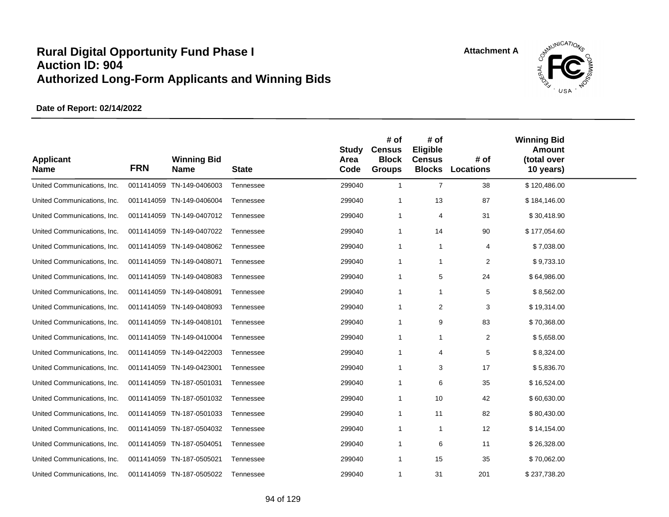

| <b>Applicant</b><br><b>Name</b> | <b>FRN</b> | <b>Winning Bid</b><br><b>Name</b> | <b>State</b> | <b>Study</b><br>Area<br>Code | # of<br><b>Census</b><br><b>Block</b><br><b>Groups</b> | # of<br>Eligible<br><b>Census</b><br><b>Blocks</b> | # of<br><b>Locations</b> | <b>Winning Bid</b><br><b>Amount</b><br>(total over<br>10 years) |  |
|---------------------------------|------------|-----------------------------------|--------------|------------------------------|--------------------------------------------------------|----------------------------------------------------|--------------------------|-----------------------------------------------------------------|--|
| United Communications, Inc.     |            | 0011414059 TN-149-0406003         | Tennessee    | 299040                       | $\mathbf{1}$                                           | $\overline{7}$                                     | 38                       | \$120,486.00                                                    |  |
| United Communications, Inc.     |            | 0011414059 TN-149-0406004         | Tennessee    | 299040                       | -1                                                     | 13                                                 | 87                       | \$184,146.00                                                    |  |
| United Communications, Inc.     |            | 0011414059 TN-149-0407012         | Tennessee    | 299040                       | $\overline{1}$                                         | 4                                                  | 31                       | \$30,418.90                                                     |  |
| United Communications, Inc.     |            | 0011414059 TN-149-0407022         | Tennessee    | 299040                       | -1                                                     | 14                                                 | 90                       | \$177,054.60                                                    |  |
| United Communications, Inc.     |            | 0011414059 TN-149-0408062         | Tennessee    | 299040                       | $\overline{1}$                                         | $\overline{1}$                                     | 4                        | \$7,038.00                                                      |  |
| United Communications, Inc.     |            | 0011414059 TN-149-0408071         | Tennessee    | 299040                       | $\overline{1}$                                         | -1                                                 | 2                        | \$9,733.10                                                      |  |
| United Communications, Inc.     |            | 0011414059 TN-149-0408083         | Tennessee    | 299040                       | $\overline{1}$                                         | 5                                                  | 24                       | \$64,986.00                                                     |  |
| United Communications, Inc.     |            | 0011414059 TN-149-0408091         | Tennessee    | 299040                       | -1                                                     | -1                                                 | 5                        | \$8,562.00                                                      |  |
| United Communications, Inc.     |            | 0011414059 TN-149-0408093         | Tennessee    | 299040                       | -1                                                     | $\overline{2}$                                     | 3                        | \$19,314.00                                                     |  |
| United Communications, Inc.     |            | 0011414059 TN-149-0408101         | Tennessee    | 299040                       | -1                                                     | 9                                                  | 83                       | \$70,368.00                                                     |  |
| United Communications, Inc.     |            | 0011414059 TN-149-0410004         | Tennessee    | 299040                       | -1                                                     | $\mathbf{1}$                                       | $\overline{c}$           | \$5,658.00                                                      |  |
| United Communications, Inc.     |            | 0011414059 TN-149-0422003         | Tennessee    | 299040                       | -1                                                     | $\overline{4}$                                     | 5                        | \$8,324.00                                                      |  |
| United Communications, Inc.     |            | 0011414059 TN-149-0423001         | Tennessee    | 299040                       | -1                                                     | 3                                                  | 17                       | \$5,836.70                                                      |  |
| United Communications, Inc.     |            | 0011414059 TN-187-0501031         | Tennessee    | 299040                       | -1                                                     | 6                                                  | 35                       | \$16,524.00                                                     |  |
| United Communications, Inc.     |            | 0011414059 TN-187-0501032         | Tennessee    | 299040                       | $\overline{1}$                                         | 10                                                 | 42                       | \$60,630.00                                                     |  |
| United Communications, Inc.     |            | 0011414059 TN-187-0501033         | Tennessee    | 299040                       | $\overline{1}$                                         | 11                                                 | 82                       | \$80,430.00                                                     |  |
| United Communications, Inc.     |            | 0011414059 TN-187-0504032         | Tennessee    | 299040                       | $\mathbf{1}$                                           | -1                                                 | 12                       | \$14,154.00                                                     |  |
| United Communications, Inc.     |            | 0011414059 TN-187-0504051         | Tennessee    | 299040                       | -1                                                     | 6                                                  | 11                       | \$26,328.00                                                     |  |
| United Communications, Inc.     |            | 0011414059 TN-187-0505021         | Tennessee    | 299040                       | -1                                                     | 15                                                 | 35                       | \$70,062.00                                                     |  |
| United Communications, Inc.     |            | 0011414059 TN-187-0505022         | Tennessee    | 299040                       | $\overline{1}$                                         | 31                                                 | 201                      | \$237,738.20                                                    |  |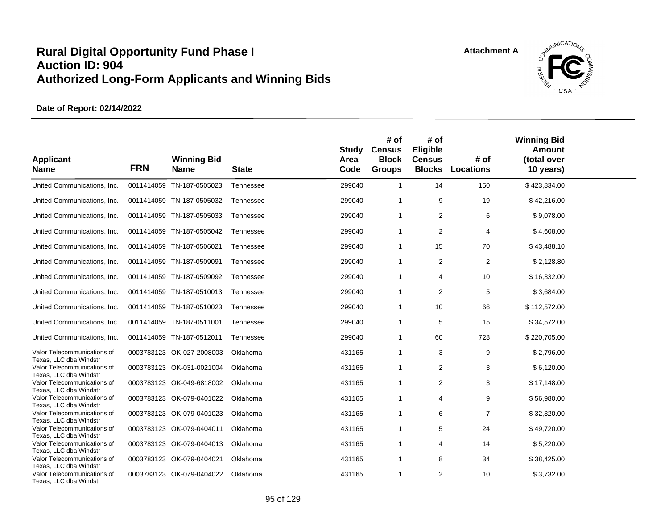

| <b>Applicant</b><br><b>Name</b>                                                 | <b>FRN</b> | <b>Winning Bid</b><br><b>Name</b> | <b>State</b> | <b>Study</b><br>Area<br>Code | # of<br><b>Census</b><br><b>Block</b><br><b>Groups</b> | # of<br>Eligible<br><b>Census</b><br><b>Blocks</b> | # of<br><b>Locations</b> | <b>Winning Bid</b><br><b>Amount</b><br>(total over<br>10 years) |  |
|---------------------------------------------------------------------------------|------------|-----------------------------------|--------------|------------------------------|--------------------------------------------------------|----------------------------------------------------|--------------------------|-----------------------------------------------------------------|--|
| United Communications, Inc.                                                     |            | 0011414059 TN-187-0505023         | Tennessee    | 299040                       | $\mathbf{1}$                                           | 14                                                 | 150                      | \$423,834.00                                                    |  |
| United Communications, Inc.                                                     |            | 0011414059 TN-187-0505032         | Tennessee    | 299040                       | $\overline{1}$                                         | 9                                                  | 19                       | \$42,216.00                                                     |  |
| United Communications, Inc.                                                     |            | 0011414059 TN-187-0505033         | Tennessee    | 299040                       | $\mathbf{1}$                                           | 2                                                  | 6                        | \$9,078.00                                                      |  |
| United Communications, Inc.                                                     |            | 0011414059 TN-187-0505042         | Tennessee    | 299040                       | $\mathbf{1}$                                           | 2                                                  | 4                        | \$4,608.00                                                      |  |
| United Communications, Inc.                                                     |            | 0011414059 TN-187-0506021         | Tennessee    | 299040                       | $\mathbf{1}$                                           | 15                                                 | 70                       | \$43,488.10                                                     |  |
| United Communications, Inc.                                                     |            | 0011414059 TN-187-0509091         | Tennessee    | 299040                       | $\mathbf{1}$                                           | $\overline{2}$                                     | $\overline{2}$           | \$2,128.80                                                      |  |
| United Communications, Inc.                                                     |            | 0011414059 TN-187-0509092         | Tennessee    | 299040                       | $\mathbf{1}$                                           | $\overline{4}$                                     | 10                       | \$16,332.00                                                     |  |
| United Communications, Inc.                                                     |            | 0011414059 TN-187-0510013         | Tennessee    | 299040                       | $\mathbf{1}$                                           | 2                                                  | 5                        | \$3,684.00                                                      |  |
| United Communications, Inc.                                                     |            | 0011414059 TN-187-0510023         | Tennessee    | 299040                       | $\mathbf{1}$                                           | 10                                                 | 66                       | \$112,572.00                                                    |  |
| United Communications, Inc.                                                     |            | 0011414059 TN-187-0511001         | Tennessee    | 299040                       | $\mathbf{1}$                                           | 5                                                  | 15                       | \$34,572.00                                                     |  |
| United Communications, Inc.                                                     |            | 0011414059 TN-187-0512011         | Tennessee    | 299040                       | $\mathbf{1}$                                           | 60                                                 | 728                      | \$220,705.00                                                    |  |
| Valor Telecommunications of<br>Texas. LLC dba Windstr                           |            | 0003783123 OK-027-2008003         | Oklahoma     | 431165                       | $\mathbf{1}$                                           | 3                                                  | 9                        | \$2,796.00                                                      |  |
| Valor Telecommunications of<br>Texas, LLC dba Windstr                           |            | 0003783123 OK-031-0021004         | Oklahoma     | 431165                       | $\mathbf{1}$                                           | 2                                                  | 3                        | \$6,120.00                                                      |  |
| Valor Telecommunications of<br>Texas, LLC dba Windstr                           |            | 0003783123 OK-049-6818002         | Oklahoma     | 431165                       | $\mathbf{1}$                                           | 2                                                  | 3                        | \$17,148.00                                                     |  |
| Valor Telecommunications of<br>Texas, LLC dba Windstr                           |            | 0003783123 OK-079-0401022         | Oklahoma     | 431165                       | $\mathbf{1}$                                           | $\overline{4}$                                     | 9                        | \$56,980.00                                                     |  |
| Valor Telecommunications of<br>Texas, LLC dba Windstr                           |            | 0003783123 OK-079-0401023         | Oklahoma     | 431165                       | $\mathbf{1}$                                           | 6                                                  | $\overline{7}$           | \$32,320.00                                                     |  |
| Valor Telecommunications of                                                     |            | 0003783123 OK-079-0404011         | Oklahoma     | 431165                       | -1                                                     | 5                                                  | 24                       | \$49,720.00                                                     |  |
| Texas, LLC dba Windstr<br>Valor Telecommunications of                           |            | 0003783123 OK-079-0404013         | Oklahoma     | 431165                       | $\mathbf{1}$                                           | $\overline{4}$                                     | 14                       | \$5,220.00                                                      |  |
| Texas, LLC dba Windstr<br>Valor Telecommunications of                           |            | 0003783123 OK-079-0404021         | Oklahoma     | 431165                       | $\mathbf{1}$                                           | 8                                                  | 34                       | \$38,425.00                                                     |  |
| Texas, LLC dba Windstr<br>Valor Telecommunications of<br>Texas, LLC dba Windstr |            | 0003783123 OK-079-0404022         | Oklahoma     | 431165                       | $\mathbf{1}$                                           | 2                                                  | 10                       | \$3,732.00                                                      |  |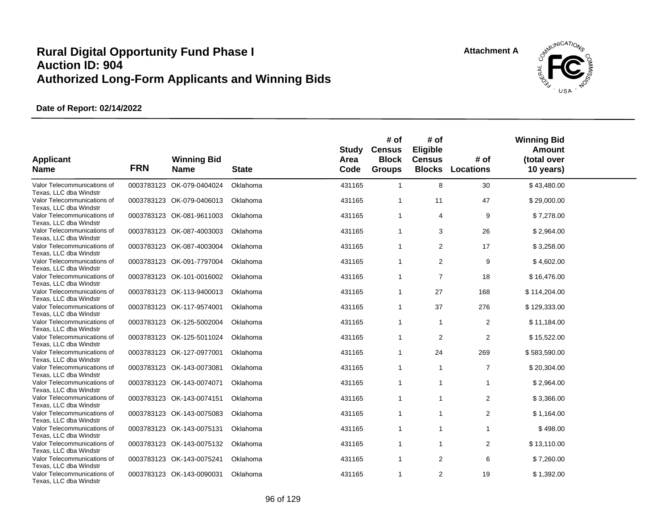

| <b>Applicant</b><br><b>Name</b>                       | <b>FRN</b> | <b>Winning Bid</b><br><b>Name</b> | <b>State</b> | <b>Study</b><br>Area<br>Code | # of<br><b>Census</b><br><b>Block</b><br><b>Groups</b> | # of<br>Eligible<br><b>Census</b><br><b>Blocks</b> | # of<br><b>Locations</b> | <b>Winning Bid</b><br><b>Amount</b><br>(total over<br>10 years) |  |
|-------------------------------------------------------|------------|-----------------------------------|--------------|------------------------------|--------------------------------------------------------|----------------------------------------------------|--------------------------|-----------------------------------------------------------------|--|
| Valor Telecommunications of<br>Texas, LLC dba Windstr |            | 0003783123 OK-079-0404024         | Oklahoma     | 431165                       | $\mathbf{1}$                                           | 8                                                  | 30                       | \$43,480.00                                                     |  |
| Valor Telecommunications of<br>Texas, LLC dba Windstr |            | 0003783123 OK-079-0406013         | Oklahoma     | 431165                       | 1                                                      | 11                                                 | 47                       | \$29,000.00                                                     |  |
| Valor Telecommunications of<br>Texas, LLC dba Windstr |            | 0003783123 OK-081-9611003         | Oklahoma     | 431165                       | $\mathbf{1}$                                           | 4                                                  | 9                        | \$7,278.00                                                      |  |
| Valor Telecommunications of<br>Texas, LLC dba Windstr |            | 0003783123 OK-087-4003003         | Oklahoma     | 431165                       | $\mathbf{1}$                                           | 3                                                  | 26                       | \$2,964.00                                                      |  |
| Valor Telecommunications of<br>Texas, LLC dba Windstr |            | 0003783123 OK-087-4003004         | Oklahoma     | 431165                       | $\mathbf{1}$                                           | 2                                                  | 17                       | \$3,258.00                                                      |  |
| Valor Telecommunications of<br>Texas, LLC dba Windstr |            | 0003783123 OK-091-7797004         | Oklahoma     | 431165                       | $\mathbf{1}$                                           | $\overline{2}$                                     | 9                        | \$4,602.00                                                      |  |
| Valor Telecommunications of<br>Texas, LLC dba Windstr |            | 0003783123 OK-101-0016002         | Oklahoma     | 431165                       | $\overline{1}$                                         | $\overline{7}$                                     | 18                       | \$16,476.00                                                     |  |
| Valor Telecommunications of<br>Texas, LLC dba Windstr |            | 0003783123 OK-113-9400013         | Oklahoma     | 431165                       | $\mathbf{1}$                                           | 27                                                 | 168                      | \$114,204.00                                                    |  |
| Valor Telecommunications of<br>Texas, LLC dba Windstr |            | 0003783123 OK-117-9574001         | Oklahoma     | 431165                       | $\mathbf{1}$                                           | 37                                                 | 276                      | \$129,333.00                                                    |  |
| Valor Telecommunications of<br>Texas, LLC dba Windstr |            | 0003783123 OK-125-5002004         | Oklahoma     | 431165                       | $\mathbf{1}$                                           | $\mathbf{1}$                                       | $\overline{2}$           | \$11,184.00                                                     |  |
| Valor Telecommunications of<br>Texas, LLC dba Windstr |            | 0003783123 OK-125-5011024         | Oklahoma     | 431165                       | $\mathbf{1}$                                           | $\overline{2}$                                     | $\overline{2}$           | \$15,522.00                                                     |  |
| Valor Telecommunications of<br>Texas. LLC dba Windstr |            | 0003783123 OK-127-0977001         | Oklahoma     | 431165                       | $\mathbf{1}$                                           | 24                                                 | 269                      | \$583,590.00                                                    |  |
| Valor Telecommunications of<br>Texas, LLC dba Windstr |            | 0003783123 OK-143-0073081         | Oklahoma     | 431165                       | $\mathbf{1}$                                           | $\mathbf{1}$                                       | $\overline{7}$           | \$20,304.00                                                     |  |
| Valor Telecommunications of<br>Texas. LLC dba Windstr |            | 0003783123 OK-143-0074071         | Oklahoma     | 431165                       | $\mathbf{1}$                                           | $\mathbf{1}$                                       | $\mathbf{1}$             | \$2,964.00                                                      |  |
| Valor Telecommunications of<br>Texas, LLC dba Windstr |            | 0003783123 OK-143-0074151         | Oklahoma     | 431165                       | $\mathbf{1}$                                           | 1                                                  | $\overline{2}$           | \$3,366.00                                                      |  |
| Valor Telecommunications of<br>Texas, LLC dba Windstr |            | 0003783123 OK-143-0075083         | Oklahoma     | 431165                       | $\mathbf{1}$                                           | $\mathbf{1}$                                       | $\overline{2}$           | \$1,164.00                                                      |  |
| Valor Telecommunications of<br>Texas, LLC dba Windstr |            | 0003783123 OK-143-0075131         | Oklahoma     | 431165                       | $\mathbf{1}$                                           | 1                                                  | $\mathbf{1}$             | \$498.00                                                        |  |
| Valor Telecommunications of<br>Texas, LLC dba Windstr |            | 0003783123 OK-143-0075132         | Oklahoma     | 431165                       | $\mathbf{1}$                                           | $\mathbf{1}$                                       | $\overline{2}$           | \$13,110.00                                                     |  |
| Valor Telecommunications of<br>Texas, LLC dba Windstr |            | 0003783123 OK-143-0075241         | Oklahoma     | 431165                       | $\mathbf{1}$                                           | 2                                                  | 6                        | \$7,260.00                                                      |  |
| Valor Telecommunications of<br>Texas, LLC dba Windstr |            | 0003783123 OK-143-0090031         | Oklahoma     | 431165                       | $\mathbf{1}$                                           | $\overline{2}$                                     | 19                       | \$1,392.00                                                      |  |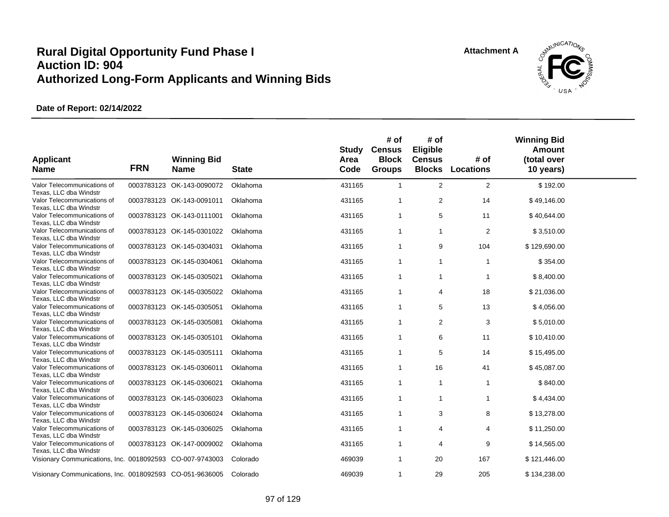

| <b>Applicant</b><br><b>Name</b>                          | <b>FRN</b> | <b>Winning Bid</b><br><b>Name</b> | <b>State</b> | Study<br>Area<br>Code | # of<br><b>Census</b><br><b>Block</b><br><b>Groups</b> | # of<br>Eligible<br><b>Census</b> | # of<br><b>Blocks Locations</b> | <b>Winning Bid</b><br>Amount<br>(total over<br>10 years) |  |
|----------------------------------------------------------|------------|-----------------------------------|--------------|-----------------------|--------------------------------------------------------|-----------------------------------|---------------------------------|----------------------------------------------------------|--|
| Valor Telecommunications of<br>Texas, LLC dba Windstr    |            | 0003783123 OK-143-0090072         | Oklahoma     | 431165                | $\mathbf{1}$                                           | 2                                 | 2                               | \$192.00                                                 |  |
| Valor Telecommunications of<br>Texas, LLC dba Windstr    |            | 0003783123 OK-143-0091011         | Oklahoma     | 431165                | $\mathbf{1}$                                           | 2                                 | 14                              | \$49,146.00                                              |  |
| Valor Telecommunications of<br>Texas, LLC dba Windstr    |            | 0003783123 OK-143-0111001         | Oklahoma     | 431165                | $\mathbf{1}$                                           | 5                                 | 11                              | \$40,644.00                                              |  |
| Valor Telecommunications of<br>Texas, LLC dba Windstr    |            | 0003783123 OK-145-0301022         | Oklahoma     | 431165                | 1                                                      | 1                                 | 2                               | \$3,510.00                                               |  |
| Valor Telecommunications of<br>Texas, LLC dba Windstr    |            | 0003783123 OK-145-0304031         | Oklahoma     | 431165                | $\mathbf 1$                                            | 9                                 | 104                             | \$129,690.00                                             |  |
| Valor Telecommunications of<br>Texas, LLC dba Windstr    |            | 0003783123 OK-145-0304061         | Oklahoma     | 431165                | $\mathbf 1$                                            | $\mathbf{1}$                      | $\mathbf{1}$                    | \$354.00                                                 |  |
| Valor Telecommunications of<br>Texas, LLC dba Windstr    |            | 0003783123 OK-145-0305021         | Oklahoma     | 431165                | $\mathbf{1}$                                           | $\mathbf{1}$                      | $\mathbf{1}$                    | \$8,400.00                                               |  |
| Valor Telecommunications of<br>Texas, LLC dba Windstr    |            | 0003783123 OK-145-0305022         | Oklahoma     | 431165                | $\mathbf{1}$                                           | 4                                 | 18                              | \$21,036.00                                              |  |
| Valor Telecommunications of<br>Texas, LLC dba Windstr    |            | 0003783123 OK-145-0305051         | Oklahoma     | 431165                | $\mathbf{1}$                                           | 5                                 | 13                              | \$4,056.00                                               |  |
| Valor Telecommunications of<br>Texas, LLC dba Windstr    |            | 0003783123 OK-145-0305081         | Oklahoma     | 431165                | $\mathbf 1$                                            | 2                                 | 3                               | \$5,010.00                                               |  |
| Valor Telecommunications of<br>Texas, LLC dba Windstr    |            | 0003783123 OK-145-0305101         | Oklahoma     | 431165                | $\mathbf{1}$                                           | 6                                 | 11                              | \$10,410.00                                              |  |
| Valor Telecommunications of<br>Texas, LLC dba Windstr    |            | 0003783123 OK-145-0305111         | Oklahoma     | 431165                | $\mathbf{1}$                                           | 5                                 | 14                              | \$15,495.00                                              |  |
| Valor Telecommunications of<br>Texas, LLC dba Windstr    |            | 0003783123 OK-145-0306011         | Oklahoma     | 431165                | $\mathbf{1}$                                           | 16                                | 41                              | \$45,087.00                                              |  |
| Valor Telecommunications of<br>Texas, LLC dba Windstr    |            | 0003783123 OK-145-0306021         | Oklahoma     | 431165                | $\mathbf{1}$                                           | $\mathbf{1}$                      | $\mathbf{1}$                    | \$840.00                                                 |  |
| Valor Telecommunications of<br>Texas, LLC dba Windstr    |            | 0003783123 OK-145-0306023         | Oklahoma     | 431165                | $\mathbf 1$                                            | 1                                 | $\mathbf{1}$                    | \$4,434.00                                               |  |
| Valor Telecommunications of<br>Texas, LLC dba Windstr    |            | 0003783123 OK-145-0306024         | Oklahoma     | 431165                | $\mathbf{1}$                                           | 3                                 | 8                               | \$13,278.00                                              |  |
| Valor Telecommunications of<br>Texas, LLC dba Windstr    |            | 0003783123 OK-145-0306025         | Oklahoma     | 431165                | $\mathbf{1}$                                           | 4                                 | 4                               | \$11,250.00                                              |  |
| Valor Telecommunications of<br>Texas, LLC dba Windstr    |            | 0003783123 OK-147-0009002         | Oklahoma     | 431165                | $\mathbf{1}$                                           | 4                                 | 9                               | \$14,565.00                                              |  |
| Visionary Communications, Inc. 0018092593 CO-007-9743003 |            |                                   | Colorado     | 469039                | 1                                                      | 20                                | 167                             | \$121,446.00                                             |  |
| Visionary Communications, Inc. 0018092593 CO-051-9636005 |            |                                   | Colorado     | 469039                | 1                                                      | 29                                | 205                             | \$134,238.00                                             |  |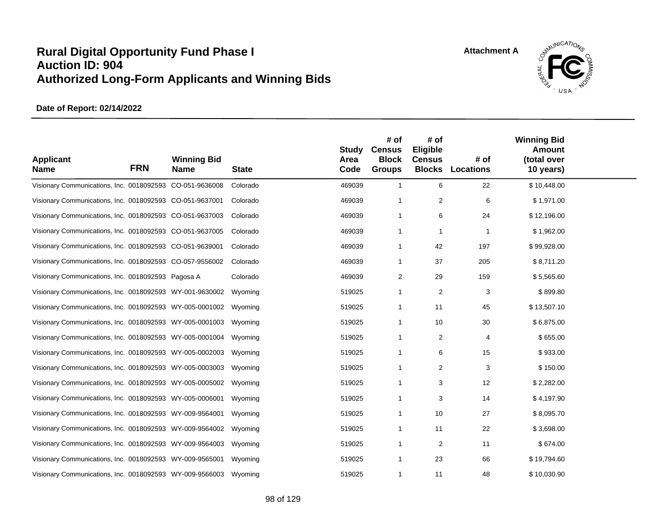

| <b>Applicant</b><br><b>Name</b>                          | <b>FRN</b> | <b>Winning Bid</b><br><b>Name</b> | <b>State</b> | <b>Study</b><br>Area<br>Code | # of<br><b>Census</b><br><b>Block</b><br><b>Groups</b> | # of<br>Eligible<br><b>Census</b><br><b>Blocks</b> | # of<br>Locations | <b>Winning Bid</b><br>Amount<br>(total over<br>10 years) |  |
|----------------------------------------------------------|------------|-----------------------------------|--------------|------------------------------|--------------------------------------------------------|----------------------------------------------------|-------------------|----------------------------------------------------------|--|
| Visionary Communications, Inc. 0018092593 CO-051-9636008 |            |                                   | Colorado     | 469039                       | $\mathbf{1}$                                           | 6                                                  | 22                | \$10,448.00                                              |  |
| Visionary Communications, Inc. 0018092593 CO-051-9637001 |            |                                   | Colorado     | 469039                       | -1                                                     | 2                                                  | 6                 | \$1,971.00                                               |  |
| Visionary Communications, Inc. 0018092593 CO-051-9637003 |            |                                   | Colorado     | 469039                       | $\overline{1}$                                         | 6                                                  | 24                | \$12,196.00                                              |  |
| Visionary Communications, Inc. 0018092593 CO-051-9637005 |            |                                   | Colorado     | 469039                       | -1                                                     | -1                                                 | -1                | \$1,962.00                                               |  |
| Visionary Communications, Inc. 0018092593 CO-051-9639001 |            |                                   | Colorado     | 469039                       | -1                                                     | 42                                                 | 197               | \$99,928.00                                              |  |
| Visionary Communications, Inc. 0018092593 CO-057-9556002 |            |                                   | Colorado     | 469039                       | -1                                                     | 37                                                 | 205               | \$8,711.20                                               |  |
| Visionary Communications, Inc. 0018092593 Pagosa A       |            |                                   | Colorado     | 469039                       | 2                                                      | 29                                                 | 159               | \$5,565.60                                               |  |
| Visionary Communications, Inc. 0018092593 WY-001-9630002 |            |                                   | Wyoming      | 519025                       | $\overline{1}$                                         | 2                                                  | 3                 | \$899.80                                                 |  |
| Visionary Communications, Inc. 0018092593 WY-005-0001002 |            |                                   | Wyoming      | 519025                       | -1                                                     | 11                                                 | 45                | \$13,507.10                                              |  |
| Visionary Communications, Inc. 0018092593 WY-005-0001003 |            |                                   | Wyoming      | 519025                       | -1                                                     | 10                                                 | 30                | \$6,875.00                                               |  |
| Visionary Communications, Inc. 0018092593 WY-005-0001004 |            |                                   | Wyoming      | 519025                       | $\overline{1}$                                         | 2                                                  | 4                 | \$655.00                                                 |  |
| Visionary Communications, Inc. 0018092593 WY-005-0002003 |            |                                   | Wyoming      | 519025                       | -1                                                     | 6                                                  | 15                | \$933.00                                                 |  |
| Visionary Communications, Inc. 0018092593 WY-005-0003003 |            |                                   | Wyoming      | 519025                       | -1                                                     | 2                                                  | 3                 | \$150.00                                                 |  |
| Visionary Communications, Inc. 0018092593 WY-005-0005002 |            |                                   | Wyoming      | 519025                       | $\overline{1}$                                         | 3                                                  | 12                | \$2,282.00                                               |  |
| Visionary Communications, Inc. 0018092593 WY-005-0006001 |            |                                   | Wyoming      | 519025                       | $\overline{1}$                                         | 3                                                  | 14                | \$4,197.90                                               |  |
| Visionary Communications, Inc. 0018092593 WY-009-9564001 |            |                                   | Wyoming      | 519025                       | $\overline{1}$                                         | 10                                                 | 27                | \$8,095.70                                               |  |
| Visionary Communications, Inc. 0018092593 WY-009-9564002 |            |                                   | Wyoming      | 519025                       | $\mathbf 1$                                            | 11                                                 | 22                | \$3,698.00                                               |  |
| Visionary Communications, Inc. 0018092593 WY-009-9564003 |            |                                   | Wyoming      | 519025                       | -1                                                     | $\overline{2}$                                     | 11                | \$674.00                                                 |  |
| Visionary Communications, Inc. 0018092593 WY-009-9565001 |            |                                   | Wyoming      | 519025                       | $\overline{1}$                                         | 23                                                 | 66                | \$19,794.60                                              |  |
| Visionary Communications, Inc. 0018092593 WY-009-9566003 |            |                                   | Wyoming      | 519025                       | -1                                                     | 11                                                 | 48                | \$10,030.90                                              |  |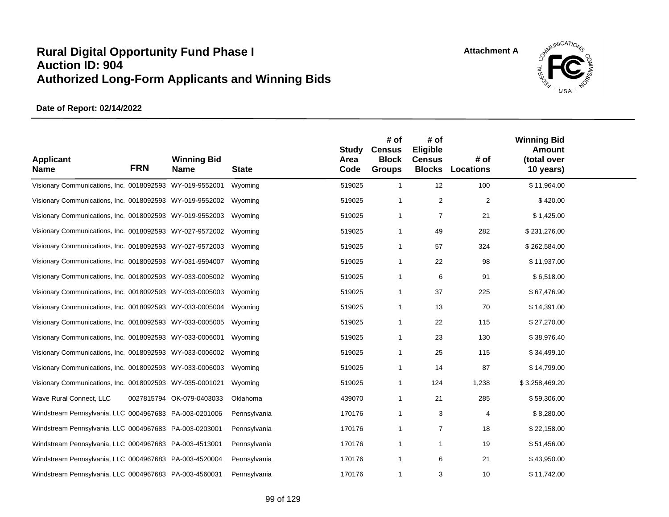

| <b>Applicant</b><br><b>Name</b>                          | <b>FRN</b> | <b>Winning Bid</b><br><b>Name</b> | <b>State</b> | Study<br>Area<br>Code | # of<br><b>Census</b><br><b>Block</b><br><b>Groups</b> | # of<br>Eligible<br><b>Census</b><br><b>Blocks</b> | # of<br><b>Locations</b> | <b>Winning Bid</b><br>Amount<br>(total over<br>10 years) |  |
|----------------------------------------------------------|------------|-----------------------------------|--------------|-----------------------|--------------------------------------------------------|----------------------------------------------------|--------------------------|----------------------------------------------------------|--|
| Visionary Communications, Inc. 0018092593 WY-019-9552001 |            |                                   | Wyoming      | 519025                | $\mathbf{1}$                                           | 12                                                 | 100                      | \$11,964.00                                              |  |
| Visionary Communications, Inc. 0018092593 WY-019-9552002 |            |                                   | Wyoming      | 519025                | 1                                                      | 2                                                  | $\overline{c}$           | \$420.00                                                 |  |
| Visionary Communications, Inc. 0018092593 WY-019-9552003 |            |                                   | Wyoming      | 519025                | 1                                                      | $\overline{7}$                                     | 21                       | \$1,425.00                                               |  |
| Visionary Communications, Inc. 0018092593 WY-027-9572002 |            |                                   | Wyoming      | 519025                | $\mathbf 1$                                            | 49                                                 | 282                      | \$231,276.00                                             |  |
| Visionary Communications, Inc. 0018092593 WY-027-9572003 |            |                                   | Wyoming      | 519025                | 1                                                      | 57                                                 | 324                      | \$262,584.00                                             |  |
| Visionary Communications, Inc. 0018092593 WY-031-9594007 |            |                                   | Wyoming      | 519025                | -1                                                     | 22                                                 | 98                       | \$11,937.00                                              |  |
| Visionary Communications, Inc. 0018092593 WY-033-0005002 |            |                                   | Wyoming      | 519025                | 1                                                      | 6                                                  | 91                       | \$6,518.00                                               |  |
| Visionary Communications, Inc. 0018092593 WY-033-0005003 |            |                                   | Wyoming      | 519025                | -1                                                     | 37                                                 | 225                      | \$67,476.90                                              |  |
| Visionary Communications, Inc. 0018092593 WY-033-0005004 |            |                                   | Wyoming      | 519025                | 1                                                      | 13                                                 | 70                       | \$14,391.00                                              |  |
| Visionary Communications, Inc. 0018092593 WY-033-0005005 |            |                                   | Wyoming      | 519025                | 1                                                      | 22                                                 | 115                      | \$27,270.00                                              |  |
| Visionary Communications, Inc. 0018092593 WY-033-0006001 |            |                                   | Wyoming      | 519025                | 1                                                      | 23                                                 | 130                      | \$38,976.40                                              |  |
| Visionary Communications, Inc. 0018092593 WY-033-0006002 |            |                                   | Wyoming      | 519025                | 1                                                      | 25                                                 | 115                      | \$34,499.10                                              |  |
| Visionary Communications, Inc. 0018092593 WY-033-0006003 |            |                                   | Wyoming      | 519025                | 1                                                      | 14                                                 | 87                       | \$14,799.00                                              |  |
| Visionary Communications, Inc. 0018092593 WY-035-0001021 |            |                                   | Wyoming      | 519025                | -1                                                     | 124                                                | 1,238                    | \$3,258,469.20                                           |  |
| Wave Rural Connect, LLC                                  |            | 0027815794 OK-079-0403033         | Oklahoma     | 439070                | 1                                                      | 21                                                 | 285                      | \$59,306.00                                              |  |
| Windstream Pennsylvania, LLC 0004967683 PA-003-0201006   |            |                                   | Pennsylvania | 170176                | 1                                                      | 3                                                  | $\overline{4}$           | \$8,280.00                                               |  |
| Windstream Pennsylvania, LLC 0004967683 PA-003-0203001   |            |                                   | Pennsylvania | 170176                | -1                                                     | $\overline{7}$                                     | 18                       | \$22,158.00                                              |  |
| Windstream Pennsylvania, LLC 0004967683 PA-003-4513001   |            |                                   | Pennsylvania | 170176                | 1                                                      | 1                                                  | 19                       | \$51,456.00                                              |  |
| Windstream Pennsylvania, LLC 0004967683 PA-003-4520004   |            |                                   | Pennsylvania | 170176                | -1                                                     | 6                                                  | 21                       | \$43,950.00                                              |  |
| Windstream Pennsylvania, LLC 0004967683 PA-003-4560031   |            |                                   | Pennsylvania | 170176                | 1                                                      | 3                                                  | 10                       | \$11,742.00                                              |  |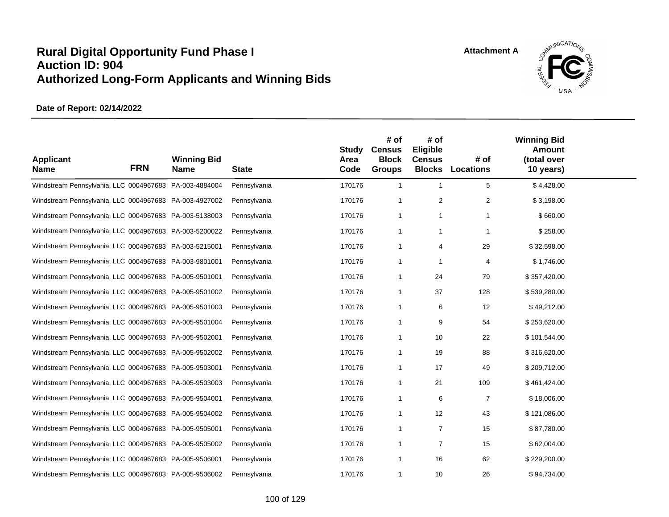

| <b>Applicant</b><br><b>Name</b>                        | <b>FRN</b> | <b>Winning Bid</b><br><b>Name</b> | <b>State</b> | <b>Study</b><br>Area<br>Code | # of<br><b>Census</b><br><b>Block</b><br><b>Groups</b> | # of<br>Eligible<br><b>Census</b> | # of<br><b>Blocks Locations</b> | <b>Winning Bid</b><br><b>Amount</b><br>(total over<br>10 years) |  |
|--------------------------------------------------------|------------|-----------------------------------|--------------|------------------------------|--------------------------------------------------------|-----------------------------------|---------------------------------|-----------------------------------------------------------------|--|
| Windstream Pennsylvania, LLC 0004967683 PA-003-4884004 |            |                                   | Pennsylvania | 170176                       | $\overline{1}$                                         | $\overline{1}$                    | 5                               | \$4,428.00                                                      |  |
| Windstream Pennsylvania, LLC 0004967683 PA-003-4927002 |            |                                   | Pennsylvania | 170176                       | -1                                                     | 2                                 | 2                               | \$3,198.00                                                      |  |
| Windstream Pennsylvania, LLC 0004967683 PA-003-5138003 |            |                                   | Pennsylvania | 170176                       | $\overline{1}$                                         | $\mathbf{1}$                      | 1                               | \$660.00                                                        |  |
| Windstream Pennsylvania, LLC 0004967683 PA-003-5200022 |            |                                   | Pennsylvania | 170176                       | -1                                                     | -1                                | 1                               | \$258.00                                                        |  |
| Windstream Pennsylvania, LLC 0004967683 PA-003-5215001 |            |                                   | Pennsylvania | 170176                       | -1                                                     | 4                                 | 29                              | \$32,598.00                                                     |  |
| Windstream Pennsylvania, LLC 0004967683 PA-003-9801001 |            |                                   | Pennsylvania | 170176                       | -1                                                     | -1                                | 4                               | \$1,746.00                                                      |  |
| Windstream Pennsylvania, LLC 0004967683 PA-005-9501001 |            |                                   | Pennsylvania | 170176                       | -1                                                     | 24                                | 79                              | \$357,420.00                                                    |  |
| Windstream Pennsylvania, LLC 0004967683 PA-005-9501002 |            |                                   | Pennsylvania | 170176                       | -1                                                     | 37                                | 128                             | \$539,280.00                                                    |  |
| Windstream Pennsylvania, LLC 0004967683 PA-005-9501003 |            |                                   | Pennsylvania | 170176                       | -1                                                     | 6                                 | 12                              | \$49,212.00                                                     |  |
| Windstream Pennsylvania, LLC 0004967683 PA-005-9501004 |            |                                   | Pennsylvania | 170176                       | -1                                                     | 9                                 | 54                              | \$253,620.00                                                    |  |
| Windstream Pennsylvania, LLC 0004967683 PA-005-9502001 |            |                                   | Pennsylvania | 170176                       | -1                                                     | 10                                | 22                              | \$101,544.00                                                    |  |
| Windstream Pennsylvania, LLC 0004967683 PA-005-9502002 |            |                                   | Pennsylvania | 170176                       | -1                                                     | 19                                | 88                              | \$316,620.00                                                    |  |
| Windstream Pennsylvania, LLC 0004967683 PA-005-9503001 |            |                                   | Pennsylvania | 170176                       | -1                                                     | 17                                | 49                              | \$209,712.00                                                    |  |
| Windstream Pennsylvania, LLC 0004967683 PA-005-9503003 |            |                                   | Pennsylvania | 170176                       | -1                                                     | 21                                | 109                             | \$461,424.00                                                    |  |
| Windstream Pennsylvania, LLC 0004967683 PA-005-9504001 |            |                                   | Pennsylvania | 170176                       | -1                                                     | 6                                 | $\overline{7}$                  | \$18,006.00                                                     |  |
| Windstream Pennsylvania, LLC 0004967683 PA-005-9504002 |            |                                   | Pennsylvania | 170176                       | -1                                                     | 12                                | 43                              | \$121,086.00                                                    |  |
| Windstream Pennsylvania, LLC 0004967683 PA-005-9505001 |            |                                   | Pennsylvania | 170176                       | $\overline{1}$                                         | $\overline{7}$                    | 15                              | \$87,780.00                                                     |  |
| Windstream Pennsylvania, LLC 0004967683 PA-005-9505002 |            |                                   | Pennsylvania | 170176                       | -1                                                     | $\overline{7}$                    | 15                              | \$62,004.00                                                     |  |
| Windstream Pennsylvania, LLC 0004967683 PA-005-9506001 |            |                                   | Pennsylvania | 170176                       | $\overline{1}$                                         | 16                                | 62                              | \$229,200.00                                                    |  |
| Windstream Pennsylvania, LLC 0004967683 PA-005-9506002 |            |                                   | Pennsylvania | 170176                       | -1                                                     | 10                                | 26                              | \$94,734.00                                                     |  |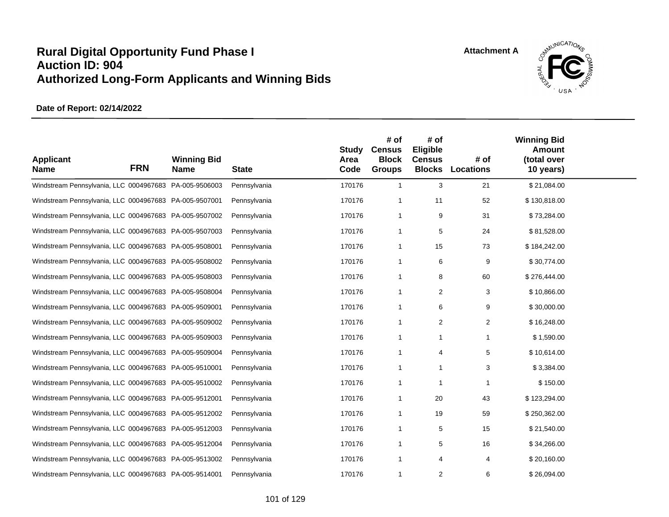

| <b>Applicant</b><br><b>Name</b>                        | <b>FRN</b> | <b>Winning Bid</b><br><b>Name</b> | <b>State</b> | <b>Study</b><br>Area<br>Code | # of<br><b>Census</b><br><b>Block</b><br><b>Groups</b> | # of<br>Eligible<br><b>Census</b> | # of<br><b>Blocks Locations</b> | <b>Winning Bid</b><br><b>Amount</b><br>(total over<br>10 years) |  |
|--------------------------------------------------------|------------|-----------------------------------|--------------|------------------------------|--------------------------------------------------------|-----------------------------------|---------------------------------|-----------------------------------------------------------------|--|
| Windstream Pennsylvania, LLC 0004967683 PA-005-9506003 |            |                                   | Pennsylvania | 170176                       | $\overline{1}$                                         | 3                                 | 21                              | \$21,084.00                                                     |  |
| Windstream Pennsylvania, LLC 0004967683 PA-005-9507001 |            |                                   | Pennsylvania | 170176                       | -1                                                     | 11                                | 52                              | \$130,818.00                                                    |  |
| Windstream Pennsylvania, LLC 0004967683 PA-005-9507002 |            |                                   | Pennsylvania | 170176                       | $\overline{1}$                                         | 9                                 | 31                              | \$73,284.00                                                     |  |
| Windstream Pennsylvania, LLC 0004967683 PA-005-9507003 |            |                                   | Pennsylvania | 170176                       | -1                                                     | 5                                 | 24                              | \$81,528.00                                                     |  |
| Windstream Pennsylvania, LLC 0004967683 PA-005-9508001 |            |                                   | Pennsylvania | 170176                       | $\overline{1}$                                         | 15                                | 73                              | \$184,242.00                                                    |  |
| Windstream Pennsylvania, LLC 0004967683 PA-005-9508002 |            |                                   | Pennsylvania | 170176                       | $\overline{1}$                                         | 6                                 | 9                               | \$30,774.00                                                     |  |
| Windstream Pennsylvania, LLC 0004967683 PA-005-9508003 |            |                                   | Pennsylvania | 170176                       | $\overline{1}$                                         | 8                                 | 60                              | \$276,444.00                                                    |  |
| Windstream Pennsylvania, LLC 0004967683 PA-005-9508004 |            |                                   | Pennsylvania | 170176                       | $\overline{1}$                                         | $\overline{2}$                    | 3                               | \$10,866.00                                                     |  |
| Windstream Pennsylvania, LLC 0004967683 PA-005-9509001 |            |                                   | Pennsylvania | 170176                       | $\overline{1}$                                         | 6                                 | 9                               | \$30,000.00                                                     |  |
| Windstream Pennsylvania, LLC 0004967683 PA-005-9509002 |            |                                   | Pennsylvania | 170176                       | -1                                                     | $\mathbf{2}$                      | $\overline{2}$                  | \$16,248.00                                                     |  |
| Windstream Pennsylvania, LLC 0004967683 PA-005-9509003 |            |                                   | Pennsylvania | 170176                       | $\overline{1}$                                         | $\overline{1}$                    | 1                               | \$1,590.00                                                      |  |
| Windstream Pennsylvania, LLC 0004967683 PA-005-9509004 |            |                                   | Pennsylvania | 170176                       | $\overline{1}$                                         | 4                                 | 5                               | \$10,614.00                                                     |  |
| Windstream Pennsylvania, LLC 0004967683 PA-005-9510001 |            |                                   | Pennsylvania | 170176                       | $\overline{1}$                                         | 1                                 | 3                               | \$3,384.00                                                      |  |
| Windstream Pennsylvania, LLC 0004967683 PA-005-9510002 |            |                                   | Pennsylvania | 170176                       | -1                                                     | -1                                | 1                               | \$150.00                                                        |  |
| Windstream Pennsylvania, LLC 0004967683 PA-005-9512001 |            |                                   | Pennsylvania | 170176                       | -1                                                     | 20                                | 43                              | \$123,294.00                                                    |  |
| Windstream Pennsylvania, LLC 0004967683 PA-005-9512002 |            |                                   | Pennsylvania | 170176                       | -1                                                     | 19                                | 59                              | \$250,362.00                                                    |  |
| Windstream Pennsylvania, LLC 0004967683 PA-005-9512003 |            |                                   | Pennsylvania | 170176                       | $\overline{1}$                                         | 5                                 | 15                              | \$21,540.00                                                     |  |
| Windstream Pennsylvania, LLC 0004967683 PA-005-9512004 |            |                                   | Pennsylvania | 170176                       | -1                                                     | 5                                 | 16                              | \$34,266.00                                                     |  |
| Windstream Pennsylvania, LLC 0004967683 PA-005-9513002 |            |                                   | Pennsylvania | 170176                       | -1                                                     | 4                                 | 4                               | \$20,160.00                                                     |  |
| Windstream Pennsylvania, LLC 0004967683 PA-005-9514001 |            |                                   | Pennsylvania | 170176                       | -1                                                     | 2                                 | 6                               | \$26,094.00                                                     |  |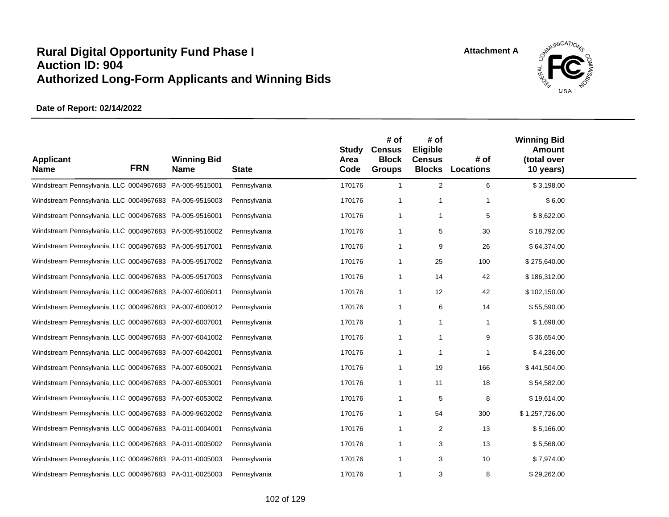

| <b>Applicant</b><br><b>Name</b>                        | <b>FRN</b> | <b>Winning Bid</b><br><b>Name</b> | <b>State</b> | <b>Study</b><br>Area<br>Code | # of<br><b>Census</b><br><b>Block</b><br><b>Groups</b> | # of<br>Eligible<br><b>Census</b> | # of<br><b>Blocks Locations</b> | <b>Winning Bid</b><br><b>Amount</b><br>(total over<br>10 years) |  |
|--------------------------------------------------------|------------|-----------------------------------|--------------|------------------------------|--------------------------------------------------------|-----------------------------------|---------------------------------|-----------------------------------------------------------------|--|
| Windstream Pennsylvania, LLC 0004967683 PA-005-9515001 |            |                                   | Pennsylvania | 170176                       | $\overline{1}$                                         | 2                                 | 6                               | \$3,198.00                                                      |  |
| Windstream Pennsylvania, LLC 0004967683 PA-005-9515003 |            |                                   | Pennsylvania | 170176                       | -1                                                     | -1                                | 1                               | \$6.00                                                          |  |
| Windstream Pennsylvania, LLC 0004967683 PA-005-9516001 |            |                                   | Pennsylvania | 170176                       | $\overline{1}$                                         | -1                                | 5                               | \$8,622.00                                                      |  |
| Windstream Pennsylvania, LLC 0004967683 PA-005-9516002 |            |                                   | Pennsylvania | 170176                       | -1                                                     | 5                                 | 30                              | \$18,792.00                                                     |  |
| Windstream Pennsylvania, LLC 0004967683 PA-005-9517001 |            |                                   | Pennsylvania | 170176                       | -1                                                     | 9                                 | 26                              | \$64,374.00                                                     |  |
| Windstream Pennsylvania, LLC 0004967683 PA-005-9517002 |            |                                   | Pennsylvania | 170176                       | -1                                                     | 25                                | 100                             | \$275,640.00                                                    |  |
| Windstream Pennsylvania, LLC 0004967683 PA-005-9517003 |            |                                   | Pennsylvania | 170176                       | -1                                                     | 14                                | 42                              | \$186,312.00                                                    |  |
| Windstream Pennsylvania, LLC 0004967683 PA-007-6006011 |            |                                   | Pennsylvania | 170176                       | -1                                                     | 12                                | 42                              | \$102,150.00                                                    |  |
| Windstream Pennsylvania, LLC 0004967683 PA-007-6006012 |            |                                   | Pennsylvania | 170176                       | $\overline{1}$                                         | 6                                 | 14                              | \$55,590.00                                                     |  |
| Windstream Pennsylvania, LLC 0004967683 PA-007-6007001 |            |                                   | Pennsylvania | 170176                       | -1                                                     | -1                                | $\mathbf{1}$                    | \$1,698.00                                                      |  |
| Windstream Pennsylvania, LLC 0004967683 PA-007-6041002 |            |                                   | Pennsylvania | 170176                       | $\overline{1}$                                         | -1                                | 9                               | \$36,654.00                                                     |  |
| Windstream Pennsylvania, LLC 0004967683 PA-007-6042001 |            |                                   | Pennsylvania | 170176                       | -1                                                     | -1                                | 1                               | \$4,236.00                                                      |  |
| Windstream Pennsylvania, LLC 0004967683 PA-007-6050021 |            |                                   | Pennsylvania | 170176                       | -1                                                     | 19                                | 166                             | \$441,504.00                                                    |  |
| Windstream Pennsylvania, LLC 0004967683 PA-007-6053001 |            |                                   | Pennsylvania | 170176                       | -1                                                     | 11                                | 18                              | \$54,582.00                                                     |  |
| Windstream Pennsylvania, LLC 0004967683 PA-007-6053002 |            |                                   | Pennsylvania | 170176                       | -1                                                     | 5                                 | 8                               | \$19,614.00                                                     |  |
| Windstream Pennsylvania, LLC 0004967683 PA-009-9602002 |            |                                   | Pennsylvania | 170176                       | -1                                                     | 54                                | 300                             | \$1,257,726.00                                                  |  |
| Windstream Pennsylvania, LLC 0004967683 PA-011-0004001 |            |                                   | Pennsylvania | 170176                       | $\overline{1}$                                         | 2                                 | 13                              | \$5,166.00                                                      |  |
| Windstream Pennsylvania, LLC 0004967683 PA-011-0005002 |            |                                   | Pennsylvania | 170176                       | -1                                                     | 3                                 | 13                              | \$5.568.00                                                      |  |
| Windstream Pennsylvania, LLC 0004967683 PA-011-0005003 |            |                                   | Pennsylvania | 170176                       | $\overline{1}$                                         | 3                                 | 10                              | \$7,974.00                                                      |  |
| Windstream Pennsylvania, LLC 0004967683 PA-011-0025003 |            |                                   | Pennsylvania | 170176                       | -1                                                     | 3                                 | 8                               | \$29,262.00                                                     |  |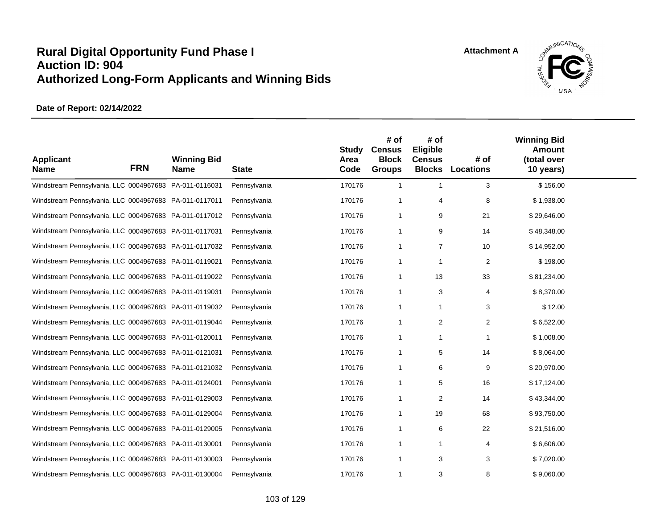

| <b>Applicant</b><br><b>Name</b>                        | <b>FRN</b> | <b>Winning Bid</b><br><b>Name</b> | <b>State</b> | <b>Study</b><br>Area<br>Code | # of<br><b>Census</b><br><b>Block</b><br><b>Groups</b> | # of<br>Eligible<br><b>Census</b> | # of<br><b>Blocks Locations</b> | <b>Winning Bid</b><br><b>Amount</b><br>(total over<br>10 years) |  |
|--------------------------------------------------------|------------|-----------------------------------|--------------|------------------------------|--------------------------------------------------------|-----------------------------------|---------------------------------|-----------------------------------------------------------------|--|
| Windstream Pennsylvania, LLC 0004967683 PA-011-0116031 |            |                                   | Pennsylvania | 170176                       | $\overline{1}$                                         | $\overline{1}$                    | 3                               | \$156.00                                                        |  |
| Windstream Pennsylvania, LLC 0004967683 PA-011-0117011 |            |                                   | Pennsylvania | 170176                       | -1                                                     | 4                                 | 8                               | \$1,938.00                                                      |  |
| Windstream Pennsylvania, LLC 0004967683 PA-011-0117012 |            |                                   | Pennsylvania | 170176                       | -1                                                     | 9                                 | 21                              | \$29,646.00                                                     |  |
| Windstream Pennsylvania, LLC 0004967683 PA-011-0117031 |            |                                   | Pennsylvania | 170176                       | -1                                                     | 9                                 | 14                              | \$48,348.00                                                     |  |
| Windstream Pennsylvania, LLC 0004967683 PA-011-0117032 |            |                                   | Pennsylvania | 170176                       | -1                                                     | $\overline{7}$                    | 10                              | \$14,952.00                                                     |  |
| Windstream Pennsylvania, LLC 0004967683 PA-011-0119021 |            |                                   | Pennsylvania | 170176                       | -1                                                     | -1                                | 2                               | \$198.00                                                        |  |
| Windstream Pennsylvania, LLC 0004967683 PA-011-0119022 |            |                                   | Pennsylvania | 170176                       | -1                                                     | 13                                | 33                              | \$81,234.00                                                     |  |
| Windstream Pennsylvania, LLC 0004967683 PA-011-0119031 |            |                                   | Pennsylvania | 170176                       | -1                                                     | 3                                 | 4                               | \$8,370.00                                                      |  |
| Windstream Pennsylvania, LLC 0004967683 PA-011-0119032 |            |                                   | Pennsylvania | 170176                       | $\overline{1}$                                         | 1                                 | 3                               | \$12.00                                                         |  |
| Windstream Pennsylvania, LLC 0004967683 PA-011-0119044 |            |                                   | Pennsylvania | 170176                       | -1                                                     | 2                                 | 2                               | \$6,522.00                                                      |  |
| Windstream Pennsylvania, LLC 0004967683 PA-011-0120011 |            |                                   | Pennsylvania | 170176                       | -1                                                     | -1                                | 1                               | \$1,008.00                                                      |  |
| Windstream Pennsylvania, LLC 0004967683 PA-011-0121031 |            |                                   | Pennsylvania | 170176                       | -1                                                     | 5                                 | 14                              | \$8,064.00                                                      |  |
| Windstream Pennsylvania, LLC 0004967683 PA-011-0121032 |            |                                   | Pennsylvania | 170176                       | -1                                                     | 6                                 | 9                               | \$20,970.00                                                     |  |
| Windstream Pennsylvania, LLC 0004967683 PA-011-0124001 |            |                                   | Pennsylvania | 170176                       | -1                                                     | 5                                 | 16                              | \$17,124.00                                                     |  |
| Windstream Pennsylvania, LLC 0004967683 PA-011-0129003 |            |                                   | Pennsylvania | 170176                       | -1                                                     | 2                                 | 14                              | \$43,344.00                                                     |  |
| Windstream Pennsylvania, LLC 0004967683 PA-011-0129004 |            |                                   | Pennsylvania | 170176                       | -1                                                     | 19                                | 68                              | \$93,750.00                                                     |  |
| Windstream Pennsylvania, LLC 0004967683 PA-011-0129005 |            |                                   | Pennsylvania | 170176                       | $\overline{1}$                                         | 6                                 | 22                              | \$21,516.00                                                     |  |
| Windstream Pennsylvania, LLC 0004967683 PA-011-0130001 |            |                                   | Pennsylvania | 170176                       | -1                                                     | -1                                | 4                               | \$6,606.00                                                      |  |
| Windstream Pennsylvania, LLC 0004967683 PA-011-0130003 |            |                                   | Pennsylvania | 170176                       | $\overline{1}$                                         | 3                                 | 3                               | \$7,020.00                                                      |  |
| Windstream Pennsylvania, LLC 0004967683 PA-011-0130004 |            |                                   | Pennsylvania | 170176                       | -1                                                     | 3                                 | 8                               | \$9,060.00                                                      |  |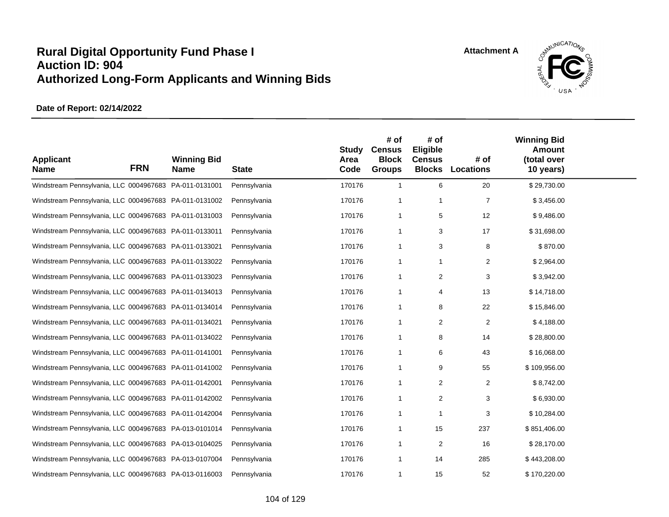

| <b>Applicant</b><br><b>Name</b>                        | <b>FRN</b> | <b>Winning Bid</b><br><b>Name</b> | <b>State</b> | <b>Study</b><br>Area<br>Code | # of<br><b>Census</b><br><b>Block</b><br><b>Groups</b> | # of<br>Eligible<br><b>Census</b> | # of<br><b>Blocks Locations</b> | <b>Winning Bid</b><br><b>Amount</b><br>(total over<br>10 years) |  |
|--------------------------------------------------------|------------|-----------------------------------|--------------|------------------------------|--------------------------------------------------------|-----------------------------------|---------------------------------|-----------------------------------------------------------------|--|
| Windstream Pennsylvania, LLC 0004967683 PA-011-0131001 |            |                                   | Pennsylvania | 170176                       | $\overline{1}$                                         | 6                                 | 20                              | \$29,730.00                                                     |  |
| Windstream Pennsylvania, LLC 0004967683 PA-011-0131002 |            |                                   | Pennsylvania | 170176                       | -1                                                     | -1                                | $\overline{7}$                  | \$3,456.00                                                      |  |
| Windstream Pennsylvania, LLC 0004967683 PA-011-0131003 |            |                                   | Pennsylvania | 170176                       | -1                                                     | 5                                 | 12                              | \$9,486.00                                                      |  |
| Windstream Pennsylvania, LLC 0004967683 PA-011-0133011 |            |                                   | Pennsylvania | 170176                       | -1                                                     | 3                                 | 17                              | \$31,698.00                                                     |  |
| Windstream Pennsylvania, LLC 0004967683 PA-011-0133021 |            |                                   | Pennsylvania | 170176                       | -1                                                     | 3                                 | 8                               | \$870.00                                                        |  |
| Windstream Pennsylvania, LLC 0004967683 PA-011-0133022 |            |                                   | Pennsylvania | 170176                       | -1                                                     | -1                                | 2                               | \$2,964.00                                                      |  |
| Windstream Pennsylvania, LLC 0004967683 PA-011-0133023 |            |                                   | Pennsylvania | 170176                       | -1                                                     | 2                                 | 3                               | \$3,942.00                                                      |  |
| Windstream Pennsylvania, LLC 0004967683 PA-011-0134013 |            |                                   | Pennsylvania | 170176                       | -1                                                     | 4                                 | 13                              | \$14,718.00                                                     |  |
| Windstream Pennsylvania, LLC 0004967683 PA-011-0134014 |            |                                   | Pennsylvania | 170176                       | -1                                                     | 8                                 | 22                              | \$15,846.00                                                     |  |
| Windstream Pennsylvania, LLC 0004967683 PA-011-0134021 |            |                                   | Pennsylvania | 170176                       | -1                                                     | 2                                 | 2                               | \$4,188.00                                                      |  |
| Windstream Pennsylvania, LLC 0004967683 PA-011-0134022 |            |                                   | Pennsylvania | 170176                       | -1                                                     | 8                                 | 14                              | \$28,800.00                                                     |  |
| Windstream Pennsylvania, LLC 0004967683 PA-011-0141001 |            |                                   | Pennsylvania | 170176                       | -1                                                     | 6                                 | 43                              | \$16,068.00                                                     |  |
| Windstream Pennsylvania, LLC 0004967683 PA-011-0141002 |            |                                   | Pennsylvania | 170176                       | -1                                                     | 9                                 | 55                              | \$109,956.00                                                    |  |
| Windstream Pennsylvania, LLC 0004967683 PA-011-0142001 |            |                                   | Pennsylvania | 170176                       | -1                                                     | 2                                 | $\overline{c}$                  | \$8,742.00                                                      |  |
| Windstream Pennsylvania, LLC 0004967683 PA-011-0142002 |            |                                   | Pennsylvania | 170176                       | -1                                                     | 2                                 | 3                               | \$6,930.00                                                      |  |
| Windstream Pennsylvania, LLC 0004967683 PA-011-0142004 |            |                                   | Pennsylvania | 170176                       | -1                                                     | -1                                | 3                               | \$10,284.00                                                     |  |
| Windstream Pennsylvania, LLC 0004967683 PA-013-0101014 |            |                                   | Pennsylvania | 170176                       | $\overline{1}$                                         | 15                                | 237                             | \$851,406.00                                                    |  |
| Windstream Pennsylvania, LLC 0004967683 PA-013-0104025 |            |                                   | Pennsylvania | 170176                       | -1                                                     | 2                                 | 16                              | \$28,170.00                                                     |  |
| Windstream Pennsylvania, LLC 0004967683 PA-013-0107004 |            |                                   | Pennsylvania | 170176                       | $\overline{1}$                                         | 14                                | 285                             | \$443,208.00                                                    |  |
| Windstream Pennsylvania, LLC 0004967683 PA-013-0116003 |            |                                   | Pennsylvania | 170176                       | -1                                                     | 15                                | 52                              | \$170,220.00                                                    |  |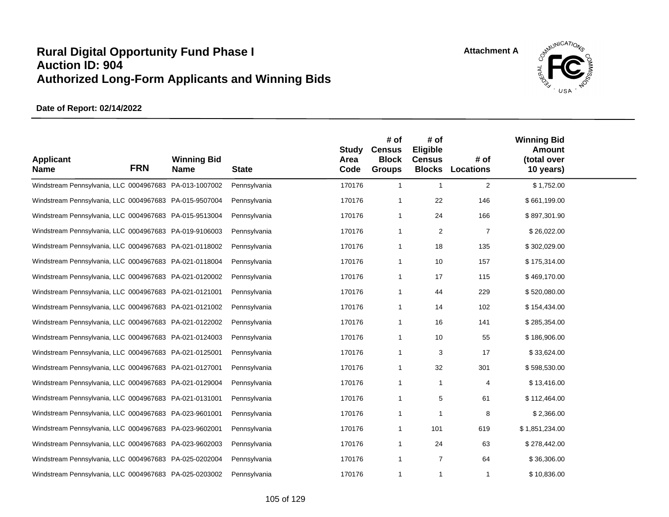

| <b>Applicant</b><br><b>Name</b>                        | <b>FRN</b> | <b>Winning Bid</b><br><b>Name</b> | <b>State</b> | <b>Study</b><br>Area<br>Code | # of<br><b>Census</b><br><b>Block</b><br><b>Groups</b> | # of<br>Eligible<br><b>Census</b><br><b>Blocks</b> | # of<br>Locations | <b>Winning Bid</b><br><b>Amount</b><br>(total over<br>10 years) |  |
|--------------------------------------------------------|------------|-----------------------------------|--------------|------------------------------|--------------------------------------------------------|----------------------------------------------------|-------------------|-----------------------------------------------------------------|--|
| Windstream Pennsylvania, LLC 0004967683 PA-013-1007002 |            |                                   | Pennsylvania | 170176                       | $\overline{1}$                                         | $\overline{1}$                                     | 2                 | \$1,752.00                                                      |  |
| Windstream Pennsylvania, LLC 0004967683 PA-015-9507004 |            |                                   | Pennsylvania | 170176                       | -1                                                     | 22                                                 | 146               | \$661,199.00                                                    |  |
| Windstream Pennsylvania, LLC 0004967683 PA-015-9513004 |            |                                   | Pennsylvania | 170176                       | $\overline{1}$                                         | 24                                                 | 166               | \$897,301.90                                                    |  |
| Windstream Pennsylvania, LLC 0004967683 PA-019-9106003 |            |                                   | Pennsylvania | 170176                       | -1                                                     | 2                                                  | $\overline{7}$    | \$26,022.00                                                     |  |
| Windstream Pennsylvania, LLC 0004967683 PA-021-0118002 |            |                                   | Pennsylvania | 170176                       | -1                                                     | 18                                                 | 135               | \$302,029.00                                                    |  |
| Windstream Pennsylvania, LLC 0004967683 PA-021-0118004 |            |                                   | Pennsylvania | 170176                       | -1                                                     | 10                                                 | 157               | \$175,314.00                                                    |  |
| Windstream Pennsylvania, LLC 0004967683 PA-021-0120002 |            |                                   | Pennsylvania | 170176                       | -1                                                     | 17                                                 | 115               | \$469,170.00                                                    |  |
| Windstream Pennsylvania, LLC 0004967683 PA-021-0121001 |            |                                   | Pennsylvania | 170176                       | -1                                                     | 44                                                 | 229               | \$520,080.00                                                    |  |
| Windstream Pennsylvania, LLC 0004967683 PA-021-0121002 |            |                                   | Pennsylvania | 170176                       | -1                                                     | 14                                                 | 102               | \$154,434.00                                                    |  |
| Windstream Pennsylvania, LLC 0004967683 PA-021-0122002 |            |                                   | Pennsylvania | 170176                       | -1                                                     | 16                                                 | 141               | \$285,354.00                                                    |  |
| Windstream Pennsylvania, LLC 0004967683 PA-021-0124003 |            |                                   | Pennsylvania | 170176                       | $\overline{1}$                                         | 10                                                 | 55                | \$186,906.00                                                    |  |
| Windstream Pennsylvania, LLC 0004967683 PA-021-0125001 |            |                                   | Pennsylvania | 170176                       | -1                                                     | 3                                                  | 17                | \$33,624.00                                                     |  |
| Windstream Pennsylvania, LLC 0004967683 PA-021-0127001 |            |                                   | Pennsylvania | 170176                       | -1                                                     | 32                                                 | 301               | \$598,530.00                                                    |  |
| Windstream Pennsylvania, LLC 0004967683 PA-021-0129004 |            |                                   | Pennsylvania | 170176                       | $\overline{1}$                                         | -1                                                 | 4                 | \$13,416.00                                                     |  |
| Windstream Pennsylvania, LLC 0004967683 PA-021-0131001 |            |                                   | Pennsylvania | 170176                       | -1                                                     | 5                                                  | 61                | \$112,464.00                                                    |  |
| Windstream Pennsylvania, LLC 0004967683 PA-023-9601001 |            |                                   | Pennsylvania | 170176                       | $\overline{1}$                                         | -1                                                 | 8                 | \$2,366.00                                                      |  |
| Windstream Pennsylvania, LLC 0004967683 PA-023-9602001 |            |                                   | Pennsylvania | 170176                       | $\overline{1}$                                         | 101                                                | 619               | \$1,851,234.00                                                  |  |
| Windstream Pennsylvania, LLC 0004967683 PA-023-9602003 |            |                                   | Pennsylvania | 170176                       | -1                                                     | 24                                                 | 63                | \$278,442.00                                                    |  |
| Windstream Pennsylvania, LLC 0004967683 PA-025-0202004 |            |                                   | Pennsylvania | 170176                       | $\overline{1}$                                         | $\overline{7}$                                     | 64                | \$36,306.00                                                     |  |
| Windstream Pennsylvania, LLC 0004967683 PA-025-0203002 |            |                                   | Pennsylvania | 170176                       | $\overline{1}$                                         | -1                                                 | 1                 | \$10,836.00                                                     |  |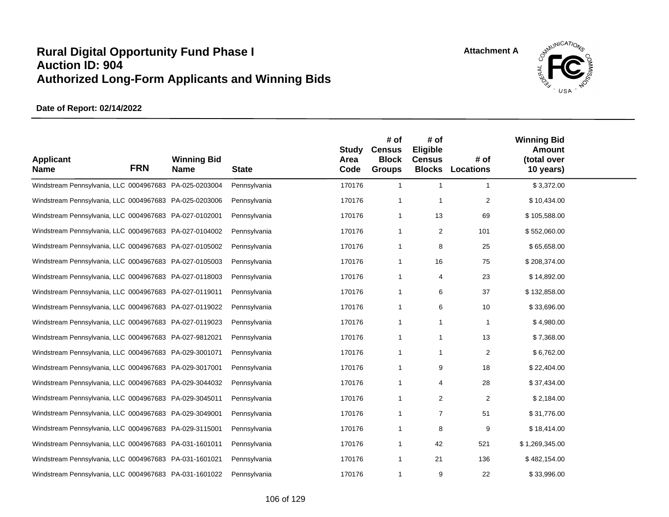

| <b>Applicant</b><br><b>Name</b>                        | <b>FRN</b> | <b>Winning Bid</b><br><b>Name</b> | <b>State</b> | <b>Study</b><br>Area<br>Code | # of<br><b>Census</b><br><b>Block</b><br><b>Groups</b> | # of<br>Eligible<br><b>Census</b><br><b>Blocks</b> | # of<br><b>Locations</b> | <b>Winning Bid</b><br><b>Amount</b><br>(total over<br>10 years) |  |
|--------------------------------------------------------|------------|-----------------------------------|--------------|------------------------------|--------------------------------------------------------|----------------------------------------------------|--------------------------|-----------------------------------------------------------------|--|
| Windstream Pennsylvania, LLC 0004967683 PA-025-0203004 |            |                                   | Pennsylvania | 170176                       | $\overline{1}$                                         | $\overline{1}$                                     | $\mathbf{1}$             | \$3,372.00                                                      |  |
| Windstream Pennsylvania, LLC 0004967683 PA-025-0203006 |            |                                   | Pennsylvania | 170176                       | $\overline{1}$                                         | -1                                                 | $\overline{2}$           | \$10,434.00                                                     |  |
| Windstream Pennsylvania, LLC 0004967683 PA-027-0102001 |            |                                   | Pennsylvania | 170176                       | $\overline{1}$                                         | 13                                                 | 69                       | \$105,588.00                                                    |  |
| Windstream Pennsylvania, LLC 0004967683 PA-027-0104002 |            |                                   | Pennsylvania | 170176                       | $\overline{1}$                                         | 2                                                  | 101                      | \$552,060.00                                                    |  |
| Windstream Pennsylvania, LLC 0004967683 PA-027-0105002 |            |                                   | Pennsylvania | 170176                       | $\overline{1}$                                         | 8                                                  | 25                       | \$65,658.00                                                     |  |
| Windstream Pennsylvania, LLC 0004967683 PA-027-0105003 |            |                                   | Pennsylvania | 170176                       | $\overline{1}$                                         | 16                                                 | 75                       | \$208,374.00                                                    |  |
| Windstream Pennsylvania, LLC 0004967683 PA-027-0118003 |            |                                   | Pennsylvania | 170176                       | $\overline{1}$                                         | 4                                                  | 23                       | \$14,892.00                                                     |  |
| Windstream Pennsylvania, LLC 0004967683 PA-027-0119011 |            |                                   | Pennsylvania | 170176                       | $\overline{1}$                                         | 6                                                  | 37                       | \$132,858.00                                                    |  |
| Windstream Pennsylvania, LLC 0004967683 PA-027-0119022 |            |                                   | Pennsylvania | 170176                       | $\overline{1}$                                         | 6                                                  | 10                       | \$33,696.00                                                     |  |
| Windstream Pennsylvania, LLC 0004967683 PA-027-0119023 |            |                                   | Pennsylvania | 170176                       | -1                                                     | -1                                                 | $\mathbf{1}$             | \$4,980.00                                                      |  |
| Windstream Pennsylvania, LLC 0004967683 PA-027-9812021 |            |                                   | Pennsylvania | 170176                       | $\overline{1}$                                         | -1                                                 | 13                       | \$7,368.00                                                      |  |
| Windstream Pennsylvania, LLC 0004967683 PA-029-3001071 |            |                                   | Pennsylvania | 170176                       | $\overline{1}$                                         | -1                                                 | $\overline{2}$           | \$6,762.00                                                      |  |
| Windstream Pennsylvania, LLC 0004967683 PA-029-3017001 |            |                                   | Pennsylvania | 170176                       | $\overline{1}$                                         | 9                                                  | 18                       | \$22,404.00                                                     |  |
| Windstream Pennsylvania, LLC 0004967683 PA-029-3044032 |            |                                   | Pennsylvania | 170176                       | $\overline{1}$                                         | 4                                                  | 28                       | \$37,434.00                                                     |  |
| Windstream Pennsylvania, LLC 0004967683 PA-029-3045011 |            |                                   | Pennsylvania | 170176                       | $\overline{1}$                                         | 2                                                  | $\overline{2}$           | \$2,184.00                                                      |  |
| Windstream Pennsylvania, LLC 0004967683 PA-029-3049001 |            |                                   | Pennsylvania | 170176                       | -1                                                     | $\overline{7}$                                     | 51                       | \$31,776.00                                                     |  |
| Windstream Pennsylvania, LLC 0004967683 PA-029-3115001 |            |                                   | Pennsylvania | 170176                       | $\overline{1}$                                         | 8                                                  | 9                        | \$18,414.00                                                     |  |
| Windstream Pennsylvania, LLC 0004967683 PA-031-1601011 |            |                                   | Pennsylvania | 170176                       | -1                                                     | 42                                                 | 521                      | \$1,269,345.00                                                  |  |
| Windstream Pennsylvania, LLC 0004967683 PA-031-1601021 |            |                                   | Pennsylvania | 170176                       | $\overline{1}$                                         | 21                                                 | 136                      | \$482,154.00                                                    |  |
| Windstream Pennsylvania, LLC 0004967683 PA-031-1601022 |            |                                   | Pennsylvania | 170176                       | -1                                                     | 9                                                  | 22                       | \$33,996.00                                                     |  |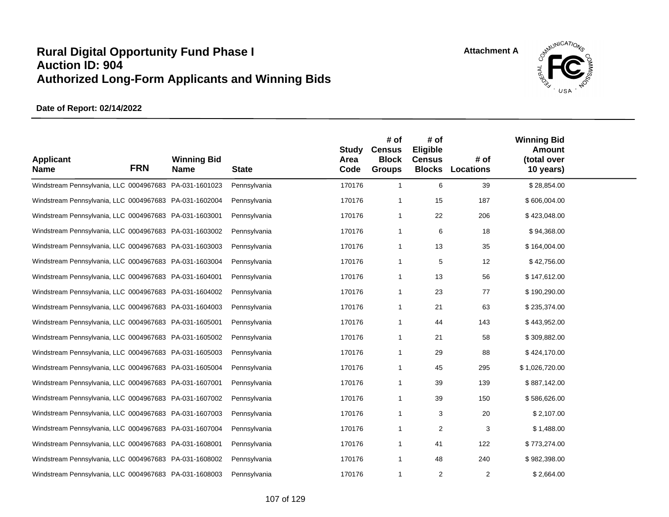

| <b>Applicant</b><br><b>Name</b>                        | <b>FRN</b> | <b>Winning Bid</b><br><b>Name</b> | <b>State</b> | <b>Study</b><br>Area<br>Code | # of<br><b>Census</b><br><b>Block</b><br><b>Groups</b> | # of<br>Eligible<br><b>Census</b> | # of<br><b>Blocks Locations</b> | <b>Winning Bid</b><br><b>Amount</b><br>(total over<br>10 years) |  |
|--------------------------------------------------------|------------|-----------------------------------|--------------|------------------------------|--------------------------------------------------------|-----------------------------------|---------------------------------|-----------------------------------------------------------------|--|
| Windstream Pennsylvania, LLC 0004967683 PA-031-1601023 |            |                                   | Pennsylvania | 170176                       | $\overline{1}$                                         | 6                                 | 39                              | \$28,854.00                                                     |  |
| Windstream Pennsylvania, LLC 0004967683 PA-031-1602004 |            |                                   | Pennsylvania | 170176                       | -1                                                     | 15                                | 187                             | \$606,004.00                                                    |  |
| Windstream Pennsylvania, LLC 0004967683 PA-031-1603001 |            |                                   | Pennsylvania | 170176                       | $\overline{1}$                                         | 22                                | 206                             | \$423,048.00                                                    |  |
| Windstream Pennsylvania, LLC 0004967683 PA-031-1603002 |            |                                   | Pennsylvania | 170176                       | $\overline{1}$                                         | 6                                 | 18                              | \$94,368.00                                                     |  |
| Windstream Pennsylvania, LLC 0004967683 PA-031-1603003 |            |                                   | Pennsylvania | 170176                       | $\overline{1}$                                         | 13                                | 35                              | \$164,004.00                                                    |  |
| Windstream Pennsylvania, LLC 0004967683 PA-031-1603004 |            |                                   | Pennsylvania | 170176                       | $\overline{1}$                                         | 5                                 | 12                              | \$42,756.00                                                     |  |
| Windstream Pennsylvania, LLC 0004967683 PA-031-1604001 |            |                                   | Pennsylvania | 170176                       | $\overline{1}$                                         | 13                                | 56                              | \$147,612.00                                                    |  |
| Windstream Pennsylvania, LLC 0004967683 PA-031-1604002 |            |                                   | Pennsylvania | 170176                       | -1                                                     | 23                                | 77                              | \$190,290.00                                                    |  |
| Windstream Pennsylvania, LLC 0004967683 PA-031-1604003 |            |                                   | Pennsylvania | 170176                       | -1                                                     | 21                                | 63                              | \$235,374.00                                                    |  |
| Windstream Pennsylvania, LLC 0004967683 PA-031-1605001 |            |                                   | Pennsylvania | 170176                       | -1                                                     | 44                                | 143                             | \$443,952.00                                                    |  |
| Windstream Pennsylvania, LLC 0004967683 PA-031-1605002 |            |                                   | Pennsylvania | 170176                       | $\overline{1}$                                         | 21                                | 58                              | \$309,882.00                                                    |  |
| Windstream Pennsylvania, LLC 0004967683 PA-031-1605003 |            |                                   | Pennsylvania | 170176                       | -1                                                     | 29                                | 88                              | \$424,170.00                                                    |  |
| Windstream Pennsylvania, LLC 0004967683 PA-031-1605004 |            |                                   | Pennsylvania | 170176                       | $\overline{1}$                                         | 45                                | 295                             | \$1,026,720.00                                                  |  |
| Windstream Pennsylvania, LLC 0004967683 PA-031-1607001 |            |                                   | Pennsylvania | 170176                       | $\overline{1}$                                         | 39                                | 139                             | \$887,142.00                                                    |  |
| Windstream Pennsylvania, LLC 0004967683 PA-031-1607002 |            |                                   | Pennsylvania | 170176                       | $\overline{1}$                                         | 39                                | 150                             | \$586,626.00                                                    |  |
| Windstream Pennsylvania, LLC 0004967683 PA-031-1607003 |            |                                   | Pennsylvania | 170176                       | $\overline{1}$                                         | 3                                 | 20                              | \$2,107.00                                                      |  |
| Windstream Pennsylvania, LLC 0004967683 PA-031-1607004 |            |                                   | Pennsylvania | 170176                       | -1                                                     | 2                                 | 3                               | \$1,488.00                                                      |  |
| Windstream Pennsylvania, LLC 0004967683 PA-031-1608001 |            |                                   | Pennsylvania | 170176                       | -1                                                     | 41                                | 122                             | \$773,274.00                                                    |  |
| Windstream Pennsylvania, LLC 0004967683 PA-031-1608002 |            |                                   | Pennsylvania | 170176                       | $\overline{1}$                                         | 48                                | 240                             | \$982,398.00                                                    |  |
| Windstream Pennsylvania, LLC 0004967683 PA-031-1608003 |            |                                   | Pennsylvania | 170176                       | $\overline{1}$                                         | 2                                 | $\overline{2}$                  | \$2,664.00                                                      |  |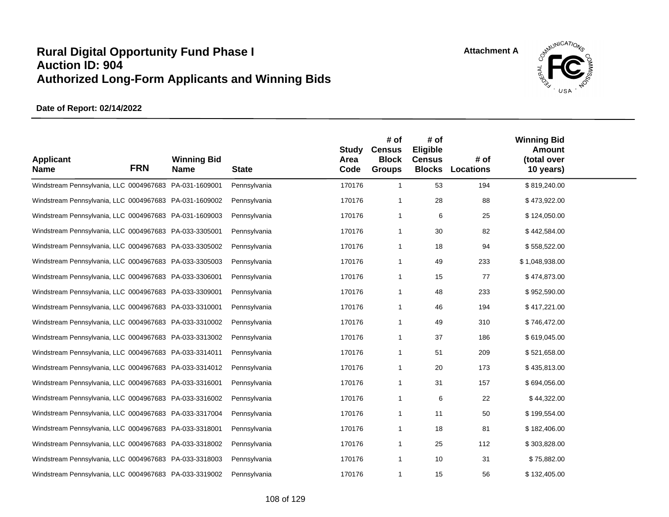

| <b>Applicant</b><br><b>Name</b>                        | <b>FRN</b> | <b>Winning Bid</b><br><b>Name</b> | <b>State</b> | <b>Study</b><br>Area<br>Code | # of<br><b>Census</b><br><b>Block</b><br><b>Groups</b> | # of<br>Eligible<br><b>Census</b><br><b>Blocks</b> | # of<br><b>Locations</b> | <b>Winning Bid</b><br><b>Amount</b><br>(total over<br>10 years) |  |
|--------------------------------------------------------|------------|-----------------------------------|--------------|------------------------------|--------------------------------------------------------|----------------------------------------------------|--------------------------|-----------------------------------------------------------------|--|
| Windstream Pennsylvania, LLC 0004967683 PA-031-1609001 |            |                                   | Pennsylvania | 170176                       | $\mathbf{1}$                                           | 53                                                 | 194                      | \$819,240.00                                                    |  |
| Windstream Pennsylvania, LLC 0004967683 PA-031-1609002 |            |                                   | Pennsylvania | 170176                       | 1                                                      | 28                                                 | 88                       | \$473,922.00                                                    |  |
| Windstream Pennsylvania, LLC 0004967683 PA-031-1609003 |            |                                   | Pennsylvania | 170176                       | $\mathbf{1}$                                           | 6                                                  | 25                       | \$124,050.00                                                    |  |
| Windstream Pennsylvania, LLC 0004967683 PA-033-3305001 |            |                                   | Pennsylvania | 170176                       | $\mathbf{1}$                                           | 30                                                 | 82                       | \$442,584.00                                                    |  |
| Windstream Pennsylvania, LLC 0004967683 PA-033-3305002 |            |                                   | Pennsylvania | 170176                       | $\mathbf{1}$                                           | 18                                                 | 94                       | \$558,522.00                                                    |  |
| Windstream Pennsylvania, LLC 0004967683 PA-033-3305003 |            |                                   | Pennsylvania | 170176                       | $\mathbf{1}$                                           | 49                                                 | 233                      | \$1,048,938.00                                                  |  |
| Windstream Pennsylvania, LLC 0004967683 PA-033-3306001 |            |                                   | Pennsylvania | 170176                       | $\mathbf{1}$                                           | 15                                                 | 77                       | \$474,873.00                                                    |  |
| Windstream Pennsylvania, LLC 0004967683 PA-033-3309001 |            |                                   | Pennsylvania | 170176                       | 1                                                      | 48                                                 | 233                      | \$952,590.00                                                    |  |
| Windstream Pennsylvania, LLC 0004967683 PA-033-3310001 |            |                                   | Pennsylvania | 170176                       | 1                                                      | 46                                                 | 194                      | \$417,221.00                                                    |  |
| Windstream Pennsylvania, LLC 0004967683 PA-033-3310002 |            |                                   | Pennsylvania | 170176                       | 1                                                      | 49                                                 | 310                      | \$746,472.00                                                    |  |
| Windstream Pennsylvania, LLC 0004967683 PA-033-3313002 |            |                                   | Pennsylvania | 170176                       | 1                                                      | 37                                                 | 186                      | \$619,045.00                                                    |  |
| Windstream Pennsylvania, LLC 0004967683 PA-033-3314011 |            |                                   | Pennsylvania | 170176                       | 1                                                      | 51                                                 | 209                      | \$521,658.00                                                    |  |
| Windstream Pennsylvania, LLC 0004967683 PA-033-3314012 |            |                                   | Pennsylvania | 170176                       | 1                                                      | 20                                                 | 173                      | \$435,813.00                                                    |  |
| Windstream Pennsylvania, LLC 0004967683 PA-033-3316001 |            |                                   | Pennsylvania | 170176                       | 1                                                      | 31                                                 | 157                      | \$694,056.00                                                    |  |
| Windstream Pennsylvania, LLC 0004967683 PA-033-3316002 |            |                                   | Pennsylvania | 170176                       | 1                                                      | 6                                                  | 22                       | \$44,322.00                                                     |  |
| Windstream Pennsylvania, LLC 0004967683 PA-033-3317004 |            |                                   | Pennsylvania | 170176                       | 1                                                      | 11                                                 | 50                       | \$199,554.00                                                    |  |
| Windstream Pennsylvania, LLC 0004967683 PA-033-3318001 |            |                                   | Pennsylvania | 170176                       | $\mathbf{1}$                                           | 18                                                 | 81                       | \$182,406.00                                                    |  |
| Windstream Pennsylvania, LLC 0004967683 PA-033-3318002 |            |                                   | Pennsylvania | 170176                       | 1                                                      | 25                                                 | 112                      | \$303,828.00                                                    |  |
| Windstream Pennsylvania, LLC 0004967683 PA-033-3318003 |            |                                   | Pennsylvania | 170176                       | $\mathbf{1}$                                           | 10                                                 | 31                       | \$75,882.00                                                     |  |
| Windstream Pennsylvania, LLC 0004967683 PA-033-3319002 |            |                                   | Pennsylvania | 170176                       | 1                                                      | 15                                                 | 56                       | \$132,405.00                                                    |  |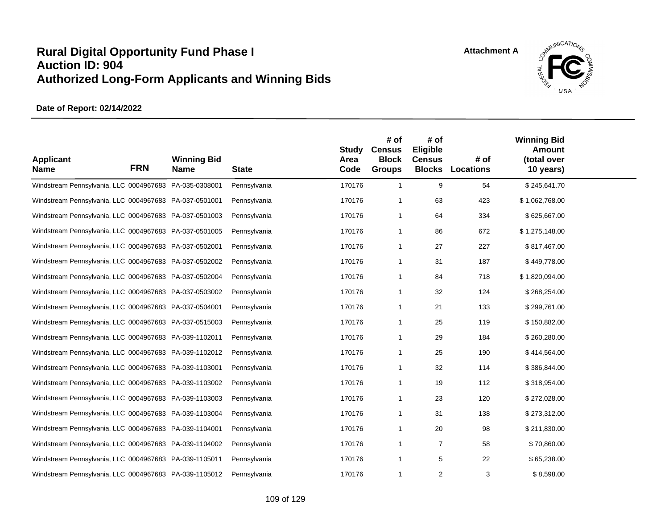

| <b>Applicant</b><br><b>Name</b>                        | <b>FRN</b> | <b>Winning Bid</b><br><b>Name</b> | <b>State</b> | <b>Study</b><br>Area<br>Code | # of<br><b>Census</b><br><b>Block</b><br><b>Groups</b> | # of<br>Eligible<br><b>Census</b> | # of<br><b>Blocks Locations</b> | <b>Winning Bid</b><br><b>Amount</b><br>(total over<br>10 years) |  |
|--------------------------------------------------------|------------|-----------------------------------|--------------|------------------------------|--------------------------------------------------------|-----------------------------------|---------------------------------|-----------------------------------------------------------------|--|
| Windstream Pennsylvania, LLC 0004967683 PA-035-0308001 |            |                                   | Pennsylvania | 170176                       | $\overline{1}$                                         | 9                                 | 54                              | \$245,641.70                                                    |  |
| Windstream Pennsylvania, LLC 0004967683 PA-037-0501001 |            |                                   | Pennsylvania | 170176                       | $\overline{1}$                                         | 63                                | 423                             | \$1,062,768.00                                                  |  |
| Windstream Pennsylvania, LLC 0004967683 PA-037-0501003 |            |                                   | Pennsylvania | 170176                       | -1                                                     | 64                                | 334                             | \$625,667.00                                                    |  |
| Windstream Pennsylvania, LLC 0004967683 PA-037-0501005 |            |                                   | Pennsylvania | 170176                       | -1                                                     | 86                                | 672                             | \$1,275,148.00                                                  |  |
| Windstream Pennsylvania, LLC 0004967683 PA-037-0502001 |            |                                   | Pennsylvania | 170176                       | $\overline{1}$                                         | 27                                | 227                             | \$817,467.00                                                    |  |
| Windstream Pennsylvania, LLC 0004967683 PA-037-0502002 |            |                                   | Pennsylvania | 170176                       | $\overline{1}$                                         | 31                                | 187                             | \$449,778.00                                                    |  |
| Windstream Pennsylvania, LLC 0004967683 PA-037-0502004 |            |                                   | Pennsylvania | 170176                       | $\overline{1}$                                         | 84                                | 718                             | \$1,820,094.00                                                  |  |
| Windstream Pennsylvania, LLC 0004967683 PA-037-0503002 |            |                                   | Pennsylvania | 170176                       | -1                                                     | 32                                | 124                             | \$268,254.00                                                    |  |
| Windstream Pennsylvania, LLC 0004967683 PA-037-0504001 |            |                                   | Pennsylvania | 170176                       | $\overline{1}$                                         | 21                                | 133                             | \$299,761.00                                                    |  |
| Windstream Pennsylvania, LLC 0004967683 PA-037-0515003 |            |                                   | Pennsylvania | 170176                       | -1                                                     | 25                                | 119                             | \$150,882.00                                                    |  |
| Windstream Pennsylvania, LLC 0004967683 PA-039-1102011 |            |                                   | Pennsylvania | 170176                       | $\overline{1}$                                         | 29                                | 184                             | \$260,280.00                                                    |  |
| Windstream Pennsylvania, LLC 0004967683 PA-039-1102012 |            |                                   | Pennsylvania | 170176                       | $\overline{1}$                                         | 25                                | 190                             | \$414,564.00                                                    |  |
| Windstream Pennsylvania, LLC 0004967683 PA-039-1103001 |            |                                   | Pennsylvania | 170176                       | -1                                                     | 32                                | 114                             | \$386,844.00                                                    |  |
| Windstream Pennsylvania, LLC 0004967683 PA-039-1103002 |            |                                   | Pennsylvania | 170176                       | $\overline{1}$                                         | 19                                | 112                             | \$318,954.00                                                    |  |
| Windstream Pennsylvania, LLC 0004967683 PA-039-1103003 |            |                                   | Pennsylvania | 170176                       | $\overline{1}$                                         | 23                                | 120                             | \$272,028.00                                                    |  |
| Windstream Pennsylvania, LLC 0004967683 PA-039-1103004 |            |                                   | Pennsylvania | 170176                       | $\overline{1}$                                         | 31                                | 138                             | \$273,312.00                                                    |  |
| Windstream Pennsylvania, LLC 0004967683 PA-039-1104001 |            |                                   | Pennsylvania | 170176                       | $\overline{1}$                                         | 20                                | 98                              | \$211,830.00                                                    |  |
| Windstream Pennsylvania, LLC 0004967683 PA-039-1104002 |            |                                   | Pennsylvania | 170176                       | $\overline{1}$                                         | $\overline{7}$                    | 58                              | \$70,860.00                                                     |  |
| Windstream Pennsylvania, LLC 0004967683 PA-039-1105011 |            |                                   | Pennsylvania | 170176                       | $\overline{1}$                                         | 5                                 | 22                              | \$65,238.00                                                     |  |
| Windstream Pennsylvania, LLC 0004967683 PA-039-1105012 |            |                                   | Pennsylvania | 170176                       | $\overline{1}$                                         | 2                                 | 3                               | \$8,598.00                                                      |  |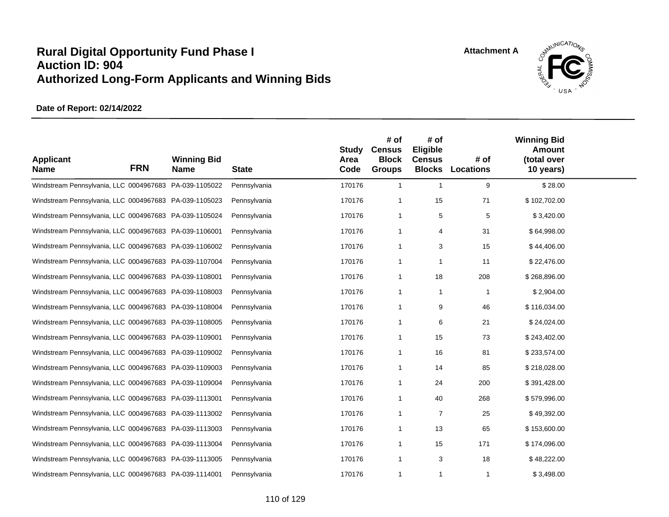

| <b>Applicant</b><br><b>Name</b>                        | <b>FRN</b> | <b>Winning Bid</b><br><b>Name</b> | <b>State</b> | <b>Study</b><br>Area<br>Code | # of<br><b>Census</b><br><b>Block</b><br><b>Groups</b> | # of<br>Eligible<br><b>Census</b><br><b>Blocks</b> | # of<br><b>Locations</b> | <b>Winning Bid</b><br>Amount<br>(total over<br>10 years) |  |
|--------------------------------------------------------|------------|-----------------------------------|--------------|------------------------------|--------------------------------------------------------|----------------------------------------------------|--------------------------|----------------------------------------------------------|--|
| Windstream Pennsylvania, LLC 0004967683 PA-039-1105022 |            |                                   | Pennsylvania | 170176                       | $\mathbf{1}$                                           | $\overline{1}$                                     | 9                        | \$28.00                                                  |  |
| Windstream Pennsylvania, LLC 0004967683 PA-039-1105023 |            |                                   | Pennsylvania | 170176                       | $\overline{1}$                                         | 15                                                 | 71                       | \$102,702.00                                             |  |
| Windstream Pennsylvania, LLC 0004967683 PA-039-1105024 |            |                                   | Pennsylvania | 170176                       | $\overline{1}$                                         | 5                                                  | 5                        | \$3,420.00                                               |  |
| Windstream Pennsylvania, LLC 0004967683 PA-039-1106001 |            |                                   | Pennsylvania | 170176                       | $\overline{1}$                                         | 4                                                  | 31                       | \$64,998.00                                              |  |
| Windstream Pennsylvania, LLC 0004967683 PA-039-1106002 |            |                                   | Pennsylvania | 170176                       | $\overline{1}$                                         | 3                                                  | 15                       | \$44,406.00                                              |  |
| Windstream Pennsylvania, LLC 0004967683 PA-039-1107004 |            |                                   | Pennsylvania | 170176                       | $\overline{1}$                                         |                                                    | 11                       | \$22,476.00                                              |  |
| Windstream Pennsylvania, LLC 0004967683 PA-039-1108001 |            |                                   | Pennsylvania | 170176                       | $\overline{1}$                                         | 18                                                 | 208                      | \$268,896.00                                             |  |
| Windstream Pennsylvania, LLC 0004967683 PA-039-1108003 |            |                                   | Pennsylvania | 170176                       | $\mathbf 1$                                            | $\overline{1}$                                     | $\mathbf 1$              | \$2,904.00                                               |  |
| Windstream Pennsylvania, LLC 0004967683 PA-039-1108004 |            |                                   | Pennsylvania | 170176                       | $\overline{1}$                                         | 9                                                  | 46                       | \$116,034.00                                             |  |
| Windstream Pennsylvania, LLC 0004967683 PA-039-1108005 |            |                                   | Pennsylvania | 170176                       | $\overline{1}$                                         | 6                                                  | 21                       | \$24,024.00                                              |  |
| Windstream Pennsylvania, LLC 0004967683 PA-039-1109001 |            |                                   | Pennsylvania | 170176                       | $\overline{1}$                                         | 15                                                 | 73                       | \$243,402.00                                             |  |
| Windstream Pennsylvania, LLC 0004967683 PA-039-1109002 |            |                                   | Pennsylvania | 170176                       | $\overline{1}$                                         | 16                                                 | 81                       | \$233,574.00                                             |  |
| Windstream Pennsylvania, LLC 0004967683 PA-039-1109003 |            |                                   | Pennsylvania | 170176                       | $\overline{1}$                                         | 14                                                 | 85                       | \$218,028.00                                             |  |
| Windstream Pennsylvania, LLC 0004967683 PA-039-1109004 |            |                                   | Pennsylvania | 170176                       | $\overline{1}$                                         | 24                                                 | 200                      | \$391,428.00                                             |  |
| Windstream Pennsylvania, LLC 0004967683 PA-039-1113001 |            |                                   | Pennsylvania | 170176                       | $\overline{1}$                                         | 40                                                 | 268                      | \$579,996.00                                             |  |
| Windstream Pennsylvania, LLC 0004967683 PA-039-1113002 |            |                                   | Pennsylvania | 170176                       | $\mathbf 1$                                            | $\overline{7}$                                     | 25                       | \$49,392.00                                              |  |
| Windstream Pennsylvania, LLC 0004967683 PA-039-1113003 |            |                                   | Pennsylvania | 170176                       | $\overline{1}$                                         | 13                                                 | 65                       | \$153,600.00                                             |  |
| Windstream Pennsylvania, LLC 0004967683 PA-039-1113004 |            |                                   | Pennsylvania | 170176                       | $\overline{1}$                                         | 15                                                 | 171                      | \$174,096.00                                             |  |
| Windstream Pennsylvania, LLC 0004967683 PA-039-1113005 |            |                                   | Pennsylvania | 170176                       | $\overline{1}$                                         | 3                                                  | 18                       | \$48,222.00                                              |  |
| Windstream Pennsylvania, LLC 0004967683 PA-039-1114001 |            |                                   | Pennsylvania | 170176                       | $\mathbf 1$                                            | $\mathbf 1$                                        | $\mathbf{1}$             | \$3,498.00                                               |  |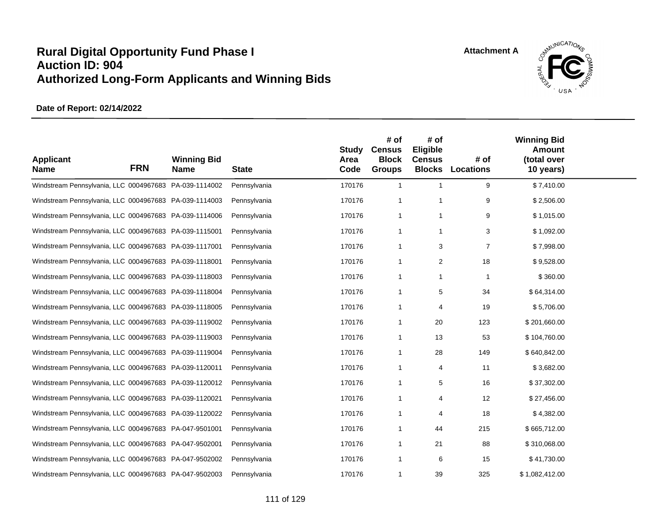

| <b>Applicant</b><br><b>Name</b>                        | <b>FRN</b> | <b>Winning Bid</b><br><b>Name</b> | <b>State</b> | <b>Study</b><br>Area<br>Code | # of<br><b>Census</b><br><b>Block</b><br><b>Groups</b> | # of<br>Eligible<br><b>Census</b><br><b>Blocks</b> | # of<br><b>Locations</b> | <b>Winning Bid</b><br><b>Amount</b><br>(total over<br>10 years) |  |
|--------------------------------------------------------|------------|-----------------------------------|--------------|------------------------------|--------------------------------------------------------|----------------------------------------------------|--------------------------|-----------------------------------------------------------------|--|
| Windstream Pennsylvania, LLC 0004967683 PA-039-1114002 |            |                                   | Pennsylvania | 170176                       | $\overline{1}$                                         | $\mathbf{1}$                                       | 9                        | \$7,410.00                                                      |  |
| Windstream Pennsylvania, LLC 0004967683 PA-039-1114003 |            |                                   | Pennsylvania | 170176                       | $\overline{1}$                                         | $\overline{1}$                                     | 9                        | \$2,506.00                                                      |  |
| Windstream Pennsylvania, LLC 0004967683 PA-039-1114006 |            |                                   | Pennsylvania | 170176                       | $\overline{1}$                                         | $\overline{\mathbf{1}}$                            | 9                        | \$1,015.00                                                      |  |
| Windstream Pennsylvania, LLC 0004967683 PA-039-1115001 |            |                                   | Pennsylvania | 170176                       | $\overline{1}$                                         | -1                                                 | 3                        | \$1,092.00                                                      |  |
| Windstream Pennsylvania, LLC 0004967683 PA-039-1117001 |            |                                   | Pennsylvania | 170176                       | $\overline{1}$                                         | 3                                                  | $\overline{7}$           | \$7,998.00                                                      |  |
| Windstream Pennsylvania, LLC 0004967683 PA-039-1118001 |            |                                   | Pennsylvania | 170176                       | $\overline{1}$                                         | $\overline{2}$                                     | 18                       | \$9,528.00                                                      |  |
| Windstream Pennsylvania, LLC 0004967683 PA-039-1118003 |            |                                   | Pennsylvania | 170176                       | $\overline{1}$                                         | $\overline{\mathbf{1}}$                            | $\mathbf{1}$             | \$360.00                                                        |  |
| Windstream Pennsylvania, LLC 0004967683 PA-039-1118004 |            |                                   | Pennsylvania | 170176                       | $\overline{1}$                                         | 5                                                  | 34                       | \$64,314.00                                                     |  |
| Windstream Pennsylvania, LLC 0004967683 PA-039-1118005 |            |                                   | Pennsylvania | 170176                       | $\overline{1}$                                         | 4                                                  | 19                       | \$5,706.00                                                      |  |
| Windstream Pennsylvania, LLC 0004967683 PA-039-1119002 |            |                                   | Pennsylvania | 170176                       | -1                                                     | 20                                                 | 123                      | \$201,660.00                                                    |  |
| Windstream Pennsylvania, LLC 0004967683 PA-039-1119003 |            |                                   | Pennsylvania | 170176                       | $\overline{1}$                                         | 13                                                 | 53                       | \$104,760.00                                                    |  |
| Windstream Pennsylvania, LLC 0004967683 PA-039-1119004 |            |                                   | Pennsylvania | 170176                       | -1                                                     | 28                                                 | 149                      | \$640,842.00                                                    |  |
| Windstream Pennsylvania, LLC 0004967683 PA-039-1120011 |            |                                   | Pennsylvania | 170176                       | $\overline{1}$                                         | 4                                                  | 11                       | \$3,682.00                                                      |  |
| Windstream Pennsylvania, LLC 0004967683 PA-039-1120012 |            |                                   | Pennsylvania | 170176                       | -1                                                     | 5                                                  | 16                       | \$37,302.00                                                     |  |
| Windstream Pennsylvania, LLC 0004967683 PA-039-1120021 |            |                                   | Pennsylvania | 170176                       | -1                                                     | 4                                                  | 12                       | \$27,456.00                                                     |  |
| Windstream Pennsylvania, LLC 0004967683 PA-039-1120022 |            |                                   | Pennsylvania | 170176                       | -1                                                     | 4                                                  | 18                       | \$4,382.00                                                      |  |
| Windstream Pennsylvania, LLC 0004967683 PA-047-9501001 |            |                                   | Pennsylvania | 170176                       | -1                                                     | 44                                                 | 215                      | \$665,712.00                                                    |  |
| Windstream Pennsylvania, LLC 0004967683 PA-047-9502001 |            |                                   | Pennsylvania | 170176                       | -1                                                     | 21                                                 | 88                       | \$310,068.00                                                    |  |
| Windstream Pennsylvania, LLC 0004967683 PA-047-9502002 |            |                                   | Pennsylvania | 170176                       | $\overline{1}$                                         | 6                                                  | 15                       | \$41,730.00                                                     |  |
| Windstream Pennsylvania, LLC 0004967683 PA-047-9502003 |            |                                   | Pennsylvania | 170176                       | -1                                                     | 39                                                 | 325                      | \$1,082,412.00                                                  |  |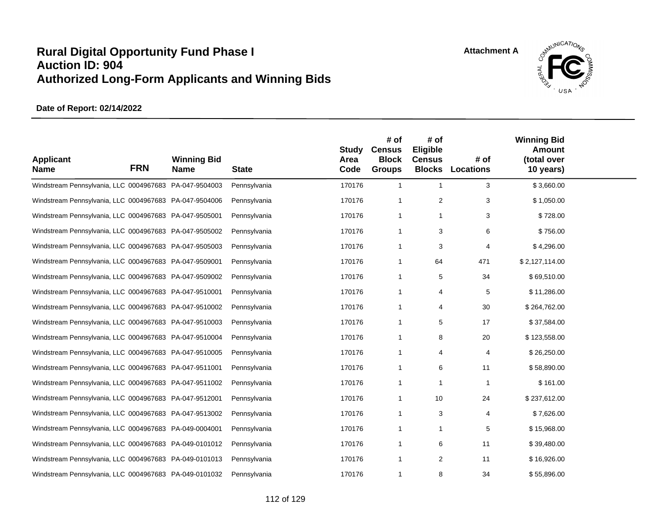

| <b>Applicant</b><br><b>Name</b>                        | <b>FRN</b> | <b>Winning Bid</b><br><b>Name</b> | <b>State</b> | <b>Study</b><br>Area<br>Code | # of<br><b>Census</b><br><b>Block</b><br><b>Groups</b> | # of<br>Eligible<br><b>Census</b><br><b>Blocks</b> | # of<br>Locations | <b>Winning Bid</b><br><b>Amount</b><br>(total over<br>10 years) |  |
|--------------------------------------------------------|------------|-----------------------------------|--------------|------------------------------|--------------------------------------------------------|----------------------------------------------------|-------------------|-----------------------------------------------------------------|--|
| Windstream Pennsylvania, LLC 0004967683 PA-047-9504003 |            |                                   | Pennsylvania | 170176                       | $\overline{1}$                                         | $\overline{1}$                                     | 3                 | \$3,660.00                                                      |  |
| Windstream Pennsylvania, LLC 0004967683 PA-047-9504006 |            |                                   | Pennsylvania | 170176                       | $\overline{1}$                                         | 2                                                  | 3                 | \$1,050.00                                                      |  |
| Windstream Pennsylvania, LLC 0004967683 PA-047-9505001 |            |                                   | Pennsylvania | 170176                       | $\overline{1}$                                         | $\mathbf 1$                                        | 3                 | \$728.00                                                        |  |
| Windstream Pennsylvania, LLC 0004967683 PA-047-9505002 |            |                                   | Pennsylvania | 170176                       | $\overline{1}$                                         | 3                                                  | 6                 | \$756.00                                                        |  |
| Windstream Pennsylvania, LLC 0004967683 PA-047-9505003 |            |                                   | Pennsylvania | 170176                       | $\overline{1}$                                         | 3                                                  | 4                 | \$4,296.00                                                      |  |
| Windstream Pennsylvania, LLC 0004967683 PA-047-9509001 |            |                                   | Pennsylvania | 170176                       | $\overline{1}$                                         | 64                                                 | 471               | \$2,127,114.00                                                  |  |
| Windstream Pennsylvania, LLC 0004967683 PA-047-9509002 |            |                                   | Pennsylvania | 170176                       | $\overline{1}$                                         | 5                                                  | 34                | \$69,510.00                                                     |  |
| Windstream Pennsylvania, LLC 0004967683 PA-047-9510001 |            |                                   | Pennsylvania | 170176                       | $\overline{1}$                                         | 4                                                  | 5                 | \$11,286.00                                                     |  |
| Windstream Pennsylvania, LLC 0004967683 PA-047-9510002 |            |                                   | Pennsylvania | 170176                       | $\overline{1}$                                         | 4                                                  | 30                | \$264,762.00                                                    |  |
| Windstream Pennsylvania, LLC 0004967683 PA-047-9510003 |            |                                   | Pennsylvania | 170176                       | $\overline{1}$                                         | 5                                                  | 17                | \$37,584.00                                                     |  |
| Windstream Pennsylvania, LLC 0004967683 PA-047-9510004 |            |                                   | Pennsylvania | 170176                       | $\overline{1}$                                         | 8                                                  | 20                | \$123,558.00                                                    |  |
| Windstream Pennsylvania, LLC 0004967683 PA-047-9510005 |            |                                   | Pennsylvania | 170176                       | $\overline{1}$                                         | 4                                                  | 4                 | \$26,250.00                                                     |  |
| Windstream Pennsylvania, LLC 0004967683 PA-047-9511001 |            |                                   | Pennsylvania | 170176                       | $\overline{1}$                                         | 6                                                  | 11                | \$58,890.00                                                     |  |
| Windstream Pennsylvania, LLC 0004967683 PA-047-9511002 |            |                                   | Pennsylvania | 170176                       | $\overline{1}$                                         | $\mathbf 1$                                        | $\overline{1}$    | \$161.00                                                        |  |
| Windstream Pennsylvania, LLC 0004967683 PA-047-9512001 |            |                                   | Pennsylvania | 170176                       | $\overline{1}$                                         | 10                                                 | 24                | \$237,612.00                                                    |  |
| Windstream Pennsylvania, LLC 0004967683 PA-047-9513002 |            |                                   | Pennsylvania | 170176                       | $\overline{1}$                                         | 3                                                  | 4                 | \$7,626.00                                                      |  |
| Windstream Pennsylvania, LLC 0004967683 PA-049-0004001 |            |                                   | Pennsylvania | 170176                       | $\overline{1}$                                         | $\mathbf 1$                                        | 5                 | \$15,968.00                                                     |  |
| Windstream Pennsylvania, LLC 0004967683 PA-049-0101012 |            |                                   | Pennsylvania | 170176                       | $\overline{1}$                                         | 6                                                  | 11                | \$39,480.00                                                     |  |
| Windstream Pennsylvania, LLC 0004967683 PA-049-0101013 |            |                                   | Pennsylvania | 170176                       | $\overline{1}$                                         | 2                                                  | 11                | \$16,926.00                                                     |  |
| Windstream Pennsylvania, LLC 0004967683 PA-049-0101032 |            |                                   | Pennsylvania | 170176                       | $\mathbf 1$                                            | 8                                                  | 34                | \$55,896.00                                                     |  |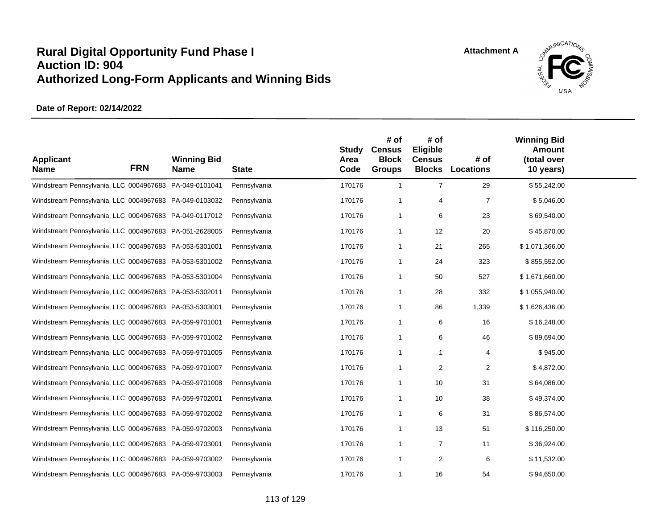

| <b>Applicant</b><br><b>Name</b>                        | <b>FRN</b> | <b>Winning Bid</b><br><b>Name</b> | <b>State</b> | <b>Study</b><br>Area<br>Code | # of<br><b>Census</b><br><b>Block</b><br><b>Groups</b> | # of<br>Eligible<br><b>Census</b> | # of<br><b>Blocks Locations</b> | <b>Winning Bid</b><br><b>Amount</b><br>(total over<br>10 years) |  |
|--------------------------------------------------------|------------|-----------------------------------|--------------|------------------------------|--------------------------------------------------------|-----------------------------------|---------------------------------|-----------------------------------------------------------------|--|
| Windstream Pennsylvania, LLC 0004967683 PA-049-0101041 |            |                                   | Pennsylvania | 170176                       | $\overline{1}$                                         | $\overline{7}$                    | 29                              | \$55,242.00                                                     |  |
| Windstream Pennsylvania, LLC 0004967683 PA-049-0103032 |            |                                   | Pennsylvania | 170176                       | -1                                                     | 4                                 | $\overline{7}$                  | \$5,046.00                                                      |  |
| Windstream Pennsylvania, LLC 0004967683 PA-049-0117012 |            |                                   | Pennsylvania | 170176                       | -1                                                     | 6                                 | 23                              | \$69,540.00                                                     |  |
| Windstream Pennsylvania, LLC 0004967683 PA-051-2628005 |            |                                   | Pennsylvania | 170176                       | -1                                                     | 12                                | 20                              | \$45,870.00                                                     |  |
| Windstream Pennsylvania, LLC 0004967683 PA-053-5301001 |            |                                   | Pennsylvania | 170176                       | -1                                                     | 21                                | 265                             | \$1,071,366.00                                                  |  |
| Windstream Pennsylvania, LLC 0004967683 PA-053-5301002 |            |                                   | Pennsylvania | 170176                       | -1                                                     | 24                                | 323                             | \$855,552.00                                                    |  |
| Windstream Pennsylvania, LLC 0004967683 PA-053-5301004 |            |                                   | Pennsylvania | 170176                       | -1                                                     | 50                                | 527                             | \$1,671,660.00                                                  |  |
| Windstream Pennsylvania, LLC 0004967683 PA-053-5302011 |            |                                   | Pennsylvania | 170176                       | -1                                                     | 28                                | 332                             | \$1,055,940.00                                                  |  |
| Windstream Pennsylvania, LLC 0004967683 PA-053-5303001 |            |                                   | Pennsylvania | 170176                       | -1                                                     | 86                                | 1,339                           | \$1,626,436.00                                                  |  |
| Windstream Pennsylvania, LLC 0004967683 PA-059-9701001 |            |                                   | Pennsylvania | 170176                       | -1                                                     | 6                                 | 16                              | \$16,248.00                                                     |  |
| Windstream Pennsylvania, LLC 0004967683 PA-059-9701002 |            |                                   | Pennsylvania | 170176                       | $\overline{1}$                                         | 6                                 | 46                              | \$89,694.00                                                     |  |
| Windstream Pennsylvania, LLC 0004967683 PA-059-9701005 |            |                                   | Pennsylvania | 170176                       | -1                                                     | -1                                | 4                               | \$945.00                                                        |  |
| Windstream Pennsylvania, LLC 0004967683 PA-059-9701007 |            |                                   | Pennsylvania | 170176                       | -1                                                     | 2                                 | $\overline{2}$                  | \$4,872.00                                                      |  |
| Windstream Pennsylvania, LLC 0004967683 PA-059-9701008 |            |                                   | Pennsylvania | 170176                       | -1                                                     | 10                                | 31                              | \$64,086.00                                                     |  |
| Windstream Pennsylvania, LLC 0004967683 PA-059-9702001 |            |                                   | Pennsylvania | 170176                       | -1                                                     | 10                                | 38                              | \$49,374.00                                                     |  |
| Windstream Pennsylvania, LLC 0004967683 PA-059-9702002 |            |                                   | Pennsylvania | 170176                       | -1                                                     | 6                                 | 31                              | \$86,574.00                                                     |  |
| Windstream Pennsylvania, LLC 0004967683 PA-059-9702003 |            |                                   | Pennsylvania | 170176                       | $\overline{1}$                                         | 13                                | 51                              | \$116,250.00                                                    |  |
| Windstream Pennsylvania, LLC 0004967683 PA-059-9703001 |            |                                   | Pennsylvania | 170176                       | -1                                                     | $\overline{7}$                    | 11                              | \$36,924.00                                                     |  |
| Windstream Pennsylvania, LLC 0004967683 PA-059-9703002 |            |                                   | Pennsylvania | 170176                       | $\overline{1}$                                         | 2                                 | 6                               | \$11,532.00                                                     |  |
| Windstream Pennsylvania, LLC 0004967683 PA-059-9703003 |            |                                   | Pennsylvania | 170176                       | -1                                                     | 16                                | 54                              | \$94,650.00                                                     |  |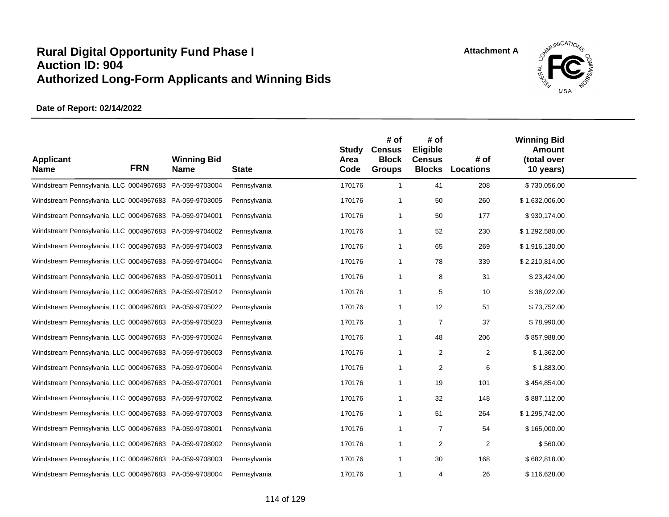

| <b>Applicant</b><br><b>Name</b>                        | <b>FRN</b> | <b>Winning Bid</b><br><b>Name</b> | <b>State</b> | <b>Study</b><br>Area<br>Code | # of<br><b>Census</b><br><b>Block</b><br><b>Groups</b> | # of<br>Eligible<br><b>Census</b><br><b>Blocks</b> | # of<br><b>Locations</b> | <b>Winning Bid</b><br><b>Amount</b><br>(total over<br>10 years) |  |
|--------------------------------------------------------|------------|-----------------------------------|--------------|------------------------------|--------------------------------------------------------|----------------------------------------------------|--------------------------|-----------------------------------------------------------------|--|
| Windstream Pennsylvania, LLC 0004967683 PA-059-9703004 |            |                                   | Pennsylvania | 170176                       | $\mathbf{1}$                                           | 41                                                 | 208                      | \$730,056.00                                                    |  |
| Windstream Pennsylvania, LLC 0004967683 PA-059-9703005 |            |                                   | Pennsylvania | 170176                       | -1                                                     | 50                                                 | 260                      | \$1,632,006.00                                                  |  |
| Windstream Pennsylvania, LLC 0004967683 PA-059-9704001 |            |                                   | Pennsylvania | 170176                       | $\overline{1}$                                         | 50                                                 | 177                      | \$930,174.00                                                    |  |
| Windstream Pennsylvania, LLC 0004967683 PA-059-9704002 |            |                                   | Pennsylvania | 170176                       | -1                                                     | 52                                                 | 230                      | \$1,292,580.00                                                  |  |
| Windstream Pennsylvania, LLC 0004967683 PA-059-9704003 |            |                                   | Pennsylvania | 170176                       | $\overline{1}$                                         | 65                                                 | 269                      | \$1,916,130.00                                                  |  |
| Windstream Pennsylvania, LLC 0004967683 PA-059-9704004 |            |                                   | Pennsylvania | 170176                       | $\overline{1}$                                         | 78                                                 | 339                      | \$2,210,814.00                                                  |  |
| Windstream Pennsylvania, LLC 0004967683 PA-059-9705011 |            |                                   | Pennsylvania | 170176                       | $\overline{1}$                                         | 8                                                  | 31                       | \$23,424.00                                                     |  |
| Windstream Pennsylvania, LLC 0004967683 PA-059-9705012 |            |                                   | Pennsylvania | 170176                       | $\overline{1}$                                         | 5                                                  | 10                       | \$38,022.00                                                     |  |
| Windstream Pennsylvania, LLC 0004967683 PA-059-9705022 |            |                                   | Pennsylvania | 170176                       | $\mathbf{1}$                                           | 12                                                 | 51                       | \$73,752.00                                                     |  |
| Windstream Pennsylvania, LLC 0004967683 PA-059-9705023 |            |                                   | Pennsylvania | 170176                       | -1                                                     | $\overline{7}$                                     | 37                       | \$78,990.00                                                     |  |
| Windstream Pennsylvania, LLC 0004967683 PA-059-9705024 |            |                                   | Pennsylvania | 170176                       | $\mathbf{1}$                                           | 48                                                 | 206                      | \$857,988.00                                                    |  |
| Windstream Pennsylvania, LLC 0004967683 PA-059-9706003 |            |                                   | Pennsylvania | 170176                       | $\overline{1}$                                         | 2                                                  | 2                        | \$1,362.00                                                      |  |
| Windstream Pennsylvania, LLC 0004967683 PA-059-9706004 |            |                                   | Pennsylvania | 170176                       | $\overline{1}$                                         | 2                                                  | 6                        | \$1,883.00                                                      |  |
| Windstream Pennsylvania, LLC 0004967683 PA-059-9707001 |            |                                   | Pennsylvania | 170176                       | $\overline{1}$                                         | 19                                                 | 101                      | \$454,854.00                                                    |  |
| Windstream Pennsylvania, LLC 0004967683 PA-059-9707002 |            |                                   | Pennsylvania | 170176                       | $\overline{1}$                                         | 32                                                 | 148                      | \$887,112.00                                                    |  |
| Windstream Pennsylvania, LLC 0004967683 PA-059-9707003 |            |                                   | Pennsylvania | 170176                       | $\overline{1}$                                         | 51                                                 | 264                      | \$1,295,742.00                                                  |  |
| Windstream Pennsylvania, LLC 0004967683 PA-059-9708001 |            |                                   | Pennsylvania | 170176                       | $\overline{1}$                                         | 7                                                  | 54                       | \$165,000.00                                                    |  |
| Windstream Pennsylvania, LLC 0004967683 PA-059-9708002 |            |                                   | Pennsylvania | 170176                       | -1                                                     | 2                                                  | $\overline{2}$           | \$560.00                                                        |  |
| Windstream Pennsylvania, LLC 0004967683 PA-059-9708003 |            |                                   | Pennsylvania | 170176                       | $\mathbf 1$                                            | 30                                                 | 168                      | \$682,818.00                                                    |  |
| Windstream Pennsylvania, LLC 0004967683 PA-059-9708004 |            |                                   | Pennsylvania | 170176                       | -1                                                     | 4                                                  | 26                       | \$116,628.00                                                    |  |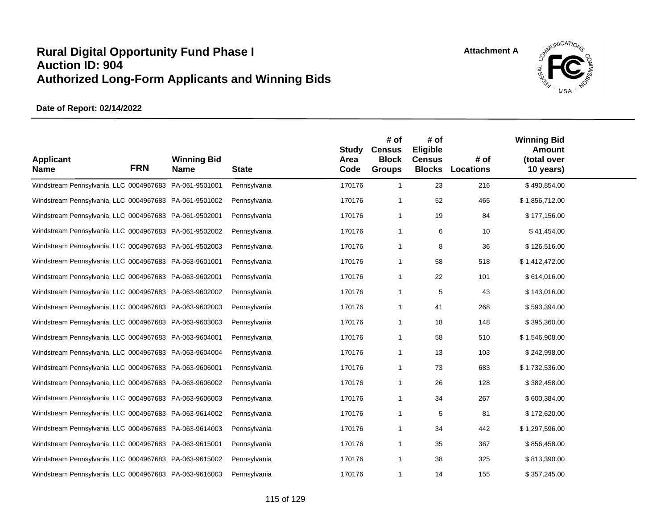

| <b>Applicant</b><br><b>Name</b>                        | <b>FRN</b> | <b>Winning Bid</b><br><b>Name</b> | <b>State</b> | <b>Study</b><br>Area<br>Code | # of<br><b>Census</b><br><b>Block</b><br><b>Groups</b> | # of<br>Eligible<br><b>Census</b><br><b>Blocks</b> | # of<br><b>Locations</b> | <b>Winning Bid</b><br><b>Amount</b><br>(total over<br>10 years) |  |
|--------------------------------------------------------|------------|-----------------------------------|--------------|------------------------------|--------------------------------------------------------|----------------------------------------------------|--------------------------|-----------------------------------------------------------------|--|
| Windstream Pennsylvania, LLC 0004967683 PA-061-9501001 |            |                                   | Pennsylvania | 170176                       | $\overline{1}$                                         | 23                                                 | 216                      | \$490,854.00                                                    |  |
| Windstream Pennsylvania, LLC 0004967683 PA-061-9501002 |            |                                   | Pennsylvania | 170176                       | 1                                                      | 52                                                 | 465                      | \$1,856,712.00                                                  |  |
| Windstream Pennsylvania, LLC 0004967683 PA-061-9502001 |            |                                   | Pennsylvania | 170176                       | $\mathbf{1}$                                           | 19                                                 | 84                       | \$177,156.00                                                    |  |
| Windstream Pennsylvania, LLC 0004967683 PA-061-9502002 |            |                                   | Pennsylvania | 170176                       | 1                                                      | 6                                                  | 10                       | \$41,454.00                                                     |  |
| Windstream Pennsylvania, LLC 0004967683 PA-061-9502003 |            |                                   | Pennsylvania | 170176                       | $\mathbf 1$                                            | 8                                                  | 36                       | \$126,516.00                                                    |  |
| Windstream Pennsylvania, LLC 0004967683 PA-063-9601001 |            |                                   | Pennsylvania | 170176                       | $\mathbf 1$                                            | 58                                                 | 518                      | \$1,412,472.00                                                  |  |
| Windstream Pennsylvania, LLC 0004967683 PA-063-9602001 |            |                                   | Pennsylvania | 170176                       | 1                                                      | 22                                                 | 101                      | \$614,016.00                                                    |  |
| Windstream Pennsylvania, LLC 0004967683 PA-063-9602002 |            |                                   | Pennsylvania | 170176                       | 1                                                      | 5                                                  | 43                       | \$143,016.00                                                    |  |
| Windstream Pennsylvania, LLC 0004967683 PA-063-9602003 |            |                                   | Pennsylvania | 170176                       | 1                                                      | 41                                                 | 268                      | \$593,394.00                                                    |  |
| Windstream Pennsylvania, LLC 0004967683 PA-063-9603003 |            |                                   | Pennsylvania | 170176                       | 1                                                      | 18                                                 | 148                      | \$395,360.00                                                    |  |
| Windstream Pennsylvania, LLC 0004967683 PA-063-9604001 |            |                                   | Pennsylvania | 170176                       | 1                                                      | 58                                                 | 510                      | \$1,546,908.00                                                  |  |
| Windstream Pennsylvania, LLC 0004967683 PA-063-9604004 |            |                                   | Pennsylvania | 170176                       | 1                                                      | 13                                                 | 103                      | \$242,998.00                                                    |  |
| Windstream Pennsylvania, LLC 0004967683 PA-063-9606001 |            |                                   | Pennsylvania | 170176                       | 1                                                      | 73                                                 | 683                      | \$1,732,536.00                                                  |  |
| Windstream Pennsylvania, LLC 0004967683 PA-063-9606002 |            |                                   | Pennsylvania | 170176                       | $\mathbf 1$                                            | 26                                                 | 128                      | \$382,458.00                                                    |  |
| Windstream Pennsylvania, LLC 0004967683 PA-063-9606003 |            |                                   | Pennsylvania | 170176                       | 1                                                      | 34                                                 | 267                      | \$600,384.00                                                    |  |
| Windstream Pennsylvania, LLC 0004967683 PA-063-9614002 |            |                                   | Pennsylvania | 170176                       | 1                                                      | 5                                                  | 81                       | \$172,620.00                                                    |  |
| Windstream Pennsylvania, LLC 0004967683 PA-063-9614003 |            |                                   | Pennsylvania | 170176                       | $\mathbf{1}$                                           | 34                                                 | 442                      | \$1,297,596.00                                                  |  |
| Windstream Pennsylvania, LLC 0004967683 PA-063-9615001 |            |                                   | Pennsylvania | 170176                       | 1                                                      | 35                                                 | 367                      | \$856,458.00                                                    |  |
| Windstream Pennsylvania, LLC 0004967683 PA-063-9615002 |            |                                   | Pennsylvania | 170176                       | $\mathbf{1}$                                           | 38                                                 | 325                      | \$813,390.00                                                    |  |
| Windstream Pennsylvania, LLC 0004967683 PA-063-9616003 |            |                                   | Pennsylvania | 170176                       | 1                                                      | 14                                                 | 155                      | \$357,245.00                                                    |  |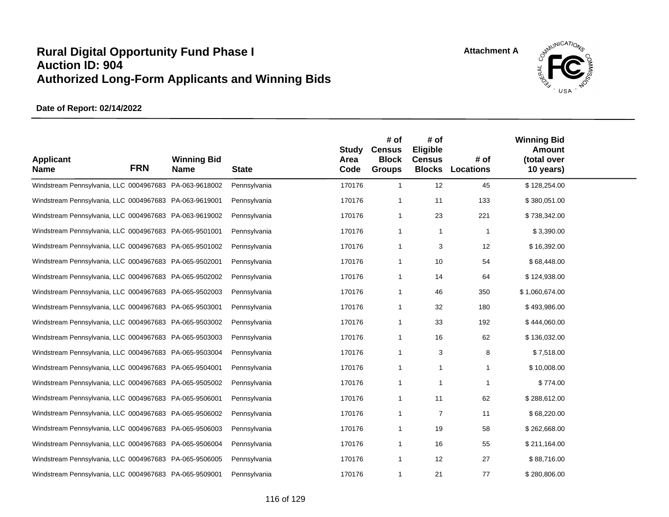

| <b>Applicant</b><br><b>Name</b>                        | <b>FRN</b> | <b>Winning Bid</b><br><b>Name</b> | <b>State</b> | <b>Study</b><br>Area<br>Code | # of<br><b>Census</b><br><b>Block</b><br><b>Groups</b> | # of<br>Eligible<br><b>Census</b><br><b>Blocks</b> | # of<br><b>Locations</b> | <b>Winning Bid</b><br>Amount<br>(total over<br>10 years) |  |
|--------------------------------------------------------|------------|-----------------------------------|--------------|------------------------------|--------------------------------------------------------|----------------------------------------------------|--------------------------|----------------------------------------------------------|--|
| Windstream Pennsylvania, LLC 0004967683 PA-063-9618002 |            |                                   | Pennsylvania | 170176                       | $\overline{1}$                                         | 12                                                 | 45                       | \$128,254.00                                             |  |
| Windstream Pennsylvania, LLC 0004967683 PA-063-9619001 |            |                                   | Pennsylvania | 170176                       | $\overline{\mathbf{1}}$                                | 11                                                 | 133                      | \$380,051.00                                             |  |
| Windstream Pennsylvania, LLC 0004967683 PA-063-9619002 |            |                                   | Pennsylvania | 170176                       | $\overline{1}$                                         | 23                                                 | 221                      | \$738,342.00                                             |  |
| Windstream Pennsylvania, LLC 0004967683 PA-065-9501001 |            |                                   | Pennsylvania | 170176                       | -1                                                     | -1                                                 | $\mathbf{1}$             | \$3,390.00                                               |  |
| Windstream Pennsylvania, LLC 0004967683 PA-065-9501002 |            |                                   | Pennsylvania | 170176                       | -1                                                     | 3                                                  | 12                       | \$16,392.00                                              |  |
| Windstream Pennsylvania, LLC 0004967683 PA-065-9502001 |            |                                   | Pennsylvania | 170176                       | -1                                                     | 10                                                 | 54                       | \$68,448.00                                              |  |
| Windstream Pennsylvania, LLC 0004967683 PA-065-9502002 |            |                                   | Pennsylvania | 170176                       | -1                                                     | 14                                                 | 64                       | \$124,938.00                                             |  |
| Windstream Pennsylvania, LLC 0004967683 PA-065-9502003 |            |                                   | Pennsylvania | 170176                       | -1                                                     | 46                                                 | 350                      | \$1,060,674.00                                           |  |
| Windstream Pennsylvania, LLC 0004967683 PA-065-9503001 |            |                                   | Pennsylvania | 170176                       | -1                                                     | 32                                                 | 180                      | \$493,986.00                                             |  |
| Windstream Pennsylvania, LLC 0004967683 PA-065-9503002 |            |                                   | Pennsylvania | 170176                       | -1                                                     | 33                                                 | 192                      | \$444,060.00                                             |  |
| Windstream Pennsylvania, LLC 0004967683 PA-065-9503003 |            |                                   | Pennsylvania | 170176                       | $\overline{1}$                                         | 16                                                 | 62                       | \$136,032.00                                             |  |
| Windstream Pennsylvania, LLC 0004967683 PA-065-9503004 |            |                                   | Pennsylvania | 170176                       | -1                                                     | 3                                                  | 8                        | \$7,518.00                                               |  |
| Windstream Pennsylvania, LLC 0004967683 PA-065-9504001 |            |                                   | Pennsylvania | 170176                       | $\overline{1}$                                         | $\overline{1}$                                     | 1                        | \$10,008.00                                              |  |
| Windstream Pennsylvania, LLC 0004967683 PA-065-9505002 |            |                                   | Pennsylvania | 170176                       | -1                                                     | -1                                                 | $\mathbf{1}$             | \$774.00                                                 |  |
| Windstream Pennsylvania, LLC 0004967683 PA-065-9506001 |            |                                   | Pennsylvania | 170176                       | $\overline{1}$                                         | 11                                                 | 62                       | \$288,612.00                                             |  |
| Windstream Pennsylvania, LLC 0004967683 PA-065-9506002 |            |                                   | Pennsylvania | 170176                       | -1                                                     | $\overline{7}$                                     | 11                       | \$68,220.00                                              |  |
| Windstream Pennsylvania, LLC 0004967683 PA-065-9506003 |            |                                   | Pennsylvania | 170176                       | $\overline{1}$                                         | 19                                                 | 58                       | \$262,668.00                                             |  |
| Windstream Pennsylvania, LLC 0004967683 PA-065-9506004 |            |                                   | Pennsylvania | 170176                       | -1                                                     | 16                                                 | 55                       | \$211,164.00                                             |  |
| Windstream Pennsylvania, LLC 0004967683 PA-065-9506005 |            |                                   | Pennsylvania | 170176                       | $\overline{1}$                                         | 12                                                 | 27                       | \$88,716.00                                              |  |
| Windstream Pennsylvania, LLC 0004967683 PA-065-9509001 |            |                                   | Pennsylvania | 170176                       | -1                                                     | 21                                                 | 77                       | \$280,806.00                                             |  |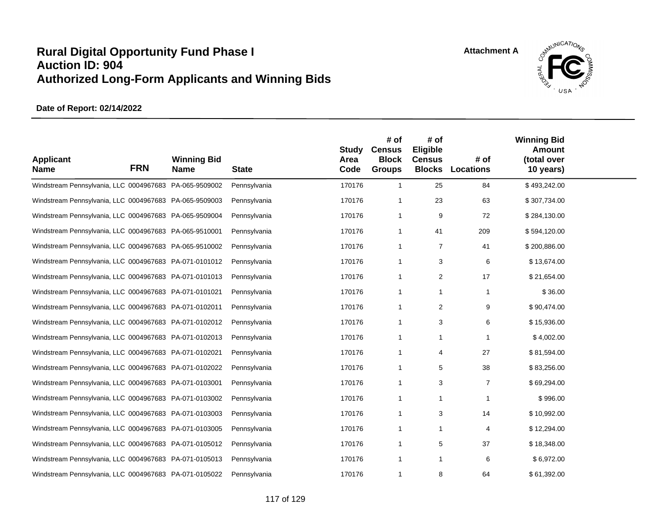

| <b>Applicant</b><br><b>Name</b>                        | <b>FRN</b> | <b>Winning Bid</b><br><b>Name</b> | <b>State</b> | <b>Study</b><br>Area<br>Code | # of<br><b>Census</b><br><b>Block</b><br><b>Groups</b> | # of<br>Eligible<br><b>Census</b><br><b>Blocks</b> | # of<br><b>Locations</b> | <b>Winning Bid</b><br><b>Amount</b><br>(total over<br>10 years) |  |
|--------------------------------------------------------|------------|-----------------------------------|--------------|------------------------------|--------------------------------------------------------|----------------------------------------------------|--------------------------|-----------------------------------------------------------------|--|
| Windstream Pennsylvania, LLC 0004967683 PA-065-9509002 |            |                                   | Pennsylvania | 170176                       | $\overline{1}$                                         | 25                                                 | 84                       | \$493,242.00                                                    |  |
| Windstream Pennsylvania, LLC 0004967683 PA-065-9509003 |            |                                   | Pennsylvania | 170176                       | -1                                                     | 23                                                 | 63                       | \$307,734.00                                                    |  |
| Windstream Pennsylvania, LLC 0004967683 PA-065-9509004 |            |                                   | Pennsylvania | 170176                       | -1                                                     | 9                                                  | 72                       | \$284,130.00                                                    |  |
| Windstream Pennsylvania, LLC 0004967683 PA-065-9510001 |            |                                   | Pennsylvania | 170176                       | -1                                                     | 41                                                 | 209                      | \$594,120.00                                                    |  |
| Windstream Pennsylvania, LLC 0004967683 PA-065-9510002 |            |                                   | Pennsylvania | 170176                       | $\overline{1}$                                         | $\overline{7}$                                     | 41                       | \$200,886.00                                                    |  |
| Windstream Pennsylvania, LLC 0004967683 PA-071-0101012 |            |                                   | Pennsylvania | 170176                       | -1                                                     | 3                                                  | 6                        | \$13,674.00                                                     |  |
| Windstream Pennsylvania, LLC 0004967683 PA-071-0101013 |            |                                   | Pennsylvania | 170176                       | -1                                                     | 2                                                  | 17                       | \$21,654.00                                                     |  |
| Windstream Pennsylvania, LLC 0004967683 PA-071-0101021 |            |                                   | Pennsylvania | 170176                       | -1                                                     | -1                                                 | 1                        | \$36.00                                                         |  |
| Windstream Pennsylvania, LLC 0004967683 PA-071-0102011 |            |                                   | Pennsylvania | 170176                       | $\overline{1}$                                         | 2                                                  | 9                        | \$90,474.00                                                     |  |
| Windstream Pennsylvania, LLC 0004967683 PA-071-0102012 |            |                                   | Pennsylvania | 170176                       | -1                                                     | 3                                                  | 6                        | \$15,936.00                                                     |  |
| Windstream Pennsylvania, LLC 0004967683 PA-071-0102013 |            |                                   | Pennsylvania | 170176                       | -1                                                     | $\mathbf{1}$                                       | 1                        | \$4,002.00                                                      |  |
| Windstream Pennsylvania, LLC 0004967683 PA-071-0102021 |            |                                   | Pennsylvania | 170176                       | -1                                                     | 4                                                  | 27                       | \$81,594.00                                                     |  |
| Windstream Pennsylvania, LLC 0004967683 PA-071-0102022 |            |                                   | Pennsylvania | 170176                       | $\mathbf 1$                                            | 5                                                  | 38                       | \$83,256.00                                                     |  |
| Windstream Pennsylvania, LLC 0004967683 PA-071-0103001 |            |                                   | Pennsylvania | 170176                       | -1                                                     | 3                                                  | $\overline{7}$           | \$69,294.00                                                     |  |
| Windstream Pennsylvania, LLC 0004967683 PA-071-0103002 |            |                                   | Pennsylvania | 170176                       | -1                                                     | -1                                                 | 1                        | \$996.00                                                        |  |
| Windstream Pennsylvania, LLC 0004967683 PA-071-0103003 |            |                                   | Pennsylvania | 170176                       | -1                                                     | 3                                                  | 14                       | \$10,992.00                                                     |  |
| Windstream Pennsylvania, LLC 0004967683 PA-071-0103005 |            |                                   | Pennsylvania | 170176                       | $\overline{1}$                                         | 1                                                  | 4                        | \$12,294.00                                                     |  |
| Windstream Pennsylvania, LLC 0004967683 PA-071-0105012 |            |                                   | Pennsylvania | 170176                       | -1                                                     | 5                                                  | 37                       | \$18,348.00                                                     |  |
| Windstream Pennsylvania, LLC 0004967683 PA-071-0105013 |            |                                   | Pennsylvania | 170176                       | $\overline{1}$                                         | $\overline{1}$                                     | 6                        | \$6,972.00                                                      |  |
| Windstream Pennsylvania, LLC 0004967683 PA-071-0105022 |            |                                   | Pennsylvania | 170176                       | $\mathbf 1$                                            | 8                                                  | 64                       | \$61,392.00                                                     |  |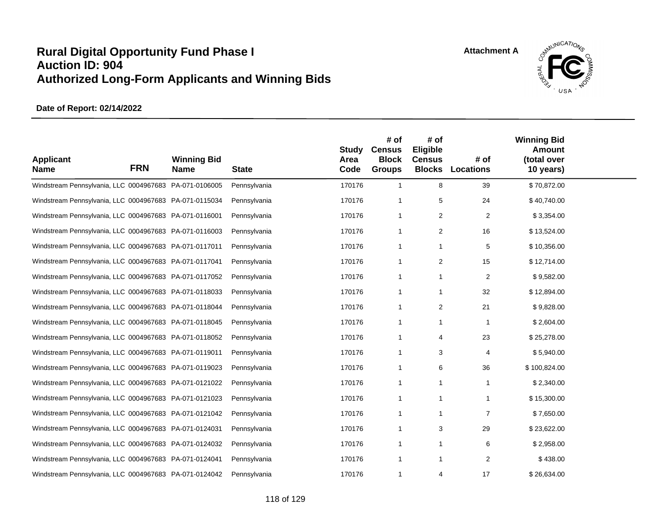

| <b>Applicant</b><br><b>Name</b>                        | <b>FRN</b> | <b>Winning Bid</b><br><b>Name</b> | <b>State</b> | <b>Study</b><br>Area<br>Code | # of<br><b>Census</b><br><b>Block</b><br><b>Groups</b> | # of<br>Eligible<br><b>Census</b> | # of<br><b>Blocks Locations</b> | <b>Winning Bid</b><br><b>Amount</b><br>(total over<br>10 years) |  |
|--------------------------------------------------------|------------|-----------------------------------|--------------|------------------------------|--------------------------------------------------------|-----------------------------------|---------------------------------|-----------------------------------------------------------------|--|
| Windstream Pennsylvania, LLC 0004967683 PA-071-0106005 |            |                                   | Pennsylvania | 170176                       | $\mathbf{1}$                                           | 8                                 | 39                              | \$70,872.00                                                     |  |
| Windstream Pennsylvania, LLC 0004967683 PA-071-0115034 |            |                                   | Pennsylvania | 170176                       | $\mathbf 1$                                            | 5                                 | 24                              | \$40,740.00                                                     |  |
| Windstream Pennsylvania, LLC 0004967683 PA-071-0116001 |            |                                   | Pennsylvania | 170176                       | $\overline{1}$                                         | 2                                 | 2                               | \$3,354.00                                                      |  |
| Windstream Pennsylvania, LLC 0004967683 PA-071-0116003 |            |                                   | Pennsylvania | 170176                       | $\mathbf 1$                                            | $\overline{2}$                    | 16                              | \$13,524.00                                                     |  |
| Windstream Pennsylvania, LLC 0004967683 PA-071-0117011 |            |                                   | Pennsylvania | 170176                       | $\overline{1}$                                         | $\mathbf{1}$                      | 5                               | \$10,356.00                                                     |  |
| Windstream Pennsylvania, LLC 0004967683 PA-071-0117041 |            |                                   | Pennsylvania | 170176                       | $\overline{1}$                                         | $\overline{2}$                    | 15                              | \$12,714.00                                                     |  |
| Windstream Pennsylvania, LLC 0004967683 PA-071-0117052 |            |                                   | Pennsylvania | 170176                       | $\overline{1}$                                         | $\overline{1}$                    | 2                               | \$9,582.00                                                      |  |
| Windstream Pennsylvania, LLC 0004967683 PA-071-0118033 |            |                                   | Pennsylvania | 170176                       | $\overline{1}$                                         | -1                                | 32                              | \$12,894.00                                                     |  |
| Windstream Pennsylvania, LLC 0004967683 PA-071-0118044 |            |                                   | Pennsylvania | 170176                       | $\mathbf{1}$                                           | $\overline{2}$                    | 21                              | \$9,828.00                                                      |  |
| Windstream Pennsylvania, LLC 0004967683 PA-071-0118045 |            |                                   | Pennsylvania | 170176                       | $\overline{1}$                                         | -1                                | $\mathbf{1}$                    | \$2,604.00                                                      |  |
| Windstream Pennsylvania, LLC 0004967683 PA-071-0118052 |            |                                   | Pennsylvania | 170176                       | $\overline{1}$                                         | 4                                 | 23                              | \$25,278.00                                                     |  |
| Windstream Pennsylvania, LLC 0004967683 PA-071-0119011 |            |                                   | Pennsylvania | 170176                       | $\overline{1}$                                         | 3                                 | 4                               | \$5,940.00                                                      |  |
| Windstream Pennsylvania, LLC 0004967683 PA-071-0119023 |            |                                   | Pennsylvania | 170176                       | $\overline{1}$                                         | 6                                 | 36                              | \$100,824.00                                                    |  |
| Windstream Pennsylvania, LLC 0004967683 PA-071-0121022 |            |                                   | Pennsylvania | 170176                       | $\mathbf 1$                                            | -1                                | 1                               | \$2,340.00                                                      |  |
| Windstream Pennsylvania, LLC 0004967683 PA-071-0121023 |            |                                   | Pennsylvania | 170176                       | $\overline{1}$                                         |                                   | 1                               | \$15,300.00                                                     |  |
| Windstream Pennsylvania, LLC 0004967683 PA-071-0121042 |            |                                   | Pennsylvania | 170176                       | $\mathbf 1$                                            | -1                                | $\overline{7}$                  | \$7,650.00                                                      |  |
| Windstream Pennsylvania, LLC 0004967683 PA-071-0124031 |            |                                   | Pennsylvania | 170176                       | $\overline{1}$                                         | 3                                 | 29                              | \$23,622.00                                                     |  |
| Windstream Pennsylvania, LLC 0004967683 PA-071-0124032 |            |                                   | Pennsylvania | 170176                       | $\overline{1}$                                         |                                   | 6                               | \$2,958.00                                                      |  |
| Windstream Pennsylvania, LLC 0004967683 PA-071-0124041 |            |                                   | Pennsylvania | 170176                       | $\overline{1}$                                         | $\mathbf{1}$                      | 2                               | \$438.00                                                        |  |
| Windstream Pennsylvania, LLC 0004967683 PA-071-0124042 |            |                                   | Pennsylvania | 170176                       | $\mathbf 1$                                            | 4                                 | 17                              | \$26,634.00                                                     |  |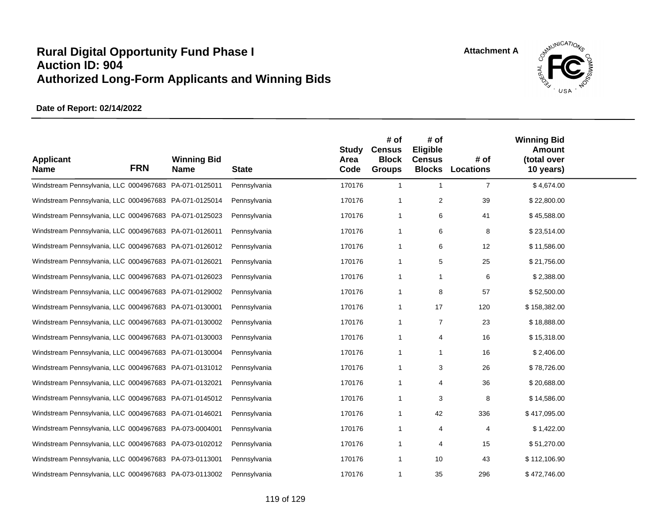

| <b>Applicant</b><br><b>Name</b>                        | <b>FRN</b> | <b>Winning Bid</b><br><b>Name</b> | <b>State</b> | <b>Study</b><br>Area<br>Code | # of<br><b>Census</b><br><b>Block</b><br><b>Groups</b> | # of<br>Eligible<br><b>Census</b><br><b>Blocks</b> | # of<br><b>Locations</b> | <b>Winning Bid</b><br><b>Amount</b><br>(total over<br>10 years) |  |
|--------------------------------------------------------|------------|-----------------------------------|--------------|------------------------------|--------------------------------------------------------|----------------------------------------------------|--------------------------|-----------------------------------------------------------------|--|
| Windstream Pennsylvania, LLC 0004967683 PA-071-0125011 |            |                                   | Pennsylvania | 170176                       | $\overline{1}$                                         | $\overline{\mathbf{1}}$                            | $\overline{7}$           | \$4,674.00                                                      |  |
| Windstream Pennsylvania, LLC 0004967683 PA-071-0125014 |            |                                   | Pennsylvania | 170176                       | $\overline{1}$                                         | $\overline{2}$                                     | 39                       | \$22,800.00                                                     |  |
| Windstream Pennsylvania, LLC 0004967683 PA-071-0125023 |            |                                   | Pennsylvania | 170176                       | $\overline{1}$                                         | 6                                                  | 41                       | \$45,588.00                                                     |  |
| Windstream Pennsylvania, LLC 0004967683 PA-071-0126011 |            |                                   | Pennsylvania | 170176                       | -1                                                     | 6                                                  | 8                        | \$23,514.00                                                     |  |
| Windstream Pennsylvania, LLC 0004967683 PA-071-0126012 |            |                                   | Pennsylvania | 170176                       | $\overline{1}$                                         | 6                                                  | 12                       | \$11,586.00                                                     |  |
| Windstream Pennsylvania, LLC 0004967683 PA-071-0126021 |            |                                   | Pennsylvania | 170176                       | $\overline{1}$                                         | 5                                                  | 25                       | \$21,756.00                                                     |  |
| Windstream Pennsylvania, LLC 0004967683 PA-071-0126023 |            |                                   | Pennsylvania | 170176                       | -1                                                     | -1                                                 | 6                        | \$2,388.00                                                      |  |
| Windstream Pennsylvania, LLC 0004967683 PA-071-0129002 |            |                                   | Pennsylvania | 170176                       | $\overline{1}$                                         | 8                                                  | 57                       | \$52,500.00                                                     |  |
| Windstream Pennsylvania, LLC 0004967683 PA-071-0130001 |            |                                   | Pennsylvania | 170176                       | $\overline{1}$                                         | 17                                                 | 120                      | \$158,382.00                                                    |  |
| Windstream Pennsylvania, LLC 0004967683 PA-071-0130002 |            |                                   | Pennsylvania | 170176                       | -1                                                     | $\overline{7}$                                     | 23                       | \$18,888.00                                                     |  |
| Windstream Pennsylvania, LLC 0004967683 PA-071-0130003 |            |                                   | Pennsylvania | 170176                       | $\overline{1}$                                         | 4                                                  | 16                       | \$15,318.00                                                     |  |
| Windstream Pennsylvania, LLC 0004967683 PA-071-0130004 |            |                                   | Pennsylvania | 170176                       | -1                                                     | -1                                                 | 16                       | \$2,406.00                                                      |  |
| Windstream Pennsylvania, LLC 0004967683 PA-071-0131012 |            |                                   | Pennsylvania | 170176                       | $\overline{1}$                                         | 3                                                  | 26                       | \$78,726.00                                                     |  |
| Windstream Pennsylvania, LLC 0004967683 PA-071-0132021 |            |                                   | Pennsylvania | 170176                       | -1                                                     | 4                                                  | 36                       | \$20,688.00                                                     |  |
| Windstream Pennsylvania, LLC 0004967683 PA-071-0145012 |            |                                   | Pennsylvania | 170176                       | -1                                                     | 3                                                  | 8                        | \$14,586.00                                                     |  |
| Windstream Pennsylvania, LLC 0004967683 PA-071-0146021 |            |                                   | Pennsylvania | 170176                       | -1                                                     | 42                                                 | 336                      | \$417,095.00                                                    |  |
| Windstream Pennsylvania, LLC 0004967683 PA-073-0004001 |            |                                   | Pennsylvania | 170176                       | $\overline{1}$                                         | 4                                                  | 4                        | \$1,422.00                                                      |  |
| Windstream Pennsylvania, LLC 0004967683 PA-073-0102012 |            |                                   | Pennsylvania | 170176                       | -1                                                     | 4                                                  | 15                       | \$51,270.00                                                     |  |
| Windstream Pennsylvania, LLC 0004967683 PA-073-0113001 |            |                                   | Pennsylvania | 170176                       | $\overline{1}$                                         | 10                                                 | 43                       | \$112,106.90                                                    |  |
| Windstream Pennsylvania, LLC 0004967683 PA-073-0113002 |            |                                   | Pennsylvania | 170176                       | -1                                                     | 35                                                 | 296                      | \$472,746.00                                                    |  |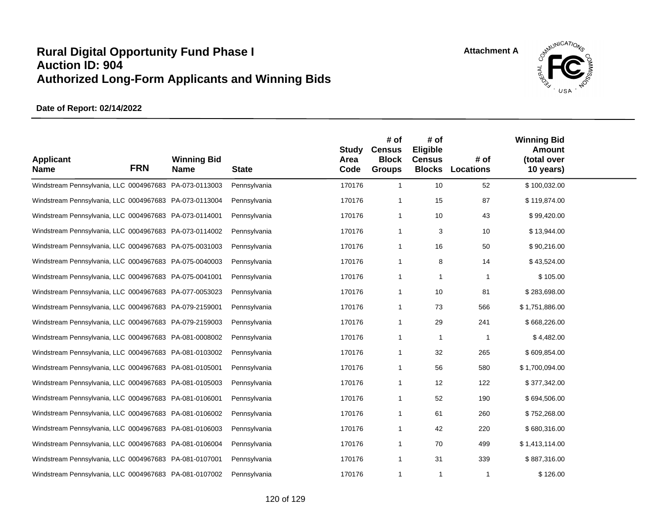

| <b>Applicant</b><br><b>Name</b>                        | <b>FRN</b> | <b>Winning Bid</b><br><b>Name</b> | <b>State</b> | <b>Study</b><br>Area<br>Code | # of<br><b>Census</b><br><b>Block</b><br><b>Groups</b> | # of<br>Eligible<br><b>Census</b><br><b>Blocks</b> | # of<br><b>Locations</b> | <b>Winning Bid</b><br><b>Amount</b><br>(total over<br>10 years) |  |
|--------------------------------------------------------|------------|-----------------------------------|--------------|------------------------------|--------------------------------------------------------|----------------------------------------------------|--------------------------|-----------------------------------------------------------------|--|
| Windstream Pennsylvania, LLC 0004967683 PA-073-0113003 |            |                                   | Pennsylvania | 170176                       | $\overline{1}$                                         | 10                                                 | 52                       | \$100,032.00                                                    |  |
| Windstream Pennsylvania, LLC 0004967683 PA-073-0113004 |            |                                   | Pennsylvania | 170176                       | -1                                                     | 15                                                 | 87                       | \$119,874.00                                                    |  |
| Windstream Pennsylvania, LLC 0004967683 PA-073-0114001 |            |                                   | Pennsylvania | 170176                       | -1                                                     | 10                                                 | 43                       | \$99,420.00                                                     |  |
| Windstream Pennsylvania, LLC 0004967683 PA-073-0114002 |            |                                   | Pennsylvania | 170176                       | -1                                                     | 3                                                  | 10                       | \$13,944.00                                                     |  |
| Windstream Pennsylvania, LLC 0004967683 PA-075-0031003 |            |                                   | Pennsylvania | 170176                       | -1                                                     | 16                                                 | 50                       | \$90,216.00                                                     |  |
| Windstream Pennsylvania, LLC 0004967683 PA-075-0040003 |            |                                   | Pennsylvania | 170176                       | -1                                                     | 8                                                  | 14                       | \$43,524.00                                                     |  |
| Windstream Pennsylvania, LLC 0004967683 PA-075-0041001 |            |                                   | Pennsylvania | 170176                       | -1                                                     | -1                                                 | $\mathbf{1}$             | \$105.00                                                        |  |
| Windstream Pennsylvania, LLC 0004967683 PA-077-0053023 |            |                                   | Pennsylvania | 170176                       | -1                                                     | 10                                                 | 81                       | \$283,698.00                                                    |  |
| Windstream Pennsylvania, LLC 0004967683 PA-079-2159001 |            |                                   | Pennsylvania | 170176                       | -1                                                     | 73                                                 | 566                      | \$1,751,886.00                                                  |  |
| Windstream Pennsylvania, LLC 0004967683 PA-079-2159003 |            |                                   | Pennsylvania | 170176                       | -1                                                     | 29                                                 | 241                      | \$668,226.00                                                    |  |
| Windstream Pennsylvania, LLC 0004967683 PA-081-0008002 |            |                                   | Pennsylvania | 170176                       | $\overline{1}$                                         | -1                                                 | $\mathbf{1}$             | \$4,482.00                                                      |  |
| Windstream Pennsylvania, LLC 0004967683 PA-081-0103002 |            |                                   | Pennsylvania | 170176                       | -1                                                     | 32                                                 | 265                      | \$609,854.00                                                    |  |
| Windstream Pennsylvania, LLC 0004967683 PA-081-0105001 |            |                                   | Pennsylvania | 170176                       | -1                                                     | 56                                                 | 580                      | \$1,700,094.00                                                  |  |
| Windstream Pennsylvania, LLC 0004967683 PA-081-0105003 |            |                                   | Pennsylvania | 170176                       | -1                                                     | 12                                                 | 122                      | \$377,342.00                                                    |  |
| Windstream Pennsylvania, LLC 0004967683 PA-081-0106001 |            |                                   | Pennsylvania | 170176                       | -1                                                     | 52                                                 | 190                      | \$694,506.00                                                    |  |
| Windstream Pennsylvania, LLC 0004967683 PA-081-0106002 |            |                                   | Pennsylvania | 170176                       | -1                                                     | 61                                                 | 260                      | \$752,268.00                                                    |  |
| Windstream Pennsylvania, LLC 0004967683 PA-081-0106003 |            |                                   | Pennsylvania | 170176                       | -1                                                     | 42                                                 | 220                      | \$680,316.00                                                    |  |
| Windstream Pennsylvania, LLC 0004967683 PA-081-0106004 |            |                                   | Pennsylvania | 170176                       | -1                                                     | 70                                                 | 499                      | \$1,413,114.00                                                  |  |
| Windstream Pennsylvania, LLC 0004967683 PA-081-0107001 |            |                                   | Pennsylvania | 170176                       | $\overline{1}$                                         | 31                                                 | 339                      | \$887,316.00                                                    |  |
| Windstream Pennsylvania, LLC 0004967683 PA-081-0107002 |            |                                   | Pennsylvania | 170176                       | -1                                                     | -1                                                 | $\mathbf{1}$             | \$126.00                                                        |  |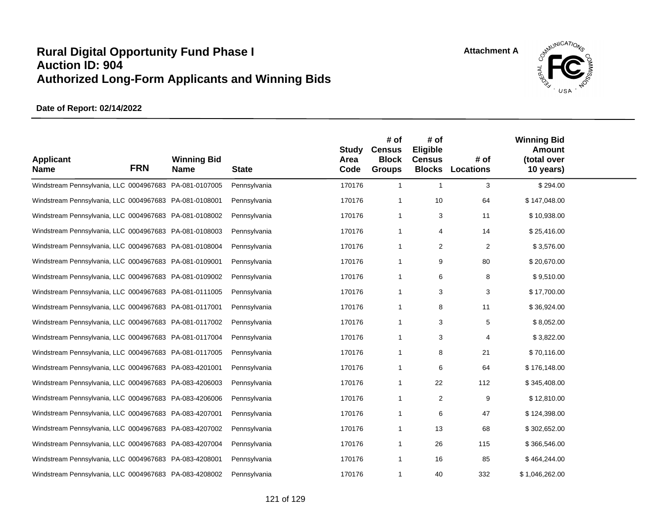

| <b>Applicant</b><br><b>Name</b>                        | <b>FRN</b> | <b>Winning Bid</b><br><b>Name</b> | <b>State</b> | <b>Study</b><br>Area<br>Code | # of<br><b>Census</b><br><b>Block</b><br><b>Groups</b> | # of<br>Eligible<br><b>Census</b><br><b>Blocks</b> | # of<br>Locations | <b>Winning Bid</b><br><b>Amount</b><br>(total over<br>10 years) |  |
|--------------------------------------------------------|------------|-----------------------------------|--------------|------------------------------|--------------------------------------------------------|----------------------------------------------------|-------------------|-----------------------------------------------------------------|--|
| Windstream Pennsylvania, LLC 0004967683 PA-081-0107005 |            |                                   | Pennsylvania | 170176                       | $\overline{1}$                                         | $\overline{1}$                                     | 3                 | \$294.00                                                        |  |
| Windstream Pennsylvania, LLC 0004967683 PA-081-0108001 |            |                                   | Pennsylvania | 170176                       | $\overline{1}$                                         | 10                                                 | 64                | \$147,048.00                                                    |  |
| Windstream Pennsylvania, LLC 0004967683 PA-081-0108002 |            |                                   | Pennsylvania | 170176                       | $\overline{1}$                                         | 3                                                  | 11                | \$10,938.00                                                     |  |
| Windstream Pennsylvania, LLC 0004967683 PA-081-0108003 |            |                                   | Pennsylvania | 170176                       | $\overline{1}$                                         | 4                                                  | 14                | \$25,416.00                                                     |  |
| Windstream Pennsylvania, LLC 0004967683 PA-081-0108004 |            |                                   | Pennsylvania | 170176                       | $\overline{1}$                                         | $\overline{2}$                                     | $\overline{2}$    | \$3,576.00                                                      |  |
| Windstream Pennsylvania, LLC 0004967683 PA-081-0109001 |            |                                   | Pennsylvania | 170176                       | $\overline{1}$                                         | 9                                                  | 80                | \$20,670.00                                                     |  |
| Windstream Pennsylvania, LLC 0004967683 PA-081-0109002 |            |                                   | Pennsylvania | 170176                       | $\overline{1}$                                         | 6                                                  | 8                 | \$9,510.00                                                      |  |
| Windstream Pennsylvania, LLC 0004967683 PA-081-0111005 |            |                                   | Pennsylvania | 170176                       | $\overline{1}$                                         | 3                                                  | 3                 | \$17,700.00                                                     |  |
| Windstream Pennsylvania, LLC 0004967683 PA-081-0117001 |            |                                   | Pennsylvania | 170176                       | $\overline{1}$                                         | 8                                                  | 11                | \$36,924.00                                                     |  |
| Windstream Pennsylvania, LLC 0004967683 PA-081-0117002 |            |                                   | Pennsylvania | 170176                       | -1                                                     | 3                                                  | 5                 | \$8,052.00                                                      |  |
| Windstream Pennsylvania, LLC 0004967683 PA-081-0117004 |            |                                   | Pennsylvania | 170176                       | $\overline{1}$                                         | 3                                                  | 4                 | \$3,822.00                                                      |  |
| Windstream Pennsylvania, LLC 0004967683 PA-081-0117005 |            |                                   | Pennsylvania | 170176                       | -1                                                     | 8                                                  | 21                | \$70,116.00                                                     |  |
| Windstream Pennsylvania, LLC 0004967683 PA-083-4201001 |            |                                   | Pennsylvania | 170176                       | $\overline{1}$                                         | 6                                                  | 64                | \$176,148.00                                                    |  |
| Windstream Pennsylvania, LLC 0004967683 PA-083-4206003 |            |                                   | Pennsylvania | 170176                       | -1                                                     | 22                                                 | 112               | \$345,408.00                                                    |  |
| Windstream Pennsylvania, LLC 0004967683 PA-083-4206006 |            |                                   | Pennsylvania | 170176                       | $\overline{1}$                                         | $\overline{\mathbf{c}}$                            | 9                 | \$12,810.00                                                     |  |
| Windstream Pennsylvania, LLC 0004967683 PA-083-4207001 |            |                                   | Pennsylvania | 170176                       | -1                                                     | 6                                                  | 47                | \$124,398.00                                                    |  |
| Windstream Pennsylvania, LLC 0004967683 PA-083-4207002 |            |                                   | Pennsylvania | 170176                       | $\overline{1}$                                         | 13                                                 | 68                | \$302,652.00                                                    |  |
| Windstream Pennsylvania, LLC 0004967683 PA-083-4207004 |            |                                   | Pennsylvania | 170176                       | -1                                                     | 26                                                 | 115               | \$366,546.00                                                    |  |
| Windstream Pennsylvania, LLC 0004967683 PA-083-4208001 |            |                                   | Pennsylvania | 170176                       | $\overline{1}$                                         | 16                                                 | 85                | \$464,244.00                                                    |  |
| Windstream Pennsylvania, LLC 0004967683 PA-083-4208002 |            |                                   | Pennsylvania | 170176                       | -1                                                     | 40                                                 | 332               | \$1,046,262.00                                                  |  |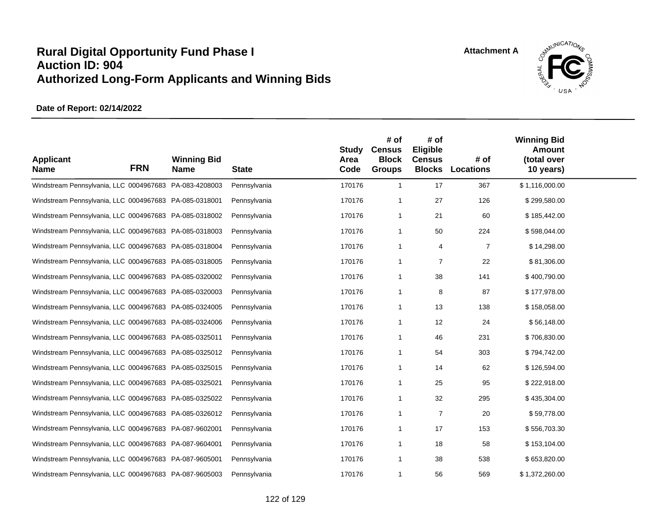

| <b>Applicant</b><br><b>Name</b>                        | <b>FRN</b> | <b>Winning Bid</b><br><b>Name</b> | <b>State</b> | <b>Study</b><br>Area<br>Code | # of<br><b>Census</b><br><b>Block</b><br><b>Groups</b> | # of<br>Eligible<br><b>Census</b><br><b>Blocks</b> | # of<br><b>Locations</b> | <b>Winning Bid</b><br><b>Amount</b><br>(total over<br>10 years) |  |
|--------------------------------------------------------|------------|-----------------------------------|--------------|------------------------------|--------------------------------------------------------|----------------------------------------------------|--------------------------|-----------------------------------------------------------------|--|
| Windstream Pennsylvania, LLC 0004967683 PA-083-4208003 |            |                                   | Pennsylvania | 170176                       | $\mathbf{1}$                                           | 17                                                 | 367                      | \$1,116,000.00                                                  |  |
| Windstream Pennsylvania, LLC 0004967683 PA-085-0318001 |            |                                   | Pennsylvania | 170176                       | 1                                                      | 27                                                 | 126                      | \$299,580.00                                                    |  |
| Windstream Pennsylvania, LLC 0004967683 PA-085-0318002 |            |                                   | Pennsylvania | 170176                       | 1                                                      | 21                                                 | 60                       | \$185,442.00                                                    |  |
| Windstream Pennsylvania, LLC 0004967683 PA-085-0318003 |            |                                   | Pennsylvania | 170176                       | 1                                                      | 50                                                 | 224                      | \$598,044.00                                                    |  |
| Windstream Pennsylvania, LLC 0004967683 PA-085-0318004 |            |                                   | Pennsylvania | 170176                       | 1                                                      | 4                                                  | $\overline{7}$           | \$14,298.00                                                     |  |
| Windstream Pennsylvania, LLC 0004967683 PA-085-0318005 |            |                                   | Pennsylvania | 170176                       | 1                                                      | $\overline{7}$                                     | 22                       | \$81,306.00                                                     |  |
| Windstream Pennsylvania, LLC 0004967683 PA-085-0320002 |            |                                   | Pennsylvania | 170176                       | 1                                                      | 38                                                 | 141                      | \$400,790.00                                                    |  |
| Windstream Pennsylvania, LLC 0004967683 PA-085-0320003 |            |                                   | Pennsylvania | 170176                       | 1                                                      | 8                                                  | 87                       | \$177,978.00                                                    |  |
| Windstream Pennsylvania, LLC 0004967683 PA-085-0324005 |            |                                   | Pennsylvania | 170176                       | 1                                                      | 13                                                 | 138                      | \$158,058.00                                                    |  |
| Windstream Pennsylvania, LLC 0004967683 PA-085-0324006 |            |                                   | Pennsylvania | 170176                       | 1                                                      | 12                                                 | 24                       | \$56,148.00                                                     |  |
| Windstream Pennsylvania, LLC 0004967683 PA-085-0325011 |            |                                   | Pennsylvania | 170176                       | 1                                                      | 46                                                 | 231                      | \$706,830.00                                                    |  |
| Windstream Pennsylvania, LLC 0004967683 PA-085-0325012 |            |                                   | Pennsylvania | 170176                       | 1                                                      | 54                                                 | 303                      | \$794,742.00                                                    |  |
| Windstream Pennsylvania, LLC 0004967683 PA-085-0325015 |            |                                   | Pennsylvania | 170176                       | 1                                                      | 14                                                 | 62                       | \$126,594.00                                                    |  |
| Windstream Pennsylvania, LLC 0004967683 PA-085-0325021 |            |                                   | Pennsylvania | 170176                       | 1                                                      | 25                                                 | 95                       | \$222,918.00                                                    |  |
| Windstream Pennsylvania, LLC 0004967683 PA-085-0325022 |            |                                   | Pennsylvania | 170176                       | 1                                                      | 32                                                 | 295                      | \$435,304.00                                                    |  |
| Windstream Pennsylvania, LLC 0004967683 PA-085-0326012 |            |                                   | Pennsylvania | 170176                       | 1                                                      | $\overline{7}$                                     | 20                       | \$59,778.00                                                     |  |
| Windstream Pennsylvania, LLC 0004967683 PA-087-9602001 |            |                                   | Pennsylvania | 170176                       | 1                                                      | 17                                                 | 153                      | \$556,703.30                                                    |  |
| Windstream Pennsylvania, LLC 0004967683 PA-087-9604001 |            |                                   | Pennsylvania | 170176                       | 1                                                      | 18                                                 | 58                       | \$153,104.00                                                    |  |
| Windstream Pennsylvania, LLC 0004967683 PA-087-9605001 |            |                                   | Pennsylvania | 170176                       | 1                                                      | 38                                                 | 538                      | \$653,820.00                                                    |  |
| Windstream Pennsylvania, LLC 0004967683 PA-087-9605003 |            |                                   | Pennsylvania | 170176                       | 1                                                      | 56                                                 | 569                      | \$1,372,260.00                                                  |  |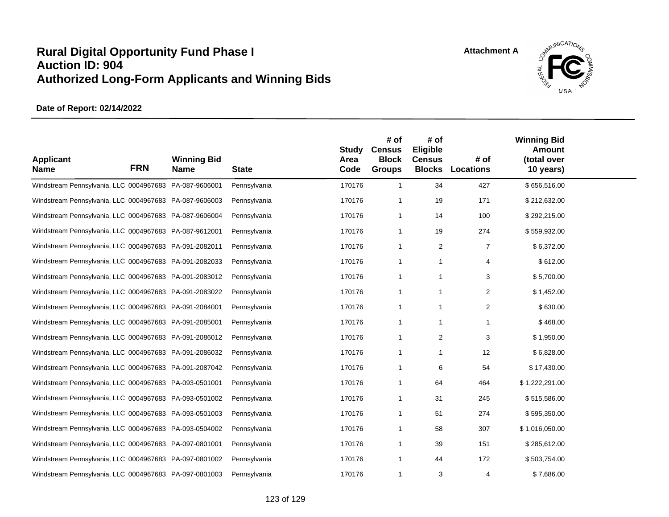

| <b>Applicant</b><br><b>Name</b>                        | <b>FRN</b> | <b>Winning Bid</b><br><b>Name</b> | <b>State</b> | <b>Study</b><br>Area<br>Code | # of<br><b>Census</b><br><b>Block</b><br><b>Groups</b> | # of<br>Eligible<br><b>Census</b><br><b>Blocks</b> | # of<br><b>Locations</b> | <b>Winning Bid</b><br><b>Amount</b><br>(total over<br>10 years) |  |
|--------------------------------------------------------|------------|-----------------------------------|--------------|------------------------------|--------------------------------------------------------|----------------------------------------------------|--------------------------|-----------------------------------------------------------------|--|
| Windstream Pennsylvania, LLC 0004967683 PA-087-9606001 |            |                                   | Pennsylvania | 170176                       | $\overline{1}$                                         | 34                                                 | 427                      | \$656,516.00                                                    |  |
| Windstream Pennsylvania, LLC 0004967683 PA-087-9606003 |            |                                   | Pennsylvania | 170176                       | -1                                                     | 19                                                 | 171                      | \$212,632.00                                                    |  |
| Windstream Pennsylvania, LLC 0004967683 PA-087-9606004 |            |                                   | Pennsylvania | 170176                       | $\overline{1}$                                         | 14                                                 | 100                      | \$292,215.00                                                    |  |
| Windstream Pennsylvania, LLC 0004967683 PA-087-9612001 |            |                                   | Pennsylvania | 170176                       | $\overline{1}$                                         | 19                                                 | 274                      | \$559,932.00                                                    |  |
| Windstream Pennsylvania, LLC 0004967683 PA-091-2082011 |            |                                   | Pennsylvania | 170176                       | $\overline{1}$                                         | 2                                                  | $\overline{7}$           | \$6,372.00                                                      |  |
| Windstream Pennsylvania, LLC 0004967683 PA-091-2082033 |            |                                   | Pennsylvania | 170176                       | $\overline{1}$                                         | $\overline{1}$                                     | 4                        | \$612.00                                                        |  |
| Windstream Pennsylvania, LLC 0004967683 PA-091-2083012 |            |                                   | Pennsylvania | 170176                       | $\overline{1}$                                         | -1                                                 | 3                        | \$5,700.00                                                      |  |
| Windstream Pennsylvania, LLC 0004967683 PA-091-2083022 |            |                                   | Pennsylvania | 170176                       | -1                                                     | -1                                                 | 2                        | \$1,452.00                                                      |  |
| Windstream Pennsylvania, LLC 0004967683 PA-091-2084001 |            |                                   | Pennsylvania | 170176                       | $\overline{1}$                                         | -1                                                 | 2                        | \$630.00                                                        |  |
| Windstream Pennsylvania, LLC 0004967683 PA-091-2085001 |            |                                   | Pennsylvania | 170176                       | -1                                                     | -1                                                 | 1                        | \$468.00                                                        |  |
| Windstream Pennsylvania, LLC 0004967683 PA-091-2086012 |            |                                   | Pennsylvania | 170176                       | $\overline{1}$                                         | 2                                                  | 3                        | \$1,950.00                                                      |  |
| Windstream Pennsylvania, LLC 0004967683 PA-091-2086032 |            |                                   | Pennsylvania | 170176                       | -1                                                     | -1                                                 | 12                       | \$6,828.00                                                      |  |
| Windstream Pennsylvania, LLC 0004967683 PA-091-2087042 |            |                                   | Pennsylvania | 170176                       | $\overline{1}$                                         | 6                                                  | 54                       | \$17,430.00                                                     |  |
| Windstream Pennsylvania, LLC 0004967683 PA-093-0501001 |            |                                   | Pennsylvania | 170176                       | -1                                                     | 64                                                 | 464                      | \$1,222,291.00                                                  |  |
| Windstream Pennsylvania, LLC 0004967683 PA-093-0501002 |            |                                   | Pennsylvania | 170176                       | $\overline{1}$                                         | 31                                                 | 245                      | \$515,586.00                                                    |  |
| Windstream Pennsylvania, LLC 0004967683 PA-093-0501003 |            |                                   | Pennsylvania | 170176                       | $\overline{1}$                                         | 51                                                 | 274                      | \$595,350.00                                                    |  |
| Windstream Pennsylvania, LLC 0004967683 PA-093-0504002 |            |                                   | Pennsylvania | 170176                       | -1                                                     | 58                                                 | 307                      | \$1,016,050.00                                                  |  |
| Windstream Pennsylvania, LLC 0004967683 PA-097-0801001 |            |                                   | Pennsylvania | 170176                       | -1                                                     | 39                                                 | 151                      | \$285,612.00                                                    |  |
| Windstream Pennsylvania, LLC 0004967683 PA-097-0801002 |            |                                   | Pennsylvania | 170176                       | $\overline{1}$                                         | 44                                                 | 172                      | \$503,754.00                                                    |  |
| Windstream Pennsylvania, LLC 0004967683 PA-097-0801003 |            |                                   | Pennsylvania | 170176                       | $\overline{1}$                                         | 3                                                  | 4                        | \$7,686.00                                                      |  |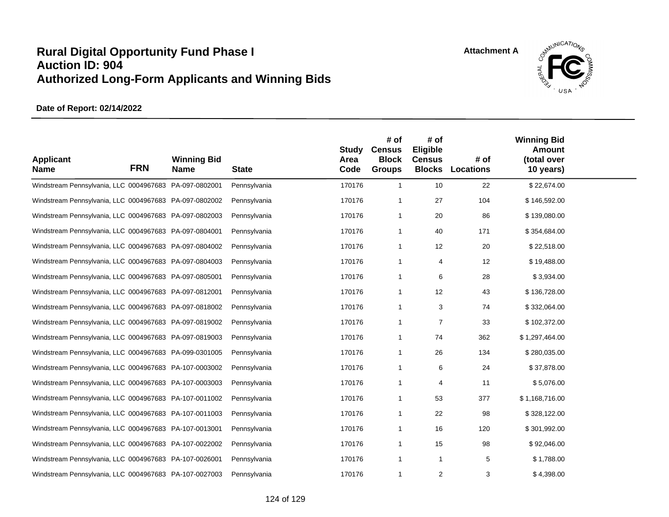

| <b>Applicant</b><br><b>Name</b>                        | <b>FRN</b> | <b>Winning Bid</b><br><b>Name</b> | <b>State</b> | <b>Study</b><br>Area<br>Code | # of<br><b>Census</b><br><b>Block</b><br><b>Groups</b> | # of<br>Eligible<br><b>Census</b><br><b>Blocks</b> | # of<br><b>Locations</b> | <b>Winning Bid</b><br><b>Amount</b><br>(total over<br>10 years) |  |
|--------------------------------------------------------|------------|-----------------------------------|--------------|------------------------------|--------------------------------------------------------|----------------------------------------------------|--------------------------|-----------------------------------------------------------------|--|
| Windstream Pennsylvania, LLC 0004967683 PA-097-0802001 |            |                                   | Pennsylvania | 170176                       | $\mathbf{1}$                                           | 10                                                 | 22                       | \$22,674.00                                                     |  |
| Windstream Pennsylvania, LLC 0004967683 PA-097-0802002 |            |                                   | Pennsylvania | 170176                       | 1                                                      | 27                                                 | 104                      | \$146,592.00                                                    |  |
| Windstream Pennsylvania, LLC 0004967683 PA-097-0802003 |            |                                   | Pennsylvania | 170176                       | 1                                                      | 20                                                 | 86                       | \$139,080.00                                                    |  |
| Windstream Pennsylvania, LLC 0004967683 PA-097-0804001 |            |                                   | Pennsylvania | 170176                       | 1                                                      | 40                                                 | 171                      | \$354,684.00                                                    |  |
| Windstream Pennsylvania, LLC 0004967683 PA-097-0804002 |            |                                   | Pennsylvania | 170176                       | 1                                                      | 12                                                 | 20                       | \$22,518.00                                                     |  |
| Windstream Pennsylvania, LLC 0004967683 PA-097-0804003 |            |                                   | Pennsylvania | 170176                       | 1                                                      | 4                                                  | 12                       | \$19,488.00                                                     |  |
| Windstream Pennsylvania, LLC 0004967683 PA-097-0805001 |            |                                   | Pennsylvania | 170176                       | 1                                                      | 6                                                  | 28                       | \$3,934.00                                                      |  |
| Windstream Pennsylvania, LLC 0004967683 PA-097-0812001 |            |                                   | Pennsylvania | 170176                       | 1                                                      | 12                                                 | 43                       | \$136,728.00                                                    |  |
| Windstream Pennsylvania, LLC 0004967683 PA-097-0818002 |            |                                   | Pennsylvania | 170176                       | 1                                                      | 3                                                  | 74                       | \$332,064.00                                                    |  |
| Windstream Pennsylvania, LLC 0004967683 PA-097-0819002 |            |                                   | Pennsylvania | 170176                       | 1                                                      | 7                                                  | 33                       | \$102,372.00                                                    |  |
| Windstream Pennsylvania, LLC 0004967683 PA-097-0819003 |            |                                   | Pennsylvania | 170176                       | 1                                                      | 74                                                 | 362                      | \$1,297,464.00                                                  |  |
| Windstream Pennsylvania, LLC 0004967683 PA-099-0301005 |            |                                   | Pennsylvania | 170176                       | 1                                                      | 26                                                 | 134                      | \$280,035.00                                                    |  |
| Windstream Pennsylvania, LLC 0004967683 PA-107-0003002 |            |                                   | Pennsylvania | 170176                       | 1                                                      | 6                                                  | 24                       | \$37,878.00                                                     |  |
| Windstream Pennsylvania, LLC 0004967683 PA-107-0003003 |            |                                   | Pennsylvania | 170176                       | 1                                                      | $\overline{4}$                                     | 11                       | \$5,076.00                                                      |  |
| Windstream Pennsylvania, LLC 0004967683 PA-107-0011002 |            |                                   | Pennsylvania | 170176                       | 1                                                      | 53                                                 | 377                      | \$1,168,716.00                                                  |  |
| Windstream Pennsylvania, LLC 0004967683 PA-107-0011003 |            |                                   | Pennsylvania | 170176                       | 1                                                      | 22                                                 | 98                       | \$328,122.00                                                    |  |
| Windstream Pennsylvania, LLC 0004967683 PA-107-0013001 |            |                                   | Pennsylvania | 170176                       | 1                                                      | 16                                                 | 120                      | \$301,992.00                                                    |  |
| Windstream Pennsylvania, LLC 0004967683 PA-107-0022002 |            |                                   | Pennsylvania | 170176                       | 1                                                      | 15                                                 | 98                       | \$92,046.00                                                     |  |
| Windstream Pennsylvania, LLC 0004967683 PA-107-0026001 |            |                                   | Pennsylvania | 170176                       | 1                                                      | $\mathbf{1}$                                       | 5                        | \$1,788.00                                                      |  |
| Windstream Pennsylvania, LLC 0004967683 PA-107-0027003 |            |                                   | Pennsylvania | 170176                       | 1                                                      | 2                                                  | 3                        | \$4,398.00                                                      |  |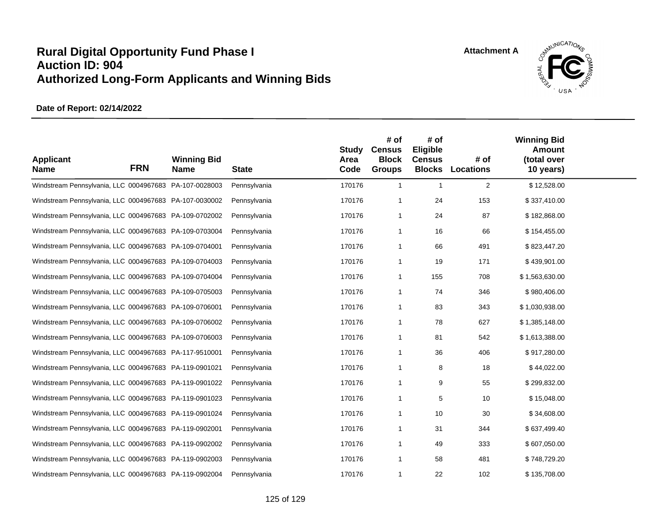

| <b>Applicant</b><br><b>Name</b>                        | <b>FRN</b> | <b>Winning Bid</b><br><b>Name</b> | <b>State</b> | <b>Study</b><br>Area<br>Code | # of<br><b>Census</b><br><b>Block</b><br><b>Groups</b> | # of<br>Eligible<br><b>Census</b> | # of<br><b>Blocks Locations</b> | <b>Winning Bid</b><br><b>Amount</b><br>(total over<br>10 years) |  |
|--------------------------------------------------------|------------|-----------------------------------|--------------|------------------------------|--------------------------------------------------------|-----------------------------------|---------------------------------|-----------------------------------------------------------------|--|
| Windstream Pennsylvania, LLC 0004967683 PA-107-0028003 |            |                                   | Pennsylvania | 170176                       | $\mathbf{1}$                                           | $\overline{1}$                    | $\overline{2}$                  | \$12,528.00                                                     |  |
| Windstream Pennsylvania, LLC 0004967683 PA-107-0030002 |            |                                   | Pennsylvania | 170176                       | -1                                                     | 24                                | 153                             | \$337,410.00                                                    |  |
| Windstream Pennsylvania, LLC 0004967683 PA-109-0702002 |            |                                   | Pennsylvania | 170176                       | $\overline{1}$                                         | 24                                | 87                              | \$182,868.00                                                    |  |
| Windstream Pennsylvania, LLC 0004967683 PA-109-0703004 |            |                                   | Pennsylvania | 170176                       | $\mathbf{1}$                                           | 16                                | 66                              | \$154,455.00                                                    |  |
| Windstream Pennsylvania, LLC 0004967683 PA-109-0704001 |            |                                   | Pennsylvania | 170176                       | $\overline{1}$                                         | 66                                | 491                             | \$823,447.20                                                    |  |
| Windstream Pennsylvania, LLC 0004967683 PA-109-0704003 |            |                                   | Pennsylvania | 170176                       | $\overline{1}$                                         | 19                                | 171                             | \$439,901.00                                                    |  |
| Windstream Pennsylvania, LLC 0004967683 PA-109-0704004 |            |                                   | Pennsylvania | 170176                       | $\mathbf{1}$                                           | 155                               | 708                             | \$1,563,630.00                                                  |  |
| Windstream Pennsylvania, LLC 0004967683 PA-109-0705003 |            |                                   | Pennsylvania | 170176                       | $\overline{1}$                                         | 74                                | 346                             | \$980,406.00                                                    |  |
| Windstream Pennsylvania, LLC 0004967683 PA-109-0706001 |            |                                   | Pennsylvania | 170176                       | $\overline{1}$                                         | 83                                | 343                             | \$1,030,938.00                                                  |  |
| Windstream Pennsylvania, LLC 0004967683 PA-109-0706002 |            |                                   | Pennsylvania | 170176                       | -1                                                     | 78                                | 627                             | \$1,385,148.00                                                  |  |
| Windstream Pennsylvania, LLC 0004967683 PA-109-0706003 |            |                                   | Pennsylvania | 170176                       | $\overline{1}$                                         | 81                                | 542                             | \$1,613,388.00                                                  |  |
| Windstream Pennsylvania, LLC 0004967683 PA-117-9510001 |            |                                   | Pennsylvania | 170176                       | -1                                                     | 36                                | 406                             | \$917,280.00                                                    |  |
| Windstream Pennsylvania, LLC 0004967683 PA-119-0901021 |            |                                   | Pennsylvania | 170176                       | $\overline{1}$                                         | 8                                 | 18                              | \$44,022.00                                                     |  |
| Windstream Pennsylvania, LLC 0004967683 PA-119-0901022 |            |                                   | Pennsylvania | 170176                       | $\overline{1}$                                         | 9                                 | 55                              | \$299,832.00                                                    |  |
| Windstream Pennsylvania, LLC 0004967683 PA-119-0901023 |            |                                   | Pennsylvania | 170176                       | $\overline{1}$                                         | 5                                 | 10                              | \$15,048.00                                                     |  |
| Windstream Pennsylvania, LLC 0004967683 PA-119-0901024 |            |                                   | Pennsylvania | 170176                       | $\overline{1}$                                         | 10                                | 30                              | \$34,608.00                                                     |  |
| Windstream Pennsylvania, LLC 0004967683 PA-119-0902001 |            |                                   | Pennsylvania | 170176                       | $\overline{1}$                                         | 31                                | 344                             | \$637,499.40                                                    |  |
| Windstream Pennsylvania, LLC 0004967683 PA-119-0902002 |            |                                   | Pennsylvania | 170176                       | -1                                                     | 49                                | 333                             | \$607,050.00                                                    |  |
| Windstream Pennsylvania, LLC 0004967683 PA-119-0902003 |            |                                   | Pennsylvania | 170176                       | $\overline{1}$                                         | 58                                | 481                             | \$748,729.20                                                    |  |
| Windstream Pennsylvania, LLC 0004967683 PA-119-0902004 |            |                                   | Pennsylvania | 170176                       | -1                                                     | 22                                | 102                             | \$135,708.00                                                    |  |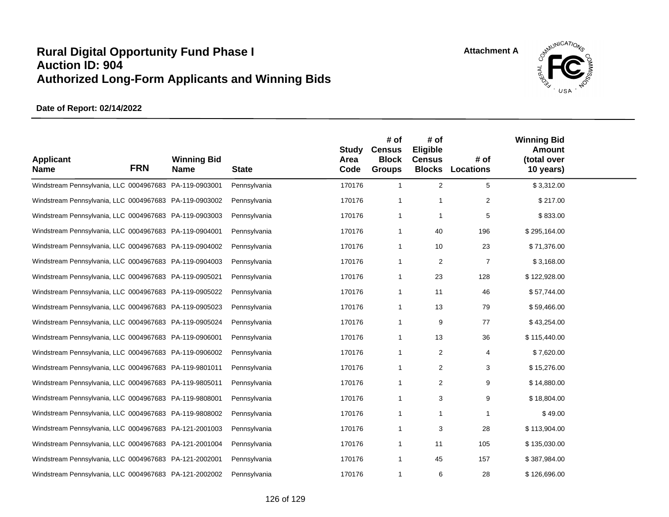

| <b>Applicant</b><br><b>Name</b>                        | <b>FRN</b> | <b>Winning Bid</b><br><b>Name</b> | <b>State</b> | <b>Study</b><br>Area<br>Code | # of<br><b>Census</b><br><b>Block</b><br><b>Groups</b> | # of<br>Eligible<br><b>Census</b> | # of<br><b>Blocks Locations</b> | <b>Winning Bid</b><br><b>Amount</b><br>(total over<br>10 years) |  |
|--------------------------------------------------------|------------|-----------------------------------|--------------|------------------------------|--------------------------------------------------------|-----------------------------------|---------------------------------|-----------------------------------------------------------------|--|
| Windstream Pennsylvania, LLC 0004967683 PA-119-0903001 |            |                                   | Pennsylvania | 170176                       | $\mathbf{1}$                                           | 2                                 | 5                               | \$3,312.00                                                      |  |
| Windstream Pennsylvania, LLC 0004967683 PA-119-0903002 |            |                                   | Pennsylvania | 170176                       | $\overline{1}$                                         | -1                                | $\overline{2}$                  | \$217.00                                                        |  |
| Windstream Pennsylvania, LLC 0004967683 PA-119-0903003 |            |                                   | Pennsylvania | 170176                       | $\overline{1}$                                         | $\overline{1}$                    | 5                               | \$833.00                                                        |  |
| Windstream Pennsylvania, LLC 0004967683 PA-119-0904001 |            |                                   | Pennsylvania | 170176                       | $\overline{1}$                                         | 40                                | 196                             | \$295,164.00                                                    |  |
| Windstream Pennsylvania, LLC 0004967683 PA-119-0904002 |            |                                   | Pennsylvania | 170176                       | $\overline{1}$                                         | 10                                | 23                              | \$71,376.00                                                     |  |
| Windstream Pennsylvania, LLC 0004967683 PA-119-0904003 |            |                                   | Pennsylvania | 170176                       | $\overline{1}$                                         | 2                                 | 7                               | \$3,168.00                                                      |  |
| Windstream Pennsylvania, LLC 0004967683 PA-119-0905021 |            |                                   | Pennsylvania | 170176                       | $\overline{1}$                                         | 23                                | 128                             | \$122,928.00                                                    |  |
| Windstream Pennsylvania, LLC 0004967683 PA-119-0905022 |            |                                   | Pennsylvania | 170176                       | $\overline{1}$                                         | 11                                | 46                              | \$57,744.00                                                     |  |
| Windstream Pennsylvania, LLC 0004967683 PA-119-0905023 |            |                                   | Pennsylvania | 170176                       | $\overline{1}$                                         | 13                                | 79                              | \$59,466.00                                                     |  |
| Windstream Pennsylvania, LLC 0004967683 PA-119-0905024 |            |                                   | Pennsylvania | 170176                       | $\overline{1}$                                         | 9                                 | 77                              | \$43,254.00                                                     |  |
| Windstream Pennsylvania, LLC 0004967683 PA-119-0906001 |            |                                   | Pennsylvania | 170176                       | $\overline{1}$                                         | 13                                | 36                              | \$115,440.00                                                    |  |
| Windstream Pennsylvania, LLC 0004967683 PA-119-0906002 |            |                                   | Pennsylvania | 170176                       | $\overline{1}$                                         | 2                                 | 4                               | \$7,620.00                                                      |  |
| Windstream Pennsylvania, LLC 0004967683 PA-119-9801011 |            |                                   | Pennsylvania | 170176                       | $\overline{1}$                                         | $\overline{2}$                    | 3                               | \$15,276.00                                                     |  |
| Windstream Pennsylvania, LLC 0004967683 PA-119-9805011 |            |                                   | Pennsylvania | 170176                       | $\overline{1}$                                         | 2                                 | 9                               | \$14,880.00                                                     |  |
| Windstream Pennsylvania, LLC 0004967683 PA-119-9808001 |            |                                   | Pennsylvania | 170176                       | $\overline{1}$                                         | 3                                 | 9                               | \$18,804.00                                                     |  |
| Windstream Pennsylvania, LLC 0004967683 PA-119-9808002 |            |                                   | Pennsylvania | 170176                       | $\overline{1}$                                         | -1                                | 1                               | \$49.00                                                         |  |
| Windstream Pennsylvania, LLC 0004967683 PA-121-2001003 |            |                                   | Pennsylvania | 170176                       | $\overline{1}$                                         | 3                                 | 28                              | \$113,904.00                                                    |  |
| Windstream Pennsylvania, LLC 0004967683 PA-121-2001004 |            |                                   | Pennsylvania | 170176                       | $\overline{1}$                                         | 11                                | 105                             | \$135,030.00                                                    |  |
| Windstream Pennsylvania, LLC 0004967683 PA-121-2002001 |            |                                   | Pennsylvania | 170176                       | $\overline{1}$                                         | 45                                | 157                             | \$387,984.00                                                    |  |
| Windstream Pennsylvania, LLC 0004967683 PA-121-2002002 |            |                                   | Pennsylvania | 170176                       | $\mathbf 1$                                            | 6                                 | 28                              | \$126,696.00                                                    |  |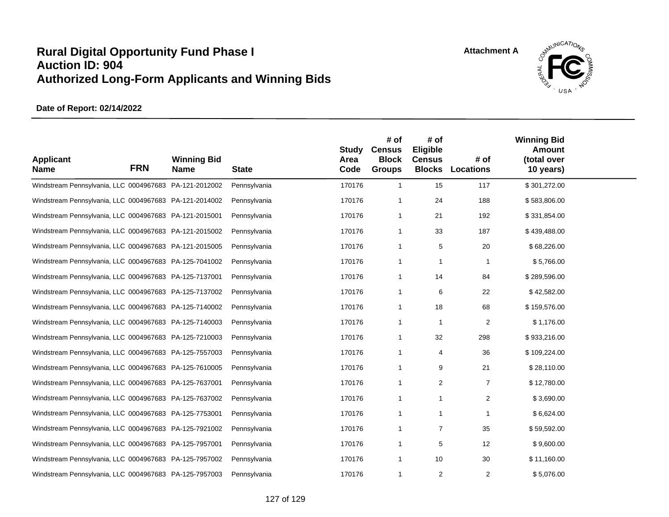

| <b>Applicant</b><br><b>Name</b>                        | <b>FRN</b> | <b>Winning Bid</b><br><b>Name</b> | <b>State</b> | <b>Study</b><br>Area<br>Code | # of<br><b>Census</b><br><b>Block</b><br><b>Groups</b> | # of<br>Eligible<br><b>Census</b><br><b>Blocks</b> | # of<br><b>Locations</b> | <b>Winning Bid</b><br><b>Amount</b><br>(total over<br>10 years) |  |
|--------------------------------------------------------|------------|-----------------------------------|--------------|------------------------------|--------------------------------------------------------|----------------------------------------------------|--------------------------|-----------------------------------------------------------------|--|
| Windstream Pennsylvania, LLC 0004967683 PA-121-2012002 |            |                                   | Pennsylvania | 170176                       | $\mathbf{1}$                                           | 15                                                 | 117                      | \$301,272.00                                                    |  |
| Windstream Pennsylvania, LLC 0004967683 PA-121-2014002 |            |                                   | Pennsylvania | 170176                       | -1                                                     | 24                                                 | 188                      | \$583,806.00                                                    |  |
| Windstream Pennsylvania, LLC 0004967683 PA-121-2015001 |            |                                   | Pennsylvania | 170176                       | 1                                                      | 21                                                 | 192                      | \$331,854.00                                                    |  |
| Windstream Pennsylvania, LLC 0004967683 PA-121-2015002 |            |                                   | Pennsylvania | 170176                       | 1                                                      | 33                                                 | 187                      | \$439,488.00                                                    |  |
| Windstream Pennsylvania, LLC 0004967683 PA-121-2015005 |            |                                   | Pennsylvania | 170176                       | 1                                                      | 5                                                  | 20                       | \$68,226.00                                                     |  |
| Windstream Pennsylvania, LLC 0004967683 PA-125-7041002 |            |                                   | Pennsylvania | 170176                       | 1                                                      | 1                                                  | 1                        | \$5,766.00                                                      |  |
| Windstream Pennsylvania, LLC 0004967683 PA-125-7137001 |            |                                   | Pennsylvania | 170176                       | 1                                                      | 14                                                 | 84                       | \$289,596.00                                                    |  |
| Windstream Pennsylvania, LLC 0004967683 PA-125-7137002 |            |                                   | Pennsylvania | 170176                       | 1                                                      | 6                                                  | 22                       | \$42,582.00                                                     |  |
| Windstream Pennsylvania, LLC 0004967683 PA-125-7140002 |            |                                   | Pennsylvania | 170176                       | 1                                                      | 18                                                 | 68                       | \$159,576.00                                                    |  |
| Windstream Pennsylvania, LLC 0004967683 PA-125-7140003 |            |                                   | Pennsylvania | 170176                       | 1                                                      | 1                                                  | $\overline{2}$           | \$1,176.00                                                      |  |
| Windstream Pennsylvania, LLC 0004967683 PA-125-7210003 |            |                                   | Pennsylvania | 170176                       | 1                                                      | 32                                                 | 298                      | \$933,216.00                                                    |  |
| Windstream Pennsylvania, LLC 0004967683 PA-125-7557003 |            |                                   | Pennsylvania | 170176                       | 1                                                      | 4                                                  | 36                       | \$109,224.00                                                    |  |
| Windstream Pennsylvania, LLC 0004967683 PA-125-7610005 |            |                                   | Pennsylvania | 170176                       | 1                                                      | 9                                                  | 21                       | \$28,110.00                                                     |  |
| Windstream Pennsylvania, LLC 0004967683 PA-125-7637001 |            |                                   | Pennsylvania | 170176                       | 1                                                      | $\overline{2}$                                     | $\overline{7}$           | \$12,780.00                                                     |  |
| Windstream Pennsylvania, LLC 0004967683 PA-125-7637002 |            |                                   | Pennsylvania | 170176                       | 1                                                      | 1                                                  | 2                        | \$3,690.00                                                      |  |
| Windstream Pennsylvania, LLC 0004967683 PA-125-7753001 |            |                                   | Pennsylvania | 170176                       | 1                                                      | 1                                                  | -1                       | \$6,624.00                                                      |  |
| Windstream Pennsylvania, LLC 0004967683 PA-125-7921002 |            |                                   | Pennsylvania | 170176                       | 1                                                      | $\overline{7}$                                     | 35                       | \$59,592.00                                                     |  |
| Windstream Pennsylvania, LLC 0004967683 PA-125-7957001 |            |                                   | Pennsylvania | 170176                       | 1                                                      | 5                                                  | 12                       | \$9,600.00                                                      |  |
| Windstream Pennsylvania, LLC 0004967683 PA-125-7957002 |            |                                   | Pennsylvania | 170176                       | 1                                                      | 10                                                 | 30                       | \$11,160.00                                                     |  |
| Windstream Pennsylvania, LLC 0004967683 PA-125-7957003 |            |                                   | Pennsylvania | 170176                       | 1                                                      | 2                                                  | $\overline{2}$           | \$5,076.00                                                      |  |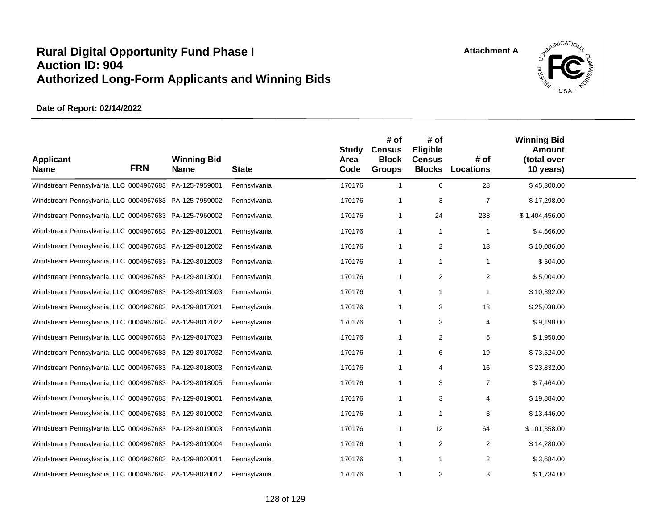

| <b>Applicant</b><br><b>Name</b>                        | <b>FRN</b> | <b>Winning Bid</b><br>Name | <b>State</b> | <b>Study</b><br>Area<br>Code | # of<br><b>Census</b><br><b>Block</b><br><b>Groups</b> | # of<br><b>Eligible</b><br><b>Census</b><br><b>Blocks</b> | # of<br>Locations | <b>Winning Bid</b><br><b>Amount</b><br>(total over<br>10 years) |  |
|--------------------------------------------------------|------------|----------------------------|--------------|------------------------------|--------------------------------------------------------|-----------------------------------------------------------|-------------------|-----------------------------------------------------------------|--|
| Windstream Pennsylvania, LLC 0004967683 PA-125-7959001 |            |                            | Pennsylvania | 170176                       | $\mathbf{1}$                                           | 6                                                         | 28                | \$45,300.00                                                     |  |
| Windstream Pennsylvania, LLC 0004967683 PA-125-7959002 |            |                            | Pennsylvania | 170176                       | -1                                                     | 3                                                         | $\overline{7}$    | \$17,298.00                                                     |  |
| Windstream Pennsylvania, LLC 0004967683 PA-125-7960002 |            |                            | Pennsylvania | 170176                       | $\mathbf{1}$                                           | 24                                                        | 238               | \$1,404,456.00                                                  |  |
| Windstream Pennsylvania, LLC 0004967683 PA-129-8012001 |            |                            | Pennsylvania | 170176                       | $\mathbf{1}$                                           | -1                                                        | -1                | \$4,566.00                                                      |  |
| Windstream Pennsylvania, LLC 0004967683 PA-129-8012002 |            |                            | Pennsylvania | 170176                       | $\mathbf{1}$                                           | $\overline{c}$                                            | 13                | \$10,086.00                                                     |  |
| Windstream Pennsylvania, LLC 0004967683 PA-129-8012003 |            |                            | Pennsylvania | 170176                       | $\mathbf{1}$                                           | -1                                                        | $\mathbf{1}$      | \$504.00                                                        |  |
| Windstream Pennsylvania, LLC 0004967683 PA-129-8013001 |            |                            | Pennsylvania | 170176                       | $\mathbf{1}$                                           | 2                                                         | 2                 | \$5,004.00                                                      |  |
| Windstream Pennsylvania, LLC 0004967683 PA-129-8013003 |            |                            | Pennsylvania | 170176                       | -1                                                     | -1                                                        | 1                 | \$10,392.00                                                     |  |
| Windstream Pennsylvania, LLC 0004967683 PA-129-8017021 |            |                            | Pennsylvania | 170176                       | $\mathbf{1}$                                           | 3                                                         | 18                | \$25,038.00                                                     |  |
| Windstream Pennsylvania, LLC 0004967683 PA-129-8017022 |            |                            | Pennsylvania | 170176                       | -1                                                     | 3                                                         | 4                 | \$9,198.00                                                      |  |
| Windstream Pennsylvania, LLC 0004967683 PA-129-8017023 |            |                            | Pennsylvania | 170176                       | $\mathbf{1}$                                           | $\overline{2}$                                            | 5                 | \$1,950.00                                                      |  |
| Windstream Pennsylvania, LLC 0004967683 PA-129-8017032 |            |                            | Pennsylvania | 170176                       | -1                                                     | 6                                                         | 19                | \$73,524.00                                                     |  |
| Windstream Pennsylvania, LLC 0004967683 PA-129-8018003 |            |                            | Pennsylvania | 170176                       | $\mathbf{1}$                                           | 4                                                         | 16                | \$23,832.00                                                     |  |
| Windstream Pennsylvania, LLC 0004967683 PA-129-8018005 |            |                            | Pennsylvania | 170176                       | $\mathbf{1}$                                           | 3                                                         | $\overline{7}$    | \$7,464.00                                                      |  |
| Windstream Pennsylvania, LLC 0004967683 PA-129-8019001 |            |                            | Pennsylvania | 170176                       | $\mathbf{1}$                                           | 3                                                         | 4                 | \$19,884.00                                                     |  |
| Windstream Pennsylvania, LLC 0004967683 PA-129-8019002 |            |                            | Pennsylvania | 170176                       | $\overline{1}$                                         | $\overline{1}$                                            | 3                 | \$13,446.00                                                     |  |
| Windstream Pennsylvania, LLC 0004967683 PA-129-8019003 |            |                            | Pennsylvania | 170176                       | $\mathbf{1}$                                           | 12                                                        | 64                | \$101,358.00                                                    |  |
| Windstream Pennsylvania, LLC 0004967683 PA-129-8019004 |            |                            | Pennsylvania | 170176                       | -1                                                     | 2                                                         | $\overline{2}$    | \$14,280.00                                                     |  |
| Windstream Pennsylvania, LLC 0004967683 PA-129-8020011 |            |                            | Pennsylvania | 170176                       | $\mathbf{1}$                                           | $\mathbf{1}$                                              | 2                 | \$3,684.00                                                      |  |
| Windstream Pennsylvania, LLC 0004967683 PA-129-8020012 |            |                            | Pennsylvania | 170176                       | $\overline{1}$                                         | 3                                                         | 3                 | \$1,734.00                                                      |  |